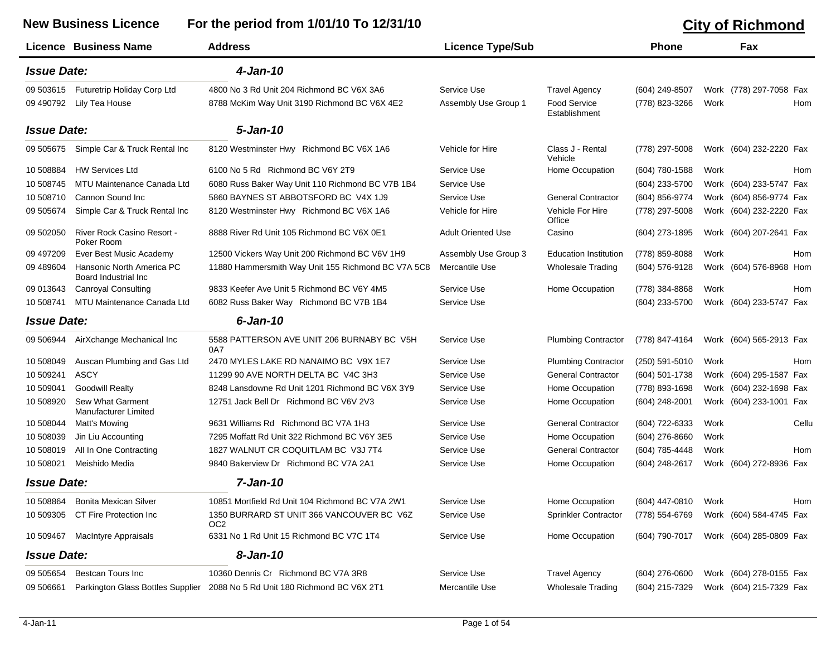|                    | <b>Licence Business Name</b>                      | <b>Address</b>                                     | <b>Licence Type/Sub</b>   |                                      | <b>Phone</b>     |      | Fax                        |  |
|--------------------|---------------------------------------------------|----------------------------------------------------|---------------------------|--------------------------------------|------------------|------|----------------------------|--|
| <b>Issue Date:</b> |                                                   | 4-Jan-10                                           |                           |                                      |                  |      |                            |  |
| 09 503615          | Futuretrip Holiday Corp Ltd                       | 4800 No 3 Rd Unit 204 Richmond BC V6X 3A6          | Service Use               | <b>Travel Agency</b>                 | (604) 249-8507   |      | Work (778) 297-7058 Fax    |  |
| 09 490792          | Lily Tea House                                    | 8788 McKim Way Unit 3190 Richmond BC V6X 4E2       | Assembly Use Group 1      | <b>Food Service</b><br>Establishment | (778) 823-3266   | Work | Hom                        |  |
| <b>Issue Date:</b> |                                                   | 5-Jan-10                                           |                           |                                      |                  |      |                            |  |
| 09 505675          | Simple Car & Truck Rental Inc                     | 8120 Westminster Hwy Richmond BC V6X 1A6           | Vehicle for Hire          | Class J - Rental<br>Vehicle          | (778) 297-5008   |      | Work (604) 232-2220 Fax    |  |
| 10 508884          | <b>HW Services Ltd</b>                            | 6100 No 5 Rd Richmond BC V6Y 2T9                   | Service Use               | Home Occupation                      | (604) 780-1588   | Work | Hom                        |  |
| 10 508745          | MTU Maintenance Canada Ltd                        | 6080 Russ Baker Way Unit 110 Richmond BC V7B 1B4   | Service Use               |                                      | (604) 233-5700   |      | Work (604) 233-5747 Fax    |  |
| 10 508710          | Cannon Sound Inc                                  | 5860 BAYNES ST ABBOTSFORD BC V4X 1J9               | Service Use               | <b>General Contractor</b>            | (604) 856-9774   |      | Work (604) 856-9774 Fax    |  |
| 09 505674          | Simple Car & Truck Rental Inc                     | 8120 Westminster Hwy Richmond BC V6X 1A6           | Vehicle for Hire          | Vehicle For Hire<br>Office           | (778) 297-5008   |      | Work (604) 232-2220 Fax    |  |
| 09 502050          | River Rock Casino Resort -<br>Poker Room          | 8888 River Rd Unit 105 Richmond BC V6X 0E1         | <b>Adult Oriented Use</b> | Casino                               | (604) 273-1895   |      | Work (604) 207-2641 Fax    |  |
| 09 497209          | Ever Best Music Academy                           | 12500 Vickers Way Unit 200 Richmond BC V6V 1H9     | Assembly Use Group 3      | <b>Education Institution</b>         | (778) 859-8088   | Work | Hom                        |  |
| 09 489 604         | Hansonic North America PC<br>Board Industrial Inc | 11880 Hammersmith Way Unit 155 Richmond BC V7A 5C8 | Mercantile Use            | <b>Wholesale Trading</b>             | $(604)$ 576-9128 |      | Work (604) 576-8968<br>Hom |  |
| 09 013643          | <b>Canroyal Consulting</b>                        | 9833 Keefer Ave Unit 5 Richmond BC V6Y 4M5         | Service Use               | Home Occupation                      | (778) 384-8868   | Work | Hom                        |  |
| 10 508741          | MTU Maintenance Canada Ltd                        | 6082 Russ Baker Way Richmond BC V7B 1B4            | Service Use               |                                      | (604) 233-5700   |      | Work (604) 233-5747 Fax    |  |
| <b>Issue Date:</b> |                                                   | $6$ -Jan-10                                        |                           |                                      |                  |      |                            |  |
| 09 506944          | AirXchange Mechanical Inc                         | 5588 PATTERSON AVE UNIT 206 BURNABY BC V5H<br>0A7  | Service Use               | <b>Plumbing Contractor</b>           | (778) 847-4164   |      | Work (604) 565-2913 Fax    |  |
| 10 508049          | Auscan Plumbing and Gas Ltd                       | 2470 MYLES LAKE RD NANAIMO BC V9X 1E7              | Service Use               | <b>Plumbing Contractor</b>           | (250) 591-5010   | Work | Hom                        |  |
| 10 509241          | <b>ASCY</b>                                       | 11299 90 AVE NORTH DELTA BC V4C 3H3                | Service Use               | <b>General Contractor</b>            | (604) 501-1738   |      | Work (604) 295-1587 Fax    |  |
| 10 509041          | <b>Goodwill Realty</b>                            | 8248 Lansdowne Rd Unit 1201 Richmond BC V6X 3Y9    | Service Use               | Home Occupation                      | (778) 893-1698   |      | Work (604) 232-1698 Fax    |  |
| 10 508920          | Sew What Garment<br>Manufacturer Limited          | 12751 Jack Bell Dr Richmond BC V6V 2V3             | Service Use               | Home Occupation                      | $(604)$ 248-2001 |      | Work (604) 233-1001 Fax    |  |
| 10 508044          | Matt's Mowing                                     | 9631 Williams Rd Richmond BC V7A 1H3               | Service Use               | <b>General Contractor</b>            | (604) 722-6333   | Work | Cellu                      |  |
| 10 508039          | Jin Liu Accounting                                | 7295 Moffatt Rd Unit 322 Richmond BC V6Y 3E5       | Service Use               | Home Occupation                      | $(604)$ 276-8660 | Work |                            |  |
| 10 508019          | All In One Contracting                            | 1827 WALNUT CR COQUITLAM BC V3J 7T4                | Service Use               | <b>General Contractor</b>            | (604) 785-4448   | Work | Hom                        |  |
| 10 508021          | Meishido Media                                    | 9840 Bakerview Dr Richmond BC V7A 2A1              | Service Use               | Home Occupation                      | (604) 248-2617   |      | Work (604) 272-8936 Fax    |  |
| <b>Issue Date:</b> |                                                   | 7-Jan-10                                           |                           |                                      |                  |      |                            |  |
| 10 508864          | <b>Bonita Mexican Silver</b>                      | 10851 Mortfield Rd Unit 104 Richmond BC V7A 2W1    | Service Use               | Home Occupation                      | (604) 447-0810   | Work | Hom                        |  |
| 10 509305          | CT Fire Protection Inc                            | 1350 BURRARD ST UNIT 366 VANCOUVER BC V6Z<br>OC2   | Service Use               | Sprinkler Contractor                 | (778) 554-6769   |      | Work (604) 584-4745 Fax    |  |
| 10 509467          | <b>MacIntyre Appraisals</b>                       | 6331 No 1 Rd Unit 15 Richmond BC V7C 1T4           | Service Use               | Home Occupation                      | (604) 790-7017   |      | Work (604) 285-0809 Fax    |  |
| <b>Issue Date:</b> |                                                   | 8-Jan-10                                           |                           |                                      |                  |      |                            |  |
| 09 505654          | <b>Bestcan Tours Inc</b>                          | 10360 Dennis Cr Richmond BC V7A 3R8                | Service Use               | <b>Travel Agency</b>                 | $(604)$ 276-0600 |      | Work (604) 278-0155 Fax    |  |
| 09 50 6661         | Parkington Glass Bottles Supplier                 | 2088 No 5 Rd Unit 180 Richmond BC V6X 2T1          | Mercantile Use            | <b>Wholesale Trading</b>             | (604) 215-7329   |      | Work (604) 215-7329 Fax    |  |

## New Business Licence For the period from 1/01/10 To 12/31/10 **City of Richmond**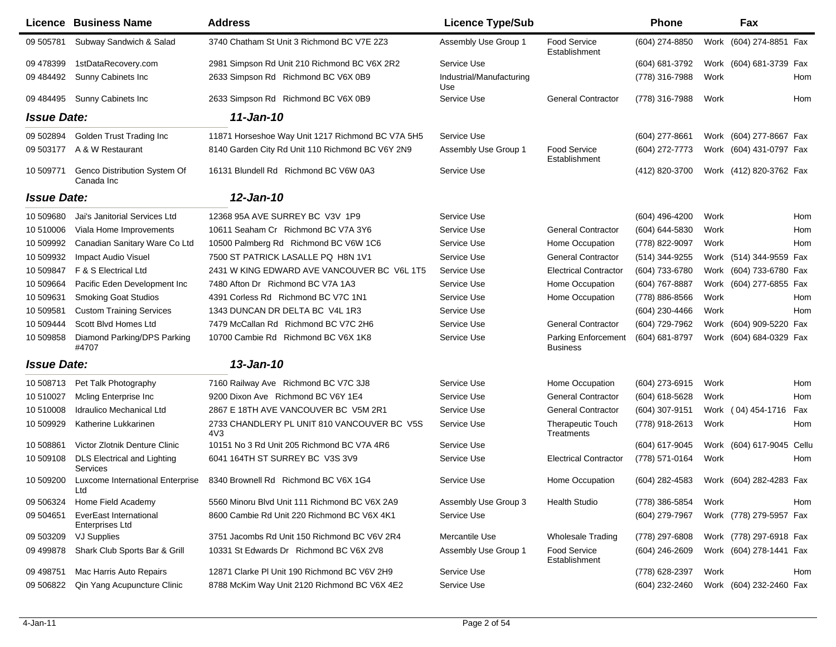|                    | Licence Business Name                                   | <b>Address</b>                                     | <b>Licence Type/Sub</b>         |                                        | <b>Phone</b>     |      | Fax                     |       |
|--------------------|---------------------------------------------------------|----------------------------------------------------|---------------------------------|----------------------------------------|------------------|------|-------------------------|-------|
| 09 50 5781         | Subway Sandwich & Salad                                 | 3740 Chatham St Unit 3 Richmond BC V7E 2Z3         | Assembly Use Group 1            | <b>Food Service</b><br>Establishment   | (604) 274-8850   |      | Work (604) 274-8851 Fax |       |
| 09 478399          | 1stDataRecovery.com                                     | 2981 Simpson Rd Unit 210 Richmond BC V6X 2R2       | Service Use                     |                                        | (604) 681-3792   |      | Work (604) 681-3739 Fax |       |
| 09 484492          | Sunny Cabinets Inc                                      | 2633 Simpson Rd Richmond BC V6X 0B9                | Industrial/Manufacturing<br>Use |                                        | (778) 316-7988   | Work |                         | Hom   |
| 09 484495          | Sunny Cabinets Inc                                      | 2633 Simpson Rd Richmond BC V6X 0B9                | Service Use                     | <b>General Contractor</b>              | (778) 316-7988   | Work |                         | Hom   |
| <b>Issue Date:</b> |                                                         | 11-Jan-10                                          |                                 |                                        |                  |      |                         |       |
| 09 502894          | Golden Trust Trading Inc                                | 11871 Horseshoe Way Unit 1217 Richmond BC V7A 5H5  | Service Use                     |                                        | $(604)$ 277-8661 |      | Work (604) 277-8667 Fax |       |
| 09 503177          | A & W Restaurant                                        | 8140 Garden City Rd Unit 110 Richmond BC V6Y 2N9   | Assembly Use Group 1            | Food Service<br>Establishment          | (604) 272-7773   |      | Work (604) 431-0797 Fax |       |
| 10 509771          | Genco Distribution System Of<br>Canada Inc              | 16131 Blundell Rd Richmond BC V6W 0A3              | Service Use                     |                                        | (412) 820-3700   |      | Work (412) 820-3762 Fax |       |
| <b>Issue Date:</b> |                                                         | 12-Jan-10                                          |                                 |                                        |                  |      |                         |       |
| 10 509680          | Jai's Janitorial Services Ltd                           | 12368 95A AVE SURREY BC V3V 1P9                    | Service Use                     |                                        | (604) 496-4200   | Work |                         | Hom   |
| 10 510006          | Viala Home Improvements                                 | 10611 Seaham Cr Richmond BC V7A 3Y6                | Service Use                     | <b>General Contractor</b>              | (604) 644-5830   | Work |                         | Hom   |
| 10 509992          | Canadian Sanitary Ware Co Ltd                           | 10500 Palmberg Rd Richmond BC V6W 1C6              | Service Use                     | Home Occupation                        | (778) 822-9097   | Work |                         | Hom   |
| 10 509932          | <b>Impact Audio Visuel</b>                              | 7500 ST PATRICK LASALLE PQ H8N 1V1                 | Service Use                     | <b>General Contractor</b>              | (514) 344-9255   |      | Work (514) 344-9559 Fax |       |
| 10 509847          | F & S Electrical Ltd                                    | 2431 W KING EDWARD AVE VANCOUVER BC V6L 1T5        | Service Use                     | <b>Electrical Contractor</b>           | (604) 733-6780   | Work | (604) 733-6780 Fax      |       |
| 10 509664          | Pacific Eden Development Inc                            | 7480 Afton Dr Richmond BC V7A 1A3                  | Service Use                     | Home Occupation                        | (604) 767-8887   | Work | (604) 277-6855 Fax      |       |
| 10 509631          | <b>Smoking Goat Studios</b>                             | 4391 Corless Rd Richmond BC V7C 1N1                | Service Use                     | Home Occupation                        | (778) 886-8566   | Work |                         | Hom   |
| 10 509581          | <b>Custom Training Services</b>                         | 1343 DUNCAN DR DELTA BC V4L 1R3                    | Service Use                     |                                        | (604) 230-4466   | Work |                         | Hom   |
| 10 509444          | Scott Blvd Homes Ltd                                    | 7479 McCallan Rd Richmond BC V7C 2H6               | Service Use                     | <b>General Contractor</b>              | (604) 729-7962   |      | Work (604) 909-5220 Fax |       |
| 10 509858          | Diamond Parking/DPS Parking<br>#4707                    | 10700 Cambie Rd Richmond BC V6X 1K8                | Service Use                     | Parking Enforcement<br><b>Business</b> | (604) 681-8797   |      | Work (604) 684-0329 Fax |       |
| <b>Issue Date:</b> |                                                         | 13-Jan-10                                          |                                 |                                        |                  |      |                         |       |
| 10 508713          | Pet Talk Photography                                    | 7160 Railway Ave Richmond BC V7C 3J8               | Service Use                     | Home Occupation                        | (604) 273-6915   | Work |                         | Hom   |
| 10 510027          | Moling Enterprise Inc.                                  | 9200 Dixon Ave Richmond BC V6Y 1E4                 | Service Use                     | <b>General Contractor</b>              | (604) 618-5628   | Work |                         | Hom   |
| 10 510008          | <b>Idraulico Mechanical Ltd</b>                         | 2867 E 18TH AVE VANCOUVER BC V5M 2R1               | Service Use                     | <b>General Contractor</b>              | (604) 307-9151   |      | Work (04) 454-1716      | Fax   |
| 10 509929          | Katherine Lukkarinen                                    | 2733 CHANDLERY PL UNIT 810 VANCOUVER BC V5S<br>4V3 | Service Use                     | <b>Therapeutic Touch</b><br>Treatments | (778) 918-2613   | Work |                         | Hom   |
| 10 508861          | Victor Zlotnik Denture Clinic                           | 10151 No 3 Rd Unit 205 Richmond BC V7A 4R6         | Service Use                     |                                        | (604) 617-9045   |      | Work (604) 617-9045     | Cellu |
| 10 509108          | <b>DLS Electrical and Lighting</b><br>Services          | 6041 164TH ST SURREY BC V3S 3V9                    | Service Use                     | <b>Electrical Contractor</b>           | (778) 571-0164   | Work |                         | Hom   |
| 10 509200          | Luxcome International Enterprise<br>Ltd                 | 8340 Brownell Rd Richmond BC V6X 1G4               | Service Use                     | Home Occupation                        | (604) 282-4583   |      | Work (604) 282-4283 Fax |       |
| 09 506324          | Home Field Academy                                      | 5560 Minoru Blvd Unit 111 Richmond BC V6X 2A9      | Assembly Use Group 3            | <b>Health Studio</b>                   | (778) 386-5854   | Work |                         | Hom   |
| 09 504651          | <b>EverEast International</b><br><b>Enterprises Ltd</b> | 8600 Cambie Rd Unit 220 Richmond BC V6X 4K1        | Service Use                     |                                        | (604) 279-7967   |      | Work (778) 279-5957 Fax |       |
| 09 503209          | VJ Supplies                                             | 3751 Jacombs Rd Unit 150 Richmond BC V6V 2R4       | Mercantile Use                  | <b>Wholesale Trading</b>               | (778) 297-6808   |      | Work (778) 297-6918 Fax |       |
| 09 49 9878         | Shark Club Sports Bar & Grill                           | 10331 St Edwards Dr Richmond BC V6X 2V8            | Assembly Use Group 1            | Food Service<br>Establishment          | (604) 246-2609   |      | Work (604) 278-1441 Fax |       |
| 09 49 8751         | Mac Harris Auto Repairs                                 | 12871 Clarke PI Unit 190 Richmond BC V6V 2H9       | Service Use                     |                                        | (778) 628-2397   | Work |                         | Hom   |
| 09 50 6822         | Qin Yang Acupuncture Clinic                             | 8788 McKim Way Unit 2120 Richmond BC V6X 4E2       | Service Use                     |                                        | (604) 232-2460   |      | Work (604) 232-2460 Fax |       |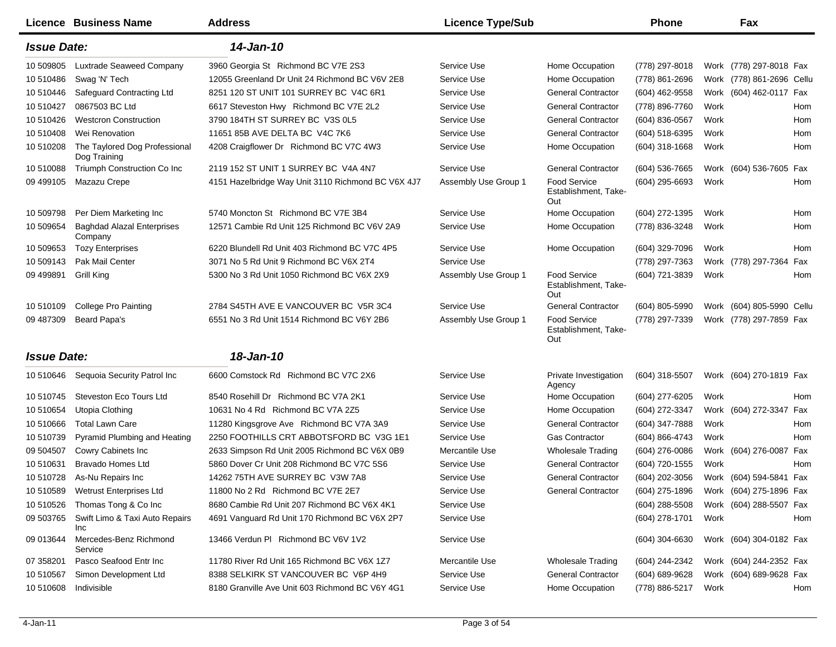|                    | Licence Business Name                         | <b>Address</b>                                     | <b>Licence Type/Sub</b> |                                                    | <b>Phone</b>     |      | Fax                       |     |
|--------------------|-----------------------------------------------|----------------------------------------------------|-------------------------|----------------------------------------------------|------------------|------|---------------------------|-----|
| <b>Issue Date:</b> |                                               | 14-Jan-10                                          |                         |                                                    |                  |      |                           |     |
| 10 509805          | Luxtrade Seaweed Company                      | 3960 Georgia St Richmond BC V7E 2S3                | Service Use             | Home Occupation                                    | (778) 297-8018   |      | Work (778) 297-8018 Fax   |     |
| 10 510486          | Swag 'N' Tech                                 | 12055 Greenland Dr Unit 24 Richmond BC V6V 2E8     | Service Use             | Home Occupation                                    | (778) 861-2696   |      | Work (778) 861-2696 Cellu |     |
| 10 510446          | Safeguard Contracting Ltd                     | 8251 120 ST UNIT 101 SURREY BC V4C 6R1             | Service Use             | <b>General Contractor</b>                          | (604) 462-9558   |      | Work (604) 462-0117 Fax   |     |
| 10 510427          | 0867503 BC Ltd                                | 6617 Steveston Hwy Richmond BC V7E 2L2             | Service Use             | <b>General Contractor</b>                          | (778) 896-7760   | Work |                           | Hom |
| 10 510426          | <b>Westcron Construction</b>                  | 3790 184TH ST SURREY BC V3S 0L5                    | Service Use             | <b>General Contractor</b>                          | (604) 836-0567   | Work |                           | Hom |
| 10 510408          | Wei Renovation                                | 11651 85B AVE DELTA BC V4C 7K6                     | Service Use             | <b>General Contractor</b>                          | (604) 518-6395   | Work |                           | Hom |
| 10 510208          | The Taylored Dog Professional<br>Dog Training | 4208 Craigflower Dr Richmond BC V7C 4W3            | Service Use             | Home Occupation                                    | $(604)$ 318-1668 | Work |                           | Hom |
| 10 510088          | Triumph Construction Co Inc                   | 2119 152 ST UNIT 1 SURREY BC V4A 4N7               | Service Use             | <b>General Contractor</b>                          | (604) 536-7665   |      | Work (604) 536-7605 Fax   |     |
| 09 499105          | Mazazu Crepe                                  | 4151 Hazelbridge Way Unit 3110 Richmond BC V6X 4J7 | Assembly Use Group 1    | Food Service<br>Establishment, Take-<br>Out        | (604) 295-6693   | Work |                           | Hom |
| 10 509798          | Per Diem Marketing Inc                        | 5740 Moncton St Richmond BC V7E 3B4                | Service Use             | Home Occupation                                    | (604) 272-1395   | Work |                           | Hom |
| 10 509654          | <b>Baghdad Alazal Enterprises</b><br>Company  | 12571 Cambie Rd Unit 125 Richmond BC V6V 2A9       | Service Use             | Home Occupation                                    | (778) 836-3248   | Work |                           | Hom |
| 10 509653          | <b>Tozy Enterprises</b>                       | 6220 Blundell Rd Unit 403 Richmond BC V7C 4P5      | Service Use             | Home Occupation                                    | (604) 329-7096   | Work |                           | Hom |
| 10 509143          | Pak Mail Center                               | 3071 No 5 Rd Unit 9 Richmond BC V6X 2T4            | Service Use             |                                                    | (778) 297-7363   |      | Work (778) 297-7364       | Fax |
| 09 499891          | <b>Grill King</b>                             | 5300 No 3 Rd Unit 1050 Richmond BC V6X 2X9         | Assembly Use Group 1    | <b>Food Service</b><br>Establishment, Take-<br>Out | (604) 721-3839   | Work |                           | Hom |
| 10 510109          | <b>College Pro Painting</b>                   | 2784 S45TH AVE E VANCOUVER BC V5R 3C4              | Service Use             | <b>General Contractor</b>                          | (604) 805-5990   |      | Work (604) 805-5990 Cellu |     |
| 09 487309          | Beard Papa's                                  | 6551 No 3 Rd Unit 1514 Richmond BC V6Y 2B6         | Assembly Use Group 1    | <b>Food Service</b><br>Establishment, Take-<br>Out | (778) 297-7339   |      | Work (778) 297-7859 Fax   |     |
| <b>Issue Date:</b> |                                               | 18-Jan-10                                          |                         |                                                    |                  |      |                           |     |
| 10 510646          | Sequoia Security Patrol Inc                   | 6600 Comstock Rd Richmond BC V7C 2X6               | Service Use             | Private Investigation<br>Agency                    | $(604)$ 318-5507 |      | Work (604) 270-1819 Fax   |     |
| 10 510745          | Steveston Eco Tours Ltd                       | 8540 Rosehill Dr Richmond BC V7A 2K1               | Service Use             | Home Occupation                                    | (604) 277-6205   | Work |                           | Hom |
| 10 510654          | Utopia Clothing                               | 10631 No 4 Rd Richmond BC V7A 2Z5                  | Service Use             | Home Occupation                                    | (604) 272-3347   |      | Work (604) 272-3347       | Fax |
| 10 510666          | <b>Total Lawn Care</b>                        | 11280 Kingsgrove Ave Richmond BC V7A 3A9           | Service Use             | <b>General Contractor</b>                          | (604) 347-7888   | Work |                           | Hom |
| 10 510739          | Pyramid Plumbing and Heating                  | 2250 FOOTHILLS CRT ABBOTSFORD BC V3G 1E1           | Service Use             | <b>Gas Contractor</b>                              | (604) 866-4743   | Work |                           | Hom |
| 09 504507          | Cowry Cabinets Inc                            | 2633 Simpson Rd Unit 2005 Richmond BC V6X 0B9      | Mercantile Use          | <b>Wholesale Trading</b>                           | $(604)$ 276-0086 |      | Work (604) 276-0087       | Fax |
| 10 510631          | <b>Bravado Homes Ltd</b>                      | 5860 Dover Cr Unit 208 Richmond BC V7C 5S6         | Service Use             | <b>General Contractor</b>                          | (604) 720-1555   | Work |                           | Hom |
| 10 510728          | As-Nu Repairs Inc                             | 14262 75TH AVE SURREY BC V3W 7A8                   | Service Use             | <b>General Contractor</b>                          | (604) 202-3056   |      | Work (604) 594-5841 Fax   |     |
| 10 510589          | Wetrust Enterprises Ltd                       | 11800 No 2 Rd Richmond BC V7E 2E7                  | Service Use             | <b>General Contractor</b>                          | (604) 275-1896   |      | Work (604) 275-1896 Fax   |     |
| 10 510526          | Thomas Tong & Co Inc                          | 8680 Cambie Rd Unit 207 Richmond BC V6X 4K1        | Service Use             |                                                    | $(604)$ 288-5508 |      | Work (604) 288-5507 Fax   |     |
| 09 503765          | Swift Limo & Taxi Auto Repairs<br>Inc         | 4691 Vanguard Rd Unit 170 Richmond BC V6X 2P7      | Service Use             |                                                    | (604) 278-1701   | Work |                           | Hom |
| 09 013644          | Mercedes-Benz Richmond<br>Service             | 13466 Verdun PI Richmond BC V6V 1V2                | Service Use             |                                                    | $(604)$ 304-6630 |      | Work (604) 304-0182 Fax   |     |
| 07 358201          | Pasco Seafood Entr Inc                        | 11780 River Rd Unit 165 Richmond BC V6X 1Z7        | Mercantile Use          | <b>Wholesale Trading</b>                           | (604) 244-2342   |      | Work (604) 244-2352 Fax   |     |
| 10 510567          | Simon Development Ltd                         | 8388 SELKIRK ST VANCOUVER BC V6P 4H9               | Service Use             | <b>General Contractor</b>                          | (604) 689-9628   |      | Work (604) 689-9628 Fax   |     |
| 10 510608          | Indivisible                                   | 8180 Granville Ave Unit 603 Richmond BC V6Y 4G1    | Service Use             | Home Occupation                                    | (778) 886-5217   | Work |                           | Hom |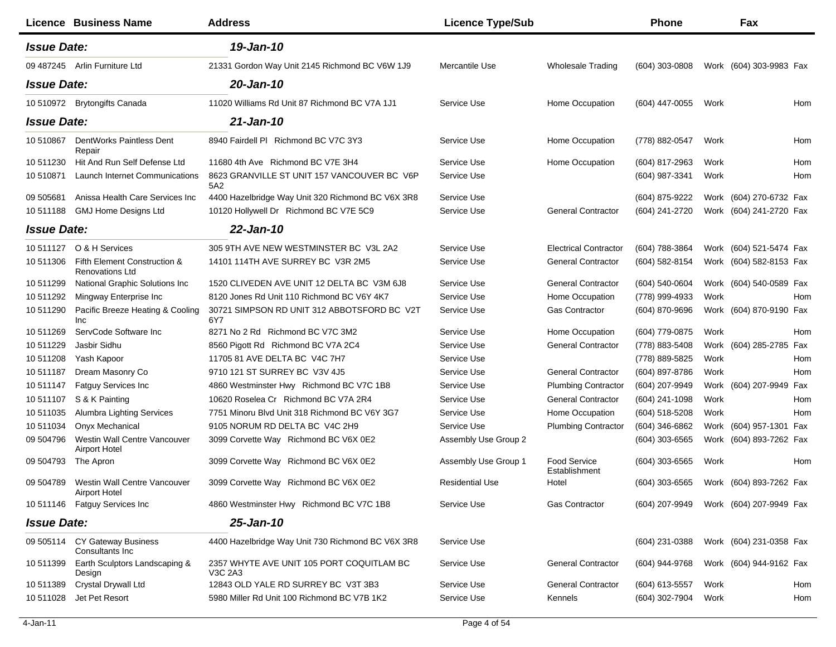|                    | Licence Business Name                                          | <b>Address</b>                                       | <b>Licence Type/Sub</b> |                               | <b>Phone</b>     |      | Fax                     |     |
|--------------------|----------------------------------------------------------------|------------------------------------------------------|-------------------------|-------------------------------|------------------|------|-------------------------|-----|
| <b>Issue Date:</b> |                                                                | 19-Jan-10                                            |                         |                               |                  |      |                         |     |
|                    | 09 487245 Arlin Furniture Ltd                                  | 21331 Gordon Way Unit 2145 Richmond BC V6W 1J9       | Mercantile Use          | <b>Wholesale Trading</b>      | (604) 303-0808   |      | Work (604) 303-9983 Fax |     |
| <b>Issue Date:</b> |                                                                | 20-Jan-10                                            |                         |                               |                  |      |                         |     |
|                    | 10 510972 Brytongifts Canada                                   | 11020 Williams Rd Unit 87 Richmond BC V7A 1J1        | Service Use             | Home Occupation               | (604) 447-0055   | Work |                         | Hom |
| <b>Issue Date:</b> |                                                                | $21$ -Jan-10                                         |                         |                               |                  |      |                         |     |
| 10510867           | DentWorks Paintless Dent<br>Repair                             | 8940 Fairdell PI Richmond BC V7C 3Y3                 | Service Use             | Home Occupation               | (778) 882-0547   | Work |                         | Hom |
| 10 511230          | Hit And Run Self Defense Ltd                                   | 11680 4th Ave Richmond BC V7E 3H4                    | Service Use             | Home Occupation               | (604) 817-2963   | Work |                         | Hom |
| 10 510871          | <b>Launch Internet Communications</b>                          | 8623 GRANVILLE ST UNIT 157 VANCOUVER BC V6P<br>5A2   | Service Use             |                               | $(604)$ 987-3341 | Work |                         | Hom |
| 09 505681          | Anissa Health Care Services Inc                                | 4400 Hazelbridge Way Unit 320 Richmond BC V6X 3R8    | Service Use             |                               | (604) 875-9222   |      | Work (604) 270-6732 Fax |     |
| 10511188           | <b>GMJ Home Designs Ltd</b>                                    | 10120 Hollywell Dr Richmond BC V7E 5C9               | Service Use             | <b>General Contractor</b>     | (604) 241-2720   |      | Work (604) 241-2720 Fax |     |
| <b>Issue Date:</b> |                                                                | 22-Jan-10                                            |                         |                               |                  |      |                         |     |
| 10511127           | O & H Services                                                 | 305 9TH AVE NEW WESTMINSTER BC V3L 2A2               | Service Use             | <b>Electrical Contractor</b>  | (604) 788-3864   |      | Work (604) 521-5474 Fax |     |
| 10 511306          | Fifth Element Construction &<br><b>Renovations Ltd</b>         | 14101 114TH AVE SURREY BC V3R 2M5                    | Service Use             | <b>General Contractor</b>     | (604) 582-8154   |      | Work (604) 582-8153 Fax |     |
| 10 511299          | National Graphic Solutions Inc                                 | 1520 CLIVEDEN AVE UNIT 12 DELTA BC V3M 6J8           | Service Use             | <b>General Contractor</b>     | (604) 540-0604   |      | Work (604) 540-0589 Fax |     |
| 10 511292          | Mingway Enterprise Inc                                         | 8120 Jones Rd Unit 110 Richmond BC V6Y 4K7           | Service Use             | Home Occupation               | (778) 999-4933   | Work |                         | Hom |
| 10 511290          | Pacific Breeze Heating & Cooling<br><b>Inc</b>                 | 30721 SIMPSON RD UNIT 312 ABBOTSFORD BC V2T<br>6Y7   | Service Use             | Gas Contractor                | (604) 870-9696   |      | Work (604) 870-9190 Fax |     |
| 10 511269          | ServCode Software Inc                                          | 8271 No 2 Rd Richmond BC V7C 3M2                     | Service Use             | Home Occupation               | (604) 779-0875   | Work |                         | Hom |
| 10511229           | Jasbir Sidhu                                                   | 8560 Pigott Rd Richmond BC V7A 2C4                   | Service Use             | <b>General Contractor</b>     | (778) 883-5408   |      | Work (604) 285-2785 Fax |     |
| 10 511208          | Yash Kapoor                                                    | 11705 81 AVE DELTA BC V4C 7H7                        | Service Use             |                               | (778) 889-5825   | Work |                         | Hom |
| 10 511187          | Dream Masonry Co                                               | 9710 121 ST SURREY BC V3V 4J5                        | Service Use             | <b>General Contractor</b>     | (604) 897-8786   | Work |                         | Hom |
| 10 511147          | <b>Fatguy Services Inc.</b>                                    | 4860 Westminster Hwy Richmond BC V7C 1B8             | Service Use             | <b>Plumbing Contractor</b>    | (604) 207-9949   |      | Work (604) 207-9949 Fax |     |
| 10 511107          | S & K Painting                                                 | 10620 Roselea Cr Richmond BC V7A 2R4                 | Service Use             | <b>General Contractor</b>     | (604) 241-1098   | Work |                         | Hom |
| 10 511035          | Alumbra Lighting Services                                      | 7751 Minoru Blvd Unit 318 Richmond BC V6Y 3G7        | Service Use             | Home Occupation               | (604) 518-5208   | Work |                         | Hom |
| 10511034           | Onyx Mechanical                                                | 9105 NORUM RD DELTA BC V4C 2H9                       | Service Use             | <b>Plumbing Contractor</b>    | (604) 346-6862   |      | Work (604) 957-1301 Fax |     |
| 09 504796          | Westin Wall Centre Vancouver<br><b>Airport Hotel</b>           | 3099 Corvette Way Richmond BC V6X 0E2                | Assembly Use Group 2    |                               | $(604)$ 303-6565 |      | Work (604) 893-7262 Fax |     |
| 09 504793          | The Apron                                                      | 3099 Corvette Way Richmond BC V6X 0E2                | Assembly Use Group 1    | Food Service<br>Establishment | $(604)$ 303-6565 | Work |                         | Hom |
|                    | 09 504789 Westin Wall Centre Vancouver<br><b>Airport Hotel</b> | 3099 Corvette Way Richmond BC V6X 0E2                | <b>Residential Use</b>  | Hotel                         | $(604)$ 303-6565 |      | Work (604) 893-7262 Fax |     |
|                    | 10 511146 Fatguy Services Inc                                  | 4860 Westminster Hwy Richmond BC V7C 1B8             | Service Use             | <b>Gas Contractor</b>         | (604) 207-9949   |      | Work (604) 207-9949 Fax |     |
| <b>Issue Date:</b> |                                                                | 25-Jan-10                                            |                         |                               |                  |      |                         |     |
| 09 505114          | CY Gateway Business<br>Consultants Inc.                        | 4400 Hazelbridge Way Unit 730 Richmond BC V6X 3R8    | Service Use             |                               | $(604)$ 231-0388 |      | Work (604) 231-0358 Fax |     |
| 10 511399          | Earth Sculptors Landscaping &<br>Design                        | 2357 WHYTE AVE UNIT 105 PORT COQUITLAM BC<br>V3C 2A3 | Service Use             | <b>General Contractor</b>     | (604) 944-9768   |      | Work (604) 944-9162 Fax |     |
| 10 511389          | Crystal Drywall Ltd                                            | 12843 OLD YALE RD SURREY BC V3T 3B3                  | Service Use             | <b>General Contractor</b>     | (604) 613-5557   | Work |                         | Hom |
| 10 511028          | Jet Pet Resort                                                 | 5980 Miller Rd Unit 100 Richmond BC V7B 1K2          | Service Use             | Kennels                       | (604) 302-7904   | Work |                         | Hom |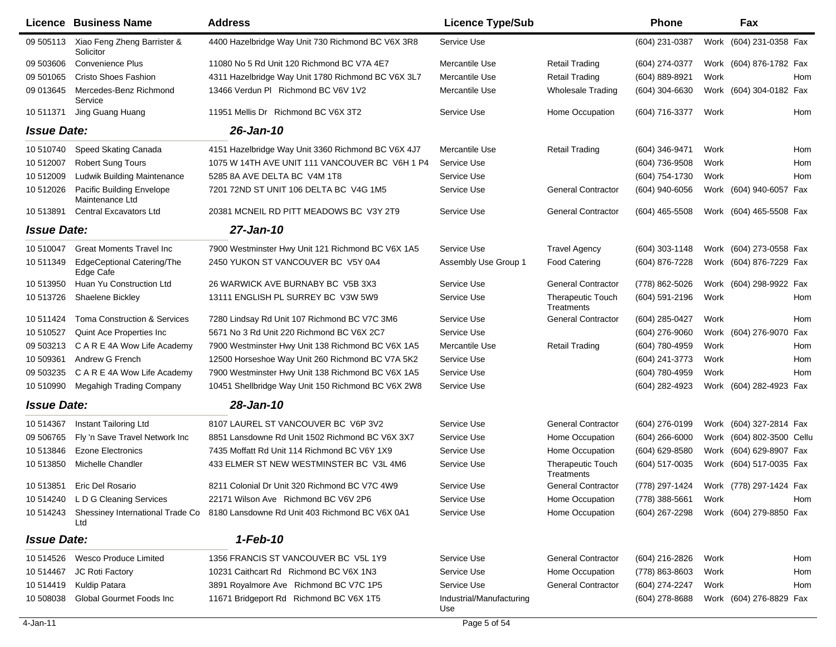| Xiao Feng Zheng Barrister &<br>4400 Hazelbridge Way Unit 730 Richmond BC V6X 3R8<br>Service Use<br>(604) 231-0387<br>09 50 5113<br>Solicitor<br>09 503606<br>Convenience Plus<br>11080 No 5 Rd Unit 120 Richmond BC V7A 4E7<br>Mercantile Use<br><b>Retail Trading</b><br>(604) 274-0377<br>09 501065<br><b>Cristo Shoes Fashion</b><br>4311 Hazelbridge Way Unit 1780 Richmond BC V6X 3L7<br>Mercantile Use<br><b>Retail Trading</b><br>(604) 889-8921<br>Work<br>09 013645<br>Mercedes-Benz Richmond<br>13466 Verdun PI Richmond BC V6V 1V2<br>(604) 304-6630<br>Mercantile Use<br><b>Wholesale Trading</b><br>Service<br>Jing Guang Huang<br>11951 Mellis Dr Richmond BC V6X 3T2<br>Home Occupation<br>10 511371<br>Service Use<br>(604) 716-3377<br>Work<br><b>Issue Date:</b><br>26-Jan-10<br>10 510740<br>Speed Skating Canada<br>Mercantile Use<br><b>Retail Trading</b><br>Work<br>4151 Hazelbridge Way Unit 3360 Richmond BC V6X 4J7<br>(604) 346-9471<br><b>Robert Sung Tours</b><br>1075 W 14TH AVE UNIT 111 VANCOUVER BC V6H 1 P4<br>Service Use<br>(604) 736-9508<br>Work<br>10 512007<br>10 512009<br><b>Ludwik Building Maintenance</b><br>5285 8A AVE DELTA BC V4M 1T8<br>Service Use<br>(604) 754-1730<br>Work<br>10 512026<br>Pacific Building Envelope<br>7201 72ND ST UNIT 106 DELTA BC V4G 1M5<br>Service Use<br><b>General Contractor</b><br>(604) 940-6056<br>Maintenance Ltd<br>10513891<br><b>Central Excavators Ltd</b><br>20381 MCNEIL RD PITT MEADOWS BC V3Y 2T9<br><b>General Contractor</b><br>Service Use<br>$(604)$ 465-5508<br><b>Issue Date:</b><br>27-Jan-10<br>10 510047<br><b>Great Moments Travel Inc.</b><br>7900 Westminster Hwy Unit 121 Richmond BC V6X 1A5<br><b>Travel Agency</b><br>$(604)$ 303-1148<br>Service Use<br><b>EdgeCeptional Catering/The</b><br>2450 YUKON ST VANCOUVER BC V5Y 0A4<br>(604) 876-7228<br>10 511349<br>Assembly Use Group 1<br><b>Food Catering</b><br>Edge Cafe<br>10 513950<br>Huan Yu Construction Ltd<br>26 WARWICK AVE BURNABY BC V5B 3X3<br>Service Use<br><b>General Contractor</b><br>(778) 862-5026<br>10 513726<br>Shaelene Bickley<br>13111 ENGLISH PL SURREY BC V3W 5W9<br>Service Use<br><b>Therapeutic Touch</b><br>(604) 591-2196<br>Work<br>Treatments<br><b>Toma Construction &amp; Services</b><br>Service Use<br><b>General Contractor</b><br>(604) 285-0427<br>10 511424<br>7280 Lindsay Rd Unit 107 Richmond BC V7C 3M6<br>Work<br>Quint Ace Properties Inc<br>5671 No 3 Rd Unit 220 Richmond BC V6X 2C7<br>Service Use<br>10 510527<br>$(604)$ 276-9060<br>Work<br>09 503213<br>C A R E 4A Wow Life Academy<br>7900 Westminster Hwy Unit 138 Richmond BC V6X 1A5<br>Mercantile Use<br><b>Retail Trading</b><br>(604) 780-4959<br>Work<br>10 509361<br>Andrew G French<br>12500 Horseshoe Way Unit 260 Richmond BC V7A 5K2<br>Service Use<br>Work<br>(604) 241-3773<br>09 503235<br>C A R E 4A Wow Life Academy<br>7900 Westminster Hwy Unit 138 Richmond BC V6X 1A5<br>Service Use<br>(604) 780-4959<br>Work<br>10 510990<br>10451 Shellbridge Way Unit 150 Richmond BC V6X 2W8<br>Service Use<br>Megahigh Trading Company<br>(604) 282-4923 | Work (604) 231-0358 Fax<br>Work (604) 876-1782 Fax<br>Hom<br>Work (604) 304-0182 Fax<br>Hom<br>Hom<br>Hom<br>Hom<br>Work (604) 940-6057 Fax<br>Work (604) 465-5508 Fax<br>Work (604) 273-0558 Fax<br>Work (604) 876-7229 Fax |
|-------------------------------------------------------------------------------------------------------------------------------------------------------------------------------------------------------------------------------------------------------------------------------------------------------------------------------------------------------------------------------------------------------------------------------------------------------------------------------------------------------------------------------------------------------------------------------------------------------------------------------------------------------------------------------------------------------------------------------------------------------------------------------------------------------------------------------------------------------------------------------------------------------------------------------------------------------------------------------------------------------------------------------------------------------------------------------------------------------------------------------------------------------------------------------------------------------------------------------------------------------------------------------------------------------------------------------------------------------------------------------------------------------------------------------------------------------------------------------------------------------------------------------------------------------------------------------------------------------------------------------------------------------------------------------------------------------------------------------------------------------------------------------------------------------------------------------------------------------------------------------------------------------------------------------------------------------------------------------------------------------------------------------------------------------------------------------------------------------------------------------------------------------------------------------------------------------------------------------------------------------------------------------------------------------------------------------------------------------------------------------------------------------------------------------------------------------------------------------------------------------------------------------------------------------------------------------------------------------------------------------------------------------------------------------------------------------------------------------------------------------------------------------------------------------------------------------------------------------------------------------------------------------------------------------------------------------------------------------------------------------------------------------------------------------------------------------------------------------------------------------------------|------------------------------------------------------------------------------------------------------------------------------------------------------------------------------------------------------------------------------|
|                                                                                                                                                                                                                                                                                                                                                                                                                                                                                                                                                                                                                                                                                                                                                                                                                                                                                                                                                                                                                                                                                                                                                                                                                                                                                                                                                                                                                                                                                                                                                                                                                                                                                                                                                                                                                                                                                                                                                                                                                                                                                                                                                                                                                                                                                                                                                                                                                                                                                                                                                                                                                                                                                                                                                                                                                                                                                                                                                                                                                                                                                                                                           |                                                                                                                                                                                                                              |
|                                                                                                                                                                                                                                                                                                                                                                                                                                                                                                                                                                                                                                                                                                                                                                                                                                                                                                                                                                                                                                                                                                                                                                                                                                                                                                                                                                                                                                                                                                                                                                                                                                                                                                                                                                                                                                                                                                                                                                                                                                                                                                                                                                                                                                                                                                                                                                                                                                                                                                                                                                                                                                                                                                                                                                                                                                                                                                                                                                                                                                                                                                                                           |                                                                                                                                                                                                                              |
|                                                                                                                                                                                                                                                                                                                                                                                                                                                                                                                                                                                                                                                                                                                                                                                                                                                                                                                                                                                                                                                                                                                                                                                                                                                                                                                                                                                                                                                                                                                                                                                                                                                                                                                                                                                                                                                                                                                                                                                                                                                                                                                                                                                                                                                                                                                                                                                                                                                                                                                                                                                                                                                                                                                                                                                                                                                                                                                                                                                                                                                                                                                                           |                                                                                                                                                                                                                              |
|                                                                                                                                                                                                                                                                                                                                                                                                                                                                                                                                                                                                                                                                                                                                                                                                                                                                                                                                                                                                                                                                                                                                                                                                                                                                                                                                                                                                                                                                                                                                                                                                                                                                                                                                                                                                                                                                                                                                                                                                                                                                                                                                                                                                                                                                                                                                                                                                                                                                                                                                                                                                                                                                                                                                                                                                                                                                                                                                                                                                                                                                                                                                           |                                                                                                                                                                                                                              |
|                                                                                                                                                                                                                                                                                                                                                                                                                                                                                                                                                                                                                                                                                                                                                                                                                                                                                                                                                                                                                                                                                                                                                                                                                                                                                                                                                                                                                                                                                                                                                                                                                                                                                                                                                                                                                                                                                                                                                                                                                                                                                                                                                                                                                                                                                                                                                                                                                                                                                                                                                                                                                                                                                                                                                                                                                                                                                                                                                                                                                                                                                                                                           |                                                                                                                                                                                                                              |
|                                                                                                                                                                                                                                                                                                                                                                                                                                                                                                                                                                                                                                                                                                                                                                                                                                                                                                                                                                                                                                                                                                                                                                                                                                                                                                                                                                                                                                                                                                                                                                                                                                                                                                                                                                                                                                                                                                                                                                                                                                                                                                                                                                                                                                                                                                                                                                                                                                                                                                                                                                                                                                                                                                                                                                                                                                                                                                                                                                                                                                                                                                                                           |                                                                                                                                                                                                                              |
|                                                                                                                                                                                                                                                                                                                                                                                                                                                                                                                                                                                                                                                                                                                                                                                                                                                                                                                                                                                                                                                                                                                                                                                                                                                                                                                                                                                                                                                                                                                                                                                                                                                                                                                                                                                                                                                                                                                                                                                                                                                                                                                                                                                                                                                                                                                                                                                                                                                                                                                                                                                                                                                                                                                                                                                                                                                                                                                                                                                                                                                                                                                                           |                                                                                                                                                                                                                              |
|                                                                                                                                                                                                                                                                                                                                                                                                                                                                                                                                                                                                                                                                                                                                                                                                                                                                                                                                                                                                                                                                                                                                                                                                                                                                                                                                                                                                                                                                                                                                                                                                                                                                                                                                                                                                                                                                                                                                                                                                                                                                                                                                                                                                                                                                                                                                                                                                                                                                                                                                                                                                                                                                                                                                                                                                                                                                                                                                                                                                                                                                                                                                           |                                                                                                                                                                                                                              |
|                                                                                                                                                                                                                                                                                                                                                                                                                                                                                                                                                                                                                                                                                                                                                                                                                                                                                                                                                                                                                                                                                                                                                                                                                                                                                                                                                                                                                                                                                                                                                                                                                                                                                                                                                                                                                                                                                                                                                                                                                                                                                                                                                                                                                                                                                                                                                                                                                                                                                                                                                                                                                                                                                                                                                                                                                                                                                                                                                                                                                                                                                                                                           |                                                                                                                                                                                                                              |
|                                                                                                                                                                                                                                                                                                                                                                                                                                                                                                                                                                                                                                                                                                                                                                                                                                                                                                                                                                                                                                                                                                                                                                                                                                                                                                                                                                                                                                                                                                                                                                                                                                                                                                                                                                                                                                                                                                                                                                                                                                                                                                                                                                                                                                                                                                                                                                                                                                                                                                                                                                                                                                                                                                                                                                                                                                                                                                                                                                                                                                                                                                                                           |                                                                                                                                                                                                                              |
|                                                                                                                                                                                                                                                                                                                                                                                                                                                                                                                                                                                                                                                                                                                                                                                                                                                                                                                                                                                                                                                                                                                                                                                                                                                                                                                                                                                                                                                                                                                                                                                                                                                                                                                                                                                                                                                                                                                                                                                                                                                                                                                                                                                                                                                                                                                                                                                                                                                                                                                                                                                                                                                                                                                                                                                                                                                                                                                                                                                                                                                                                                                                           |                                                                                                                                                                                                                              |
|                                                                                                                                                                                                                                                                                                                                                                                                                                                                                                                                                                                                                                                                                                                                                                                                                                                                                                                                                                                                                                                                                                                                                                                                                                                                                                                                                                                                                                                                                                                                                                                                                                                                                                                                                                                                                                                                                                                                                                                                                                                                                                                                                                                                                                                                                                                                                                                                                                                                                                                                                                                                                                                                                                                                                                                                                                                                                                                                                                                                                                                                                                                                           |                                                                                                                                                                                                                              |
|                                                                                                                                                                                                                                                                                                                                                                                                                                                                                                                                                                                                                                                                                                                                                                                                                                                                                                                                                                                                                                                                                                                                                                                                                                                                                                                                                                                                                                                                                                                                                                                                                                                                                                                                                                                                                                                                                                                                                                                                                                                                                                                                                                                                                                                                                                                                                                                                                                                                                                                                                                                                                                                                                                                                                                                                                                                                                                                                                                                                                                                                                                                                           |                                                                                                                                                                                                                              |
|                                                                                                                                                                                                                                                                                                                                                                                                                                                                                                                                                                                                                                                                                                                                                                                                                                                                                                                                                                                                                                                                                                                                                                                                                                                                                                                                                                                                                                                                                                                                                                                                                                                                                                                                                                                                                                                                                                                                                                                                                                                                                                                                                                                                                                                                                                                                                                                                                                                                                                                                                                                                                                                                                                                                                                                                                                                                                                                                                                                                                                                                                                                                           |                                                                                                                                                                                                                              |
|                                                                                                                                                                                                                                                                                                                                                                                                                                                                                                                                                                                                                                                                                                                                                                                                                                                                                                                                                                                                                                                                                                                                                                                                                                                                                                                                                                                                                                                                                                                                                                                                                                                                                                                                                                                                                                                                                                                                                                                                                                                                                                                                                                                                                                                                                                                                                                                                                                                                                                                                                                                                                                                                                                                                                                                                                                                                                                                                                                                                                                                                                                                                           | Work (604) 298-9922 Fax                                                                                                                                                                                                      |
|                                                                                                                                                                                                                                                                                                                                                                                                                                                                                                                                                                                                                                                                                                                                                                                                                                                                                                                                                                                                                                                                                                                                                                                                                                                                                                                                                                                                                                                                                                                                                                                                                                                                                                                                                                                                                                                                                                                                                                                                                                                                                                                                                                                                                                                                                                                                                                                                                                                                                                                                                                                                                                                                                                                                                                                                                                                                                                                                                                                                                                                                                                                                           | Hom                                                                                                                                                                                                                          |
|                                                                                                                                                                                                                                                                                                                                                                                                                                                                                                                                                                                                                                                                                                                                                                                                                                                                                                                                                                                                                                                                                                                                                                                                                                                                                                                                                                                                                                                                                                                                                                                                                                                                                                                                                                                                                                                                                                                                                                                                                                                                                                                                                                                                                                                                                                                                                                                                                                                                                                                                                                                                                                                                                                                                                                                                                                                                                                                                                                                                                                                                                                                                           | Hom                                                                                                                                                                                                                          |
|                                                                                                                                                                                                                                                                                                                                                                                                                                                                                                                                                                                                                                                                                                                                                                                                                                                                                                                                                                                                                                                                                                                                                                                                                                                                                                                                                                                                                                                                                                                                                                                                                                                                                                                                                                                                                                                                                                                                                                                                                                                                                                                                                                                                                                                                                                                                                                                                                                                                                                                                                                                                                                                                                                                                                                                                                                                                                                                                                                                                                                                                                                                                           | (604) 276-9070 Fax                                                                                                                                                                                                           |
|                                                                                                                                                                                                                                                                                                                                                                                                                                                                                                                                                                                                                                                                                                                                                                                                                                                                                                                                                                                                                                                                                                                                                                                                                                                                                                                                                                                                                                                                                                                                                                                                                                                                                                                                                                                                                                                                                                                                                                                                                                                                                                                                                                                                                                                                                                                                                                                                                                                                                                                                                                                                                                                                                                                                                                                                                                                                                                                                                                                                                                                                                                                                           | Hom                                                                                                                                                                                                                          |
|                                                                                                                                                                                                                                                                                                                                                                                                                                                                                                                                                                                                                                                                                                                                                                                                                                                                                                                                                                                                                                                                                                                                                                                                                                                                                                                                                                                                                                                                                                                                                                                                                                                                                                                                                                                                                                                                                                                                                                                                                                                                                                                                                                                                                                                                                                                                                                                                                                                                                                                                                                                                                                                                                                                                                                                                                                                                                                                                                                                                                                                                                                                                           | Hom                                                                                                                                                                                                                          |
|                                                                                                                                                                                                                                                                                                                                                                                                                                                                                                                                                                                                                                                                                                                                                                                                                                                                                                                                                                                                                                                                                                                                                                                                                                                                                                                                                                                                                                                                                                                                                                                                                                                                                                                                                                                                                                                                                                                                                                                                                                                                                                                                                                                                                                                                                                                                                                                                                                                                                                                                                                                                                                                                                                                                                                                                                                                                                                                                                                                                                                                                                                                                           | Hom                                                                                                                                                                                                                          |
|                                                                                                                                                                                                                                                                                                                                                                                                                                                                                                                                                                                                                                                                                                                                                                                                                                                                                                                                                                                                                                                                                                                                                                                                                                                                                                                                                                                                                                                                                                                                                                                                                                                                                                                                                                                                                                                                                                                                                                                                                                                                                                                                                                                                                                                                                                                                                                                                                                                                                                                                                                                                                                                                                                                                                                                                                                                                                                                                                                                                                                                                                                                                           | Work (604) 282-4923 Fax                                                                                                                                                                                                      |
| <b>Issue Date:</b><br>28-Jan-10                                                                                                                                                                                                                                                                                                                                                                                                                                                                                                                                                                                                                                                                                                                                                                                                                                                                                                                                                                                                                                                                                                                                                                                                                                                                                                                                                                                                                                                                                                                                                                                                                                                                                                                                                                                                                                                                                                                                                                                                                                                                                                                                                                                                                                                                                                                                                                                                                                                                                                                                                                                                                                                                                                                                                                                                                                                                                                                                                                                                                                                                                                           |                                                                                                                                                                                                                              |
| <b>General Contractor</b><br>10 514367<br>Instant Tailoring Ltd<br>8107 LAUREL ST VANCOUVER BC V6P 3V2<br>Service Use<br>(604) 276-0199                                                                                                                                                                                                                                                                                                                                                                                                                                                                                                                                                                                                                                                                                                                                                                                                                                                                                                                                                                                                                                                                                                                                                                                                                                                                                                                                                                                                                                                                                                                                                                                                                                                                                                                                                                                                                                                                                                                                                                                                                                                                                                                                                                                                                                                                                                                                                                                                                                                                                                                                                                                                                                                                                                                                                                                                                                                                                                                                                                                                   | Work (604) 327-2814 Fax                                                                                                                                                                                                      |
| 09 50 6765<br>Fly 'n Save Travel Network Inc<br>8851 Lansdowne Rd Unit 1502 Richmond BC V6X 3X7<br>Service Use<br>Home Occupation<br>$(604)$ 266-6000                                                                                                                                                                                                                                                                                                                                                                                                                                                                                                                                                                                                                                                                                                                                                                                                                                                                                                                                                                                                                                                                                                                                                                                                                                                                                                                                                                                                                                                                                                                                                                                                                                                                                                                                                                                                                                                                                                                                                                                                                                                                                                                                                                                                                                                                                                                                                                                                                                                                                                                                                                                                                                                                                                                                                                                                                                                                                                                                                                                     | Work (604) 802-3500 Cellu                                                                                                                                                                                                    |
| 7435 Moffatt Rd Unit 114 Richmond BC V6Y 1X9<br>Home Occupation<br>10 513846<br><b>Ezone Electronics</b><br>Service Use<br>(604) 629-8580                                                                                                                                                                                                                                                                                                                                                                                                                                                                                                                                                                                                                                                                                                                                                                                                                                                                                                                                                                                                                                                                                                                                                                                                                                                                                                                                                                                                                                                                                                                                                                                                                                                                                                                                                                                                                                                                                                                                                                                                                                                                                                                                                                                                                                                                                                                                                                                                                                                                                                                                                                                                                                                                                                                                                                                                                                                                                                                                                                                                 | Work (604) 629-8907 Fax                                                                                                                                                                                                      |
| 10 513850<br>Michelle Chandler<br>433 ELMER ST NEW WESTMINSTER BC V3L 4M6<br>Service Use<br>Therapeutic Touch<br>(604) 517-0035<br>Treatments                                                                                                                                                                                                                                                                                                                                                                                                                                                                                                                                                                                                                                                                                                                                                                                                                                                                                                                                                                                                                                                                                                                                                                                                                                                                                                                                                                                                                                                                                                                                                                                                                                                                                                                                                                                                                                                                                                                                                                                                                                                                                                                                                                                                                                                                                                                                                                                                                                                                                                                                                                                                                                                                                                                                                                                                                                                                                                                                                                                             | Work (604) 517-0035 Fax                                                                                                                                                                                                      |
| <b>General Contractor</b><br>10 513851<br>Eric Del Rosario<br>8211 Colonial Dr Unit 320 Richmond BC V7C 4W9<br>Service Use<br>(778) 297-1424                                                                                                                                                                                                                                                                                                                                                                                                                                                                                                                                                                                                                                                                                                                                                                                                                                                                                                                                                                                                                                                                                                                                                                                                                                                                                                                                                                                                                                                                                                                                                                                                                                                                                                                                                                                                                                                                                                                                                                                                                                                                                                                                                                                                                                                                                                                                                                                                                                                                                                                                                                                                                                                                                                                                                                                                                                                                                                                                                                                              | Work (778) 297-1424 Fax                                                                                                                                                                                                      |
| 10 514240 LDG Cleaning Services<br>22171 Wilson Ave Richmond BC V6V 2P6<br>Service Use<br>Home Occupation<br>$(778)$ 388-5661<br>Work                                                                                                                                                                                                                                                                                                                                                                                                                                                                                                                                                                                                                                                                                                                                                                                                                                                                                                                                                                                                                                                                                                                                                                                                                                                                                                                                                                                                                                                                                                                                                                                                                                                                                                                                                                                                                                                                                                                                                                                                                                                                                                                                                                                                                                                                                                                                                                                                                                                                                                                                                                                                                                                                                                                                                                                                                                                                                                                                                                                                     | Hom                                                                                                                                                                                                                          |
| 8180 Lansdowne Rd Unit 403 Richmond BC V6X 0A1<br>Service Use<br>Home Occupation<br>10 514243<br>Shessiney International Trade Co.<br>$(604)$ 267-2298<br>Ltd                                                                                                                                                                                                                                                                                                                                                                                                                                                                                                                                                                                                                                                                                                                                                                                                                                                                                                                                                                                                                                                                                                                                                                                                                                                                                                                                                                                                                                                                                                                                                                                                                                                                                                                                                                                                                                                                                                                                                                                                                                                                                                                                                                                                                                                                                                                                                                                                                                                                                                                                                                                                                                                                                                                                                                                                                                                                                                                                                                             | Work (604) 279-8850 Fax                                                                                                                                                                                                      |
| 1-Feb-10<br><b>Issue Date:</b>                                                                                                                                                                                                                                                                                                                                                                                                                                                                                                                                                                                                                                                                                                                                                                                                                                                                                                                                                                                                                                                                                                                                                                                                                                                                                                                                                                                                                                                                                                                                                                                                                                                                                                                                                                                                                                                                                                                                                                                                                                                                                                                                                                                                                                                                                                                                                                                                                                                                                                                                                                                                                                                                                                                                                                                                                                                                                                                                                                                                                                                                                                            |                                                                                                                                                                                                                              |
| Wesco Produce Limited<br>1356 FRANCIS ST VANCOUVER BC V5L 1Y9<br><b>General Contractor</b><br>10 514526<br>Service Use<br>(604) 216-2826<br>Work                                                                                                                                                                                                                                                                                                                                                                                                                                                                                                                                                                                                                                                                                                                                                                                                                                                                                                                                                                                                                                                                                                                                                                                                                                                                                                                                                                                                                                                                                                                                                                                                                                                                                                                                                                                                                                                                                                                                                                                                                                                                                                                                                                                                                                                                                                                                                                                                                                                                                                                                                                                                                                                                                                                                                                                                                                                                                                                                                                                          | Hom                                                                                                                                                                                                                          |
| 10231 Caithcart Rd Richmond BC V6X 1N3<br>Service Use<br>Home Occupation<br>(778) 863-8603<br>10 514467<br>JC Roti Factory<br>Work                                                                                                                                                                                                                                                                                                                                                                                                                                                                                                                                                                                                                                                                                                                                                                                                                                                                                                                                                                                                                                                                                                                                                                                                                                                                                                                                                                                                                                                                                                                                                                                                                                                                                                                                                                                                                                                                                                                                                                                                                                                                                                                                                                                                                                                                                                                                                                                                                                                                                                                                                                                                                                                                                                                                                                                                                                                                                                                                                                                                        | Hom                                                                                                                                                                                                                          |
| Kuldip Patara<br><b>General Contractor</b><br>10514419<br>3891 Royalmore Ave Richmond BC V7C 1P5<br>Service Use<br>(604) 274-2247<br>Work                                                                                                                                                                                                                                                                                                                                                                                                                                                                                                                                                                                                                                                                                                                                                                                                                                                                                                                                                                                                                                                                                                                                                                                                                                                                                                                                                                                                                                                                                                                                                                                                                                                                                                                                                                                                                                                                                                                                                                                                                                                                                                                                                                                                                                                                                                                                                                                                                                                                                                                                                                                                                                                                                                                                                                                                                                                                                                                                                                                                 | Hom                                                                                                                                                                                                                          |
| Global Gourmet Foods Inc<br>11671 Bridgeport Rd Richmond BC V6X 1T5<br>10 508038<br>Industrial/Manufacturing<br>(604) 278-8688<br>Use                                                                                                                                                                                                                                                                                                                                                                                                                                                                                                                                                                                                                                                                                                                                                                                                                                                                                                                                                                                                                                                                                                                                                                                                                                                                                                                                                                                                                                                                                                                                                                                                                                                                                                                                                                                                                                                                                                                                                                                                                                                                                                                                                                                                                                                                                                                                                                                                                                                                                                                                                                                                                                                                                                                                                                                                                                                                                                                                                                                                     | Work (604) 276-8829 Fax                                                                                                                                                                                                      |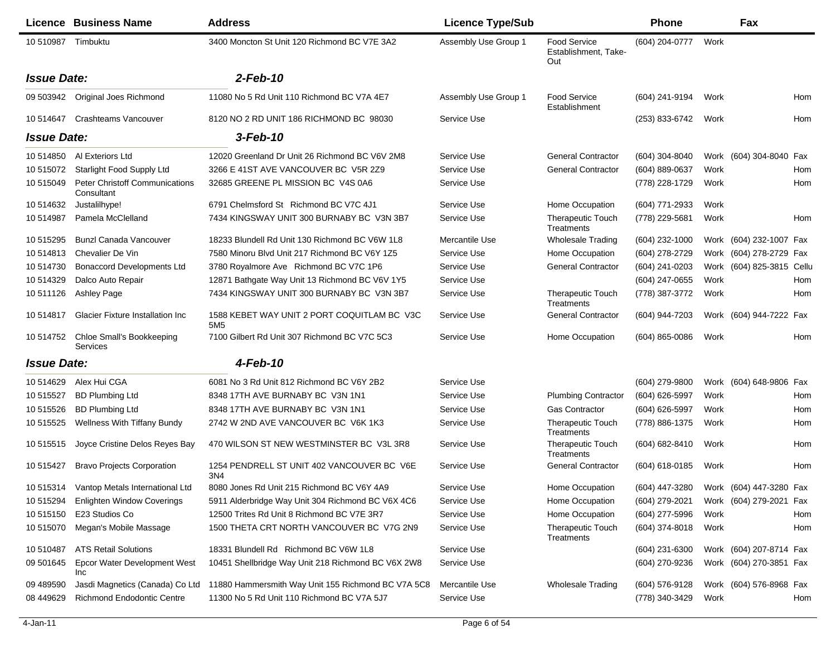|                    | Licence Business Name                               | <b>Address</b>                                                 | <b>Licence Type/Sub</b> |                                                    | <b>Phone</b>                           |      | Fax                       |     |
|--------------------|-----------------------------------------------------|----------------------------------------------------------------|-------------------------|----------------------------------------------------|----------------------------------------|------|---------------------------|-----|
| 10 510987          | Timbuktu                                            | 3400 Moncton St Unit 120 Richmond BC V7E 3A2                   | Assembly Use Group 1    | <b>Food Service</b><br>Establishment, Take-<br>Out | (604) 204-0777                         | Work |                           |     |
| <b>Issue Date:</b> |                                                     | $2$ -Feb-10                                                    |                         |                                                    |                                        |      |                           |     |
|                    | 09 503942 Original Joes Richmond                    | 11080 No 5 Rd Unit 110 Richmond BC V7A 4E7                     | Assembly Use Group 1    | Food Service<br>Establishment                      | (604) 241-9194                         | Work |                           | Hom |
| 10 514647          | <b>Crashteams Vancouver</b>                         | 8120 NO 2 RD UNIT 186 RICHMOND BC 98030                        | Service Use             |                                                    | (253) 833-6742                         | Work |                           | Hom |
| <b>Issue Date:</b> |                                                     | 3-Feb-10                                                       |                         |                                                    |                                        |      |                           |     |
| 10 514850          | Al Exteriors Ltd                                    | 12020 Greenland Dr Unit 26 Richmond BC V6V 2M8                 | Service Use             | <b>General Contractor</b>                          | (604) 304-8040                         |      | Work (604) 304-8040 Fax   |     |
| 10 515072          | Starlight Food Supply Ltd                           | 3266 E 41ST AVE VANCOUVER BC V5R 2Z9                           | Service Use             | <b>General Contractor</b>                          | (604) 889-0637                         | Work |                           | Hom |
| 10 515049          | <b>Peter Christoff Communications</b><br>Consultant | 32685 GREENE PL MISSION BC V4S 0A6                             | Service Use             |                                                    | (778) 228-1729                         | Work |                           | Hom |
| 10 514632          | Justalilhype!                                       | 6791 Chelmsford St Richmond BC V7C 4J1                         | Service Use             | Home Occupation                                    | (604) 771-2933                         | Work |                           |     |
| 10514987           | Pamela McClelland                                   | 7434 KINGSWAY UNIT 300 BURNABY BC V3N 3B7                      | Service Use             | <b>Therapeutic Touch</b><br>Treatments             | (778) 229-5681                         | Work |                           | Hom |
| 10 515295          | <b>Bunzl Canada Vancouver</b>                       | 18233 Blundell Rd Unit 130 Richmond BC V6W 1L8                 | Mercantile Use          | <b>Wholesale Trading</b>                           | (604) 232-1000                         |      | Work (604) 232-1007 Fax   |     |
| 10514813           | Chevalier De Vin                                    | 7580 Minoru Blvd Unit 217 Richmond BC V6Y 1Z5                  | Service Use             | Home Occupation                                    | (604) 278-2729                         |      | Work (604) 278-2729 Fax   |     |
| 10 514730          | <b>Bonaccord Developments Ltd</b>                   | 3780 Royalmore Ave Richmond BC V7C 1P6                         | Service Use             | <b>General Contractor</b>                          | (604) 241-0203                         |      | Work (604) 825-3815 Cellu |     |
| 10 514329          | Dalco Auto Repair                                   | 12871 Bathgate Way Unit 13 Richmond BC V6V 1Y5                 | Service Use             |                                                    | (604) 247-0655                         | Work |                           | Hom |
| 10 511126          | Ashley Page                                         | 7434 KINGSWAY UNIT 300 BURNABY BC V3N 3B7                      | Service Use             | <b>Therapeutic Touch</b><br>Treatments             | (778) 387-3772                         | Work |                           | Hom |
| 10514817           | <b>Glacier Fixture Installation Inc.</b>            | 1588 KEBET WAY UNIT 2 PORT COQUITLAM BC V3C<br>5M <sub>5</sub> | Service Use             | <b>General Contractor</b>                          | (604) 944-7203                         |      | Work (604) 944-7222 Fax   |     |
| 10 514752          | Chloe Small's Bookkeeping<br>Services               | 7100 Gilbert Rd Unit 307 Richmond BC V7C 5C3                   | Service Use             | Home Occupation                                    | $(604)$ 865-0086                       | Work |                           | Hom |
| <b>Issue Date:</b> |                                                     | 4-Feb-10                                                       |                         |                                                    |                                        |      |                           |     |
| 10 514629          | Alex Hui CGA                                        | 6081 No 3 Rd Unit 812 Richmond BC V6Y 2B2                      | Service Use             |                                                    | (604) 279-9800                         |      | Work (604) 648-9806 Fax   |     |
| 10 515527          | <b>BD Plumbing Ltd</b>                              | 8348 17TH AVE BURNABY BC V3N 1N1                               | Service Use             | <b>Plumbing Contractor</b>                         | (604) 626-5997                         | Work |                           | Hom |
| 10 515526          | <b>BD Plumbing Ltd</b>                              | 8348 17TH AVE BURNABY BC V3N 1N1                               | Service Use             | <b>Gas Contractor</b>                              | (604) 626-5997                         | Work |                           | Hom |
| 10 515525          | <b>Wellness With Tiffany Bundy</b>                  | 2742 W 2ND AVE VANCOUVER BC V6K 1K3                            | Service Use             | <b>Therapeutic Touch</b><br>Treatments             | (778) 886-1375                         | Work |                           | Hom |
| 10 515515          | Joyce Cristine Delos Reyes Bay                      | 470 WILSON ST NEW WESTMINSTER BC V3L 3R8                       | Service Use             | <b>Therapeutic Touch</b><br>Treatments             | (604) 682-8410                         | Work |                           | Hom |
| 10 51 5427         | <b>Bravo Projects Corporation</b>                   | 1254 PENDRELL ST UNIT 402 VANCOUVER BC V6E<br>3N4              | Service Use             | <b>General Contractor</b>                          | (604) 618-0185                         | Work |                           | Hom |
|                    | 10 515314 Vantop Metals International Ltd           | 8080 Jones Rd Unit 215 Richmond BC V6Y 4A9                     | Service Use             | Home Occupation                                    | (604) 447-3280 Work (604) 447-3280 Fax |      |                           |     |
| 10 515294          | <b>Enlighten Window Coverings</b>                   | 5911 Alderbridge Way Unit 304 Richmond BC V6X 4C6              | Service Use             | Home Occupation                                    | (604) 279-2021                         |      | Work (604) 279-2021 Fax   |     |
| 10 51 51 50        | E23 Studios Co                                      | 12500 Trites Rd Unit 8 Richmond BC V7E 3R7                     | Service Use             | Home Occupation                                    | (604) 277-5996                         | Work |                           | Hom |
| 10 515070          | Megan's Mobile Massage                              | 1500 THETA CRT NORTH VANCOUVER BC V7G 2N9                      | Service Use             | Therapeutic Touch<br>Treatments                    | (604) 374-8018                         | Work |                           | Hom |
| 10 510487          | <b>ATS Retail Solutions</b>                         | 18331 Blundell Rd Richmond BC V6W 1L8                          | Service Use             |                                                    | (604) 231-6300                         |      | Work (604) 207-8714 Fax   |     |
| 09 501645          | Epcor Water Development West<br>Inc                 | 10451 Shellbridge Way Unit 218 Richmond BC V6X 2W8             | Service Use             |                                                    | (604) 270-9236                         |      | Work (604) 270-3851 Fax   |     |
| 09 489590          | Jasdi Magnetics (Canada) Co Ltd                     | 11880 Hammersmith Way Unit 155 Richmond BC V7A 5C8             | Mercantile Use          | <b>Wholesale Trading</b>                           | (604) 576-9128                         |      | Work (604) 576-8968 Fax   |     |
| 08 449 629         | Richmond Endodontic Centre                          | 11300 No 5 Rd Unit 110 Richmond BC V7A 5J7                     | Service Use             |                                                    | (778) 340-3429                         | Work |                           | Hom |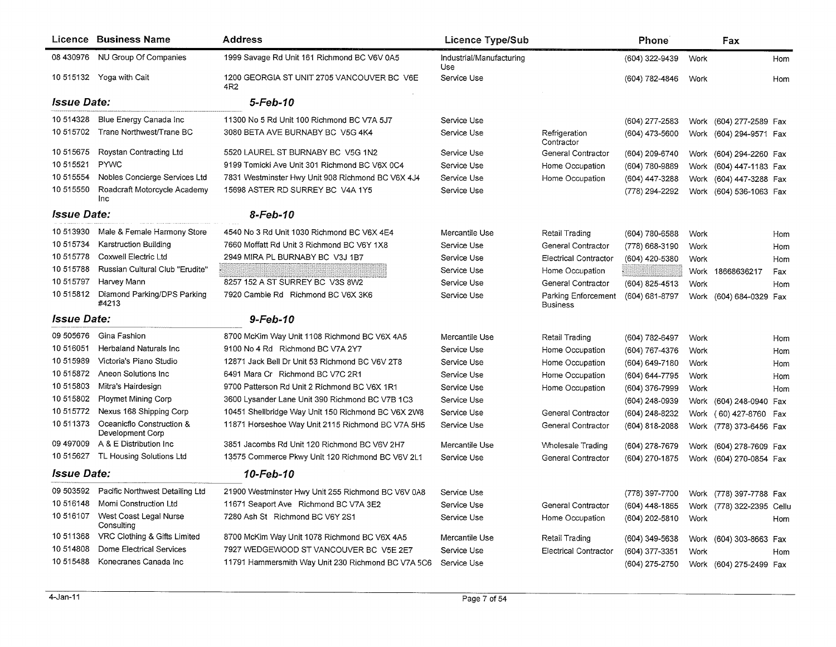|                           | Licence Business Name                         | <b>Address</b>                                     | <b>Licence Type/Sub</b>         |                                 | <b>Phone</b>   |      | Fax                       |     |
|---------------------------|-----------------------------------------------|----------------------------------------------------|---------------------------------|---------------------------------|----------------|------|---------------------------|-----|
|                           | 08 430976 NU Group Of Companies               | 1999 Savage Rd Unit 161 Richmond BC V6V 0A5        | Industrial/Manufacturing<br>Use |                                 | (604) 322-9439 | Work |                           | Hom |
|                           | 10 515132 Yoga with Cait                      | 1200 GEORGIA ST UNIT 2705 VANCOUVER BC V6E<br>4R2  | Service Use                     |                                 | (604) 782-4846 | Work |                           | Hom |
| <b>Issue Date:</b>        |                                               | 5-Feb-10                                           |                                 |                                 |                |      |                           |     |
| 10 514328                 | Blue Energy Canada Inc                        | 11300 No 5 Rd Unit 100 Richmond BC V7A 5J7         | Service Use                     |                                 | (604) 277-2583 | Work | (604) 277-2589 Fax        |     |
| 10 515702                 | Trane Northwest/Trane BC                      | 3080 BETA AVE BURNABY BC V5G 4K4                   | Service Use                     | Refrigeration<br>Contractor     | (604) 473-5600 | Work | (604) 294-9571 Fax        |     |
| 10 515675                 | Roystan Contracting Ltd                       | 5520 LAUREL ST BURNABY BC V5G 1N2                  | Service Use                     | General Contractor              | (604) 209-6740 |      | Work (604) 294-2260 Fax   |     |
| 10 515521                 | <b>PYWC</b>                                   | 9199 Tomicki Ave Unit 301 Richmond BC V6X 0C4      | Service Use                     | Home Occupation                 | (604) 780-9889 | Work | (604) 447-1183 Fax        |     |
| 10 515554                 | Nobles Concierge Services Ltd                 | 7831 Westminster Hwy Unit 908 Richmond BC V6X 4J4  | Service Use                     | Home Occupation                 | (604) 447-3288 | Work | (604) 447-3288 Fax        |     |
| 10 515550                 | Roadcraft Motorcycle Academy<br>Inc           | 15698 ASTER RD SURREY BC V4A 1Y5                   | Service Use                     |                                 | (778) 294-2292 | Work | (604) 536-1063 Fax        |     |
| <i><b>Issue Date:</b></i> |                                               | 8-Feb-10                                           |                                 |                                 |                |      |                           |     |
| 10 513930                 | Male & Female Harmony Store                   | 4540 No 3 Rd Unit 1030 Richmond BC V6X 4E4         | Mercantile Use                  | Retail Trading                  | (604) 780-6588 | Work |                           | Hom |
| 10 51 57 34               | Karstruction Building                         | 7660 Moffatt Rd Unit 3 Richmond BC V6Y 1X8         | Service Use                     | General Contractor              | (778) 668-3190 | Work |                           | Hom |
| 10 515778                 | Coxwell Electric Ltd                          | 2949 MIRA PL BURNABY BC V3J 1B7                    | Service Use                     | <b>Electrical Contractor</b>    | (604) 420-5380 | Work |                           | Hom |
| 10 51 5788                | Russian Cultural Club "Erudite"               |                                                    | Service Use                     | Home Occupation                 | SE SAN SALLE   | Work | 18668636217               | Fax |
| 10 51 5797                | Harvey Mann                                   | 8257 152 A ST SURREY BC V3S 8W2                    | Service Use                     | General Contractor              | (604) 825-4513 | Work |                           | Hom |
| 10 51 5812                | Diamond Parking/DPS Parking<br>#4213          | 7920 Cambie Rd Richmond BC V6X 3K6                 | Service Use                     | Parking Enforcement<br>Business | (604) 681-8797 |      | Work (604) 684-0329 Fax   |     |
| <i>Issue Date:</i>        |                                               | 9-Feb-10                                           |                                 |                                 |                |      |                           |     |
| 09 505676                 | Gina Fashion                                  | 8700 McKim Way Unit 1108 Richmond BC V6X 4A5       | Mercantile Use                  | Retail Trading                  | (604) 782-6497 | Work |                           | Hom |
| 10 516051                 | Herbaland Naturals Inc.                       | 9100 No 4 Rd Richmond BC V7A 2Y7                   | Service Use                     | Home Occupation                 | (604) 767-4376 | Work |                           | Hom |
| 10515989                  | Victoria's Piano Studio                       | 12871 Jack Bell Dr Unit 53 Richmond BC V6V 2T8     | Service Use                     | Home Occupation                 | (604) 649-7180 | Work |                           | Hom |
| 10 515872                 | Aneon Solutions Inc                           | 6491 Mara Cr Richmond BC V7C 2R1                   | Service Use                     | Home Occupation                 | (604) 644-7795 | Work |                           | Hom |
| 10 51 5803                | Mitra's Hairdesign                            | 9700 Patterson Rd Unit 2 Richmond BC V6X 1R1       | Service Use                     | Home Occupation                 | (604) 376-7999 | Work |                           | Hom |
| 10 515802                 | <b>Ploymet Mining Corp</b>                    | 3600 Lysander Lane Unit 390 Richmond BC V7B 1C3    | Service Use                     |                                 | (604) 248-0939 | Work | (604) 248-0940 Fax        |     |
| 10 51 5772                | Nexus 168 Shipping Corp                       | 10451 Shellbridge Way Unit 150 Richmond BC V6X 2W8 | Service Use                     | General Contractor              | (604) 248-8232 |      | Work (60) 427-8760        | Fax |
| 10 511373                 | Oceanicflo Construction &<br>Development Corp | 11871 Horseshoe Way Unit 2115 Richmond BC V7A 5H5  | Service Use                     | General Contractor              | (604) 818-2088 |      | Work (778) 373-6456 Fax   |     |
| 09 497009                 | A & E Distribution Inc                        | 3851 Jacombs Rd Unit 120 Richmond BC V6V 2H7       | Mercantile Use                  | <b>Wholesale Trading</b>        | (604) 278-7679 | Work | (604) 278-7609 Fax        |     |
| 10 515627                 | TL Housing Solutions Ltd                      | 13575 Commerce Pkwy Unit 120 Richmond BC V6V 2L1   | Service Use                     | General Contractor              | (604) 270-1875 |      | Work (604) 270-0854 Fax   |     |
| <i><b>Issue Date:</b></i> |                                               | 10-Feb-10                                          |                                 |                                 |                |      |                           |     |
| 09 503592                 | Pacific Northwest Detailing Ltd               | 21900 Westminster Hwy Unit 255 Richmond BC V6V 0A8 | Service Use                     |                                 | (778) 397-7700 |      | Work (778) 397-7788 Fax   |     |
| 10 51 6148                | Momi Construction Ltd                         | 11671 Seaport Ave Richmond BC V7A 3E2              | Service Use                     | General Contractor              | (604) 448-1865 |      | Work (778) 322-2395 Cellu |     |
| 10 516107                 | West Coast Legal Nurse<br>Consulting          | 7280 Ash St Richmond BC V6Y 2S1                    | Service Use                     | Home Occupation                 | (604) 202-5810 | Work |                           | Hom |
| 10 511368                 | VRC Clothing & Gifts Limited                  | 8700 McKim Way Unit 1078 Richmond BC V6X 4A5       | Mercantile Use                  | Retail Trading                  | (604) 349-5638 | Work | (604) 303-8663 Fax        |     |
| 10 514808                 | Dome Electrical Services                      | 7927 WEDGEWOOD ST VANCOUVER BC V5E 2E7             | Service Use                     | Electrical Contractor           | (604) 377-3351 | Work |                           | Hom |
| 10 51 54 88               | Konecranes Canada Inc                         | 11791 Hammersmith Way Unit 230 Richmond BC V7A 5C6 | Service Use                     |                                 | (604) 275-2750 |      | Work (604) 275-2499 Fax   |     |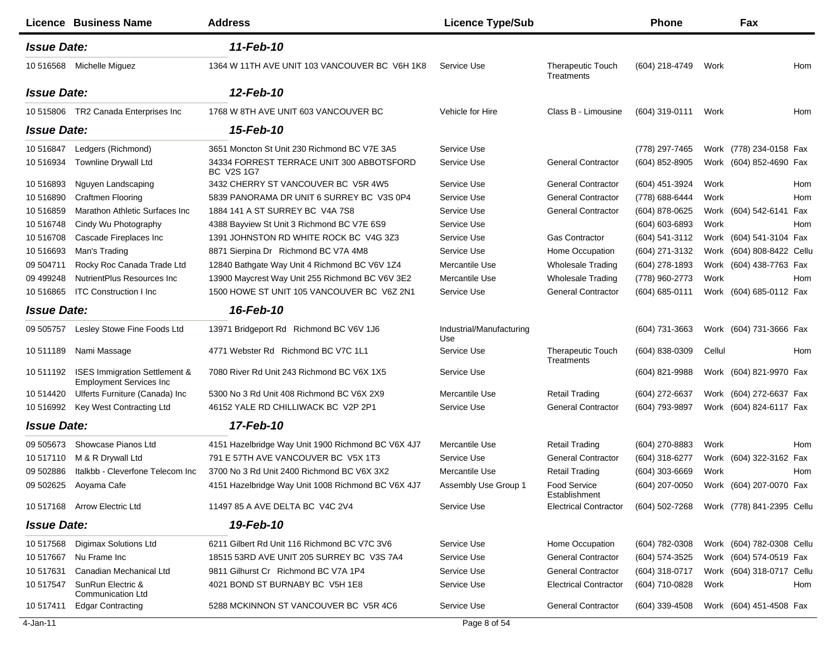|                    | Licence Business Name                                                      | <b>Address</b>                                                 | <b>Licence Type/Sub</b>         |                                               | <b>Phone</b>     |        | Fax                       |     |
|--------------------|----------------------------------------------------------------------------|----------------------------------------------------------------|---------------------------------|-----------------------------------------------|------------------|--------|---------------------------|-----|
| <b>Issue Date:</b> |                                                                            | 11-Feb-10                                                      |                                 |                                               |                  |        |                           |     |
|                    | 10 516568 Michelle Miguez                                                  | 1364 W 11TH AVE UNIT 103 VANCOUVER BC V6H 1K8                  | Service Use                     | <b>Therapeutic Touch</b><br><b>Treatments</b> | (604) 218-4749   | Work   |                           | Hom |
| <b>Issue Date:</b> |                                                                            | 12-Feb-10                                                      |                                 |                                               |                  |        |                           |     |
|                    | 10 515806 TR2 Canada Enterprises Inc                                       | 1768 W 8TH AVE UNIT 603 VANCOUVER BC                           | Vehicle for Hire                | Class B - Limousine                           | (604) 319-0111   | Work   |                           | Hom |
| <b>Issue Date:</b> |                                                                            | 15-Feb-10                                                      |                                 |                                               |                  |        |                           |     |
| 10 51 6847         | Ledgers (Richmond)                                                         | 3651 Moncton St Unit 230 Richmond BC V7E 3A5                   | Service Use                     |                                               | (778) 297-7465   |        | Work (778) 234-0158 Fax   |     |
| 10 51 6934         | <b>Townline Drywall Ltd</b>                                                | 34334 FORREST TERRACE UNIT 300 ABBOTSFORD<br><b>BC V2S 1G7</b> | Service Use                     | <b>General Contractor</b>                     | (604) 852-8905   |        | Work (604) 852-4690 Fax   |     |
| 10 51 6893         | Nguyen Landscaping                                                         | 3432 CHERRY ST VANCOUVER BC V5R 4W5                            | Service Use                     | <b>General Contractor</b>                     | (604) 451-3924   | Work   |                           | Hom |
| 10 51 6890         | <b>Craftmen Flooring</b>                                                   | 5839 PANORAMA DR UNIT 6 SURREY BC V3S 0P4                      | Service Use                     | <b>General Contractor</b>                     | (778) 688-6444   | Work   |                           | Hom |
| 10 51 6859         | Marathon Athletic Surfaces Inc                                             | 1884 141 A ST SURREY BC V4A 7S8                                | Service Use                     | <b>General Contractor</b>                     | (604) 878-0625   |        | Work (604) 542-6141 Fax   |     |
| 10 51 6748         | Cindy Wu Photography                                                       | 4388 Bayview St Unit 3 Richmond BC V7E 6S9                     | Service Use                     |                                               | (604) 603-6893   | Work   |                           | Hom |
| 10 51 670 8        | Cascade Fireplaces Inc                                                     | 1391 JOHNSTON RD WHITE ROCK BC V4G 3Z3                         | Service Use                     | <b>Gas Contractor</b>                         | (604) 541-3112   |        | Work (604) 541-3104 Fax   |     |
| 10 51 6693         | Man's Trading                                                              | 8871 Sierpina Dr Richmond BC V7A 4M8                           | Service Use                     | Home Occupation                               | (604) 271-3132   | Work   | (604) 808-8422 Cellu      |     |
| 09 504711          | Rocky Roc Canada Trade Ltd                                                 | 12840 Bathgate Way Unit 4 Richmond BC V6V 1Z4                  | Mercantile Use                  | <b>Wholesale Trading</b>                      | (604) 278-1893   |        | Work (604) 438-7763 Fax   |     |
| 09 499248          | NutrientPlus Resources Inc.                                                | 13900 Maycrest Way Unit 255 Richmond BC V6V 3E2                | Mercantile Use                  | <b>Wholesale Trading</b>                      | (778) 960-2773   | Work   |                           | Hom |
| 10 51 68 65        | <b>ITC Construction I Inc.</b>                                             | 1500 HOWE ST UNIT 105 VANCOUVER BC V6Z 2N1                     | Service Use                     | <b>General Contractor</b>                     | (604) 685-0111   |        | Work (604) 685-0112 Fax   |     |
| <b>Issue Date:</b> |                                                                            | 16-Feb-10                                                      |                                 |                                               |                  |        |                           |     |
| 09 505757          | Lesley Stowe Fine Foods Ltd                                                | 13971 Bridgeport Rd Richmond BC V6V 1J6                        | Industrial/Manufacturing<br>Use |                                               | (604) 731-3663   |        | Work (604) 731-3666 Fax   |     |
| 10 511189          | Nami Massage                                                               | 4771 Webster Rd Richmond BC V7C 1L1                            | Service Use                     | <b>Therapeutic Touch</b><br>Treatments        | (604) 838-0309   | Cellul |                           | Hom |
| 10 511192          | <b>ISES Immigration Settlement &amp;</b><br><b>Employment Services Inc</b> | 7080 River Rd Unit 243 Richmond BC V6X 1X5                     | Service Use                     |                                               | (604) 821-9988   |        | Work (604) 821-9970 Fax   |     |
| 10 514420          | Ulferts Furniture (Canada) Inc                                             | 5300 No 3 Rd Unit 408 Richmond BC V6X 2X9                      | Mercantile Use                  | Retail Trading                                | (604) 272-6637   |        | Work (604) 272-6637 Fax   |     |
| 10 51 6992         | Key West Contracting Ltd                                                   | 46152 YALE RD CHILLIWACK BC V2P 2P1                            | Service Use                     | <b>General Contractor</b>                     | (604) 793-9897   |        | Work (604) 824-6117 Fax   |     |
| <b>Issue Date:</b> |                                                                            | 17-Feb-10                                                      |                                 |                                               |                  |        |                           |     |
| 09 50 5673         | Showcase Pianos Ltd                                                        | 4151 Hazelbridge Way Unit 1900 Richmond BC V6X 4J7             | Mercantile Use                  | Retail Trading                                | (604) 270-8883   | Work   |                           | Hom |
| 10 517110          | M & R Drywall Ltd                                                          | 791 E 57TH AVE VANCOUVER BC V5X 1T3                            | Service Use                     | <b>General Contractor</b>                     | (604) 318-6277   |        | Work (604) 322-3162 Fax   |     |
| 09 502886          | Italkbb - Cleverfone Telecom Inc                                           | 3700 No 3 Rd Unit 2400 Richmond BC V6X 3X2                     | Mercantile Use                  | <b>Retail Trading</b>                         | $(604)$ 303-6669 | Work   |                           | Hom |
|                    | 09 502625 Aoyama Cafe                                                      | 4151 Hazelbridge Way Unit 1008 Richmond BC V6X 4J7             | Assembly Use Group 1            | <b>Food Service</b><br>Establishment          | (604) 207-0050   |        | Work (604) 207-0070 Fax   |     |
|                    | 10 517168 Arrow Electric Ltd                                               | 11497 85 A AVE DELTA BC V4C 2V4                                | Service Use                     | <b>Electrical Contractor</b>                  | (604) 502-7268   |        | Work (778) 841-2395 Cellu |     |
| <b>Issue Date:</b> |                                                                            | 19-Feb-10                                                      |                                 |                                               |                  |        |                           |     |
| 10 517568          | Digimax Solutions Ltd                                                      | 6211 Gilbert Rd Unit 116 Richmond BC V7C 3V6                   | Service Use                     | Home Occupation                               | (604) 782-0308   |        | Work (604) 782-0308 Cellu |     |
| 10 517667          | Nu Frame Inc                                                               | 18515 53RD AVE UNIT 205 SURREY BC V3S 7A4                      | Service Use                     | <b>General Contractor</b>                     | (604) 574-3525   |        | Work (604) 574-0519 Fax   |     |
| 10 517631          | Canadian Mechanical Ltd                                                    | 9811 Gilhurst Cr Richmond BC V7A 1P4                           | Service Use                     | <b>General Contractor</b>                     | (604) 318-0717   |        | Work (604) 318-0717 Cellu |     |
| 10 517547          | SunRun Electric &<br><b>Communication Ltd</b>                              | 4021 BOND ST BURNABY BC V5H 1E8                                | Service Use                     | <b>Electrical Contractor</b>                  | (604) 710-0828   | Work   |                           | Hom |
| 10 517411          | <b>Edgar Contracting</b>                                                   | 5288 MCKINNON ST VANCOUVER BC V5R 4C6                          | Service Use                     | <b>General Contractor</b>                     | $(604)$ 339-4508 |        | Work (604) 451-4508 Fax   |     |
|                    |                                                                            |                                                                |                                 |                                               |                  |        |                           |     |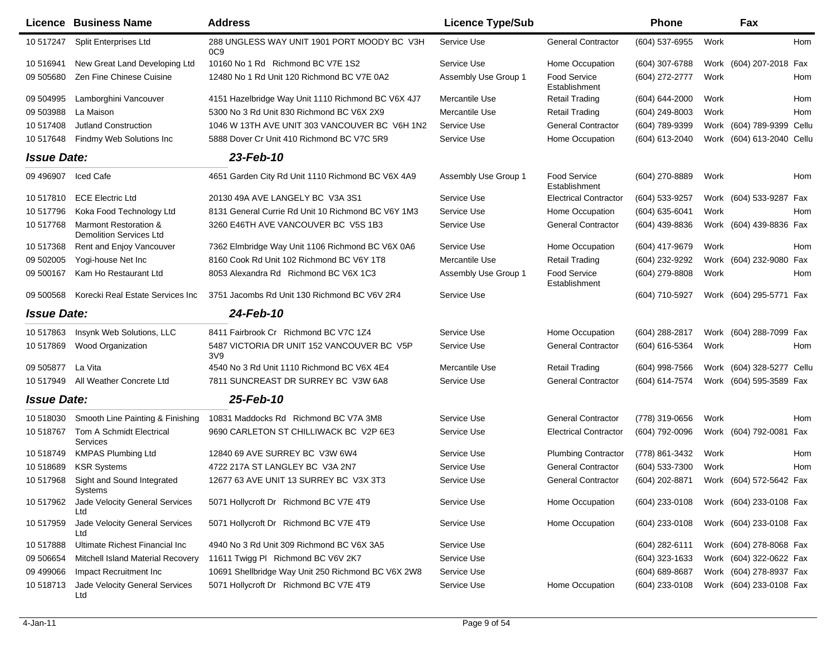|                    | Licence Business Name                                   | <b>Address</b>                                                 | <b>Licence Type/Sub</b> |                                      | <b>Phone</b>     |      | Fax                       |            |
|--------------------|---------------------------------------------------------|----------------------------------------------------------------|-------------------------|--------------------------------------|------------------|------|---------------------------|------------|
| 10 517247          | Split Enterprises Ltd                                   | 288 UNGLESS WAY UNIT 1901 PORT MOODY BC V3H<br>0C <sub>9</sub> | Service Use             | <b>General Contractor</b>            | (604) 537-6955   | Work |                           | <b>Hom</b> |
| 10 51 6941         | New Great Land Developing Ltd                           | 10160 No 1 Rd Richmond BC V7E 1S2                              | Service Use             | Home Occupation                      | (604) 307-6788   |      | Work (604) 207-2018 Fax   |            |
| 09 505680          | Zen Fine Chinese Cuisine                                | 12480 No 1 Rd Unit 120 Richmond BC V7E 0A2                     | Assembly Use Group 1    | <b>Food Service</b><br>Establishment | (604) 272-2777   | Work |                           | Hom        |
| 09 504995          | Lamborghini Vancouver                                   | 4151 Hazelbridge Way Unit 1110 Richmond BC V6X 4J7             | Mercantile Use          | <b>Retail Trading</b>                | (604) 644-2000   | Work |                           | Hom        |
| 09 503988          | La Maison                                               | 5300 No 3 Rd Unit 830 Richmond BC V6X 2X9                      | Mercantile Use          | <b>Retail Trading</b>                | (604) 249-8003   | Work |                           | Hom        |
| 10 517408          | <b>Jutland Construction</b>                             | 1046 W 13TH AVE UNIT 303 VANCOUVER BC V6H 1N2                  | Service Use             | <b>General Contractor</b>            | (604) 789-9399   |      | Work (604) 789-9399 Cellu |            |
| 10 517648          | Findmy Web Solutions Inc                                | 5888 Dover Cr Unit 410 Richmond BC V7C 5R9                     | Service Use             | Home Occupation                      | (604) 613-2040   | Work | (604) 613-2040 Cellu      |            |
| <b>Issue Date:</b> |                                                         | 23-Feb-10                                                      |                         |                                      |                  |      |                           |            |
| 09 49 6907         | Iced Cafe                                               | 4651 Garden City Rd Unit 1110 Richmond BC V6X 4A9              | Assembly Use Group 1    | Food Service<br>Establishment        | (604) 270-8889   | Work |                           | Hom        |
| 10 517810          | <b>ECE Electric Ltd</b>                                 | 20130 49A AVE LANGELY BC V3A 3S1                               | Service Use             | <b>Electrical Contractor</b>         | $(604)$ 533-9257 |      | Work (604) 533-9287 Fax   |            |
| 10 517796          | Koka Food Technology Ltd                                | 8131 General Currie Rd Unit 10 Richmond BC V6Y 1M3             | Service Use             | Home Occupation                      | (604) 635-6041   | Work |                           | Hom        |
| 10 517768          | Marmont Restoration &<br><b>Demolition Services Ltd</b> | 3260 E46TH AVE VANCOUVER BC V5S 1B3                            | Service Use             | <b>General Contractor</b>            | (604) 439-8836   |      | Work (604) 439-8836 Fax   |            |
| 10517368           | Rent and Enjoy Vancouver                                | 7362 Elmbridge Way Unit 1106 Richmond BC V6X 0A6               | Service Use             | Home Occupation                      | (604) 417-9679   | Work |                           | Hom        |
| 09 502005          | Yogi-house Net Inc                                      | 8160 Cook Rd Unit 102 Richmond BC V6Y 1T8                      | Mercantile Use          | <b>Retail Trading</b>                | (604) 232-9292   | Work | (604) 232-9080            | Fax        |
| 09 500167          | Kam Ho Restaurant Ltd                                   | 8053 Alexandra Rd Richmond BC V6X 1C3                          | Assembly Use Group 1    | Food Service<br>Establishment        | (604) 279-8808   | Work |                           | Hom        |
| 09 500568          | Korecki Real Estate Services Inc                        | 3751 Jacombs Rd Unit 130 Richmond BC V6V 2R4                   | Service Use             |                                      | (604) 710-5927   |      | Work (604) 295-5771 Fax   |            |
| <b>Issue Date:</b> |                                                         | 24-Feb-10                                                      |                         |                                      |                  |      |                           |            |
| 10 517863          | Insynk Web Solutions, LLC                               | 8411 Fairbrook Cr Richmond BC V7C 1Z4                          | Service Use             | Home Occupation                      | (604) 288-2817   |      | Work (604) 288-7099 Fax   |            |
| 10 517869          | Wood Organization                                       | 5487 VICTORIA DR UNIT 152 VANCOUVER BC V5P<br>3V9              | Service Use             | <b>General Contractor</b>            | (604) 616-5364   | Work |                           | Hom        |
| 09 505877          | La Vita                                                 | 4540 No 3 Rd Unit 1110 Richmond BC V6X 4E4                     | Mercantile Use          | <b>Retail Trading</b>                | (604) 998-7566   | Work | (604) 328-5277 Cellu      |            |
| 10 517949          | All Weather Concrete Ltd                                | 7811 SUNCREAST DR SURREY BC V3W 6A8                            | Service Use             | <b>General Contractor</b>            | (604) 614-7574   |      | Work (604) 595-3589 Fax   |            |
| <b>Issue Date:</b> |                                                         | 25-Feb-10                                                      |                         |                                      |                  |      |                           |            |
| 10 518030          | Smooth Line Painting & Finishing                        | 10831 Maddocks Rd Richmond BC V7A 3M8                          | Service Use             | <b>General Contractor</b>            | (778) 319-0656   | Work |                           | Hom        |
| 10 518767          | Tom A Schmidt Electrical<br>Services                    | 9690 CARLETON ST CHILLIWACK BC V2P 6E3                         | Service Use             | <b>Electrical Contractor</b>         | (604) 792-0096   |      | Work (604) 792-0081       | Fax        |
| 10 518749          | <b>KMPAS Plumbing Ltd</b>                               | 12840 69 AVE SURREY BC V3W 6W4                                 | Service Use             | <b>Plumbing Contractor</b>           | (778) 861-3432   | Work |                           | Hom        |
| 10518689           | <b>KSR Systems</b>                                      | 4722 217A ST LANGLEY BC V3A 2N7                                | Service Use             | <b>General Contractor</b>            | (604) 533-7300   | Work |                           | Hom        |
| 10517968           | Sight and Sound Integrated<br>Systems                   | 12677 63 AVE UNIT 13 SURREY BC V3X 3T3                         | Service Use             | <b>General Contractor</b>            | (604) 202-8871   |      | Work (604) 572-5642 Fax   |            |
| 10 517962          | Jade Velocity General Services<br>Ltd                   | 5071 Hollycroft Dr Richmond BC V7E 4T9                         | Service Use             | Home Occupation                      | $(604)$ 233-0108 |      | Work (604) 233-0108 Fax   |            |
| 10 517959          | Jade Velocity General Services<br>Ltd                   | 5071 Hollycroft Dr Richmond BC V7E 4T9                         | Service Use             | Home Occupation                      | (604) 233-0108   |      | Work (604) 233-0108 Fax   |            |
| 10 517888          | Ultimate Richest Financial Inc                          | 4940 No 3 Rd Unit 309 Richmond BC V6X 3A5                      | Service Use             |                                      | (604) 282-6111   |      | Work (604) 278-8068 Fax   |            |
| 09 50 6654         | Mitchell Island Material Recovery                       | 11611 Twigg PI Richmond BC V6V 2K7                             | Service Use             |                                      | (604) 323-1633   |      | Work (604) 322-0622 Fax   |            |
| 09 499066          | Impact Recruitment Inc                                  | 10691 Shellbridge Way Unit 250 Richmond BC V6X 2W8             | Service Use             |                                      | (604) 689-8687   |      | Work (604) 278-8937 Fax   |            |
| 10518713           | Jade Velocity General Services<br>Ltd                   | 5071 Hollycroft Dr Richmond BC V7E 4T9                         | Service Use             | Home Occupation                      | (604) 233-0108   |      | Work (604) 233-0108 Fax   |            |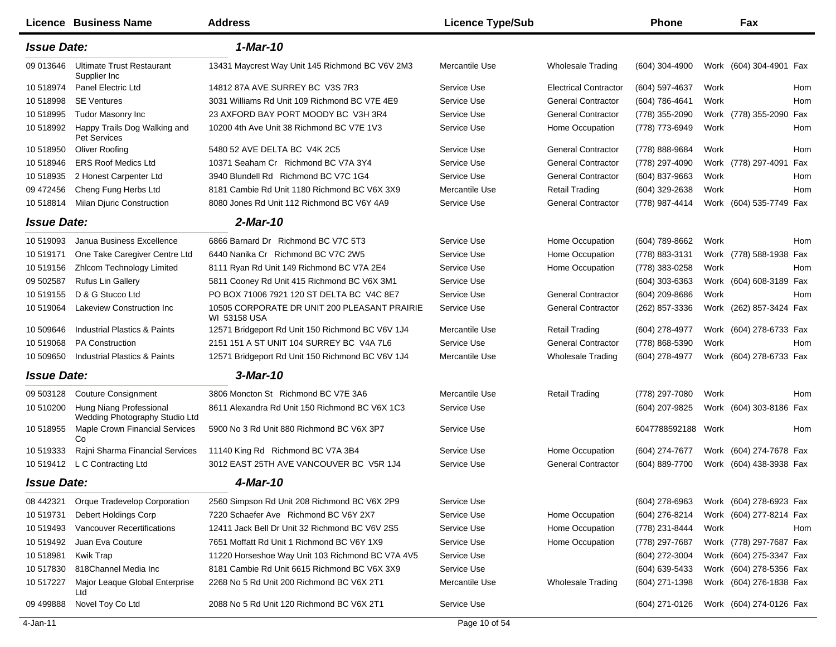|                    | <b>Licence Business Name</b>                              | <b>Address</b>                                                      | <b>Licence Type/Sub</b> |                              | <b>Phone</b>     |      | Fax                     |     |
|--------------------|-----------------------------------------------------------|---------------------------------------------------------------------|-------------------------|------------------------------|------------------|------|-------------------------|-----|
| <b>Issue Date:</b> |                                                           | 1-Mar-10                                                            |                         |                              |                  |      |                         |     |
| 09 013 646         | <b>Ultimate Trust Restaurant</b><br>Supplier Inc          | 13431 Maycrest Way Unit 145 Richmond BC V6V 2M3                     | Mercantile Use          | <b>Wholesale Trading</b>     | $(604)$ 304-4900 |      | Work (604) 304-4901 Fax |     |
| 10 518974          | Panel Electric Ltd                                        | 14812 87A AVE SURREY BC V3S 7R3                                     | Service Use             | <b>Electrical Contractor</b> | (604) 597-4637   | Work |                         | Hom |
| 10518998           | <b>SE Ventures</b>                                        | 3031 Williams Rd Unit 109 Richmond BC V7E 4E9                       | Service Use             | <b>General Contractor</b>    | (604) 786-4641   | Work |                         | Hom |
| 10 518995          | Tudor Masonry Inc                                         | 23 AXFORD BAY PORT MOODY BC V3H 3R4                                 | Service Use             | <b>General Contractor</b>    | (778) 355-2090   |      | Work (778) 355-2090 Fax |     |
| 10 518992          | Happy Trails Dog Walking and<br>Pet Services              | 10200 4th Ave Unit 38 Richmond BC V7E 1V3                           | Service Use             | Home Occupation              | (778) 773-6949   | Work |                         | Hom |
| 10 518950          | Oliver Roofing                                            | 5480 52 AVE DELTA BC V4K 2C5                                        | Service Use             | <b>General Contractor</b>    | (778) 888-9684   | Work |                         | Hom |
| 10 518946          | <b>ERS Roof Medics Ltd</b>                                | 10371 Seaham Cr Richmond BC V7A 3Y4                                 | Service Use             | <b>General Contractor</b>    | (778) 297-4090   |      | Work (778) 297-4091 Fax |     |
| 10 518935          | 2 Honest Carpenter Ltd                                    | 3940 Blundell Rd Richmond BC V7C 1G4                                | Service Use             | <b>General Contractor</b>    | (604) 837-9663   | Work |                         | Hom |
| 09 472 456         | Cheng Fung Herbs Ltd                                      | 8181 Cambie Rd Unit 1180 Richmond BC V6X 3X9                        | Mercantile Use          | <b>Retail Trading</b>        | (604) 329-2638   | Work |                         | Hom |
| 10518814           | Milan Djuric Construction                                 | 8080 Jones Rd Unit 112 Richmond BC V6Y 4A9                          | Service Use             | <b>General Contractor</b>    | (778) 987-4414   |      | Work (604) 535-7749 Fax |     |
| <b>Issue Date:</b> |                                                           | 2-Mar-10                                                            |                         |                              |                  |      |                         |     |
| 10 519093          | Janua Business Excellence                                 | 6866 Barnard Dr Richmond BC V7C 5T3                                 | Service Use             | Home Occupation              | (604) 789-8662   | Work |                         | Hom |
| 10 519171          | One Take Caregiver Centre Ltd                             | 6440 Nanika Cr Richmond BC V7C 2W5                                  | Service Use             | Home Occupation              | (778) 883-3131   |      | Work (778) 588-1938 Fax |     |
| 10 519156          | <b>Zhlcom Technology Limited</b>                          | 8111 Ryan Rd Unit 149 Richmond BC V7A 2E4                           | Service Use             | Home Occupation              | (778) 383-0258   | Work |                         | Hom |
| 09 502587          | <b>Rufus Lin Gallery</b>                                  | 5811 Cooney Rd Unit 415 Richmond BC V6X 3M1                         | Service Use             |                              | (604) 303-6363   |      | Work (604) 608-3189 Fax |     |
| 10 519155          | D & G Stucco Ltd                                          | PO BOX 71006 7921 120 ST DELTA BC V4C 8E7                           | Service Use             | <b>General Contractor</b>    | (604) 209-8686   | Work |                         | Hom |
| 10 519064          | Lakeview Construction Inc                                 | 10505 CORPORATE DR UNIT 200 PLEASANT PRAIRIE<br><b>WI 53158 USA</b> | Service Use             | <b>General Contractor</b>    | (262) 857-3336   |      | Work (262) 857-3424 Fax |     |
| 10 509646          | Industrial Plastics & Paints                              | 12571 Bridgeport Rd Unit 150 Richmond BC V6V 1J4                    | Mercantile Use          | <b>Retail Trading</b>        | (604) 278-4977   |      | Work (604) 278-6733 Fax |     |
| 10 519068          | <b>PA Construction</b>                                    | 2151 151 A ST UNIT 104 SURREY BC V4A 7L6                            | Service Use             | <b>General Contractor</b>    | (778) 868-5390   | Work |                         | Hom |
| 10 509650          | Industrial Plastics & Paints                              | 12571 Bridgeport Rd Unit 150 Richmond BC V6V 1J4                    | Mercantile Use          | <b>Wholesale Trading</b>     | (604) 278-4977   |      | Work (604) 278-6733 Fax |     |
| <b>Issue Date:</b> |                                                           | 3-Mar-10                                                            |                         |                              |                  |      |                         |     |
| 09 503128          | <b>Couture Consignment</b>                                | 3806 Moncton St Richmond BC V7E 3A6                                 | Mercantile Use          | <b>Retail Trading</b>        | (778) 297-7080   | Work |                         | Hom |
| 10 510200          | Hung Niang Professional<br>Wedding Photography Studio Ltd | 8611 Alexandra Rd Unit 150 Richmond BC V6X 1C3                      | Service Use             |                              | (604) 207-9825   |      | Work (604) 303-8186 Fax |     |
| 10 518955          | <b>Maple Crown Financial Services</b><br>Co               | 5900 No 3 Rd Unit 880 Richmond BC V6X 3P7                           | Service Use             |                              | 6047788592188    | Work |                         | Hom |
| 10 519333          | Rajni Sharma Financial Services                           | 11140 King Rd Richmond BC V7A 3B4                                   | Service Use             | Home Occupation              | (604) 274-7677   |      | Work (604) 274-7678 Fax |     |
| 10 519412          | L C Contracting Ltd                                       | 3012 EAST 25TH AVE VANCOUVER BC V5R 1J4                             | Service Use             | <b>General Contractor</b>    | (604) 889-7700   |      | Work (604) 438-3938 Fax |     |
| <b>Issue Date:</b> |                                                           | 4-Mar-10                                                            |                         |                              |                  |      |                         |     |
| 08 442321          | Orque Tradevelop Corporation                              | 2560 Simpson Rd Unit 208 Richmond BC V6X 2P9                        | Service Use             |                              | $(604)$ 278-6963 |      | Work (604) 278-6923 Fax |     |
| 10 519731          | Debert Holdings Corp                                      | 7220 Schaefer Ave Richmond BC V6Y 2X7                               | Service Use             | Home Occupation              | (604) 276-8214   |      | Work (604) 277-8214 Fax |     |
| 10 519493          | Vancouver Recertifications                                | 12411 Jack Bell Dr Unit 32 Richmond BC V6V 2S5                      | Service Use             | Home Occupation              | (778) 231-8444   | Work |                         | Hom |
| 10 519492          | Juan Eva Couture                                          | 7651 Moffatt Rd Unit 1 Richmond BC V6Y 1X9                          | Service Use             | Home Occupation              | (778) 297-7687   |      | Work (778) 297-7687 Fax |     |
| 10518981           | Kwik Trap                                                 | 11220 Horseshoe Way Unit 103 Richmond BC V7A 4V5                    | Service Use             |                              | (604) 272-3004   |      | Work (604) 275-3347 Fax |     |
| 10 517830          | 818Channel Media Inc                                      | 8181 Cambie Rd Unit 6615 Richmond BC V6X 3X9                        | Service Use             |                              | (604) 639-5433   |      | Work (604) 278-5356 Fax |     |
| 10 517227          | Major Leaque Global Enterprise<br>Ltd                     | 2268 No 5 Rd Unit 200 Richmond BC V6X 2T1                           | Mercantile Use          | <b>Wholesale Trading</b>     | (604) 271-1398   |      | Work (604) 276-1838 Fax |     |
| 09 499888          | Novel Toy Co Ltd                                          | 2088 No 5 Rd Unit 120 Richmond BC V6X 2T1                           | Service Use             |                              | (604) 271-0126   |      | Work (604) 274-0126 Fax |     |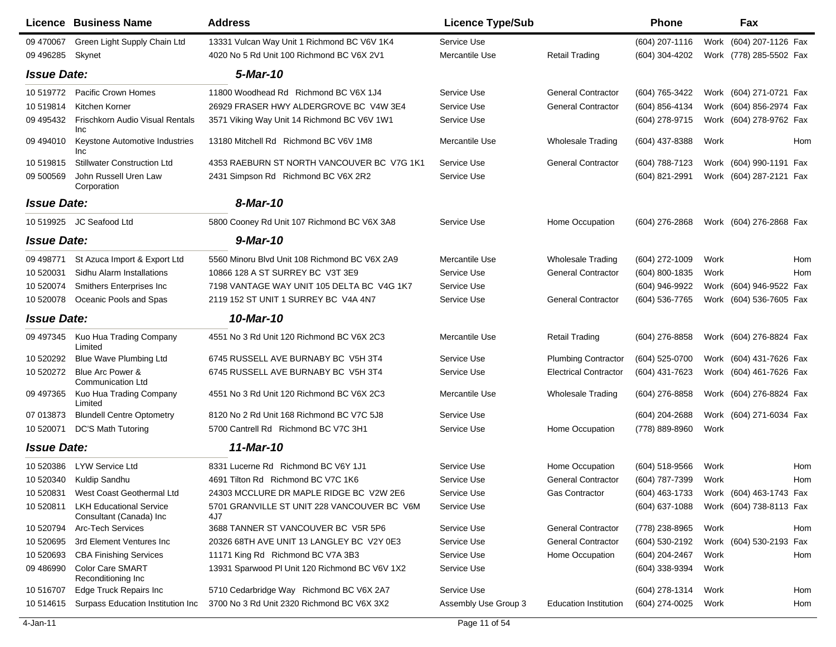|                    | <b>Licence Business Name</b>                              | <b>Address</b>                                     | <b>Licence Type/Sub</b> |                              | <b>Phone</b>   |      | Fax                     |     |
|--------------------|-----------------------------------------------------------|----------------------------------------------------|-------------------------|------------------------------|----------------|------|-------------------------|-----|
| 09 470067          | Green Light Supply Chain Ltd                              | 13331 Vulcan Way Unit 1 Richmond BC V6V 1K4        | Service Use             |                              | (604) 207-1116 | Work | (604) 207-1126 Fax      |     |
| 09 49 6285         | Skynet                                                    | 4020 No 5 Rd Unit 100 Richmond BC V6X 2V1          | Mercantile Use          | <b>Retail Trading</b>        | (604) 304-4202 |      | Work (778) 285-5502 Fax |     |
| <b>Issue Date:</b> |                                                           | 5-Mar-10                                           |                         |                              |                |      |                         |     |
| 10 519772          | Pacific Crown Homes                                       | 11800 Woodhead Rd Richmond BC V6X 1J4              | Service Use             | <b>General Contractor</b>    | (604) 765-3422 | Work | (604) 271-0721 Fax      |     |
| 10519814           | Kitchen Korner                                            | 26929 FRASER HWY ALDERGROVE BC V4W 3E4             | Service Use             | <b>General Contractor</b>    | (604) 856-4134 |      | Work (604) 856-2974 Fax |     |
| 09 49 5432         | Frischkorn Audio Visual Rentals<br>Inc                    | 3571 Viking Way Unit 14 Richmond BC V6V 1W1        | Service Use             |                              | (604) 278-9715 |      | Work (604) 278-9762 Fax |     |
| 09 494010          | Keystone Automotive Industries<br>Inc                     | 13180 Mitchell Rd Richmond BC V6V 1M8              | Mercantile Use          | <b>Wholesale Trading</b>     | (604) 437-8388 | Work |                         | Hom |
| 10519815           | <b>Stillwater Construction Ltd</b>                        | 4353 RAEBURN ST NORTH VANCOUVER BC V7G 1K1         | Service Use             | <b>General Contractor</b>    | (604) 788-7123 |      | Work (604) 990-1191 Fax |     |
| 09 500569          | John Russell Uren Law<br>Corporation                      | 2431 Simpson Rd Richmond BC V6X 2R2                | Service Use             |                              | (604) 821-2991 |      | Work (604) 287-2121 Fax |     |
| <b>Issue Date:</b> |                                                           | 8-Mar-10                                           |                         |                              |                |      |                         |     |
| 10 519925          | JC Seafood Ltd                                            | 5800 Cooney Rd Unit 107 Richmond BC V6X 3A8        | Service Use             | Home Occupation              | (604) 276-2868 |      | Work (604) 276-2868 Fax |     |
| <b>Issue Date:</b> |                                                           | 9-Mar-10                                           |                         |                              |                |      |                         |     |
| 09 49 8771         | St Azuca Import & Export Ltd                              | 5560 Minoru Blvd Unit 108 Richmond BC V6X 2A9      | Mercantile Use          | <b>Wholesale Trading</b>     | (604) 272-1009 | Work |                         | Hom |
| 10 520031          | Sidhu Alarm Installations                                 | 10866 128 A ST SURREY BC V3T 3E9                   | Service Use             | <b>General Contractor</b>    | (604) 800-1835 | Work |                         | Hom |
| 10 520074          | Smithers Enterprises Inc                                  | 7198 VANTAGE WAY UNIT 105 DELTA BC V4G 1K7         | Service Use             |                              | (604) 946-9922 |      | Work (604) 946-9522 Fax |     |
| 10 520078          | Oceanic Pools and Spas                                    | 2119 152 ST UNIT 1 SURREY BC V4A 4N7               | Service Use             | <b>General Contractor</b>    | (604) 536-7765 |      | Work (604) 536-7605 Fax |     |
| <b>Issue Date:</b> |                                                           | 10-Mar-10                                          |                         |                              |                |      |                         |     |
| 09 497345          | Kuo Hua Trading Company<br>Limited                        | 4551 No 3 Rd Unit 120 Richmond BC V6X 2C3          | Mercantile Use          | <b>Retail Trading</b>        | (604) 276-8858 |      | Work (604) 276-8824 Fax |     |
| 10 520292          | <b>Blue Wave Plumbing Ltd</b>                             | 6745 RUSSELL AVE BURNABY BC V5H 3T4                | Service Use             | <b>Plumbing Contractor</b>   | (604) 525-0700 |      | Work (604) 431-7626 Fax |     |
| 10 520272          | Blue Arc Power &<br><b>Communication Ltd</b>              | 6745 RUSSELL AVE BURNABY BC V5H 3T4                | Service Use             | <b>Electrical Contractor</b> | (604) 431-7623 |      | Work (604) 461-7626 Fax |     |
| 09 497365          | Kuo Hua Trading Company<br>Limited                        | 4551 No 3 Rd Unit 120 Richmond BC V6X 2C3          | Mercantile Use          | <b>Wholesale Trading</b>     | (604) 276-8858 |      | Work (604) 276-8824 Fax |     |
| 07 013873          | <b>Blundell Centre Optometry</b>                          | 8120 No 2 Rd Unit 168 Richmond BC V7C 5J8          | Service Use             |                              | (604) 204-2688 |      | Work (604) 271-6034 Fax |     |
| 10 520071          | <b>DC'S Math Tutoring</b>                                 | 5700 Cantrell Rd Richmond BC V7C 3H1               | Service Use             | Home Occupation              | (778) 889-8960 | Work |                         |     |
| <b>Issue Date:</b> |                                                           | 11-Mar-10                                          |                         |                              |                |      |                         |     |
| 10 520386          | <b>LYW Service Ltd</b>                                    | 8331 Lucerne Rd Richmond BC V6Y 1J1                | Service Use             | Home Occupation              | (604) 518-9566 | Work |                         | Hom |
| 10 520340          | Kuldip Sandhu                                             | 4691 Tilton Rd Richmond BC V7C 1K6                 | Service Use             | <b>General Contractor</b>    | (604) 787-7399 | Work |                         | Hom |
| 10 520831          | West Coast Geothermal Ltd                                 | 24303 MCCLURE DR MAPLE RIDGE BC V2W 2E6            | Service Use             | Gas Contractor               | (604) 463-1733 |      | Work (604) 463-1743 Fax |     |
| 10 520811          | <b>LKH Educational Service</b><br>Consultant (Canada) Inc | 5701 GRANVILLE ST UNIT 228 VANCOUVER BC V6M<br>4J7 | Service Use             |                              | (604) 637-1088 |      | Work (604) 738-8113 Fax |     |
| 10 520794          | <b>Arc-Tech Services</b>                                  | 3688 TANNER ST VANCOUVER BC V5R 5P6                | Service Use             | <b>General Contractor</b>    | (778) 238-8965 | Work |                         | Hom |
| 10 520695          | 3rd Element Ventures Inc                                  | 20326 68TH AVE UNIT 13 LANGLEY BC V2Y 0E3          | Service Use             | <b>General Contractor</b>    | (604) 530-2192 |      | Work (604) 530-2193 Fax |     |
| 10 520693          | <b>CBA Finishing Services</b>                             | 11171 King Rd Richmond BC V7A 3B3                  | Service Use             | Home Occupation              | (604) 204-2467 | Work |                         | Hom |
| 09 48 6990         | <b>Color Care SMART</b><br>Reconditioning Inc             | 13931 Sparwood PI Unit 120 Richmond BC V6V 1X2     | Service Use             |                              | (604) 338-9394 | Work |                         |     |
| 10 51 670 7        | Edge Truck Repairs Inc                                    | 5710 Cedarbridge Way Richmond BC V6X 2A7           | Service Use             |                              | (604) 278-1314 | Work |                         | Hom |
| 10 514615          | Surpass Education Institution Inc                         | 3700 No 3 Rd Unit 2320 Richmond BC V6X 3X2         | Assembly Use Group 3    | <b>Education Institution</b> | (604) 274-0025 | Work |                         | Hom |

 $\blacksquare$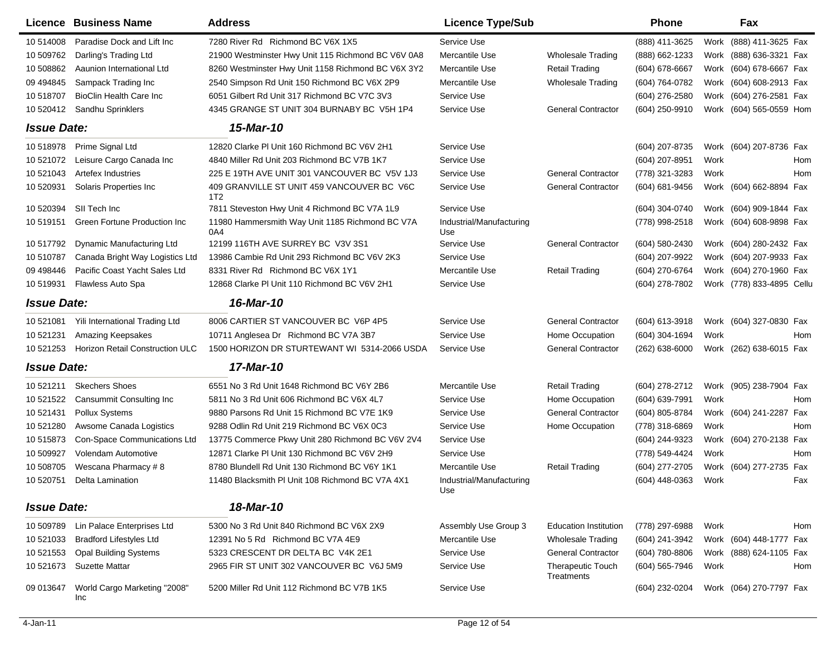|                    | Licence Business Name                | <b>Address</b>                                         | <b>Licence Type/Sub</b>         |                                 | <b>Phone</b>     |      | Fax                        |
|--------------------|--------------------------------------|--------------------------------------------------------|---------------------------------|---------------------------------|------------------|------|----------------------------|
| 10 514008          | Paradise Dock and Lift Inc           | 7280 River Rd Richmond BC V6X 1X5                      | Service Use                     |                                 | (888) 411-3625   |      | Work (888) 411-3625 Fax    |
| 10 509762          | Darling's Trading Ltd                | 21900 Westminster Hwy Unit 115 Richmond BC V6V 0A8     | Mercantile Use                  | <b>Wholesale Trading</b>        | (888) 662-1233   |      | Work (888) 636-3321 Fax    |
| 10 508862          | Aaunion International Ltd            | 8260 Westminster Hwy Unit 1158 Richmond BC V6X 3Y2     | Mercantile Use                  | <b>Retail Trading</b>           | (604) 678-6667   |      | Work (604) 678-6667 Fax    |
| 09 49 4845         | Sampack Trading Inc                  | 2540 Simpson Rd Unit 150 Richmond BC V6X 2P9           | Mercantile Use                  | <b>Wholesale Trading</b>        | (604) 764-0782   |      | Work (604) 608-2913 Fax    |
| 10 518707          | <b>BioClin Health Care Inc.</b>      | 6051 Gilbert Rd Unit 317 Richmond BC V7C 3V3           | Service Use                     |                                 | (604) 276-2580   |      | Work (604) 276-2581 Fax    |
| 10 520412          | Sandhu Sprinklers                    | 4345 GRANGE ST UNIT 304 BURNABY BC V5H 1P4             | Service Use                     | <b>General Contractor</b>       | (604) 250-9910   |      | Work (604) 565-0559 Hom    |
| <b>Issue Date:</b> |                                      | 15-Mar-10                                              |                                 |                                 |                  |      |                            |
| 10 518978          | Prime Signal Ltd                     | 12820 Clarke PI Unit 160 Richmond BC V6V 2H1           | Service Use                     |                                 | (604) 207-8735   |      | Work (604) 207-8736 Fax    |
| 10 521072          | Leisure Cargo Canada Inc             | 4840 Miller Rd Unit 203 Richmond BC V7B 1K7            | Service Use                     |                                 | (604) 207-8951   | Work | Hom                        |
| 10 521043          | Artefex Industries                   | 225 E 19TH AVE UNIT 301 VANCOUVER BC V5V 1J3           | Service Use                     | <b>General Contractor</b>       | (778) 321-3283   | Work | Hom                        |
| 10 520931          | Solaris Properties Inc               | 409 GRANVILLE ST UNIT 459 VANCOUVER BC V6C<br>1T2      | Service Use                     | <b>General Contractor</b>       | (604) 681-9456   |      | Work (604) 662-8894 Fax    |
| 10 520394          | SII Tech Inc                         | 7811 Steveston Hwy Unit 4 Richmond BC V7A 1L9          | Service Use                     |                                 | (604) 304-0740   |      | Work (604) 909-1844 Fax    |
| 10 519151          | <b>Green Fortune Production Inc.</b> | 11980 Hammersmith Way Unit 1185 Richmond BC V7A<br>0A4 | Industrial/Manufacturing<br>Use |                                 | (778) 998-2518   |      | Work (604) 608-9898 Fax    |
| 10 517792          | Dynamic Manufacturing Ltd            | 12199 116TH AVE SURREY BC V3V 3S1                      | Service Use                     | <b>General Contractor</b>       | (604) 580-2430   |      | Work (604) 280-2432 Fax    |
| 10 510787          | Canada Bright Way Logistics Ltd      | 13986 Cambie Rd Unit 293 Richmond BC V6V 2K3           | Service Use                     |                                 | (604) 207-9922   |      | Work (604) 207-9933 Fax    |
| 09 49 8446         | Pacific Coast Yacht Sales Ltd        | 8331 River Rd Richmond BC V6X 1Y1                      | Mercantile Use                  | <b>Retail Trading</b>           | (604) 270-6764   |      | Work (604) 270-1960 Fax    |
| 10 519931          | Flawless Auto Spa                    | 12868 Clarke PI Unit 110 Richmond BC V6V 2H1           | Service Use                     |                                 | (604) 278-7802   |      | Work (778) 833-4895 Cellu  |
| <b>Issue Date:</b> |                                      | 16-Mar-10                                              |                                 |                                 |                  |      |                            |
| 10 521081          | Yili International Trading Ltd       | 8006 CARTIER ST VANCOUVER BC V6P 4P5                   | Service Use                     | <b>General Contractor</b>       | $(604)$ 613-3918 |      | Work (604) 327-0830 Fax    |
| 10 521231          | <b>Amazing Keepsakes</b>             | 10711 Anglesea Dr Richmond BC V7A 3B7                  | Service Use                     | Home Occupation                 | (604) 304-1694   | Work | Hom                        |
| 10 521253          | Horizon Retail Construction ULC      | 1500 HORIZON DR STURTEWANT WI 5314-2066 USDA           | Service Use                     | <b>General Contractor</b>       | $(262)$ 638-6000 |      | Work (262) 638-6015 Fax    |
| <b>Issue Date:</b> |                                      | 17-Mar-10                                              |                                 |                                 |                  |      |                            |
| 10 521211          | <b>Skechers Shoes</b>                | 6551 No 3 Rd Unit 1648 Richmond BC V6Y 2B6             | Mercantile Use                  | <b>Retail Trading</b>           | (604) 278-2712   |      | Work (905) 238-7904 Fax    |
| 10 521522          | Cansummit Consulting Inc             | 5811 No 3 Rd Unit 606 Richmond BC V6X 4L7              | Service Use                     | Home Occupation                 | (604) 639-7991   | Work | Hom                        |
| 10 521431          | <b>Pollux Systems</b>                | 9880 Parsons Rd Unit 15 Richmond BC V7E 1K9            | Service Use                     | <b>General Contractor</b>       | (604) 805-8784   |      | Work (604) 241-2287 Fax    |
| 10 521280          | Awsome Canada Logistics              | 9288 Odlin Rd Unit 219 Richmond BC V6X 0C3             | Service Use                     | Home Occupation                 | (778) 318-6869   | Work | Hom                        |
| 10 515873          | Con-Space Communications Ltd         | 13775 Commerce Pkwy Unit 280 Richmond BC V6V 2V4       | Service Use                     |                                 | (604) 244-9323   |      | Work (604) 270-2138 Fax    |
| 10 509927          | Volendam Automotive                  | 12871 Clarke PI Unit 130 Richmond BC V6V 2H9           | Service Use                     |                                 | (778) 549-4424   | Work | Hom                        |
| 10 508705          | Wescana Pharmacy #8                  | 8780 Blundell Rd Unit 130 Richmond BC V6Y 1K1          | Mercantile Use                  | <b>Retail Trading</b>           | (604) 277-2705   |      | Work (604) 277-2735<br>Fax |
| 10 520751          | Delta Lamination                     | 11480 Blacksmith PI Unit 108 Richmond BC V7A 4X1       | Industrial/Manufacturing<br>Use |                                 | $(604)$ 448-0363 | Work | Fax                        |
| <b>Issue Date:</b> |                                      | 18-Mar-10                                              |                                 |                                 |                  |      |                            |
| 10 509789          | Lin Palace Enterprises Ltd           | 5300 No 3 Rd Unit 840 Richmond BC V6X 2X9              | Assembly Use Group 3            | <b>Education Institution</b>    | (778) 297-6988   | Work | Hom                        |
| 10 521033          | <b>Bradford Lifestyles Ltd</b>       | 12391 No 5 Rd Richmond BC V7A 4E9                      | Mercantile Use                  | <b>Wholesale Trading</b>        | (604) 241-3942   |      | Work (604) 448-1777 Fax    |
| 10 521553          | <b>Opal Building Systems</b>         | 5323 CRESCENT DR DELTA BC V4K 2E1                      | Service Use                     | <b>General Contractor</b>       | (604) 780-8806   |      | Work (888) 624-1105 Fax    |
| 10 521673          | <b>Suzette Mattar</b>                | 2965 FIR ST UNIT 302 VANCOUVER BC V6J 5M9              | Service Use                     | Therapeutic Touch<br>Treatments | (604) 565-7946   | Work | Hom                        |
| 09 013 647         | World Cargo Marketing "2008"<br>Inc  | 5200 Miller Rd Unit 112 Richmond BC V7B 1K5            | Service Use                     |                                 | (604) 232-0204   |      | Work (064) 270-7797 Fax    |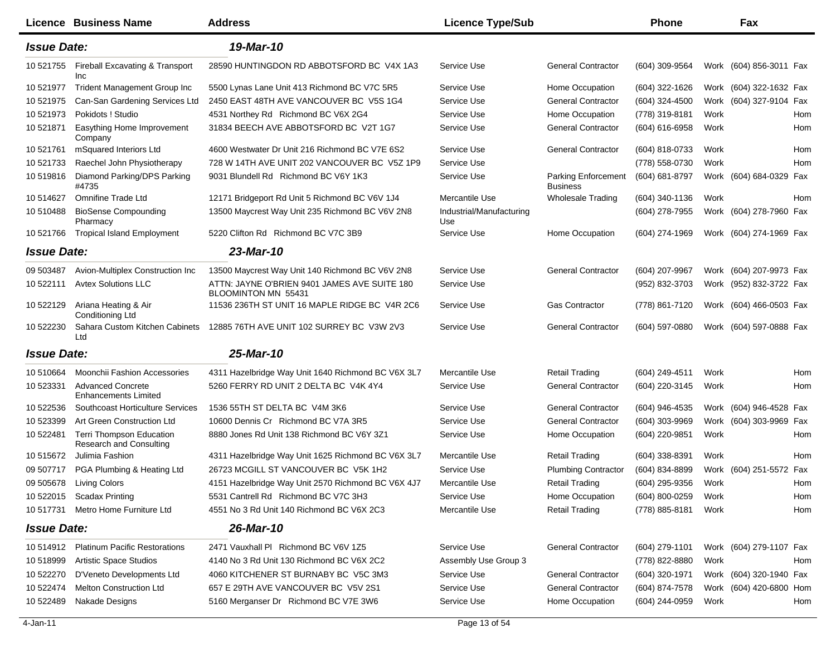|                    | Licence Business Name                                      | <b>Address</b>                                                      | <b>Licence Type/Sub</b>         |                                               | <b>Phone</b>     |      | Fax                     |            |
|--------------------|------------------------------------------------------------|---------------------------------------------------------------------|---------------------------------|-----------------------------------------------|------------------|------|-------------------------|------------|
| <b>Issue Date:</b> |                                                            | 19-Mar-10                                                           |                                 |                                               |                  |      |                         |            |
| 10 521755          | Fireball Excavating & Transport<br>Inc                     | 28590 HUNTINGDON RD ABBOTSFORD BC V4X 1A3                           | Service Use                     | <b>General Contractor</b>                     | (604) 309-9564   |      | Work (604) 856-3011 Fax |            |
| 10 521977          | <b>Trident Management Group Inc</b>                        | 5500 Lynas Lane Unit 413 Richmond BC V7C 5R5                        | Service Use                     | Home Occupation                               | (604) 322-1626   |      | Work (604) 322-1632 Fax |            |
| 10 521975          | Can-San Gardening Services Ltd                             | 2450 EAST 48TH AVE VANCOUVER BC V5S 1G4                             | Service Use                     | <b>General Contractor</b>                     | (604) 324-4500   |      | Work (604) 327-9104 Fax |            |
| 10 521973          | Pokidots ! Studio                                          | 4531 Northey Rd Richmond BC V6X 2G4                                 | Service Use                     | Home Occupation                               | (778) 319-8181   | Work |                         | Hom        |
| 10 521871          | Easything Home Improvement<br>Company                      | 31834 BEECH AVE ABBOTSFORD BC V2T 1G7                               | Service Use                     | <b>General Contractor</b>                     | (604) 616-6958   | Work |                         | Hom        |
| 10 521761          | mSquared Interiors Ltd                                     | 4600 Westwater Dr Unit 216 Richmond BC V7E 6S2                      | Service Use                     | <b>General Contractor</b>                     | (604) 818-0733   | Work |                         | Hom        |
| 10 521733          | Raechel John Physiotherapy                                 | 728 W 14TH AVE UNIT 202 VANCOUVER BC V5Z 1P9                        | Service Use                     |                                               | (778) 558-0730   | Work |                         | <b>Hom</b> |
| 10 519816          | Diamond Parking/DPS Parking<br>#4735                       | 9031 Blundell Rd Richmond BC V6Y 1K3                                | Service Use                     | <b>Parking Enforcement</b><br><b>Business</b> | (604) 681-8797   |      | Work (604) 684-0329 Fax |            |
| 10 514627          | <b>Omnifine Trade Ltd</b>                                  | 12171 Bridgeport Rd Unit 5 Richmond BC V6V 1J4                      | Mercantile Use                  | <b>Wholesale Trading</b>                      | (604) 340-1136   | Work |                         | <b>Hom</b> |
| 10 510488          | <b>BioSense Compounding</b><br>Pharmacy                    | 13500 Maycrest Way Unit 235 Richmond BC V6V 2N8                     | Industrial/Manufacturing<br>Use |                                               | (604) 278-7955   |      | Work (604) 278-7960 Fax |            |
| 10 521766          | <b>Tropical Island Employment</b>                          | 5220 Clifton Rd Richmond BC V7C 3B9                                 | Service Use                     | Home Occupation                               | (604) 274-1969   |      | Work (604) 274-1969 Fax |            |
| <b>Issue Date:</b> |                                                            | 23-Mar-10                                                           |                                 |                                               |                  |      |                         |            |
| 09 503487          | Avion-Multiplex Construction Inc                           | 13500 Maycrest Way Unit 140 Richmond BC V6V 2N8                     | Service Use                     | <b>General Contractor</b>                     | (604) 207-9967   |      | Work (604) 207-9973 Fax |            |
| 10 522111          | <b>Avtex Solutions LLC</b>                                 | ATTN: JAYNE O'BRIEN 9401 JAMES AVE SUITE 180<br>BLOOMINTON MN 55431 | Service Use                     |                                               | (952) 832-3703   |      | Work (952) 832-3722 Fax |            |
| 10 522129          | Ariana Heating & Air<br><b>Conditioning Ltd</b>            | 11536 236TH ST UNIT 16 MAPLE RIDGE BC V4R 2C6                       | Service Use                     | <b>Gas Contractor</b>                         | (778) 861-7120   |      | Work (604) 466-0503 Fax |            |
| 10 522230          | Sahara Custom Kitchen Cabinets<br>Ltd                      | 12885 76TH AVE UNIT 102 SURREY BC V3W 2V3                           | Service Use                     | <b>General Contractor</b>                     | (604) 597-0880   |      | Work (604) 597-0888 Fax |            |
| <b>Issue Date:</b> |                                                            | 25-Mar-10                                                           |                                 |                                               |                  |      |                         |            |
| 10 510664          | Moonchii Fashion Accessories                               | 4311 Hazelbridge Way Unit 1640 Richmond BC V6X 3L7                  | Mercantile Use                  | <b>Retail Trading</b>                         | $(604)$ 249-4511 | Work |                         | Hom        |
| 10 523331          | <b>Advanced Concrete</b><br><b>Enhancements Limited</b>    | 5260 FERRY RD UNIT 2 DELTA BC V4K 4Y4                               | Service Use                     | <b>General Contractor</b>                     | (604) 220-3145   | Work |                         | <b>Hom</b> |
| 10 522536          | Southcoast Horticulture Services                           | 1536 55TH ST DELTA BC V4M 3K6                                       | Service Use                     | <b>General Contractor</b>                     | (604) 946-4535   |      | Work (604) 946-4528 Fax |            |
| 10 523399          | Art Green Construction Ltd                                 | 10600 Dennis Cr Richmond BC V7A 3R5                                 | Service Use                     | <b>General Contractor</b>                     | (604) 303-9969   |      | Work (604) 303-9969 Fax |            |
| 10 522481          | <b>Terri Thompson Education</b><br>Research and Consulting | 8880 Jones Rd Unit 138 Richmond BC V6Y 3Z1                          | Service Use                     | Home Occupation                               | (604) 220-9851   | Work |                         | Hom        |
| 10 515672          | Julimia Fashion                                            | 4311 Hazelbridge Way Unit 1625 Richmond BC V6X 3L7                  | Mercantile Use                  | <b>Retail Trading</b>                         | $(604)$ 338-8391 | Work |                         | Hom        |
| 09 507717          | PGA Plumbing & Heating Ltd                                 | 26723 MCGILL ST VANCOUVER BC V5K 1H2                                | Service Use                     | <b>Plumbing Contractor</b>                    | (604) 834-8899   |      | Work (604) 251-5572 Fax |            |
|                    | 09 505678 Living Colors                                    | 4151 Hazelbridge Way Unit 2570 Richmond BC V6X 4J7                  | Mercantile Use                  | <b>Retail Trading</b>                         | (604) 295-9356   | Work |                         | Hom        |
|                    | 10 522015 Scadax Printing                                  | 5531 Cantrell Rd Richmond BC V7C 3H3                                | Service Use                     | Home Occupation                               | (604) 800-0259   | Work |                         | Hom        |
| 10 517731          | Metro Home Furniture Ltd                                   | 4551 No 3 Rd Unit 140 Richmond BC V6X 2C3                           | Mercantile Use                  | <b>Retail Trading</b>                         | (778) 885-8181   | Work |                         | Hom        |
| <b>Issue Date:</b> |                                                            | 26-Mar-10                                                           |                                 |                                               |                  |      |                         |            |
| 10 514912          | <b>Platinum Pacific Restorations</b>                       | 2471 Vauxhall PI Richmond BC V6V 1Z5                                | Service Use                     | <b>General Contractor</b>                     | (604) 279-1101   |      | Work (604) 279-1107 Fax |            |
| 10 518999          | Artistic Space Studios                                     | 4140 No 3 Rd Unit 130 Richmond BC V6X 2C2                           | Assembly Use Group 3            |                                               | (778) 822-8880   | Work |                         | Hom        |
| 10 522270          | D'Veneto Developments Ltd                                  | 4060 KITCHENER ST BURNABY BC V5C 3M3                                | Service Use                     | <b>General Contractor</b>                     | (604) 320-1971   |      | Work (604) 320-1940 Fax |            |
| 10 522474          | <b>Melton Construction Ltd</b>                             | 657 E 29TH AVE VANCOUVER BC V5V 2S1                                 | Service Use                     | <b>General Contractor</b>                     | (604) 874-7578   |      | Work (604) 420-6800 Hom |            |
| 10 522489          | Nakade Designs                                             | 5160 Merganser Dr Richmond BC V7E 3W6                               | Service Use                     | Home Occupation                               | (604) 244-0959   | Work |                         | Hom        |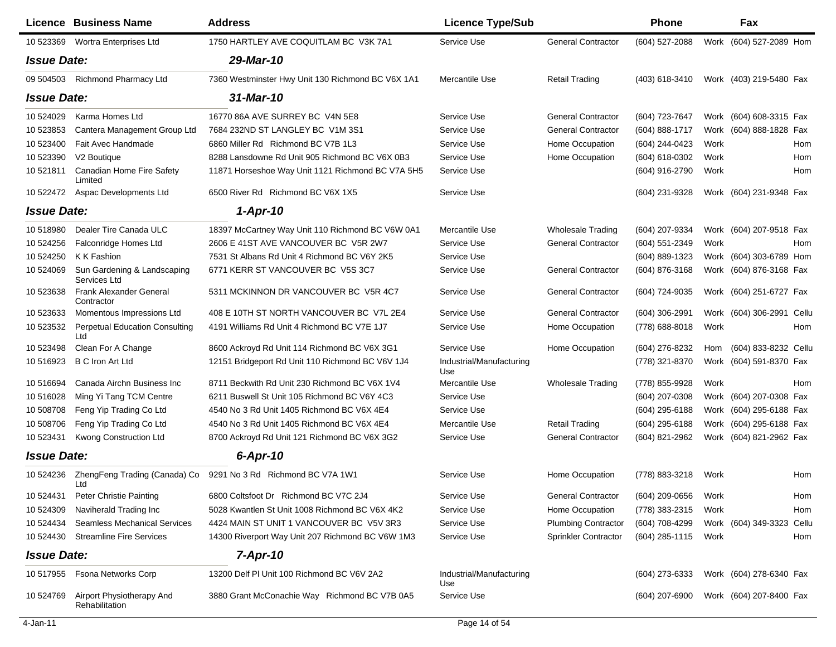|                    | <b>Licence Business Name</b>                 | <b>Address</b>                                    | <b>Licence Type/Sub</b>         |                            | Phone          |      | Fax                       |     |
|--------------------|----------------------------------------------|---------------------------------------------------|---------------------------------|----------------------------|----------------|------|---------------------------|-----|
| 10 523369          | Wortra Enterprises Ltd                       | 1750 HARTLEY AVE COQUITLAM BC V3K 7A1             | Service Use                     | <b>General Contractor</b>  | (604) 527-2088 |      | Work (604) 527-2089 Hom   |     |
| <b>Issue Date:</b> |                                              | 29-Mar-10                                         |                                 |                            |                |      |                           |     |
| 09 504503          | <b>Richmond Pharmacy Ltd</b>                 | 7360 Westminster Hwy Unit 130 Richmond BC V6X 1A1 | Mercantile Use                  | <b>Retail Trading</b>      | (403) 618-3410 |      | Work (403) 219-5480 Fax   |     |
| <b>Issue Date:</b> |                                              | 31-Mar-10                                         |                                 |                            |                |      |                           |     |
| 10 524029          | Karma Homes Ltd                              | 16770 86A AVE SURREY BC V4N 5E8                   | Service Use                     | <b>General Contractor</b>  | (604) 723-7647 |      | Work (604) 608-3315 Fax   |     |
| 10 523853          | Cantera Management Group Ltd                 | 7684 232ND ST LANGLEY BC V1M 3S1                  | Service Use                     | <b>General Contractor</b>  | (604) 888-1717 |      | Work (604) 888-1828 Fax   |     |
| 10 523400          | Fait Avec Handmade                           | 6860 Miller Rd Richmond BC V7B 1L3                | Service Use                     | Home Occupation            | (604) 244-0423 | Work |                           | Hom |
| 10 523390          | V <sub>2</sub> Boutique                      | 8288 Lansdowne Rd Unit 905 Richmond BC V6X 0B3    | Service Use                     | Home Occupation            | (604) 618-0302 | Work |                           | Hom |
| 10 521811          | Canadian Home Fire Safety<br>Limited         | 11871 Horseshoe Way Unit 1121 Richmond BC V7A 5H5 | Service Use                     |                            | (604) 916-2790 | Work |                           | Hom |
| 10 522472          | Aspac Developments Ltd                       | 6500 River Rd Richmond BC V6X 1X5                 | Service Use                     |                            | (604) 231-9328 |      | Work (604) 231-9348 Fax   |     |
| <b>Issue Date:</b> |                                              | $1-Apr-10$                                        |                                 |                            |                |      |                           |     |
| 10518980           | Dealer Tire Canada ULC                       | 18397 McCartney Way Unit 110 Richmond BC V6W 0A1  | Mercantile Use                  | <b>Wholesale Trading</b>   | (604) 207-9334 |      | Work (604) 207-9518 Fax   |     |
| 10 524256          | Falconridge Homes Ltd                        | 2606 E 41ST AVE VANCOUVER BC V5R 2W7              | Service Use                     | <b>General Contractor</b>  | (604) 551-2349 | Work |                           | Hom |
| 10 524250          | K K Fashion                                  | 7531 St Albans Rd Unit 4 Richmond BC V6Y 2K5      | Service Use                     |                            | (604) 889-1323 |      | Work (604) 303-6789 Hom   |     |
| 10 524069          | Sun Gardening & Landscaping<br>Services Ltd  | 6771 KERR ST VANCOUVER BC V5S 3C7                 | Service Use                     | <b>General Contractor</b>  | (604) 876-3168 |      | Work (604) 876-3168 Fax   |     |
| 10 523638          | <b>Frank Alexander General</b><br>Contractor | 5311 MCKINNON DR VANCOUVER BC V5R 4C7             | Service Use                     | <b>General Contractor</b>  | (604) 724-9035 |      | Work (604) 251-6727 Fax   |     |
| 10 523633          | Momentous Impressions Ltd                    | 408 E 10TH ST NORTH VANCOUVER BC V7L 2E4          | Service Use                     | <b>General Contractor</b>  | (604) 306-2991 |      | Work (604) 306-2991 Cellu |     |
| 10 523532          | <b>Perpetual Education Consulting</b><br>Ltd | 4191 Williams Rd Unit 4 Richmond BC V7E 1J7       | Service Use                     | Home Occupation            | (778) 688-8018 | Work |                           | Hom |
| 10 523498          | Clean For A Change                           | 8600 Ackroyd Rd Unit 114 Richmond BC V6X 3G1      | Service Use                     | Home Occupation            | (604) 276-8232 | Hom  | (604) 833-8232 Cellu      |     |
| 10 51 69 23        | <b>B C Iron Art Ltd</b>                      | 12151 Bridgeport Rd Unit 110 Richmond BC V6V 1J4  | Industrial/Manufacturing<br>Use |                            | (778) 321-8370 |      | Work (604) 591-8370 Fax   |     |
| 10 51 6694         | Canada Airchn Business Inc                   | 8711 Beckwith Rd Unit 230 Richmond BC V6X 1V4     | Mercantile Use                  | <b>Wholesale Trading</b>   | (778) 855-9928 | Work |                           | Hom |
| 10 51 60 28        | Ming Yi Tang TCM Centre                      | 6211 Buswell St Unit 105 Richmond BC V6Y 4C3      | Service Use                     |                            | (604) 207-0308 |      | Work (604) 207-0308 Fax   |     |
| 10 508708          | Feng Yip Trading Co Ltd                      | 4540 No 3 Rd Unit 1405 Richmond BC V6X 4E4        | Service Use                     |                            | (604) 295-6188 |      | Work (604) 295-6188 Fax   |     |
| 10 508706          | Feng Yip Trading Co Ltd                      | 4540 No 3 Rd Unit 1405 Richmond BC V6X 4E4        | Mercantile Use                  | <b>Retail Trading</b>      | (604) 295-6188 |      | Work (604) 295-6188 Fax   |     |
| 10 523431          | Kwong Construction Ltd                       | 8700 Ackroyd Rd Unit 121 Richmond BC V6X 3G2      | Service Use                     | <b>General Contractor</b>  | (604) 821-2962 |      | Work (604) 821-2962 Fax   |     |
| <b>Issue Date:</b> |                                              | 6-Apr-10                                          |                                 |                            |                |      |                           |     |
| 10 524236          | ZhengFeng Trading (Canada) Co<br>Ltd         | 9291 No 3 Rd Richmond BC V7A 1W1                  | Service Use                     | Home Occupation            | (778) 883-3218 | Work |                           | Hom |
| 10 524431          | <b>Peter Christie Painting</b>               | 6800 Coltsfoot Dr Richmond BC V7C 2J4             | Service Use                     | <b>General Contractor</b>  | (604) 209-0656 | Work |                           | Hom |
| 10 524309          | Naviherald Trading Inc                       | 5028 Kwantlen St Unit 1008 Richmond BC V6X 4K2    | Service Use                     | Home Occupation            | (778) 383-2315 | Work |                           | Hom |
| 10 524434          | <b>Seamless Mechanical Services</b>          | 4424 MAIN ST UNIT 1 VANCOUVER BC V5V 3R3          | Service Use                     | <b>Plumbing Contractor</b> | (604) 708-4299 |      | Work (604) 349-3323 Cellu |     |
| 10 524430          | <b>Streamline Fire Services</b>              | 14300 Riverport Way Unit 207 Richmond BC V6W 1M3  | Service Use                     | Sprinkler Contractor       | (604) 285-1115 | Work |                           | Hom |
| <b>Issue Date:</b> |                                              | $7 - Apr - 10$                                    |                                 |                            |                |      |                           |     |
| 10 517955          | <b>Fsona Networks Corp</b>                   | 13200 Delf PI Unit 100 Richmond BC V6V 2A2        | Industrial/Manufacturing<br>Use |                            | (604) 273-6333 |      | Work (604) 278-6340 Fax   |     |
| 10 524769          | Airport Physiotherapy And<br>Rehabilitation  | 3880 Grant McConachie Way Richmond BC V7B 0A5     | Service Use                     |                            | (604) 207-6900 |      | Work (604) 207-8400 Fax   |     |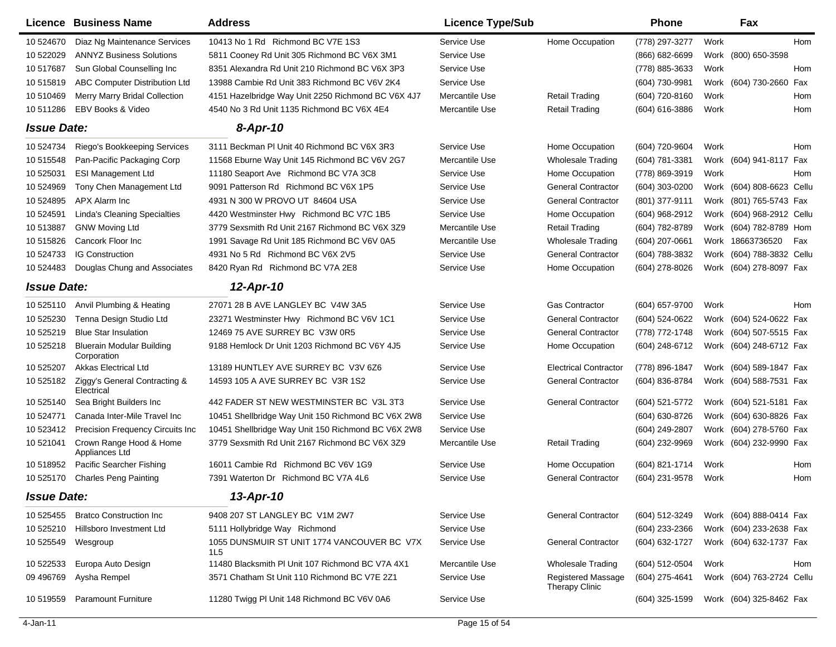|                    | Licence Business Name                           | <b>Address</b>                                     | <b>Licence Type/Sub</b> |                                                    | <b>Phone</b>     |      | Fax                       |     |
|--------------------|-------------------------------------------------|----------------------------------------------------|-------------------------|----------------------------------------------------|------------------|------|---------------------------|-----|
| 10 524670          | Diaz Ng Maintenance Services                    | 10413 No 1 Rd Richmond BC V7E 1S3                  | Service Use             | Home Occupation                                    | (778) 297-3277   | Work |                           | Hom |
| 10 522029          | <b>ANNYZ Business Solutions</b>                 | 5811 Cooney Rd Unit 305 Richmond BC V6X 3M1        | Service Use             |                                                    | $(866)$ 682-6699 |      | Work (800) 650-3598       |     |
| 10 517687          | Sun Global Counselling Inc                      | 8351 Alexandra Rd Unit 210 Richmond BC V6X 3P3     | Service Use             |                                                    | (778) 885-3633   | Work |                           | Hom |
| 10 51 5819         | ABC Computer Distribution Ltd                   | 13988 Cambie Rd Unit 383 Richmond BC V6V 2K4       | Service Use             |                                                    | (604) 730-9981   |      | Work (604) 730-2660 Fax   |     |
| 10 510469          | Merry Marry Bridal Collection                   | 4151 Hazelbridge Way Unit 2250 Richmond BC V6X 4J7 | Mercantile Use          | <b>Retail Trading</b>                              | (604) 720-8160   | Work |                           | Hom |
| 10 511286          | EBV Books & Video                               | 4540 No 3 Rd Unit 1135 Richmond BC V6X 4E4         | Mercantile Use          | <b>Retail Trading</b>                              | (604) 616-3886   | Work |                           | Hom |
| <b>Issue Date:</b> |                                                 | $8 - Apr - 10$                                     |                         |                                                    |                  |      |                           |     |
| 10 524734          | Riego's Bookkeeping Services                    | 3111 Beckman PI Unit 40 Richmond BC V6X 3R3        | Service Use             | Home Occupation                                    | (604) 720-9604   | Work |                           | Hom |
| 10 51 5548         | Pan-Pacific Packaging Corp                      | 11568 Eburne Way Unit 145 Richmond BC V6V 2G7      | Mercantile Use          | <b>Wholesale Trading</b>                           | (604) 781-3381   |      | Work (604) 941-8117 Fax   |     |
| 10 525031          | <b>ESI Management Ltd</b>                       | 11180 Seaport Ave Richmond BC V7A 3C8              | Service Use             | Home Occupation                                    | (778) 869-3919   | Work |                           | Hom |
| 10 524969          | Tony Chen Management Ltd                        | 9091 Patterson Rd Richmond BC V6X 1P5              | Service Use             | <b>General Contractor</b>                          | (604) 303-0200   |      | Work (604) 808-6623 Cellu |     |
| 10 524895          | APX Alarm Inc                                   | 4931 N 300 W PROVO UT 84604 USA                    | Service Use             | <b>General Contractor</b>                          | (801) 377-9111   |      | Work (801) 765-5743 Fax   |     |
| 10 524591          | <b>Linda's Cleaning Specialties</b>             | 4420 Westminster Hwy Richmond BC V7C 1B5           | Service Use             | Home Occupation                                    | (604) 968-2912   |      | Work (604) 968-2912 Cellu |     |
| 10513887           | <b>GNW Moving Ltd</b>                           | 3779 Sexsmith Rd Unit 2167 Richmond BC V6X 3Z9     | Mercantile Use          | <b>Retail Trading</b>                              | (604) 782-8789   |      | Work (604) 782-8789 Hom   |     |
| 10 51 5826         | Cancork Floor Inc                               | 1991 Savage Rd Unit 185 Richmond BC V6V 0A5        | Mercantile Use          | <b>Wholesale Trading</b>                           | (604) 207-0661   |      | Work 18663736520          | Fax |
| 10 524733          | <b>IG Construction</b>                          | 4931 No 5 Rd Richmond BC V6X 2V5                   | Service Use             | <b>General Contractor</b>                          | (604) 788-3832   |      | Work (604) 788-3832 Cellu |     |
| 10 524483          | Douglas Chung and Associates                    | 8420 Ryan Rd Richmond BC V7A 2E8                   | Service Use             | Home Occupation                                    | (604) 278-8026   |      | Work (604) 278-8097 Fax   |     |
| <b>Issue Date:</b> |                                                 | 12-Apr-10                                          |                         |                                                    |                  |      |                           |     |
| 10 525110          | Anvil Plumbing & Heating                        | 27071 28 B AVE LANGLEY BC V4W 3A5                  | Service Use             | Gas Contractor                                     | (604) 657-9700   | Work |                           | Hom |
| 10 525230          | Tenna Design Studio Ltd                         | 23271 Westminster Hwy Richmond BC V6V 1C1          | Service Use             | <b>General Contractor</b>                          | (604) 524-0622   |      | Work (604) 524-0622 Fax   |     |
| 10 525219          | <b>Blue Star Insulation</b>                     | 12469 75 AVE SURREY BC V3W 0R5                     | Service Use             | <b>General Contractor</b>                          | (778) 772-1748   |      | Work (604) 507-5515 Fax   |     |
| 10 525218          | <b>Bluerain Modular Building</b><br>Corporation | 9188 Hemlock Dr Unit 1203 Richmond BC V6Y 4J5      | Service Use             | Home Occupation                                    | (604) 248-6712   |      | Work (604) 248-6712 Fax   |     |
| 10 525207          | <b>Akkas Electrical Ltd</b>                     | 13189 HUNTLEY AVE SURREY BC V3V 6Z6                | Service Use             | <b>Electrical Contractor</b>                       | (778) 896-1847   |      | Work (604) 589-1847 Fax   |     |
| 10 525182          | Ziggy's General Contracting &<br>Electrical     | 14593 105 A AVE SURREY BC V3R 1S2                  | Service Use             | <b>General Contractor</b>                          | (604) 836-8784   |      | Work (604) 588-7531 Fax   |     |
| 10 525140          | Sea Bright Builders Inc                         | 442 FADER ST NEW WESTMINSTER BC V3L 3T3            | Service Use             | <b>General Contractor</b>                          | (604) 521-5772   |      | Work (604) 521-5181 Fax   |     |
| 10 524771          | Canada Inter-Mile Travel Inc                    | 10451 Shellbridge Way Unit 150 Richmond BC V6X 2W8 | Service Use             |                                                    | (604) 630-8726   |      | Work (604) 630-8826 Fax   |     |
| 10 523412          | Precision Frequency Circuits Inc                | 10451 Shellbridge Way Unit 150 Richmond BC V6X 2W8 | Service Use             |                                                    | (604) 249-2807   |      | Work (604) 278-5760 Fax   |     |
| 10 521041          | Crown Range Hood & Home<br>Appliances Ltd       | 3779 Sexsmith Rd Unit 2167 Richmond BC V6X 3Z9     | Mercantile Use          | <b>Retail Trading</b>                              | (604) 232-9969   |      | Work (604) 232-9990 Fax   |     |
| 10 518952          | Pacific Searcher Fishing                        | 16011 Cambie Rd Richmond BC V6V 1G9                | Service Use             | Home Occupation                                    | (604) 821-1714   | Work |                           | Hom |
| 10 525170          | <b>Charles Peng Painting</b>                    | 7391 Waterton Dr Richmond BC V7A 4L6               | Service Use             | <b>General Contractor</b>                          | (604) 231-9578   | Work |                           | Hom |
| <b>Issue Date:</b> |                                                 | 13-Apr-10                                          |                         |                                                    |                  |      |                           |     |
| 10 525455          | <b>Bratco Construction Inc</b>                  | 9408 207 ST LANGLEY BC V1M 2W7                     | Service Use             | <b>General Contractor</b>                          | (604) 512-3249   |      | Work (604) 888-0414 Fax   |     |
| 10 525210          | Hillsboro Investment Ltd                        | 5111 Hollybridge Way Richmond                      | Service Use             |                                                    | (604) 233-2366   |      | Work (604) 233-2638 Fax   |     |
| 10 525549          | Wesgroup                                        | 1055 DUNSMUIR ST UNIT 1774 VANCOUVER BC V7X<br>1L5 | Service Use             | <b>General Contractor</b>                          | (604) 632-1727   |      | Work (604) 632-1737 Fax   |     |
| 10 522533          | Europa Auto Design                              | 11480 Blacksmith PI Unit 107 Richmond BC V7A 4X1   | Mercantile Use          | <b>Wholesale Trading</b>                           | (604) 512-0504   | Work |                           | Hom |
| 09 49 6769         | Aysha Rempel                                    | 3571 Chatham St Unit 110 Richmond BC V7E 2Z1       | Service Use             | <b>Registered Massage</b><br><b>Therapy Clinic</b> | (604) 275-4641   |      | Work (604) 763-2724 Cellu |     |
| 10 519559          | Paramount Furniture                             | 11280 Twigg PI Unit 148 Richmond BC V6V 0A6        | Service Use             |                                                    | (604) 325-1599   |      | Work (604) 325-8462 Fax   |     |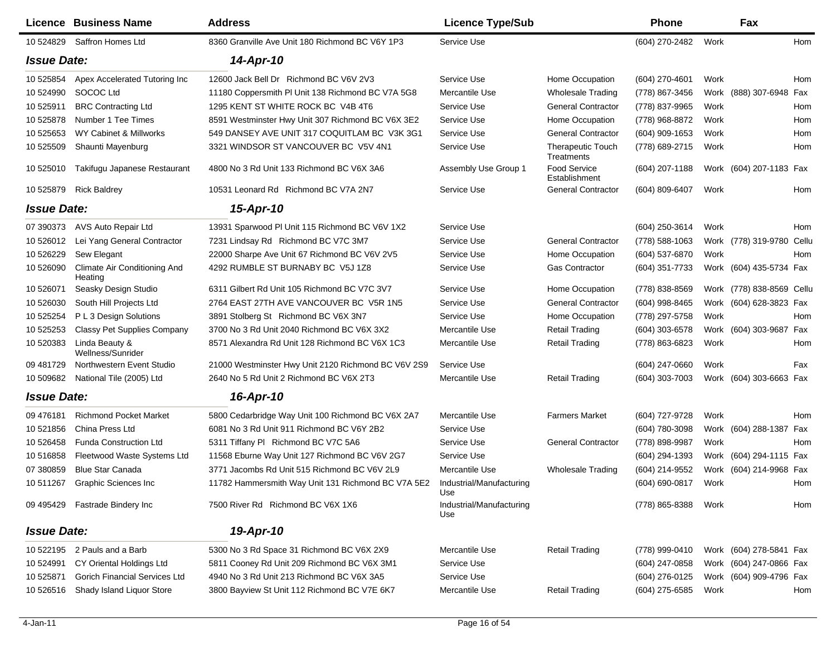|                    | Licence Business Name                          | <b>Address</b>                                      | <b>Licence Type/Sub</b>         |                                        | <b>Phone</b>     | Fax                       |            |
|--------------------|------------------------------------------------|-----------------------------------------------------|---------------------------------|----------------------------------------|------------------|---------------------------|------------|
| 10 524829          | Saffron Homes Ltd                              | 8360 Granville Ave Unit 180 Richmond BC V6Y 1P3     | Service Use                     |                                        | (604) 270-2482   | Work                      | Hom        |
| <b>Issue Date:</b> |                                                | 14-Apr-10                                           |                                 |                                        |                  |                           |            |
| 10 525854          | Apex Accelerated Tutoring Inc                  | 12600 Jack Bell Dr Richmond BC V6V 2V3              | Service Use                     | Home Occupation                        | (604) 270-4601   | Work                      | Hom        |
| 10 524990          | SOCOC Ltd                                      | 11180 Coppersmith PI Unit 138 Richmond BC V7A 5G8   | Mercantile Use                  | <b>Wholesale Trading</b>               | (778) 867-3456   | (888) 307-6948<br>Work    | Fax        |
| 10 525911          | <b>BRC Contracting Ltd</b>                     | 1295 KENT ST WHITE ROCK BC V4B 4T6                  | Service Use                     | <b>General Contractor</b>              | (778) 837-9965   | Work                      | Hom        |
| 10 525878          | Number 1 Tee Times                             | 8591 Westminster Hwy Unit 307 Richmond BC V6X 3E2   | Service Use                     | Home Occupation                        | (778) 968-8872   | Work                      | Hom        |
| 10 525653          | WY Cabinet & Millworks                         | 549 DANSEY AVE UNIT 317 COQUITLAM BC V3K 3G1        | Service Use                     | <b>General Contractor</b>              | (604) 909-1653   | Work                      | Hom        |
| 10 525509          | Shaunti Mayenburg                              | 3321 WINDSOR ST VANCOUVER BC V5V 4N1                | Service Use                     | <b>Therapeutic Touch</b><br>Treatments | (778) 689-2715   | Work                      | Hom        |
| 10 525010          | Takifugu Japanese Restaurant                   | 4800 No 3 Rd Unit 133 Richmond BC V6X 3A6           | Assembly Use Group 1            | Food Service<br>Establishment          | $(604)$ 207-1188 | Work (604) 207-1183 Fax   |            |
| 10 525879          | <b>Rick Baldrey</b>                            | 10531 Leonard Rd Richmond BC V7A 2N7                | Service Use                     | <b>General Contractor</b>              | (604) 809-6407   | Work                      | Hom        |
| <b>Issue Date:</b> |                                                | 15-Apr-10                                           |                                 |                                        |                  |                           |            |
| 07 390373          | AVS Auto Repair Ltd                            | 13931 Sparwood PI Unit 115 Richmond BC V6V 1X2      | Service Use                     |                                        | (604) 250-3614   | Work                      | Hom        |
| 10 526012          | Lei Yang General Contractor                    | 7231 Lindsay Rd Richmond BC V7C 3M7                 | Service Use                     | <b>General Contractor</b>              | (778) 588-1063   | Work (778) 319-9780 Cellu |            |
| 10 526229          | Sew Elegant                                    | 22000 Sharpe Ave Unit 67 Richmond BC V6V 2V5        | Service Use                     | Home Occupation                        | (604) 537-6870   | Work                      | Hom        |
| 10 526090          | <b>Climate Air Conditioning And</b><br>Heating | 4292 RUMBLE ST BURNABY BC V5J 1Z8                   | Service Use                     | Gas Contractor                         | (604) 351-7733   | Work (604) 435-5734 Fax   |            |
| 10 526071          | Seasky Design Studio                           | 6311 Gilbert Rd Unit 105 Richmond BC V7C 3V7        | Service Use                     | Home Occupation                        | (778) 838-8569   | Work (778) 838-8569 Cellu |            |
| 10 526030          | South Hill Projects Ltd                        | 2764 EAST 27TH AVE VANCOUVER BC V5R 1N5             | Service Use                     | <b>General Contractor</b>              | (604) 998-8465   | Work (604) 628-3823 Fax   |            |
| 10 525254          | P L 3 Design Solutions                         | 3891 Stolberg St Richmond BC V6X 3N7                | Service Use                     | Home Occupation                        | (778) 297-5758   | Work                      | Hom        |
| 10 525253          | <b>Classy Pet Supplies Company</b>             | 3700 No 3 Rd Unit 2040 Richmond BC V6X 3X2          | Mercantile Use                  | <b>Retail Trading</b>                  | (604) 303-6578   | Work (604) 303-9687       | Fax        |
| 10 520383          | Linda Beauty &<br>Wellness/Sunrider            | 8571 Alexandra Rd Unit 128 Richmond BC V6X 1C3      | Mercantile Use                  | Retail Trading                         | (778) 863-6823   | Work                      | Hom        |
| 09 481729          | Northwestern Event Studio                      | 21000 Westminster Hwy Unit 2120 Richmond BC V6V 2S9 | Service Use                     |                                        | (604) 247-0660   | Work                      | Fax        |
| 10 509682          | National Tile (2005) Ltd                       | 2640 No 5 Rd Unit 2 Richmond BC V6X 2T3             | Mercantile Use                  | <b>Retail Trading</b>                  | $(604)$ 303-7003 | Work (604) 303-6663 Fax   |            |
| <b>Issue Date:</b> |                                                | 16-Apr-10                                           |                                 |                                        |                  |                           |            |
| 09 476181          | <b>Richmond Pocket Market</b>                  | 5800 Cedarbridge Way Unit 100 Richmond BC V6X 2A7   | Mercantile Use                  | <b>Farmers Market</b>                  | (604) 727-9728   | Work                      | <b>Hom</b> |
| 10 521856          | China Press Ltd                                | 6081 No 3 Rd Unit 911 Richmond BC V6Y 2B2           | Service Use                     |                                        | (604) 780-3098   | Work (604) 288-1387       | Fax        |
| 10 526458          | <b>Funda Construction Ltd</b>                  | 5311 Tiffany PI Richmond BC V7C 5A6                 | Service Use                     | <b>General Contractor</b>              | (778) 898-9987   | Work                      | Hom        |
| 10 51 6858         | Fleetwood Waste Systems Ltd                    | 11568 Eburne Way Unit 127 Richmond BC V6V 2G7       | Service Use                     |                                        | (604) 294-1393   | Work (604) 294-1115 Fax   |            |
| 07 380859          | <b>Blue Star Canada</b>                        | 3771 Jacombs Rd Unit 515 Richmond BC V6V 2L9        | Mercantile Use                  | Wholesale Trading                      | (604) 214-9552   | Work (604) 214-9968 Fax   |            |
| 10 511267          | Graphic Sciences Inc.                          | 11782 Hammersmith Way Unit 131 Richmond BC V7A 5E2  | Industrial/Manufacturing<br>Use |                                        | (604) 690-0817   | Work                      | Hom        |
| 09 495429          | <b>Fastrade Bindery Inc</b>                    | 7500 River Rd Richmond BC V6X 1X6                   | Industrial/Manufacturing<br>Use |                                        | (778) 865-8388   | Work                      | Hom        |
| <b>Issue Date:</b> |                                                | 19-Apr-10                                           |                                 |                                        |                  |                           |            |
| 10 522195          | 2 Pauls and a Barb                             | 5300 No 3 Rd Space 31 Richmond BC V6X 2X9           | Mercantile Use                  | <b>Retail Trading</b>                  | (778) 999-0410   | Work (604) 278-5841 Fax   |            |
| 10 524991          | CY Oriental Holdings Ltd                       | 5811 Cooney Rd Unit 209 Richmond BC V6X 3M1         | Service Use                     |                                        | (604) 247-0858   | Work (604) 247-0866 Fax   |            |
| 10 525871          | <b>Gorich Financial Services Ltd</b>           | 4940 No 3 Rd Unit 213 Richmond BC V6X 3A5           | Service Use                     |                                        | (604) 276-0125   | Work (604) 909-4796 Fax   |            |
| 10 526516          | Shady Island Liquor Store                      | 3800 Bayview St Unit 112 Richmond BC V7E 6K7        | Mercantile Use                  | <b>Retail Trading</b>                  | (604) 275-6585   | Work                      | Hom        |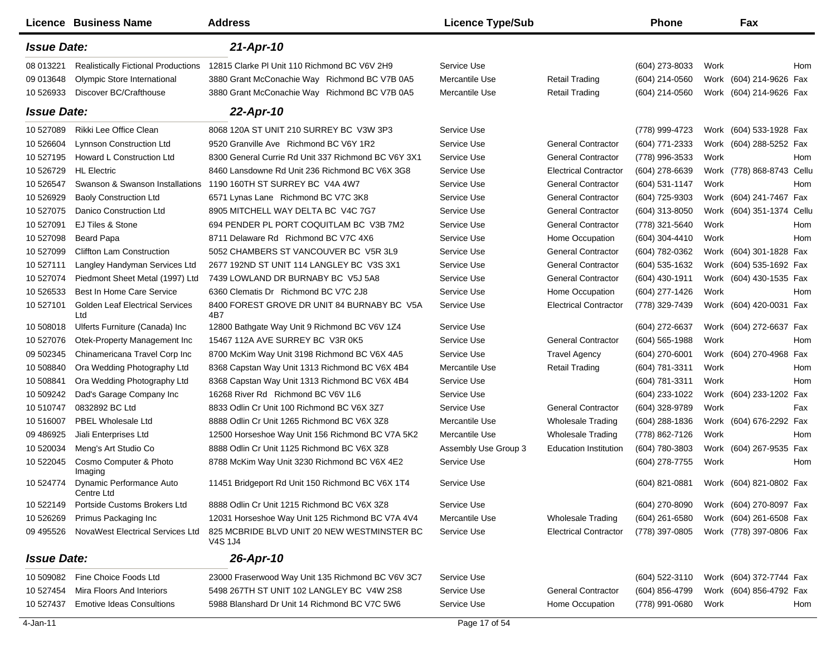|                    | <b>Licence Business Name</b>                  | <b>Address</b>                                         | <b>Licence Type/Sub</b> |                              | <b>Phone</b>     | Fax                       |     |
|--------------------|-----------------------------------------------|--------------------------------------------------------|-------------------------|------------------------------|------------------|---------------------------|-----|
| <b>Issue Date:</b> |                                               | 21-Apr-10                                              |                         |                              |                  |                           |     |
| 08 013221          | <b>Realistically Fictional Productions</b>    | 12815 Clarke PI Unit 110 Richmond BC V6V 2H9           | Service Use             |                              | (604) 273-8033   | Work                      | Hom |
| 09 013 648         | Olympic Store International                   | 3880 Grant McConachie Way Richmond BC V7B 0A5          | Mercantile Use          | <b>Retail Trading</b>        | $(604)$ 214-0560 | Work (604) 214-9626 Fax   |     |
| 10 526933          | Discover BC/Crafthouse                        | 3880 Grant McConachie Way Richmond BC V7B 0A5          | Mercantile Use          | <b>Retail Trading</b>        | (604) 214-0560   | Work (604) 214-9626 Fax   |     |
| <b>Issue Date:</b> |                                               | 22-Apr-10                                              |                         |                              |                  |                           |     |
| 10 527089          | Rikki Lee Office Clean                        | 8068 120A ST UNIT 210 SURREY BC V3W 3P3                | Service Use             |                              | (778) 999-4723   | Work (604) 533-1928 Fax   |     |
| 10 526604          | <b>Lynnson Construction Ltd</b>               | 9520 Granville Ave Richmond BC V6Y 1R2                 | Service Use             | <b>General Contractor</b>    | (604) 771-2333   | Work (604) 288-5252 Fax   |     |
| 10 527195          | Howard L Construction Ltd                     | 8300 General Currie Rd Unit 337 Richmond BC V6Y 3X1    | Service Use             | <b>General Contractor</b>    | (778) 996-3533   | Work                      | Hom |
| 10 526729          | <b>HL</b> Electric                            | 8460 Lansdowne Rd Unit 236 Richmond BC V6X 3G8         | Service Use             | <b>Electrical Contractor</b> | (604) 278-6639   | Work (778) 868-8743 Cellu |     |
| 10 526547          | Swanson & Swanson Installations               | 1190 160TH ST SURREY BC V4A 4W7                        | Service Use             | <b>General Contractor</b>    | (604) 531-1147   | Work                      | Hom |
| 10 526929          | <b>Baoly Construction Ltd</b>                 | 6571 Lynas Lane Richmond BC V7C 3K8                    | Service Use             | <b>General Contractor</b>    | (604) 725-9303   | Work (604) 241-7467 Fax   |     |
| 10 527075          | Danico Construction Ltd                       | 8905 MITCHELL WAY DELTA BC V4C 7G7                     | Service Use             | <b>General Contractor</b>    | (604) 313-8050   | Work (604) 351-1374 Cellu |     |
| 10 527091          | EJ Tiles & Stone                              | 694 PENDER PL PORT COQUITLAM BC V3B 7M2                | Service Use             | <b>General Contractor</b>    | (778) 321-5640   | Work                      | Hom |
| 10 527098          | <b>Beard Papa</b>                             | 8711 Delaware Rd Richmond BC V7C 4X6                   | Service Use             | Home Occupation              | (604) 304-4410   | Work                      | Hom |
| 10 527099          | <b>Cliffton Lam Construction</b>              | 5052 CHAMBERS ST VANCOUVER BC V5R 3L9                  | Service Use             | <b>General Contractor</b>    | (604) 782-0362   | Work (604) 301-1828 Fax   |     |
| 10 527111          | Langley Handyman Services Ltd                 | 2677 192ND ST UNIT 114 LANGLEY BC V3S 3X1              | Service Use             | <b>General Contractor</b>    | (604) 535-1632   | Work (604) 535-1692 Fax   |     |
| 10 527074          | Piedmont Sheet Metal (1997) Ltd               | 7439 LOWLAND DR BURNABY BC V5J 5A8                     | Service Use             | <b>General Contractor</b>    | (604) 430-1911   | Work (604) 430-1535 Fax   |     |
| 10 526533          | Best In Home Care Service                     | 6360 Clematis Dr Richmond BC V7C 2J8                   | Service Use             | Home Occupation              | (604) 277-1426   | Work                      | Hom |
| 10 527101          | <b>Golden Leaf Electrical Services</b><br>Ltd | 8400 FOREST GROVE DR UNIT 84 BURNABY BC V5A<br>4B7     | Service Use             | <b>Electrical Contractor</b> | (778) 329-7439   | Work (604) 420-0031 Fax   |     |
| 10 508018          | Ulferts Furniture (Canada) Inc                | 12800 Bathgate Way Unit 9 Richmond BC V6V 1Z4          | Service Use             |                              | (604) 272-6637   | Work (604) 272-6637 Fax   |     |
| 10 527076          | Otek-Property Management Inc                  | 15467 112A AVE SURREY BC V3R 0K5                       | Service Use             | <b>General Contractor</b>    | (604) 565-1988   | Work                      | Hom |
| 09 502345          | Chinamericana Travel Corp Inc                 | 8700 McKim Way Unit 3198 Richmond BC V6X 4A5           | Service Use             | <b>Travel Agency</b>         | (604) 270-6001   | Work (604) 270-4968 Fax   |     |
| 10 508840          | Ora Wedding Photography Ltd                   | 8368 Capstan Way Unit 1313 Richmond BC V6X 4B4         | Mercantile Use          | Retail Trading               | (604) 781-3311   | Work                      | Hom |
| 10 508841          | Ora Wedding Photography Ltd                   | 8368 Capstan Way Unit 1313 Richmond BC V6X 4B4         | Service Use             |                              | (604) 781-3311   | Work                      | Hom |
| 10 509242          | Dad's Garage Company Inc                      | 16268 River Rd Richmond BC V6V 1L6                     | Service Use             |                              | (604) 233-1022   | Work (604) 233-1202 Fax   |     |
| 10 510747          | 0832892 BC Ltd                                | 8833 Odlin Cr Unit 100 Richmond BC V6X 3Z7             | Service Use             | <b>General Contractor</b>    | (604) 328-9789   | Work                      | Fax |
| 10 516007          | PBEL Wholesale Ltd                            | 8888 Odlin Cr Unit 1265 Richmond BC V6X 3Z8            | Mercantile Use          | <b>Wholesale Trading</b>     | $(604)$ 288-1836 | Work (604) 676-2292 Fax   |     |
| 09 48 69 25        | Jiali Enterprises Ltd                         | 12500 Horseshoe Way Unit 156 Richmond BC V7A 5K2       | Mercantile Use          | <b>Wholesale Trading</b>     | (778) 862-7126   | Work                      | Hom |
| 10 520034          | Meng's Art Studio Co                          | 8888 Odlin Cr Unit 1125 Richmond BC V6X 3Z8            | Assembly Use Group 3    | <b>Education Institution</b> | (604) 780-3803   | Work (604) 267-9535 Fax   |     |
| 10 522045          | Cosmo Computer & Photo<br>Imaging             | 8788 McKim Way Unit 3230 Richmond BC V6X 4E2           | Service Use             |                              | (604) 278-7755   | Work                      | Hom |
| 10 524774          | Dynamic Performance Auto<br>Centre Ltd        | 11451 Bridgeport Rd Unit 150 Richmond BC V6X 1T4       | Service Use             |                              | $(604)$ 821-0881 | Work (604) 821-0802 Fax   |     |
| 10 522149          | Portside Customs Brokers Ltd                  | 8888 Odlin Cr Unit 1215 Richmond BC V6X 3Z8            | Service Use             |                              | (604) 270-8090   | Work (604) 270-8097 Fax   |     |
| 10 526269          | Primus Packaging Inc                          | 12031 Horseshoe Way Unit 125 Richmond BC V7A 4V4       | Mercantile Use          | Wholesale Trading            | (604) 261-6580   | Work (604) 261-6508 Fax   |     |
| 09 49 5526         | NovaWest Electrical Services Ltd              | 825 MCBRIDE BLVD UNIT 20 NEW WESTMINSTER BC<br>V4S 1J4 | Service Use             | <b>Electrical Contractor</b> | (778) 397-0805   | Work (778) 397-0806 Fax   |     |
| <b>Issue Date:</b> |                                               | 26-Apr-10                                              |                         |                              |                  |                           |     |
| 10 509082          | Fine Choice Foods Ltd                         | 23000 Fraserwood Way Unit 135 Richmond BC V6V 3C7      | Service Use             |                              | (604) 522-3110   | Work (604) 372-7744 Fax   |     |
| 10 527454          | Mira Floors And Interiors                     | 5498 267TH ST UNIT 102 LANGLEY BC V4W 2S8              | Service Use             | <b>General Contractor</b>    | (604) 856-4799   | Work (604) 856-4792 Fax   |     |
| 10 527437          | <b>Emotive Ideas Consultions</b>              | 5988 Blanshard Dr Unit 14 Richmond BC V7C 5W6          | Service Use             | Home Occupation              | (778) 991-0680   | Work                      | Hom |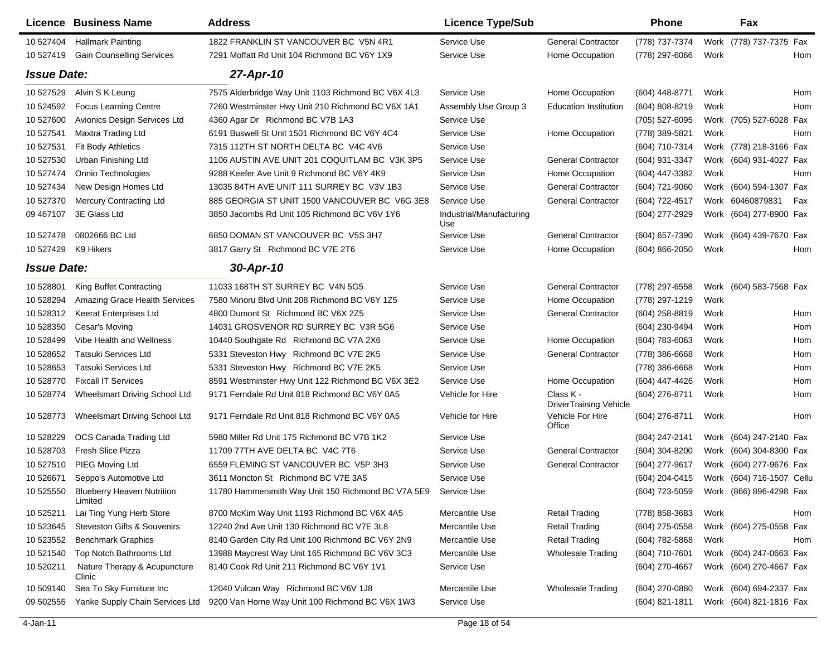|                     | Licence Business Name                        | <b>Address</b>                                     | <b>Licence Type/Sub</b>         |                                            | <b>Phone</b>     |      | Fax                       |            |
|---------------------|----------------------------------------------|----------------------------------------------------|---------------------------------|--------------------------------------------|------------------|------|---------------------------|------------|
| 10 527404           | <b>Hallmark Painting</b>                     | 1822 FRANKLIN ST VANCOUVER BC V5N 4R1              | Service Use                     | <b>General Contractor</b>                  | (778) 737-7374   |      | Work (778) 737-7375 Fax   |            |
| 10 527419           | <b>Gain Counselling Services</b>             | 7291 Moffatt Rd Unit 104 Richmond BC V6Y 1X9       | Service Use                     | Home Occupation                            | (778) 297-6066   | Work |                           | <b>Hom</b> |
| <b>Issue Date:</b>  |                                              | 27-Apr-10                                          |                                 |                                            |                  |      |                           |            |
| 10 527529           | Alvin S K Leung                              | 7575 Alderbridge Way Unit 1103 Richmond BC V6X 4L3 | Service Use                     | Home Occupation                            | $(604)$ 448-8771 | Work |                           | Hom        |
| 10 524592           | <b>Focus Learning Centre</b>                 | 7260 Westminster Hwy Unit 210 Richmond BC V6X 1A1  | Assembly Use Group 3            | <b>Education Institution</b>               | (604) 808-8219   | Work |                           | <b>Hom</b> |
| 10 527600           | Avionics Design Services Ltd                 | 4360 Agar Dr Richmond BC V7B 1A3                   | Service Use                     |                                            | (705) 527-6095   |      | Work (705) 527-6028 Fax   |            |
| 10 527541           | Maxtra Trading Ltd                           | 6191 Buswell St Unit 1501 Richmond BC V6Y 4C4      | Service Use                     | Home Occupation                            | (778) 389-5821   | Work |                           | <b>Hom</b> |
| 10 527531           | Fit Body Athletics                           | 7315 112TH ST NORTH DELTA BC V4C 4V6               | Service Use                     |                                            | (604) 710-7314   |      | Work (778) 218-3166 Fax   |            |
| 10 527530           | Urban Finishing Ltd                          | 1106 AUSTIN AVE UNIT 201 COQUITLAM BC V3K 3P5      | Service Use                     | <b>General Contractor</b>                  | (604) 931-3347   |      | Work (604) 931-4027 Fax   |            |
| 10 527474           | Onnio Technologies                           | 9288 Keefer Ave Unit 9 Richmond BC V6Y 4K9         | Service Use                     | Home Occupation                            | (604) 447-3382   | Work |                           | Hom        |
| 10 527434           | New Design Homes Ltd                         | 13035 84TH AVE UNIT 111 SURREY BC V3V 1B3          | Service Use                     | <b>General Contractor</b>                  | (604) 721-9060   |      | Work (604) 594-1307 Fax   |            |
| 10 527370           | <b>Mercury Contracting Ltd</b>               | 885 GEORGIA ST UNIT 1500 VANCOUVER BC V6G 3E8      | Service Use                     | <b>General Contractor</b>                  | (604) 722-4517   |      | Work 60460879831          | Fax        |
| 09 467107           | 3E Glass Ltd                                 | 3850 Jacombs Rd Unit 105 Richmond BC V6V 1Y6       | Industrial/Manufacturing<br>Use |                                            | (604) 277-2929   |      | Work (604) 277-8900 Fax   |            |
| 10 527478           | 0802666 BC Ltd                               | 6850 DOMAN ST VANCOUVER BC V5S 3H7                 | Service Use                     | <b>General Contractor</b>                  | (604) 657-7390   |      | Work (604) 439-7670 Fax   |            |
| 10 527429 K9 Hikers |                                              | 3817 Garry St Richmond BC V7E 2T6                  | Service Use                     | Home Occupation                            | (604) 866-2050   | Work |                           | Hom        |
| <b>Issue Date:</b>  |                                              | 30-Apr-10                                          |                                 |                                            |                  |      |                           |            |
| 10 528801           | King Buffet Contracting                      | 11033 168TH ST SURREY BC V4N 5G5                   | Service Use                     | <b>General Contractor</b>                  | (778) 297-6558   |      | Work (604) 583-7568 Fax   |            |
| 10 528294           | Amazing Grace Health Services                | 7580 Minoru Blvd Unit 208 Richmond BC V6Y 1Z5      | Service Use                     | Home Occupation                            | (778) 297-1219   | Work |                           |            |
| 10 528312           | <b>Keerat Enterprises Ltd</b>                | 4800 Dumont St Richmond BC V6X 2Z5                 | Service Use                     | <b>General Contractor</b>                  | (604) 258-8819   | Work |                           | Hom        |
| 10 528350           | Cesar's Moving                               | 14031 GROSVENOR RD SURREY BC V3R 5G6               | Service Use                     |                                            | (604) 230-9494   | Work |                           | Hom        |
| 10 528499           | Vibe Health and Wellness                     | 10440 Southgate Rd Richmond BC V7A 2X6             | Service Use                     | Home Occupation                            | (604) 783-6063   | Work |                           | Hom        |
| 10 528652           | <b>Tatsuki Services Ltd</b>                  | 5331 Steveston Hwy Richmond BC V7E 2K5             | Service Use                     | <b>General Contractor</b>                  | (778) 386-6668   | Work |                           | Hom        |
| 10 528653           | <b>Tatsuki Services Ltd</b>                  | 5331 Steveston Hwy Richmond BC V7E 2K5             | Service Use                     |                                            | (778) 386-6668   | Work |                           | Hom        |
| 10 528770           | <b>Fixcall IT Services</b>                   | 8591 Westminster Hwy Unit 122 Richmond BC V6X 3E2  | Service Use                     | Home Occupation                            | (604) 447-4426   | Work |                           | Hom        |
| 10 528774           | Wheelsmart Driving School Ltd                | 9171 Ferndale Rd Unit 818 Richmond BC V6Y 0A5      | Vehicle for Hire                | Class K -<br><b>DriverTraining Vehicle</b> | (604) 276-8711   | Work |                           | Hom        |
| 10 528773           | Wheelsmart Driving School Ltd                | 9171 Ferndale Rd Unit 818 Richmond BC V6Y 0A5      | Vehicle for Hire                | Vehicle For Hire<br>Office                 | (604) 276-8711   | Work |                           | Hom        |
| 10 528229           | OCS Canada Trading Ltd                       | 5980 Miller Rd Unit 175 Richmond BC V7B 1K2        | Service Use                     |                                            | (604) 247-2141   |      | Work (604) 247-2140 Fax   |            |
| 10 528703           | Fresh Slice Pizza                            | 11709 77TH AVE DELTA BC V4C 7T6                    | Service Use                     | <b>General Contractor</b>                  | $(604)$ 304-8200 |      | Work (604) 304-8300 Fax   |            |
| 10 527510           | PIEG Moving Ltd                              | 6559 FLEMING ST VANCOUVER BC V5P 3H3               | Service Use                     | <b>General Contractor</b>                  | (604) 277-9617   |      | Work (604) 277-9676 Fax   |            |
| 10 526671           | Seppo's Automotive Ltd                       | 3611 Moncton St Richmond BC V7E 3A5                | Service Use                     |                                            | (604) 204-0415   |      | Work (604) 716-1507 Cellu |            |
| 10 525550           | <b>Blueberry Heaven Nutrition</b><br>Limited | 11780 Hammersmith Way Unit 150 Richmond BC V7A 5E9 | Service Use                     |                                            | (604) 723-5059   |      | Work (866) 896-4298 Fax   |            |
| 10 525211           | Lai Ting Yung Herb Store                     | 8700 McKim Way Unit 1193 Richmond BC V6X 4A5       | Mercantile Use                  | <b>Retail Trading</b>                      | (778) 858-3683   | Work |                           | Hom        |
| 10 523645           | <b>Steveston Gifts &amp; Souvenirs</b>       | 12240 2nd Ave Unit 130 Richmond BC V7E 3L8         | Mercantile Use                  | <b>Retail Trading</b>                      | (604) 275-0558   |      | Work (604) 275-0558 Fax   |            |
| 10 523552           | <b>Benchmark Graphics</b>                    | 8140 Garden City Rd Unit 100 Richmond BC V6Y 2N9   | Mercantile Use                  | <b>Retail Trading</b>                      | (604) 782-5868   | Work |                           | Hom        |
| 10 521540           | Top Notch Bathrooms Ltd                      | 13988 Maycrest Way Unit 165 Richmond BC V6V 3C3    | Mercantile Use                  | <b>Wholesale Trading</b>                   | (604) 710-7601   |      | Work (604) 247-0663 Fax   |            |
| 10 520211           | Nature Therapy & Acupuncture<br>Clinic       | 8140 Cook Rd Unit 211 Richmond BC V6Y 1V1          | Service Use                     |                                            | (604) 270-4667   |      | Work (604) 270-4667 Fax   |            |
| 10 509140           | Sea To Sky Furniture Inc                     | 12040 Vulcan Way Richmond BC V6V 1J8               | Mercantile Use                  | <b>Wholesale Trading</b>                   | (604) 270-0880   |      | Work (604) 694-2337 Fax   |            |
| 09 502555           | Yanke Supply Chain Services Ltd              | 9200 Van Horne Way Unit 100 Richmond BC V6X 1W3    | Service Use                     |                                            | (604) 821-1811   |      | Work (604) 821-1816 Fax   |            |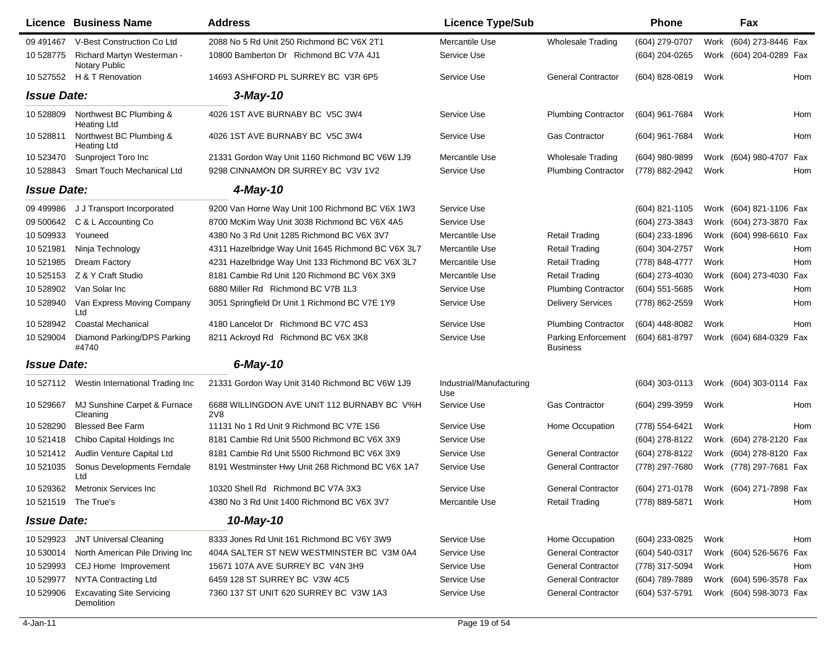|                    | Licence Business Name                          | <b>Address</b>                                     | <b>Licence Type/Sub</b>         |                                        | <b>Phone</b>                           |      | Fax                     |            |
|--------------------|------------------------------------------------|----------------------------------------------------|---------------------------------|----------------------------------------|----------------------------------------|------|-------------------------|------------|
| 09 49 1467         | V-Best Construction Co Ltd                     | 2088 No 5 Rd Unit 250 Richmond BC V6X 2T1          | Mercantile Use                  | <b>Wholesale Trading</b>               | (604) 279-0707                         |      | Work (604) 273-8446 Fax |            |
| 10 528775          | Richard Martyn Westerman -<br>Notary Public    | 10800 Bamberton Dr Richmond BC V7A 4J1             | Service Use                     |                                        | (604) 204-0265                         |      | Work (604) 204-0289 Fax |            |
| 10 527552          | H & T Renovation                               | 14693 ASHFORD PL SURREY BC V3R 6P5                 | Service Use                     | <b>General Contractor</b>              | (604) 828-0819                         | Work |                         | <b>Hom</b> |
| <b>Issue Date:</b> |                                                | $3$ -May-10                                        |                                 |                                        |                                        |      |                         |            |
| 10 528809          | Northwest BC Plumbing &<br><b>Heating Ltd</b>  | 4026 1ST AVE BURNABY BC V5C 3W4                    | Service Use                     | <b>Plumbing Contractor</b>             | (604) 961-7684                         | Work |                         | Hom        |
| 10 528811          | Northwest BC Plumbing &<br><b>Heating Ltd</b>  | 4026 1ST AVE BURNABY BC V5C 3W4                    | Service Use                     | <b>Gas Contractor</b>                  | (604) 961-7684                         | Work |                         | Hom        |
| 10 523470          | Sunproject Toro Inc                            | 21331 Gordon Way Unit 1160 Richmond BC V6W 1J9     | Mercantile Use                  | <b>Wholesale Trading</b>               | (604) 980-9899                         |      | Work (604) 980-4707     | Fax        |
| 10 528843          | <b>Smart Touch Mechanical Ltd</b>              | 9298 CINNAMON DR SURREY BC V3V 1V2                 | Service Use                     | <b>Plumbing Contractor</b>             | (778) 882-2942                         | Work |                         | Hom        |
| <b>Issue Date:</b> |                                                | 4-May-10                                           |                                 |                                        |                                        |      |                         |            |
| 09 499986          | J J Transport Incorporated                     | 9200 Van Horne Way Unit 100 Richmond BC V6X 1W3    | Service Use                     |                                        | (604) 821-1105                         |      | Work (604) 821-1106 Fax |            |
| 09 500642          | C & L Accounting Co                            | 8700 McKim Way Unit 3038 Richmond BC V6X 4A5       | Service Use                     |                                        | (604) 273-3843                         |      | Work (604) 273-3870 Fax |            |
| 10 509933          | Youneed                                        | 4380 No 3 Rd Unit 1285 Richmond BC V6X 3V7         | Mercantile Use                  | <b>Retail Trading</b>                  | (604) 233-1896                         | Work | (604) 998-6610 Fax      |            |
| 10 521981          | Ninja Technology                               | 4311 Hazelbridge Way Unit 1645 Richmond BC V6X 3L7 | Mercantile Use                  | <b>Retail Trading</b>                  | (604) 304-2757                         | Work |                         | Hom        |
| 10 521985          | Dream Factory                                  | 4231 Hazelbridge Way Unit 133 Richmond BC V6X 3L7  | Mercantile Use                  | <b>Retail Trading</b>                  | (778) 848-4777                         | Work |                         | Hom        |
| 10 525153          | Z & Y Craft Studio                             | 8181 Cambie Rd Unit 120 Richmond BC V6X 3X9        | Mercantile Use                  | Retail Trading                         | (604) 273-4030                         |      | Work (604) 273-4030     | Fax        |
| 10 528902          | Van Solar Inc                                  | 6880 Miller Rd Richmond BC V7B 1L3                 | Service Use                     | <b>Plumbing Contractor</b>             | $(604)$ 551-5685                       | Work |                         | Hom        |
| 10 528940          | Van Express Moving Company<br>Ltd              | 3051 Springfield Dr Unit 1 Richmond BC V7E 1Y9     | Service Use                     | <b>Delivery Services</b>               | (778) 862-2559                         | Work |                         | Hom        |
| 10 528942          | <b>Coastal Mechanical</b>                      | 4180 Lancelot Dr Richmond BC V7C 4S3               | Service Use                     | <b>Plumbing Contractor</b>             | (604) 448-8082                         | Work |                         | <b>Hom</b> |
| 10 529004          | Diamond Parking/DPS Parking<br>#4740           | 8211 Ackroyd Rd Richmond BC V6X 3K8                | Service Use                     | Parking Enforcement<br><b>Business</b> | (604) 681-8797                         |      | Work (604) 684-0329 Fax |            |
| <b>Issue Date:</b> |                                                | $6$ -May-10                                        |                                 |                                        |                                        |      |                         |            |
| 10 527112          | Westin International Trading Inc               | 21331 Gordon Way Unit 3140 Richmond BC V6W 1J9     | Industrial/Manufacturing<br>Use |                                        | (604) 303-0113                         |      | Work (604) 303-0114 Fax |            |
| 10 529667          | MJ Sunshine Carpet & Furnace<br>Cleaning       | 6688 WILLINGDON AVE UNIT 112 BURNABY BC V%H<br>2V8 | Service Use                     | <b>Gas Contractor</b>                  | (604) 299-3959                         | Work |                         | Hom        |
| 10 528290          | <b>Blessed Bee Farm</b>                        | 11131 No 1 Rd Unit 9 Richmond BC V7E 1S6           | Service Use                     | Home Occupation                        | (778) 554-6421                         | Work |                         | <b>Hom</b> |
| 10 521418          | Chibo Capital Holdings Inc.                    | 8181 Cambie Rd Unit 5500 Richmond BC V6X 3X9       | Service Use                     |                                        | (604) 278-8122                         |      | Work (604) 278-2120 Fax |            |
| 10 521412          | Audlin Venture Capital Ltd                     | 8181 Cambie Rd Unit 5500 Richmond BC V6X 3X9       | Service Use                     | <b>General Contractor</b>              | (604) 278-8122                         |      | Work (604) 278-8120 Fax |            |
| 10 521035          | Sonus Developments Ferndale<br>Ltd             | 8191 Westminster Hwy Unit 268 Richmond BC V6X 1A7  | Service Use                     | <b>General Contractor</b>              | (778) 297-7680                         |      | Work (778) 297-7681 Fax |            |
| 10 529362          | Metronix Services Inc                          | 10320 Shell Rd Richmond BC V7A 3X3                 | Service Use                     | General Contractor                     | (604) 271-0178 Work (604) 271-7898 Fax |      |                         |            |
|                    | 10 521519 The True's                           | 4380 No 3 Rd Unit 1400 Richmond BC V6X 3V7         | Mercantile Use                  | Retail Trading                         | (778) 889-5871 Work                    |      |                         | Hom        |
| <b>Issue Date:</b> |                                                | 10-May-10                                          |                                 |                                        |                                        |      |                         |            |
| 10 529923          | <b>JNT Universal Cleaning</b>                  | 8333 Jones Rd Unit 161 Richmond BC V6Y 3W9         | Service Use                     | Home Occupation                        | (604) 233-0825                         | Work |                         | Hom        |
| 10 530014          | North American Pile Driving Inc                | 404A SALTER ST NEW WESTMINSTER BC V3M 0A4          | Service Use                     | <b>General Contractor</b>              | (604) 540-0317                         |      | Work (604) 526-5676 Fax |            |
| 10 529993          | CEJ Home Improvement                           | 15671 107A AVE SURREY BC V4N 3H9                   | Service Use                     | <b>General Contractor</b>              | (778) 317-5094                         | Work |                         | Hom        |
| 10 529977          | NYTA Contracting Ltd                           | 6459 128 ST SURREY BC V3W 4C5                      | Service Use                     | <b>General Contractor</b>              | (604) 789-7889                         |      | Work (604) 596-3578 Fax |            |
| 10 529906          | <b>Excavating Site Servicing</b><br>Demolition | 7360 137 ST UNIT 620 SURREY BC V3W 1A3             | Service Use                     | <b>General Contractor</b>              | (604) 537-5791                         |      | Work (604) 598-3073 Fax |            |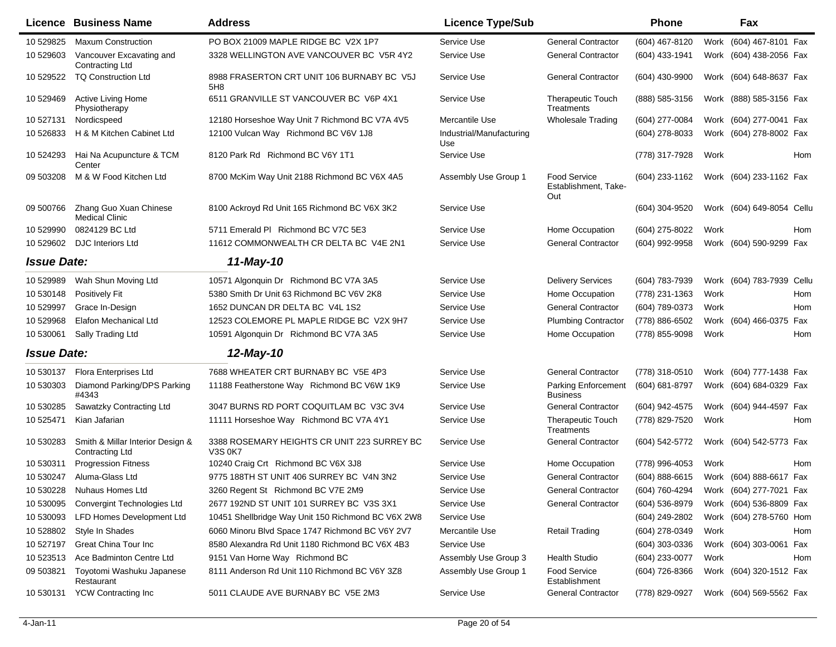|                    | Licence Business Name                                      | <b>Address</b>                                                | <b>Licence Type/Sub</b>         |                                                    | <b>Phone</b>       |      | Fax                       |            |
|--------------------|------------------------------------------------------------|---------------------------------------------------------------|---------------------------------|----------------------------------------------------|--------------------|------|---------------------------|------------|
| 10 529825          | <b>Maxum Construction</b>                                  | PO BOX 21009 MAPLE RIDGE BC V2X 1P7                           | Service Use                     | <b>General Contractor</b>                          | (604) 467-8120     | Work | (604) 467-8101 Fax        |            |
| 10 529603          | Vancouver Excavating and<br><b>Contracting Ltd</b>         | 3328 WELLINGTON AVE VANCOUVER BC V5R 4Y2                      | Service Use                     | <b>General Contractor</b>                          | (604) 433-1941     |      | Work (604) 438-2056 Fax   |            |
| 10 529522          | <b>TQ Construction Ltd</b>                                 | 8988 FRASERTON CRT UNIT 106 BURNABY BC V5J<br>5H8             | Service Use                     | <b>General Contractor</b>                          | (604) 430-9900     |      | Work (604) 648-8637 Fax   |            |
| 10 529469          | Active Living Home<br>Physiotherapy                        | 6511 GRANVILLE ST VANCOUVER BC V6P 4X1                        | Service Use                     | <b>Therapeutic Touch</b><br>Treatments             | (888) 585-3156     |      | Work (888) 585-3156 Fax   |            |
| 10 527131          | Nordicspeed                                                | 12180 Horseshoe Way Unit 7 Richmond BC V7A 4V5                | Mercantile Use                  | <b>Wholesale Trading</b>                           | (604) 277-0084     |      | Work (604) 277-0041 Fax   |            |
| 10 526833          | H & M Kitchen Cabinet Ltd                                  | 12100 Vulcan Way Richmond BC V6V 1J8                          | Industrial/Manufacturing<br>Use |                                                    | (604) 278-8033     |      | Work (604) 278-8002 Fax   |            |
| 10 524293          | Hai Na Acupuncture & TCM<br>Center                         | 8120 Park Rd Richmond BC V6Y 1T1                              | Service Use                     |                                                    | (778) 317-7928     | Work |                           | Hom        |
| 09 503208          | M & W Food Kitchen Ltd                                     | 8700 McKim Way Unit 2188 Richmond BC V6X 4A5                  | Assembly Use Group 1            | <b>Food Service</b><br>Establishment, Take-<br>Out | (604) 233-1162     |      | Work (604) 233-1162 Fax   |            |
| 09 500766          | Zhang Guo Xuan Chinese<br><b>Medical Clinic</b>            | 8100 Ackroyd Rd Unit 165 Richmond BC V6X 3K2                  | Service Use                     |                                                    | (604) 304-9520     |      | Work (604) 649-8054 Cellu |            |
| 10 529990          | 0824129 BC Ltd                                             | 5711 Emerald PI Richmond BC V7C 5E3                           | Service Use                     | Home Occupation                                    | (604) 275-8022     | Work |                           | Hom        |
| 10 529602          | <b>DJC</b> Interiors Ltd                                   | 11612 COMMONWEALTH CR DELTA BC V4E 2N1                        | Service Use                     | <b>General Contractor</b>                          | (604) 992-9958     |      | Work (604) 590-9299 Fax   |            |
| <b>Issue Date:</b> |                                                            | 11-May-10                                                     |                                 |                                                    |                    |      |                           |            |
| 10529989           | Wah Shun Moving Ltd                                        | 10571 Algonquin Dr Richmond BC V7A 3A5                        | Service Use                     | <b>Delivery Services</b>                           | (604) 783-7939     |      | Work (604) 783-7939 Cellu |            |
| 10 530148          | <b>Positively Fit</b>                                      | 5380 Smith Dr Unit 63 Richmond BC V6V 2K8                     | Service Use                     | Home Occupation                                    | (778) 231-1363     | Work |                           | Hom        |
| 10 529997          | Grace In-Design                                            | 1652 DUNCAN DR DELTA BC V4L 1S2                               | Service Use                     | <b>General Contractor</b>                          | (604) 789-0373     | Work |                           | <b>Hom</b> |
| 10 529968          | Elafon Mechanical Ltd                                      | 12523 COLEMORE PL MAPLE RIDGE BC V2X 9H7                      | Service Use                     | <b>Plumbing Contractor</b>                         | (778) 886-6502     | Work | (604) 466-0375            | Fax        |
| 10 530061          | Sally Trading Ltd                                          | 10591 Algonquin Dr Richmond BC V7A 3A5                        | Service Use                     | Home Occupation                                    | (778) 855-9098     | Work |                           | <b>Hom</b> |
| <b>Issue Date:</b> |                                                            | 12-May-10                                                     |                                 |                                                    |                    |      |                           |            |
| 10 530137          | <b>Flora Enterprises Ltd</b>                               | 7688 WHEATER CRT BURNABY BC V5E 4P3                           | Service Use                     | <b>General Contractor</b>                          | (778) 318-0510     |      | Work (604) 777-1438 Fax   |            |
| 10 530303          | Diamond Parking/DPS Parking<br>#4343                       | 11188 Featherstone Way Richmond BC V6W 1K9                    | Service Use                     | <b>Parking Enforcement</b><br><b>Business</b>      | (604) 681-8797     |      | Work (604) 684-0329 Fax   |            |
| 10 530285          | Sawatzky Contracting Ltd                                   | 3047 BURNS RD PORT COQUITLAM BC V3C 3V4                       | Service Use                     | <b>General Contractor</b>                          | (604) 942-4575     |      | Work (604) 944-4597 Fax   |            |
| 10 525471          | Kian Jafarian                                              | 11111 Horseshoe Way Richmond BC V7A 4Y1                       | Service Use                     | <b>Therapeutic Touch</b><br>Treatments             | (778) 829-7520     | Work |                           | Hom        |
| 10 530283          | Smith & Millar Interior Design &<br><b>Contracting Ltd</b> | 3388 ROSEMARY HEIGHTS CR UNIT 223 SURREY BC<br><b>V3S 0K7</b> | Service Use                     | <b>General Contractor</b>                          | (604) 542-5772     |      | Work (604) 542-5773 Fax   |            |
| 10 530311          | <b>Progression Fitness</b>                                 | 10240 Craig Crt Richmond BC V6X 3J8                           | Service Use                     | Home Occupation                                    | (778) 996-4053     | Work |                           | <b>Hom</b> |
| 10 530247          | Aluma-Glass Ltd                                            | 9775 188TH ST UNIT 406 SURREY BC V4N 3N2                      | Service Use                     | <b>General Contractor</b>                          | $(604) 888 - 6615$ |      | Work (604) 888-6617 Fax   |            |
| 10 530228          | Nuhaus Homes Ltd                                           | 3260 Regent St Richmond BC V7E 2M9                            | Service Use                     | <b>General Contractor</b>                          | (604) 760-4294     |      | Work (604) 277-7021 Fax   |            |
| 10 530095          | Convergint Technologies Ltd                                | 2677 192ND ST UNIT 101 SURREY BC V3S 3X1                      | Service Use                     | <b>General Contractor</b>                          | (604) 536-8979     |      | Work (604) 536-8809 Fax   |            |
| 10 530093          | <b>LFD Homes Development Ltd</b>                           | 10451 Shellbridge Way Unit 150 Richmond BC V6X 2W8            | Service Use                     |                                                    | (604) 249-2802     |      | Work (604) 278-5760 Hom   |            |
| 10 528802          | Style In Shades                                            | 6060 Minoru Blvd Space 1747 Richmond BC V6Y 2V7               | Mercantile Use                  | <b>Retail Trading</b>                              | (604) 278-0349     | Work |                           | Hom        |
| 10 527197          | Great China Tour Inc                                       | 8580 Alexandra Rd Unit 1180 Richmond BC V6X 4B3               | Service Use                     |                                                    | (604) 303-0336     |      | Work (604) 303-0061 Fax   |            |
| 10 523513          | Ace Badminton Centre Ltd                                   | 9151 Van Horne Way Richmond BC                                | Assembly Use Group 3            | <b>Health Studio</b>                               | (604) 233-0077     | Work |                           | Hom        |
| 09 503821          | Toyotomi Washuku Japanese<br>Restaurant                    | 8111 Anderson Rd Unit 110 Richmond BC V6Y 3Z8                 | Assembly Use Group 1            | <b>Food Service</b><br>Establishment               | (604) 726-8366     |      | Work (604) 320-1512 Fax   |            |
| 10 530131          | <b>YCW Contracting Inc</b>                                 | 5011 CLAUDE AVE BURNABY BC V5E 2M3                            | Service Use                     | <b>General Contractor</b>                          | (778) 829-0927     |      | Work (604) 569-5562 Fax   |            |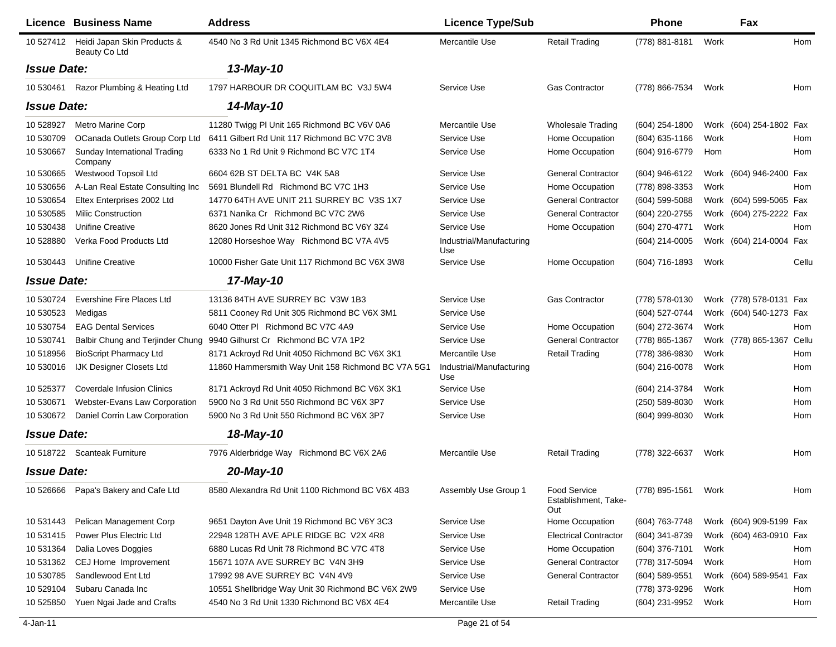| 4540 No 3 Rd Unit 1345 Richmond BC V6X 4E4<br>Heidi Japan Skin Products &<br>Mercantile Use<br><b>Retail Trading</b><br>(778) 881-8181<br>Hom<br>10 527412<br>Work<br>Beauty Co Ltd<br><b>Issue Date:</b><br>13-May-10<br>1797 HARBOUR DR COQUITLAM BC V3J 5W4<br>10 530461<br>Razor Plumbing & Heating Ltd<br><b>Gas Contractor</b><br>(778) 866-7534<br>Service Use<br>Work<br>Hom<br><b>Issue Date:</b><br>14-May-10<br>10 528927<br><b>Metro Marine Corp</b><br>11280 Twigg PI Unit 165 Richmond BC V6V 0A6<br>Mercantile Use<br>(604) 254-1800<br>Work (604) 254-1802 Fax<br><b>Wholesale Trading</b><br>6411 Gilbert Rd Unit 117 Richmond BC V7C 3V8<br>10 530709<br>OCanada Outlets Group Corp Ltd<br>Service Use<br>Home Occupation<br>$(604)$ 635-1166<br>Work<br>Hom<br>6333 No 1 Rd Unit 9 Richmond BC V7C 1T4<br>10 530667<br>Sunday International Trading<br>Service Use<br>Home Occupation<br>(604) 916-6779<br>Hom<br>Hom<br>Company<br>Westwood Topsoil Ltd<br>6604 62B ST DELTA BC V4K 5A8<br>Service Use<br><b>General Contractor</b><br>10 530665<br>(604) 946-6122<br>Work (604) 946-2400 Fax<br>Service Use<br>A-Lan Real Estate Consulting Inc<br>5691 Blundell Rd Richmond BC V7C 1H3<br>Home Occupation<br>(778) 898-3353<br>Work<br>10 530656<br>Hom<br>10 530654<br>Eltex Enterprises 2002 Ltd<br>14770 64TH AVE UNIT 211 SURREY BC V3S 1X7<br>Service Use<br><b>General Contractor</b><br>(604) 599-5088<br>Work (604) 599-5065 Fax<br>10 530585<br><b>Milic Construction</b><br>6371 Nanika Cr Richmond BC V7C 2W6<br>Service Use<br><b>General Contractor</b><br>(604) 220-2755<br>Work (604) 275-2222 Fax<br>(604) 270-4771<br>10 530438<br><b>Unifine Creative</b><br>8620 Jones Rd Unit 312 Richmond BC V6Y 3Z4<br>Service Use<br>Home Occupation<br>Work<br>Hom<br>10 528880<br>Verka Food Products Ltd<br>12080 Horseshoe Way Richmond BC V7A 4V5<br>Industrial/Manufacturing<br>(604) 214-0005<br>Work (604) 214-0004 Fax<br>Use<br><b>Unifine Creative</b><br>10000 Fisher Gate Unit 117 Richmond BC V6X 3W8<br>Service Use<br>Home Occupation<br>10 530443<br>(604) 716-1893<br>Work<br>Cellu<br><b>Issue Date:</b><br>17-May-10<br>13136 84TH AVE SURREY BC V3W 1B3<br>10 530724<br>Evershine Fire Places Ltd<br>Service Use<br><b>Gas Contractor</b><br>Work (778) 578-0131 Fax<br>(778) 578-0130<br>10 530523<br>5811 Cooney Rd Unit 305 Richmond BC V6X 3M1<br>Service Use<br>(604) 527-0744<br>Work (604) 540-1273 Fax<br>Medigas<br>10 530754<br><b>EAG Dental Services</b><br>6040 Otter PI Richmond BC V7C 4A9<br>Service Use<br>Home Occupation<br>(604) 272-3674<br>Work<br>Hom<br>Balbir Chung and Terjinder Chung<br>9940 Gilhurst Cr Richmond BC V7A 1P2<br>Service Use<br><b>General Contractor</b><br>(778) 865-1367<br>Work (778) 865-1367<br>Cellu<br>10 530741<br><b>BioScript Pharmacy Ltd</b><br>10518956<br>8171 Ackroyd Rd Unit 4050 Richmond BC V6X 3K1<br>Mercantile Use<br><b>Retail Trading</b><br>(778) 386-9830<br>Work<br>Hom<br>10 530016<br>IJK Designer Closets Ltd<br>11860 Hammersmith Way Unit 158 Richmond BC V7A 5G1<br>Industrial/Manufacturing<br>(604) 216-0078<br>Work<br>Hom<br>Use<br>8171 Ackroyd Rd Unit 4050 Richmond BC V6X 3K1<br>Service Use<br>10 525377<br>Coverdale Infusion Clinics<br>(604) 214-3784<br>Work<br>Hom<br>5900 No 3 Rd Unit 550 Richmond BC V6X 3P7<br>Webster-Evans Law Corporation<br>Service Use<br>(250) 589-8030<br>Work<br>10 530671<br>Hom |
|-----------------------------------------------------------------------------------------------------------------------------------------------------------------------------------------------------------------------------------------------------------------------------------------------------------------------------------------------------------------------------------------------------------------------------------------------------------------------------------------------------------------------------------------------------------------------------------------------------------------------------------------------------------------------------------------------------------------------------------------------------------------------------------------------------------------------------------------------------------------------------------------------------------------------------------------------------------------------------------------------------------------------------------------------------------------------------------------------------------------------------------------------------------------------------------------------------------------------------------------------------------------------------------------------------------------------------------------------------------------------------------------------------------------------------------------------------------------------------------------------------------------------------------------------------------------------------------------------------------------------------------------------------------------------------------------------------------------------------------------------------------------------------------------------------------------------------------------------------------------------------------------------------------------------------------------------------------------------------------------------------------------------------------------------------------------------------------------------------------------------------------------------------------------------------------------------------------------------------------------------------------------------------------------------------------------------------------------------------------------------------------------------------------------------------------------------------------------------------------------------------------------------------------------------------------------------------------------------------------------------------------------------------------------------------------------------------------------------------------------------------------------------------------------------------------------------------------------------------------------------------------------------------------------------------------------------------------------------------------------------------------------------------------------------------------------------------------------------------------------------------------------------------------------------------------------------------------------------------------------------------------------------------------------------------------------------------------------------------------------------------------------------------------------------------------------------------------|
|                                                                                                                                                                                                                                                                                                                                                                                                                                                                                                                                                                                                                                                                                                                                                                                                                                                                                                                                                                                                                                                                                                                                                                                                                                                                                                                                                                                                                                                                                                                                                                                                                                                                                                                                                                                                                                                                                                                                                                                                                                                                                                                                                                                                                                                                                                                                                                                                                                                                                                                                                                                                                                                                                                                                                                                                                                                                                                                                                                                                                                                                                                                                                                                                                                                                                                                                                                                                                                                           |
|                                                                                                                                                                                                                                                                                                                                                                                                                                                                                                                                                                                                                                                                                                                                                                                                                                                                                                                                                                                                                                                                                                                                                                                                                                                                                                                                                                                                                                                                                                                                                                                                                                                                                                                                                                                                                                                                                                                                                                                                                                                                                                                                                                                                                                                                                                                                                                                                                                                                                                                                                                                                                                                                                                                                                                                                                                                                                                                                                                                                                                                                                                                                                                                                                                                                                                                                                                                                                                                           |
|                                                                                                                                                                                                                                                                                                                                                                                                                                                                                                                                                                                                                                                                                                                                                                                                                                                                                                                                                                                                                                                                                                                                                                                                                                                                                                                                                                                                                                                                                                                                                                                                                                                                                                                                                                                                                                                                                                                                                                                                                                                                                                                                                                                                                                                                                                                                                                                                                                                                                                                                                                                                                                                                                                                                                                                                                                                                                                                                                                                                                                                                                                                                                                                                                                                                                                                                                                                                                                                           |
|                                                                                                                                                                                                                                                                                                                                                                                                                                                                                                                                                                                                                                                                                                                                                                                                                                                                                                                                                                                                                                                                                                                                                                                                                                                                                                                                                                                                                                                                                                                                                                                                                                                                                                                                                                                                                                                                                                                                                                                                                                                                                                                                                                                                                                                                                                                                                                                                                                                                                                                                                                                                                                                                                                                                                                                                                                                                                                                                                                                                                                                                                                                                                                                                                                                                                                                                                                                                                                                           |
|                                                                                                                                                                                                                                                                                                                                                                                                                                                                                                                                                                                                                                                                                                                                                                                                                                                                                                                                                                                                                                                                                                                                                                                                                                                                                                                                                                                                                                                                                                                                                                                                                                                                                                                                                                                                                                                                                                                                                                                                                                                                                                                                                                                                                                                                                                                                                                                                                                                                                                                                                                                                                                                                                                                                                                                                                                                                                                                                                                                                                                                                                                                                                                                                                                                                                                                                                                                                                                                           |
|                                                                                                                                                                                                                                                                                                                                                                                                                                                                                                                                                                                                                                                                                                                                                                                                                                                                                                                                                                                                                                                                                                                                                                                                                                                                                                                                                                                                                                                                                                                                                                                                                                                                                                                                                                                                                                                                                                                                                                                                                                                                                                                                                                                                                                                                                                                                                                                                                                                                                                                                                                                                                                                                                                                                                                                                                                                                                                                                                                                                                                                                                                                                                                                                                                                                                                                                                                                                                                                           |
|                                                                                                                                                                                                                                                                                                                                                                                                                                                                                                                                                                                                                                                                                                                                                                                                                                                                                                                                                                                                                                                                                                                                                                                                                                                                                                                                                                                                                                                                                                                                                                                                                                                                                                                                                                                                                                                                                                                                                                                                                                                                                                                                                                                                                                                                                                                                                                                                                                                                                                                                                                                                                                                                                                                                                                                                                                                                                                                                                                                                                                                                                                                                                                                                                                                                                                                                                                                                                                                           |
|                                                                                                                                                                                                                                                                                                                                                                                                                                                                                                                                                                                                                                                                                                                                                                                                                                                                                                                                                                                                                                                                                                                                                                                                                                                                                                                                                                                                                                                                                                                                                                                                                                                                                                                                                                                                                                                                                                                                                                                                                                                                                                                                                                                                                                                                                                                                                                                                                                                                                                                                                                                                                                                                                                                                                                                                                                                                                                                                                                                                                                                                                                                                                                                                                                                                                                                                                                                                                                                           |
|                                                                                                                                                                                                                                                                                                                                                                                                                                                                                                                                                                                                                                                                                                                                                                                                                                                                                                                                                                                                                                                                                                                                                                                                                                                                                                                                                                                                                                                                                                                                                                                                                                                                                                                                                                                                                                                                                                                                                                                                                                                                                                                                                                                                                                                                                                                                                                                                                                                                                                                                                                                                                                                                                                                                                                                                                                                                                                                                                                                                                                                                                                                                                                                                                                                                                                                                                                                                                                                           |
|                                                                                                                                                                                                                                                                                                                                                                                                                                                                                                                                                                                                                                                                                                                                                                                                                                                                                                                                                                                                                                                                                                                                                                                                                                                                                                                                                                                                                                                                                                                                                                                                                                                                                                                                                                                                                                                                                                                                                                                                                                                                                                                                                                                                                                                                                                                                                                                                                                                                                                                                                                                                                                                                                                                                                                                                                                                                                                                                                                                                                                                                                                                                                                                                                                                                                                                                                                                                                                                           |
|                                                                                                                                                                                                                                                                                                                                                                                                                                                                                                                                                                                                                                                                                                                                                                                                                                                                                                                                                                                                                                                                                                                                                                                                                                                                                                                                                                                                                                                                                                                                                                                                                                                                                                                                                                                                                                                                                                                                                                                                                                                                                                                                                                                                                                                                                                                                                                                                                                                                                                                                                                                                                                                                                                                                                                                                                                                                                                                                                                                                                                                                                                                                                                                                                                                                                                                                                                                                                                                           |
|                                                                                                                                                                                                                                                                                                                                                                                                                                                                                                                                                                                                                                                                                                                                                                                                                                                                                                                                                                                                                                                                                                                                                                                                                                                                                                                                                                                                                                                                                                                                                                                                                                                                                                                                                                                                                                                                                                                                                                                                                                                                                                                                                                                                                                                                                                                                                                                                                                                                                                                                                                                                                                                                                                                                                                                                                                                                                                                                                                                                                                                                                                                                                                                                                                                                                                                                                                                                                                                           |
|                                                                                                                                                                                                                                                                                                                                                                                                                                                                                                                                                                                                                                                                                                                                                                                                                                                                                                                                                                                                                                                                                                                                                                                                                                                                                                                                                                                                                                                                                                                                                                                                                                                                                                                                                                                                                                                                                                                                                                                                                                                                                                                                                                                                                                                                                                                                                                                                                                                                                                                                                                                                                                                                                                                                                                                                                                                                                                                                                                                                                                                                                                                                                                                                                                                                                                                                                                                                                                                           |
|                                                                                                                                                                                                                                                                                                                                                                                                                                                                                                                                                                                                                                                                                                                                                                                                                                                                                                                                                                                                                                                                                                                                                                                                                                                                                                                                                                                                                                                                                                                                                                                                                                                                                                                                                                                                                                                                                                                                                                                                                                                                                                                                                                                                                                                                                                                                                                                                                                                                                                                                                                                                                                                                                                                                                                                                                                                                                                                                                                                                                                                                                                                                                                                                                                                                                                                                                                                                                                                           |
|                                                                                                                                                                                                                                                                                                                                                                                                                                                                                                                                                                                                                                                                                                                                                                                                                                                                                                                                                                                                                                                                                                                                                                                                                                                                                                                                                                                                                                                                                                                                                                                                                                                                                                                                                                                                                                                                                                                                                                                                                                                                                                                                                                                                                                                                                                                                                                                                                                                                                                                                                                                                                                                                                                                                                                                                                                                                                                                                                                                                                                                                                                                                                                                                                                                                                                                                                                                                                                                           |
|                                                                                                                                                                                                                                                                                                                                                                                                                                                                                                                                                                                                                                                                                                                                                                                                                                                                                                                                                                                                                                                                                                                                                                                                                                                                                                                                                                                                                                                                                                                                                                                                                                                                                                                                                                                                                                                                                                                                                                                                                                                                                                                                                                                                                                                                                                                                                                                                                                                                                                                                                                                                                                                                                                                                                                                                                                                                                                                                                                                                                                                                                                                                                                                                                                                                                                                                                                                                                                                           |
|                                                                                                                                                                                                                                                                                                                                                                                                                                                                                                                                                                                                                                                                                                                                                                                                                                                                                                                                                                                                                                                                                                                                                                                                                                                                                                                                                                                                                                                                                                                                                                                                                                                                                                                                                                                                                                                                                                                                                                                                                                                                                                                                                                                                                                                                                                                                                                                                                                                                                                                                                                                                                                                                                                                                                                                                                                                                                                                                                                                                                                                                                                                                                                                                                                                                                                                                                                                                                                                           |
|                                                                                                                                                                                                                                                                                                                                                                                                                                                                                                                                                                                                                                                                                                                                                                                                                                                                                                                                                                                                                                                                                                                                                                                                                                                                                                                                                                                                                                                                                                                                                                                                                                                                                                                                                                                                                                                                                                                                                                                                                                                                                                                                                                                                                                                                                                                                                                                                                                                                                                                                                                                                                                                                                                                                                                                                                                                                                                                                                                                                                                                                                                                                                                                                                                                                                                                                                                                                                                                           |
|                                                                                                                                                                                                                                                                                                                                                                                                                                                                                                                                                                                                                                                                                                                                                                                                                                                                                                                                                                                                                                                                                                                                                                                                                                                                                                                                                                                                                                                                                                                                                                                                                                                                                                                                                                                                                                                                                                                                                                                                                                                                                                                                                                                                                                                                                                                                                                                                                                                                                                                                                                                                                                                                                                                                                                                                                                                                                                                                                                                                                                                                                                                                                                                                                                                                                                                                                                                                                                                           |
|                                                                                                                                                                                                                                                                                                                                                                                                                                                                                                                                                                                                                                                                                                                                                                                                                                                                                                                                                                                                                                                                                                                                                                                                                                                                                                                                                                                                                                                                                                                                                                                                                                                                                                                                                                                                                                                                                                                                                                                                                                                                                                                                                                                                                                                                                                                                                                                                                                                                                                                                                                                                                                                                                                                                                                                                                                                                                                                                                                                                                                                                                                                                                                                                                                                                                                                                                                                                                                                           |
|                                                                                                                                                                                                                                                                                                                                                                                                                                                                                                                                                                                                                                                                                                                                                                                                                                                                                                                                                                                                                                                                                                                                                                                                                                                                                                                                                                                                                                                                                                                                                                                                                                                                                                                                                                                                                                                                                                                                                                                                                                                                                                                                                                                                                                                                                                                                                                                                                                                                                                                                                                                                                                                                                                                                                                                                                                                                                                                                                                                                                                                                                                                                                                                                                                                                                                                                                                                                                                                           |
|                                                                                                                                                                                                                                                                                                                                                                                                                                                                                                                                                                                                                                                                                                                                                                                                                                                                                                                                                                                                                                                                                                                                                                                                                                                                                                                                                                                                                                                                                                                                                                                                                                                                                                                                                                                                                                                                                                                                                                                                                                                                                                                                                                                                                                                                                                                                                                                                                                                                                                                                                                                                                                                                                                                                                                                                                                                                                                                                                                                                                                                                                                                                                                                                                                                                                                                                                                                                                                                           |
|                                                                                                                                                                                                                                                                                                                                                                                                                                                                                                                                                                                                                                                                                                                                                                                                                                                                                                                                                                                                                                                                                                                                                                                                                                                                                                                                                                                                                                                                                                                                                                                                                                                                                                                                                                                                                                                                                                                                                                                                                                                                                                                                                                                                                                                                                                                                                                                                                                                                                                                                                                                                                                                                                                                                                                                                                                                                                                                                                                                                                                                                                                                                                                                                                                                                                                                                                                                                                                                           |
| Daniel Corrin Law Corporation<br>5900 No 3 Rd Unit 550 Richmond BC V6X 3P7<br>Service Use<br>(604) 999-8030<br>Work<br>10 530672<br>Hom                                                                                                                                                                                                                                                                                                                                                                                                                                                                                                                                                                                                                                                                                                                                                                                                                                                                                                                                                                                                                                                                                                                                                                                                                                                                                                                                                                                                                                                                                                                                                                                                                                                                                                                                                                                                                                                                                                                                                                                                                                                                                                                                                                                                                                                                                                                                                                                                                                                                                                                                                                                                                                                                                                                                                                                                                                                                                                                                                                                                                                                                                                                                                                                                                                                                                                                   |
| <b>Issue Date:</b><br>18-May-10                                                                                                                                                                                                                                                                                                                                                                                                                                                                                                                                                                                                                                                                                                                                                                                                                                                                                                                                                                                                                                                                                                                                                                                                                                                                                                                                                                                                                                                                                                                                                                                                                                                                                                                                                                                                                                                                                                                                                                                                                                                                                                                                                                                                                                                                                                                                                                                                                                                                                                                                                                                                                                                                                                                                                                                                                                                                                                                                                                                                                                                                                                                                                                                                                                                                                                                                                                                                                           |
| 10 518722 Scanteak Furniture<br>7976 Alderbridge Way Richmond BC V6X 2A6<br>Mercantile Use<br><b>Retail Trading</b><br>(778) 322-6637<br>Work<br>Hom                                                                                                                                                                                                                                                                                                                                                                                                                                                                                                                                                                                                                                                                                                                                                                                                                                                                                                                                                                                                                                                                                                                                                                                                                                                                                                                                                                                                                                                                                                                                                                                                                                                                                                                                                                                                                                                                                                                                                                                                                                                                                                                                                                                                                                                                                                                                                                                                                                                                                                                                                                                                                                                                                                                                                                                                                                                                                                                                                                                                                                                                                                                                                                                                                                                                                                      |
| <b>Issue Date:</b><br>20-May-10                                                                                                                                                                                                                                                                                                                                                                                                                                                                                                                                                                                                                                                                                                                                                                                                                                                                                                                                                                                                                                                                                                                                                                                                                                                                                                                                                                                                                                                                                                                                                                                                                                                                                                                                                                                                                                                                                                                                                                                                                                                                                                                                                                                                                                                                                                                                                                                                                                                                                                                                                                                                                                                                                                                                                                                                                                                                                                                                                                                                                                                                                                                                                                                                                                                                                                                                                                                                                           |
| 10 526666 Papa's Bakery and Cafe Ltd<br>8580 Alexandra Rd Unit 1100 Richmond BC V6X 4B3<br>Assembly Use Group 1<br>(778) 895-1561 Work<br><b>Food Service</b><br>Hom<br>Establishment, Take-<br>Out                                                                                                                                                                                                                                                                                                                                                                                                                                                                                                                                                                                                                                                                                                                                                                                                                                                                                                                                                                                                                                                                                                                                                                                                                                                                                                                                                                                                                                                                                                                                                                                                                                                                                                                                                                                                                                                                                                                                                                                                                                                                                                                                                                                                                                                                                                                                                                                                                                                                                                                                                                                                                                                                                                                                                                                                                                                                                                                                                                                                                                                                                                                                                                                                                                                       |
| Pelican Management Corp<br>Service Use<br>Home Occupation<br>Work (604) 909-5199 Fax<br>10 531443<br>9651 Dayton Ave Unit 19 Richmond BC V6Y 3C3<br>(604) 763-7748                                                                                                                                                                                                                                                                                                                                                                                                                                                                                                                                                                                                                                                                                                                                                                                                                                                                                                                                                                                                                                                                                                                                                                                                                                                                                                                                                                                                                                                                                                                                                                                                                                                                                                                                                                                                                                                                                                                                                                                                                                                                                                                                                                                                                                                                                                                                                                                                                                                                                                                                                                                                                                                                                                                                                                                                                                                                                                                                                                                                                                                                                                                                                                                                                                                                                        |
| Power Plus Electric Ltd<br>Service Use<br>10 531415<br>22948 128TH AVE APLE RIDGE BC V2X 4R8<br><b>Electrical Contractor</b><br>(604) 341-8739<br>Work (604) 463-0910 Fax                                                                                                                                                                                                                                                                                                                                                                                                                                                                                                                                                                                                                                                                                                                                                                                                                                                                                                                                                                                                                                                                                                                                                                                                                                                                                                                                                                                                                                                                                                                                                                                                                                                                                                                                                                                                                                                                                                                                                                                                                                                                                                                                                                                                                                                                                                                                                                                                                                                                                                                                                                                                                                                                                                                                                                                                                                                                                                                                                                                                                                                                                                                                                                                                                                                                                 |
| 10 531364<br>Dalia Loves Doggies<br>6880 Lucas Rd Unit 78 Richmond BC V7C 4T8<br>Service Use<br>Home Occupation<br>(604) 376-7101<br>Work<br>Hom                                                                                                                                                                                                                                                                                                                                                                                                                                                                                                                                                                                                                                                                                                                                                                                                                                                                                                                                                                                                                                                                                                                                                                                                                                                                                                                                                                                                                                                                                                                                                                                                                                                                                                                                                                                                                                                                                                                                                                                                                                                                                                                                                                                                                                                                                                                                                                                                                                                                                                                                                                                                                                                                                                                                                                                                                                                                                                                                                                                                                                                                                                                                                                                                                                                                                                          |
| 10 531362<br>CEJ Home Improvement<br>15671 107A AVE SURREY BC V4N 3H9<br>Service Use<br><b>General Contractor</b><br>(778) 317-5094<br>Work<br>Hom                                                                                                                                                                                                                                                                                                                                                                                                                                                                                                                                                                                                                                                                                                                                                                                                                                                                                                                                                                                                                                                                                                                                                                                                                                                                                                                                                                                                                                                                                                                                                                                                                                                                                                                                                                                                                                                                                                                                                                                                                                                                                                                                                                                                                                                                                                                                                                                                                                                                                                                                                                                                                                                                                                                                                                                                                                                                                                                                                                                                                                                                                                                                                                                                                                                                                                        |
| 10 530785<br>Sandlewood Ent Ltd<br>17992 98 AVE SURREY BC V4N 4V9<br>Service Use<br><b>General Contractor</b><br>(604) 589-9551<br>Work (604) 589-9541<br>Fax                                                                                                                                                                                                                                                                                                                                                                                                                                                                                                                                                                                                                                                                                                                                                                                                                                                                                                                                                                                                                                                                                                                                                                                                                                                                                                                                                                                                                                                                                                                                                                                                                                                                                                                                                                                                                                                                                                                                                                                                                                                                                                                                                                                                                                                                                                                                                                                                                                                                                                                                                                                                                                                                                                                                                                                                                                                                                                                                                                                                                                                                                                                                                                                                                                                                                             |
| Subaru Canada Inc<br>Service Use<br>10 529104<br>10551 Shellbridge Way Unit 30 Richmond BC V6X 2W9<br>(778) 373-9296<br>Work<br>Hom                                                                                                                                                                                                                                                                                                                                                                                                                                                                                                                                                                                                                                                                                                                                                                                                                                                                                                                                                                                                                                                                                                                                                                                                                                                                                                                                                                                                                                                                                                                                                                                                                                                                                                                                                                                                                                                                                                                                                                                                                                                                                                                                                                                                                                                                                                                                                                                                                                                                                                                                                                                                                                                                                                                                                                                                                                                                                                                                                                                                                                                                                                                                                                                                                                                                                                                       |
| <b>Retail Trading</b><br>10 525850<br>Yuen Ngai Jade and Crafts<br>4540 No 3 Rd Unit 1330 Richmond BC V6X 4E4<br>Mercantile Use<br>(604) 231-9952<br>Work<br>Hom                                                                                                                                                                                                                                                                                                                                                                                                                                                                                                                                                                                                                                                                                                                                                                                                                                                                                                                                                                                                                                                                                                                                                                                                                                                                                                                                                                                                                                                                                                                                                                                                                                                                                                                                                                                                                                                                                                                                                                                                                                                                                                                                                                                                                                                                                                                                                                                                                                                                                                                                                                                                                                                                                                                                                                                                                                                                                                                                                                                                                                                                                                                                                                                                                                                                                          |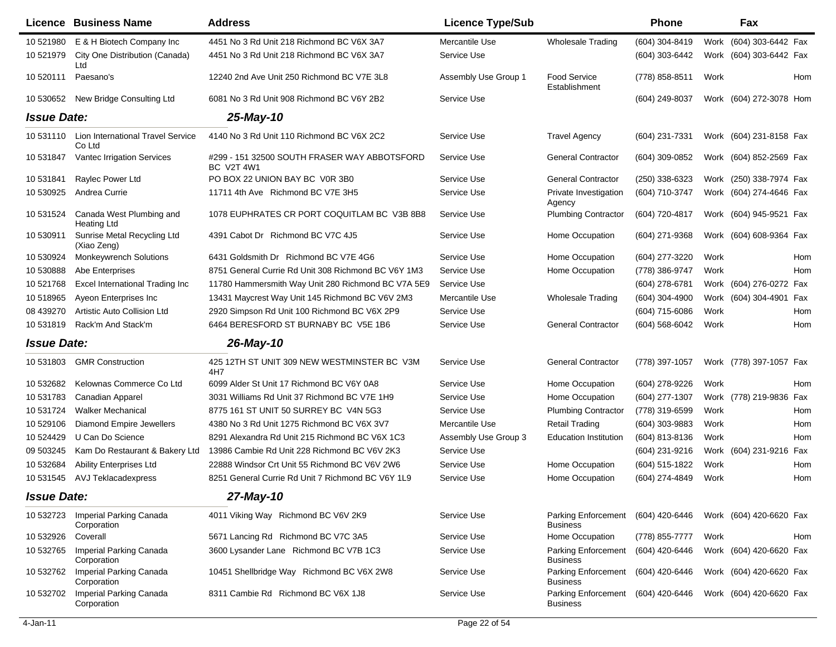|                    | Licence Business Name                          | <b>Address</b>                                                    | <b>Licence Type/Sub</b> |                                               | <b>Phone</b>       |      | Fax                     |            |
|--------------------|------------------------------------------------|-------------------------------------------------------------------|-------------------------|-----------------------------------------------|--------------------|------|-------------------------|------------|
| 10 521980          | E & H Biotech Company Inc                      | 4451 No 3 Rd Unit 218 Richmond BC V6X 3A7                         | Mercantile Use          | <b>Wholesale Trading</b>                      | (604) 304-8419     | Work | (604) 303-6442 Fax      |            |
| 10 521979          | City One Distribution (Canada)<br>Ltd          | 4451 No 3 Rd Unit 218 Richmond BC V6X 3A7                         | Service Use             |                                               | (604) 303-6442     |      | Work (604) 303-6442 Fax |            |
| 10 520111          | Paesano's                                      | 12240 2nd Ave Unit 250 Richmond BC V7E 3L8                        | Assembly Use Group 1    | <b>Food Service</b><br>Establishment          | (778) 858-8511     | Work |                         | Hom        |
| 10 530652          | New Bridge Consulting Ltd                      | 6081 No 3 Rd Unit 908 Richmond BC V6Y 2B2                         | Service Use             |                                               | $(604)$ 249-8037   |      | Work (604) 272-3078 Hom |            |
| <b>Issue Date:</b> |                                                | 25-May-10                                                         |                         |                                               |                    |      |                         |            |
| 10 531110          | Lion International Travel Service<br>Co Ltd    | 4140 No 3 Rd Unit 110 Richmond BC V6X 2C2                         | Service Use             | <b>Travel Agency</b>                          | (604) 231-7331     |      | Work (604) 231-8158 Fax |            |
| 10 531847          | <b>Vantec Irrigation Services</b>              | #299 - 151 32500 SOUTH FRASER WAY ABBOTSFORD<br><b>BC V2T 4W1</b> | Service Use             | <b>General Contractor</b>                     | (604) 309-0852     |      | Work (604) 852-2569 Fax |            |
| 10 531841          | Raylec Power Ltd                               | PO BOX 22 UNION BAY BC V0R 3B0                                    | Service Use             | <b>General Contractor</b>                     | (250) 338-6323     |      | Work (250) 338-7974 Fax |            |
| 10 530925          | Andrea Currie                                  | 11711 4th Ave Richmond BC V7E 3H5                                 | Service Use             | Private Investigation<br>Agency               | (604) 710-3747     |      | Work (604) 274-4646 Fax |            |
| 10 531524          | Canada West Plumbing and<br><b>Heating Ltd</b> | 1078 EUPHRATES CR PORT COQUITLAM BC V3B 8B8                       | Service Use             | <b>Plumbing Contractor</b>                    | (604) 720-4817     |      | Work (604) 945-9521 Fax |            |
| 10 530911          | Sunrise Metal Recycling Ltd<br>(Xiao Zeng)     | 4391 Cabot Dr Richmond BC V7C 4J5                                 | Service Use             | Home Occupation                               | (604) 271-9368     |      | Work (604) 608-9364 Fax |            |
| 10 530924          | <b>Monkeywrench Solutions</b>                  | 6431 Goldsmith Dr Richmond BC V7E 4G6                             | Service Use             | Home Occupation                               | (604) 277-3220     | Work |                         | Hom        |
| 10 530888          | Abe Enterprises                                | 8751 General Currie Rd Unit 308 Richmond BC V6Y 1M3               | Service Use             | Home Occupation                               | (778) 386-9747     | Work |                         | <b>Hom</b> |
| 10 521768          | <b>Excel International Trading Inc</b>         | 11780 Hammersmith Way Unit 280 Richmond BC V7A 5E9                | Service Use             |                                               | (604) 278-6781     |      | Work (604) 276-0272 Fax |            |
| 10 518965          | Ayeon Enterprises Inc.                         | 13431 Maycrest Way Unit 145 Richmond BC V6V 2M3                   | Mercantile Use          | <b>Wholesale Trading</b>                      | (604) 304-4900     | Work | (604) 304-4901          | Fax        |
| 08 439270          | Artistic Auto Collision Ltd                    | 2920 Simpson Rd Unit 100 Richmond BC V6X 2P9                      | Service Use             |                                               | (604) 715-6086     | Work |                         | Hom        |
| 10531819           | Rack'm And Stack'm                             | 6464 BERESFORD ST BURNABY BC V5E 1B6                              | Service Use             | <b>General Contractor</b>                     | $(604) 568 - 6042$ | Work |                         | Hom        |
| <b>Issue Date:</b> |                                                | 26-May-10                                                         |                         |                                               |                    |      |                         |            |
| 10 531803          | <b>GMR Construction</b>                        | 425 12TH ST UNIT 309 NEW WESTMINSTER BC V3M<br>4H7                | Service Use             | <b>General Contractor</b>                     | (778) 397-1057     |      | Work (778) 397-1057 Fax |            |
| 10 532682          | Kelownas Commerce Co Ltd                       | 6099 Alder St Unit 17 Richmond BC V6Y 0A8                         | Service Use             | Home Occupation                               | (604) 278-9226     | Work |                         | Hom        |
| 10531783           | Canadian Apparel                               | 3031 Williams Rd Unit 37 Richmond BC V7E 1H9                      | Service Use             | Home Occupation                               | (604) 277-1307     |      | Work (778) 219-9836     | Fax        |
| 10 531724          | <b>Walker Mechanical</b>                       | 8775 161 ST UNIT 50 SURREY BC V4N 5G3                             | Service Use             | <b>Plumbing Contractor</b>                    | (778) 319-6599     | Work |                         | Hom        |
| 10 529106          | Diamond Empire Jewellers                       | 4380 No 3 Rd Unit 1275 Richmond BC V6X 3V7                        | Mercantile Use          | <b>Retail Trading</b>                         | (604) 303-9883     | Work |                         | Hom        |
| 10 524429          | U Can Do Science                               | 8291 Alexandra Rd Unit 215 Richmond BC V6X 1C3                    | Assembly Use Group 3    | <b>Education Institution</b>                  | (604) 813-8136     | Work |                         | Hom        |
| 09 503245          | Kam Do Restaurant & Bakery Ltd                 | 13986 Cambie Rd Unit 228 Richmond BC V6V 2K3                      | Service Use             |                                               | (604) 231-9216     |      | Work (604) 231-9216     | Fax        |
| 10 532684          | <b>Ability Enterprises Ltd</b>                 | 22888 Windsor Crt Unit 55 Richmond BC V6V 2W6                     | Service Use             | Home Occupation                               | (604) 515-1822     | Work |                         | Hom        |
| 10 531545          | <b>AVJ Teklacadexpress</b>                     | 8251 General Currie Rd Unit 7 Richmond BC V6Y 1L9                 | Service Use             | Home Occupation                               | (604) 274-4849     | Work |                         | Hom        |
| <b>Issue Date:</b> |                                                | 27-May-10                                                         |                         |                                               |                    |      |                         |            |
| 10 532723          | Imperial Parking Canada<br>Corporation         | 4011 Viking Way Richmond BC V6V 2K9                               | Service Use             | <b>Parking Enforcement</b><br><b>Business</b> | (604) 420-6446     |      | Work (604) 420-6620 Fax |            |
| 10 532926          | Coverall                                       | 5671 Lancing Rd Richmond BC V7C 3A5                               | Service Use             | Home Occupation                               | (778) 855-7777     | Work |                         | Hom        |
| 10 532765          | Imperial Parking Canada<br>Corporation         | 3600 Lysander Lane Richmond BC V7B 1C3                            | Service Use             | <b>Parking Enforcement</b><br><b>Business</b> | (604) 420-6446     |      | Work (604) 420-6620 Fax |            |
| 10 532762          | Imperial Parking Canada<br>Corporation         | 10451 Shellbridge Way Richmond BC V6X 2W8                         | Service Use             | <b>Parking Enforcement</b><br><b>Business</b> | (604) 420-6446     |      | Work (604) 420-6620 Fax |            |
| 10 532702          | Imperial Parking Canada<br>Corporation         | 8311 Cambie Rd Richmond BC V6X 1J8                                | Service Use             | <b>Parking Enforcement</b><br><b>Business</b> | (604) 420-6446     |      | Work (604) 420-6620 Fax |            |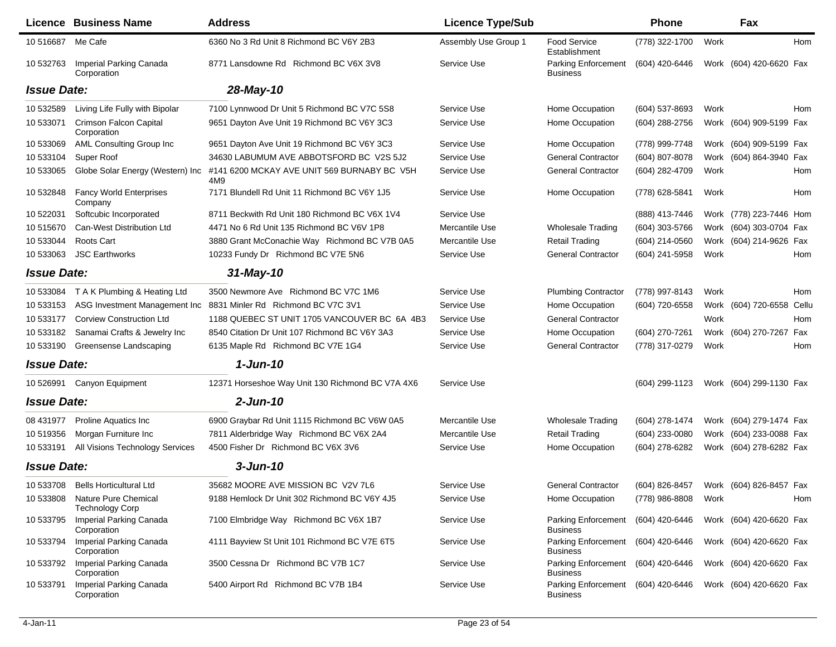|                    | <b>Licence Business Name</b>                             | <b>Address</b>                                     | <b>Licence Type/Sub</b> |                                                       | Phone          |      | Fax                       |     |
|--------------------|----------------------------------------------------------|----------------------------------------------------|-------------------------|-------------------------------------------------------|----------------|------|---------------------------|-----|
| 10 516687          | Me Cafe                                                  | 6360 No 3 Rd Unit 8 Richmond BC V6Y 2B3            | Assembly Use Group 1    | <b>Food Service</b><br>Establishment                  | (778) 322-1700 | Work |                           | Hom |
| 10 532763          | Imperial Parking Canada<br>Corporation                   | 8771 Lansdowne Rd Richmond BC V6X 3V8              | Service Use             | Parking Enforcement<br><b>Business</b>                | (604) 420-6446 |      | Work (604) 420-6620 Fax   |     |
| <b>Issue Date:</b> |                                                          | 28-May-10                                          |                         |                                                       |                |      |                           |     |
| 10 532589          | Living Life Fully with Bipolar                           | 7100 Lynnwood Dr Unit 5 Richmond BC V7C 5S8        | Service Use             | Home Occupation                                       | (604) 537-8693 | Work |                           | Hom |
| 10 533071          | <b>Crimson Falcon Capital</b><br>Corporation             | 9651 Dayton Ave Unit 19 Richmond BC V6Y 3C3        | Service Use             | Home Occupation                                       | (604) 288-2756 |      | Work (604) 909-5199 Fax   |     |
| 10 533069          | AML Consulting Group Inc                                 | 9651 Dayton Ave Unit 19 Richmond BC V6Y 3C3        | Service Use             | Home Occupation                                       | (778) 999-7748 |      | Work (604) 909-5199 Fax   |     |
| 10 533104          | Super Roof                                               | 34630 LABUMUM AVE ABBOTSFORD BC V2S 5J2            | Service Use             | <b>General Contractor</b>                             | (604) 807-8078 |      | Work (604) 864-3940 Fax   |     |
| 10 533065          | Globe Solar Energy (Western) Inc                         | #141 6200 MCKAY AVE UNIT 569 BURNABY BC V5H<br>4M9 | Service Use             | <b>General Contractor</b>                             | (604) 282-4709 | Work |                           | Hom |
| 10 532848          | <b>Fancy World Enterprises</b><br>Company                | 7171 Blundell Rd Unit 11 Richmond BC V6Y 1J5       | Service Use             | Home Occupation                                       | (778) 628-5841 | Work |                           | Hom |
| 10 522031          | Softcubic Incorporated                                   | 8711 Beckwith Rd Unit 180 Richmond BC V6X 1V4      | Service Use             |                                                       | (888) 413-7446 |      | Work (778) 223-7446 Hom   |     |
| 10 515670          | Can-West Distribution Ltd                                | 4471 No 6 Rd Unit 135 Richmond BC V6V 1P8          | Mercantile Use          | <b>Wholesale Trading</b>                              | (604) 303-5766 |      | Work (604) 303-0704 Fax   |     |
| 10 533044          | Roots Cart                                               | 3880 Grant McConachie Way Richmond BC V7B 0A5      | Mercantile Use          | <b>Retail Trading</b>                                 | (604) 214-0560 |      | Work (604) 214-9626 Fax   |     |
| 10 533063          | <b>JSC Earthworks</b>                                    | 10233 Fundy Dr Richmond BC V7E 5N6                 | Service Use             | <b>General Contractor</b>                             | (604) 241-5958 | Work |                           | Hom |
| <b>Issue Date:</b> |                                                          | $31$ -May-10                                       |                         |                                                       |                |      |                           |     |
| 10 533084          | T A K Plumbing & Heating Ltd                             | 3500 Newmore Ave Richmond BC V7C 1M6               | Service Use             | <b>Plumbing Contractor</b>                            | (778) 997-8143 | Work |                           | Hom |
| 10 533153          | ASG Investment Management Inc.                           | 8831 Minler Rd Richmond BC V7C 3V1                 | Service Use             | Home Occupation                                       | (604) 720-6558 |      | Work (604) 720-6558 Cellu |     |
| 10 533177          | <b>Corview Construction Ltd</b>                          | 1188 QUEBEC ST UNIT 1705 VANCOUVER BC 6A 4B3       | Service Use             | <b>General Contractor</b>                             |                | Work |                           | Hom |
| 10 533182          | Sanamai Crafts & Jewelry Inc                             | 8540 Citation Dr Unit 107 Richmond BC V6Y 3A3      | Service Use             | Home Occupation                                       | (604) 270-7261 |      | Work (604) 270-7267 Fax   |     |
| 10 533190          | Greensense Landscaping                                   | 6135 Maple Rd Richmond BC V7E 1G4                  | Service Use             | <b>General Contractor</b>                             | (778) 317-0279 | Work |                           | Hom |
| <b>Issue Date:</b> |                                                          | $1$ -Jun-10                                        |                         |                                                       |                |      |                           |     |
| 10 526991          | Canyon Equipment                                         | 12371 Horseshoe Way Unit 130 Richmond BC V7A 4X6   | Service Use             |                                                       | (604) 299-1123 |      | Work (604) 299-1130 Fax   |     |
| <b>Issue Date:</b> |                                                          | $2$ -Jun-10                                        |                         |                                                       |                |      |                           |     |
| 08 431977          | <b>Proline Aquatics Inc.</b>                             | 6900 Graybar Rd Unit 1115 Richmond BC V6W 0A5      | Mercantile Use          | <b>Wholesale Trading</b>                              | (604) 278-1474 |      | Work (604) 279-1474 Fax   |     |
| 10 519356          | Morgan Furniture Inc                                     | 7811 Alderbridge Way Richmond BC V6X 2A4           | Mercantile Use          | <b>Retail Trading</b>                                 | (604) 233-0080 |      | Work (604) 233-0088 Fax   |     |
| 10 533191          | All Visions Technology Services                          | 4500 Fisher Dr Richmond BC V6X 3V6                 | Service Use             | Home Occupation                                       | (604) 278-6282 |      | Work (604) 278-6282 Fax   |     |
| <b>Issue Date:</b> |                                                          | $3 - Jun-10$                                       |                         |                                                       |                |      |                           |     |
| 10 533708          | Bells Horticultural Ltd                                  | 35682 MOORE AVE MISSION BC V2V 7L6                 | Service Use             | <b>General Contractor</b>                             | (604) 826-8457 |      | Work (604) 826-8457 Fax   |     |
|                    | 10 533808 Nature Pure Chemical<br><b>Technology Corp</b> | 9188 Hemlock Dr Unit 302 Richmond BC V6Y 4J5       | Service Use             | Home Occupation                                       | (778) 986-8808 | Work |                           | Hom |
| 10 533795          | Imperial Parking Canada<br>Corporation                   | 7100 Elmbridge Way Richmond BC V6X 1B7             | Service Use             | Parking Enforcement<br><b>Business</b>                | (604) 420-6446 |      | Work (604) 420-6620 Fax   |     |
| 10 533794          | Imperial Parking Canada<br>Corporation                   | 4111 Bayview St Unit 101 Richmond BC V7E 6T5       | Service Use             | <b>Parking Enforcement</b><br><b>Business</b>         | (604) 420-6446 |      | Work (604) 420-6620 Fax   |     |
| 10 533792          | Imperial Parking Canada<br>Corporation                   | 3500 Cessna Dr Richmond BC V7B 1C7                 | Service Use             | Parking Enforcement<br><b>Business</b>                | (604) 420-6446 |      | Work (604) 420-6620 Fax   |     |
| 10 533791          | Imperial Parking Canada<br>Corporation                   | 5400 Airport Rd Richmond BC V7B 1B4                | Service Use             | Parking Enforcement (604) 420-6446<br><b>Business</b> |                |      | Work (604) 420-6620 Fax   |     |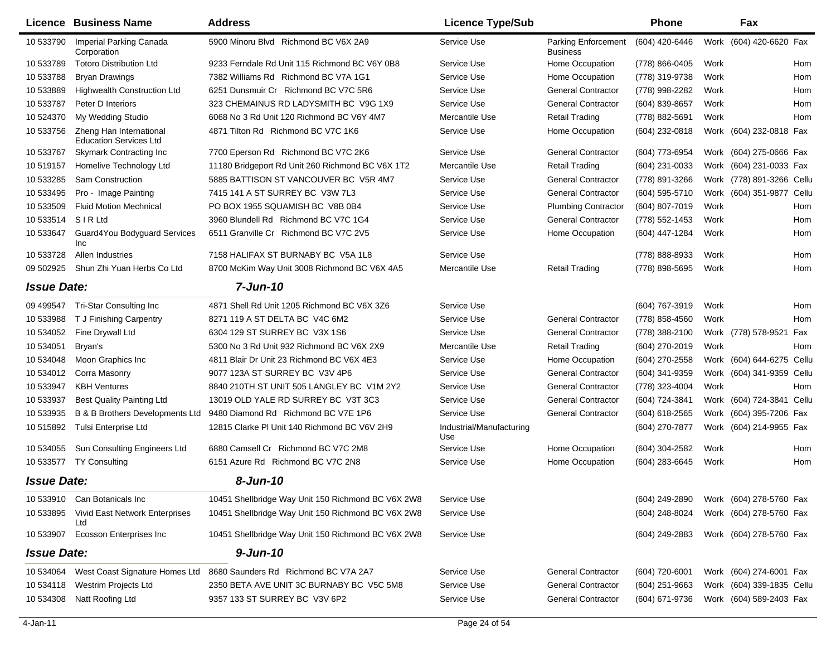|                    | Licence Business Name                                    | <b>Address</b>                                     | <b>Licence Type/Sub</b>         |                                               | <b>Phone</b>     |      | Fax                       |
|--------------------|----------------------------------------------------------|----------------------------------------------------|---------------------------------|-----------------------------------------------|------------------|------|---------------------------|
| 10 533790          | Imperial Parking Canada<br>Corporation                   | 5900 Minoru Blvd Richmond BC V6X 2A9               | Service Use                     | <b>Parking Enforcement</b><br><b>Business</b> | (604) 420-6446   |      | Work (604) 420-6620 Fax   |
| 10 533789          | <b>Totoro Distribution Ltd</b>                           | 9233 Ferndale Rd Unit 115 Richmond BC V6Y 0B8      | Service Use                     | Home Occupation                               | (778) 866-0405   | Work | Hom                       |
| 10 533788          | <b>Bryan Drawings</b>                                    | 7382 Williams Rd Richmond BC V7A 1G1               | Service Use                     | Home Occupation                               | (778) 319-9738   | Work | Hom                       |
| 10 533889          | <b>Highwealth Construction Ltd</b>                       | 6251 Dunsmuir Cr Richmond BC V7C 5R6               | Service Use                     | <b>General Contractor</b>                     | (778) 998-2282   | Work | Hom                       |
| 10 533787          | Peter D Interiors                                        | 323 CHEMAINUS RD LADYSMITH BC V9G 1X9              | Service Use                     | <b>General Contractor</b>                     | (604) 839-8657   | Work | Hom                       |
| 10 524370          | My Wedding Studio                                        | 6068 No 3 Rd Unit 120 Richmond BC V6Y 4M7          | Mercantile Use                  | <b>Retail Trading</b>                         | (778) 882-5691   | Work | Hom                       |
| 10 533756          | Zheng Han International<br><b>Education Services Ltd</b> | 4871 Tilton Rd Richmond BC V7C 1K6                 | Service Use                     | Home Occupation                               | (604) 232-0818   |      | Work (604) 232-0818 Fax   |
| 10 533767          | <b>Skymark Contracting Inc</b>                           | 7700 Eperson Rd Richmond BC V7C 2K6                | Service Use                     | <b>General Contractor</b>                     | (604) 773-6954   |      | Work (604) 275-0666 Fax   |
| 10 519157          | Homelive Technology Ltd                                  | 11180 Bridgeport Rd Unit 260 Richmond BC V6X 1T2   | Mercantile Use                  | <b>Retail Trading</b>                         | (604) 231-0033   |      | Work (604) 231-0033 Fax   |
| 10 533285          | Sam Construction                                         | 5885 BATTISON ST VANCOUVER BC V5R 4M7              | Service Use                     | <b>General Contractor</b>                     | (778) 891-3266   |      | Work (778) 891-3266 Cellu |
| 10 533495          | Pro - Image Painting                                     | 7415 141 A ST SURREY BC V3W 7L3                    | Service Use                     | <b>General Contractor</b>                     | (604) 595-5710   |      | Work (604) 351-9877 Cellu |
| 10 533509          | <b>Fluid Motion Mechnical</b>                            | PO BOX 1955 SQUAMISH BC V8B 0B4                    | Service Use                     | <b>Plumbing Contractor</b>                    | (604) 807-7019   | Work | Hom                       |
| 10 533514          | <b>SIRLtd</b>                                            | 3960 Blundell Rd Richmond BC V7C 1G4               | Service Use                     | <b>General Contractor</b>                     | (778) 552-1453   | Work | Hom                       |
| 10 533647          | Guard4You Bodyquard Services<br>Inc                      | 6511 Granville Cr Richmond BC V7C 2V5              | Service Use                     | Home Occupation                               | (604) 447-1284   | Work | Hom                       |
| 10 533728          | Allen Industries                                         | 7158 HALIFAX ST BURNABY BC V5A 1L8                 | Service Use                     |                                               | (778) 888-8933   | Work | Hom                       |
| 09 502925          | Shun Zhi Yuan Herbs Co Ltd                               | 8700 McKim Way Unit 3008 Richmond BC V6X 4A5       | Mercantile Use                  | <b>Retail Trading</b>                         | (778) 898-5695   | Work | Hom                       |
| <b>Issue Date:</b> |                                                          | 7-Jun-10                                           |                                 |                                               |                  |      |                           |
| 09 49 9547         | Tri-Star Consulting Inc                                  | 4871 Shell Rd Unit 1205 Richmond BC V6X 3Z6        | Service Use                     |                                               | (604) 767-3919   | Work | Hom                       |
| 10 533988          | T J Finishing Carpentry                                  | 8271 119 A ST DELTA BC V4C 6M2                     | Service Use                     | <b>General Contractor</b>                     | (778) 858-4560   | Work | Hom                       |
| 10 534052          | Fine Drywall Ltd                                         | 6304 129 ST SURREY BC V3X 1S6                      | Service Use                     | <b>General Contractor</b>                     | (778) 388-2100   |      | Work (778) 578-9521 Fax   |
| 10 534051          | Bryan's                                                  | 5300 No 3 Rd Unit 932 Richmond BC V6X 2X9          | Mercantile Use                  | <b>Retail Trading</b>                         | (604) 270-2019   | Work | Hom                       |
| 10 534048          | Moon Graphics Inc                                        | 4811 Blair Dr Unit 23 Richmond BC V6X 4E3          | Service Use                     | Home Occupation                               | (604) 270-2558   |      | Work (604) 644-6275 Cellu |
| 10 534012          | Corra Masonry                                            | 9077 123A ST SURREY BC V3V 4P6                     | Service Use                     | <b>General Contractor</b>                     | (604) 341-9359   |      | Work (604) 341-9359 Cellu |
| 10 533947          | <b>KBH Ventures</b>                                      | 8840 210TH ST UNIT 505 LANGLEY BC V1M 2Y2          | Service Use                     | <b>General Contractor</b>                     | (778) 323-4004   | Work | Hom                       |
| 10 533937          | <b>Best Quality Painting Ltd</b>                         | 13019 OLD YALE RD SURREY BC V3T 3C3                | Service Use                     | <b>General Contractor</b>                     | (604) 724-3841   |      | Work (604) 724-3841 Cellu |
| 10 533935          | B & B Brothers Developments Ltd                          | 9480 Diamond Rd Richmond BC V7E 1P6                | Service Use                     | <b>General Contractor</b>                     | (604) 618-2565   |      | Work (604) 395-7206 Fax   |
| 10 515892          | Tulsi Enterprise Ltd                                     | 12815 Clarke PI Unit 140 Richmond BC V6V 2H9       | Industrial/Manufacturing<br>Use |                                               | (604) 270-7877   |      | Work (604) 214-9955 Fax   |
| 10 534055          | Sun Consulting Engineers Ltd                             | 6880 Camsell Cr Richmond BC V7C 2M8                | Service Use                     | Home Occupation                               | (604) 304-2582   | Work | Hom                       |
| 10 533577          | <b>TY Consulting</b>                                     | 6151 Azure Rd Richmond BC V7C 2N8                  | Service Use                     | Home Occupation                               | (604) 283-6645   | Work | Hom                       |
| <b>Issue Date:</b> |                                                          | 8-Jun-10                                           |                                 |                                               |                  |      |                           |
|                    | 10 533910 Can Botanicals Inc                             | 10451 Shellbridge Way Unit 150 Richmond BC V6X 2W8 | Service Use                     |                                               | (604) 249-2890   |      | Work (604) 278-5760 Fax   |
| 10 533895          | Vivid East Network Enterprises<br>Ltd                    | 10451 Shellbridge Way Unit 150 Richmond BC V6X 2W8 | Service Use                     |                                               | (604) 248-8024   |      | Work (604) 278-5760 Fax   |
| 10 533907          | <b>Ecosson Enterprises Inc</b>                           | 10451 Shellbridge Way Unit 150 Richmond BC V6X 2W8 | Service Use                     |                                               | (604) 249-2883   |      | Work (604) 278-5760 Fax   |
| <b>Issue Date:</b> |                                                          | $9 - Jun-10$                                       |                                 |                                               |                  |      |                           |
| 10 534064          | West Coast Signature Homes Ltd                           | 8680 Saunders Rd Richmond BC V7A 2A7               | Service Use                     | <b>General Contractor</b>                     | (604) 720-6001   |      | Work (604) 274-6001 Fax   |
| 10 534118          | Westrim Projects Ltd                                     | 2350 BETA AVE UNIT 3C BURNABY BC V5C 5M8           | Service Use                     | <b>General Contractor</b>                     | $(604)$ 251-9663 |      | Work (604) 339-1835 Cellu |
| 10 534308          | Natt Roofing Ltd                                         | 9357 133 ST SURREY BC V3V 6P2                      | Service Use                     | <b>General Contractor</b>                     | (604) 671-9736   |      | Work (604) 589-2403 Fax   |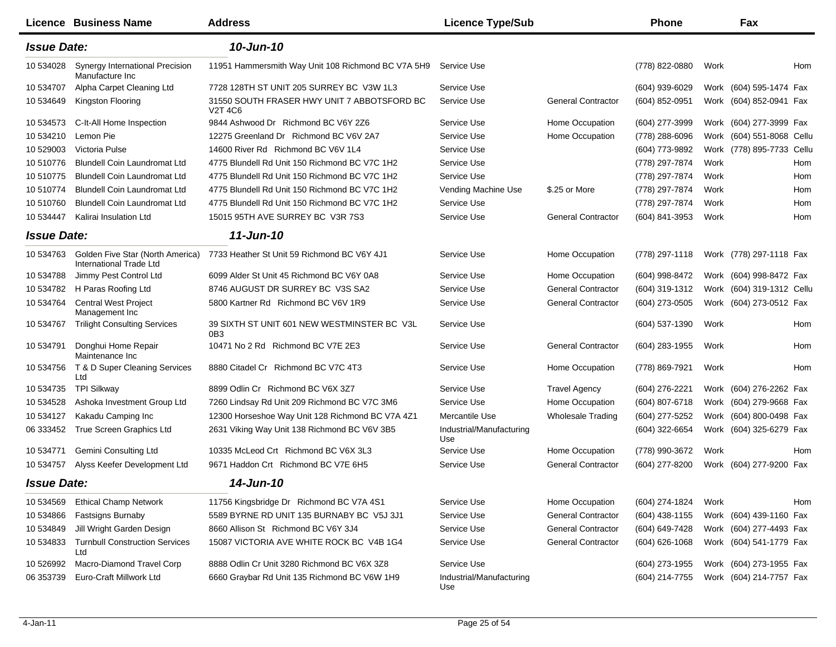|                    | Licence Business Name                                       | <b>Address</b>                                                | <b>Licence Type/Sub</b>         |                           | <b>Phone</b>     |      | Fax                       |     |
|--------------------|-------------------------------------------------------------|---------------------------------------------------------------|---------------------------------|---------------------------|------------------|------|---------------------------|-----|
| <b>Issue Date:</b> |                                                             | 10-Jun-10                                                     |                                 |                           |                  |      |                           |     |
| 10 534028          | Synergy International Precision<br>Manufacture Inc.         | 11951 Hammersmith Way Unit 108 Richmond BC V7A 5H9            | Service Use                     |                           | (778) 822-0880   | Work |                           | Hom |
| 10 534707          | Alpha Carpet Cleaning Ltd                                   | 7728 128TH ST UNIT 205 SURREY BC V3W 1L3                      | Service Use                     |                           | (604) 939-6029   |      | Work (604) 595-1474 Fax   |     |
| 10 534649          | Kingston Flooring                                           | 31550 SOUTH FRASER HWY UNIT 7 ABBOTSFORD BC<br><b>V2T 4C6</b> | Service Use                     | <b>General Contractor</b> | (604) 852-0951   |      | Work (604) 852-0941 Fax   |     |
| 10 534573          | C-It-All Home Inspection                                    | 9844 Ashwood Dr Richmond BC V6Y 2Z6                           | Service Use                     | Home Occupation           | (604) 277-3999   |      | Work (604) 277-3999 Fax   |     |
| 10 534210          | Lemon Pie                                                   | 12275 Greenland Dr Richmond BC V6V 2A7                        | Service Use                     | Home Occupation           | (778) 288-6096   | Work | (604) 551-8068 Cellu      |     |
| 10 529003          | Victoria Pulse                                              | 14600 River Rd Richmond BC V6V 1L4                            | Service Use                     |                           | (604) 773-9892   |      | Work (778) 895-7733 Cellu |     |
| 10 510776          | Blundell Coin Laundromat Ltd                                | 4775 Blundell Rd Unit 150 Richmond BC V7C 1H2                 | Service Use                     |                           | (778) 297-7874   | Work |                           | Hom |
| 10 510775          | Blundell Coin Laundromat Ltd                                | 4775 Blundell Rd Unit 150 Richmond BC V7C 1H2                 | Service Use                     |                           | (778) 297-7874   | Work |                           | Hom |
| 10 510774          | Blundell Coin Laundromat Ltd                                | 4775 Blundell Rd Unit 150 Richmond BC V7C 1H2                 | Vending Machine Use             | \$.25 or More             | (778) 297-7874   | Work |                           | Hom |
| 10 510760          | Blundell Coin Laundromat Ltd                                | 4775 Blundell Rd Unit 150 Richmond BC V7C 1H2                 | Service Use                     |                           | (778) 297-7874   | Work |                           | Hom |
| 10 534447          | Kalirai Insulation Ltd                                      | 15015 95TH AVE SURREY BC V3R 7S3                              | Service Use                     | <b>General Contractor</b> | (604) 841-3953   | Work |                           | Hom |
| <b>Issue Date:</b> |                                                             | 11-Jun-10                                                     |                                 |                           |                  |      |                           |     |
| 10 534763          | Golden Five Star (North America)<br>International Trade Ltd | 7733 Heather St Unit 59 Richmond BC V6Y 4J1                   | Service Use                     | Home Occupation           | (778) 297-1118   |      | Work (778) 297-1118 Fax   |     |
| 10 534788          | Jimmy Pest Control Ltd                                      | 6099 Alder St Unit 45 Richmond BC V6Y 0A8                     | Service Use                     | Home Occupation           | (604) 998-8472   |      | Work (604) 998-8472 Fax   |     |
| 10 534782          | H Paras Roofing Ltd                                         | 8746 AUGUST DR SURREY BC V3S SA2                              | Service Use                     | <b>General Contractor</b> | (604) 319-1312   |      | Work (604) 319-1312 Cellu |     |
| 10 534764          | <b>Central West Project</b><br>Management Inc               | 5800 Kartner Rd Richmond BC V6V 1R9                           | Service Use                     | <b>General Contractor</b> | (604) 273-0505   |      | Work (604) 273-0512 Fax   |     |
| 10 534767          | <b>Trilight Consulting Services</b>                         | 39 SIXTH ST UNIT 601 NEW WESTMINSTER BC V3L<br>0B3            | Service Use                     |                           | (604) 537-1390   | Work |                           | Hom |
| 10 534791          | Donghui Home Repair<br>Maintenance Inc                      | 10471 No 2 Rd Richmond BC V7E 2E3                             | Service Use                     | <b>General Contractor</b> | $(604)$ 283-1955 | Work |                           | Hom |
| 10 534756          | T & D Super Cleaning Services<br>Ltd                        | 8880 Citadel Cr Richmond BC V7C 4T3                           | Service Use                     | Home Occupation           | (778) 869-7921   | Work |                           | Hom |
| 10 534735          | <b>TPI Silkway</b>                                          | 8899 Odlin Cr Richmond BC V6X 3Z7                             | Service Use                     | <b>Travel Agency</b>      | (604) 276-2221   |      | Work (604) 276-2262 Fax   |     |
| 10 534528          | Ashoka Investment Group Ltd                                 | 7260 Lindsay Rd Unit 209 Richmond BC V7C 3M6                  | Service Use                     | Home Occupation           | (604) 807-6718   |      | Work (604) 279-9668 Fax   |     |
| 10 534127          | Kakadu Camping Inc                                          | 12300 Horseshoe Way Unit 128 Richmond BC V7A 4Z1              | Mercantile Use                  | Wholesale Trading         | (604) 277-5252   |      | Work (604) 800-0498 Fax   |     |
| 06 333452          | True Screen Graphics Ltd                                    | 2631 Viking Way Unit 138 Richmond BC V6V 3B5                  | Industrial/Manufacturing<br>Use |                           | (604) 322-6654   |      | Work (604) 325-6279 Fax   |     |
| 10 534771          | Gemini Consulting Ltd                                       | 10335 McLeod Crt Richmond BC V6X 3L3                          | Service Use                     | Home Occupation           | (778) 990-3672   | Work |                           | Hom |
| 10 534757          | Alyss Keefer Development Ltd                                | 9671 Haddon Crt Richmond BC V7E 6H5                           | Service Use                     | <b>General Contractor</b> | (604) 277-8200   | Work | (604) 277-9200 Fax        |     |
| <b>Issue Date:</b> |                                                             | 14-Jun-10                                                     |                                 |                           |                  |      |                           |     |
| 10 534569          | <b>Ethical Champ Network</b>                                | 11756 Kingsbridge Dr Richmond BC V7A 4S1                      | Service Use                     | Home Occupation           | (604) 274-1824   | Work |                           | Hom |
| 10 534866          | <b>Fastsigns Burnaby</b>                                    | 5589 BYRNE RD UNIT 135 BURNABY BC V5J 3J1                     | Service Use                     | <b>General Contractor</b> | $(604)$ 438-1155 |      | Work (604) 439-1160 Fax   |     |
| 10 534849          | Jill Wright Garden Design                                   | 8660 Allison St Richmond BC V6Y 3J4                           | Service Use                     | <b>General Contractor</b> | (604) 649-7428   |      | Work (604) 277-4493 Fax   |     |
| 10 534833          | <b>Turnbull Construction Services</b><br>Ltd                | 15087 VICTORIA AVE WHITE ROCK BC V4B 1G4                      | Service Use                     | <b>General Contractor</b> | (604) 626-1068   |      | Work (604) 541-1779 Fax   |     |
| 10 526992          | Macro-Diamond Travel Corp                                   | 8888 Odlin Cr Unit 3280 Richmond BC V6X 3Z8                   | Service Use                     |                           | (604) 273-1955   |      | Work (604) 273-1955 Fax   |     |
| 06 353739          | Euro-Craft Millwork Ltd                                     | 6660 Graybar Rd Unit 135 Richmond BC V6W 1H9                  | Industrial/Manufacturing<br>Use |                           | (604) 214-7755   |      | Work (604) 214-7757 Fax   |     |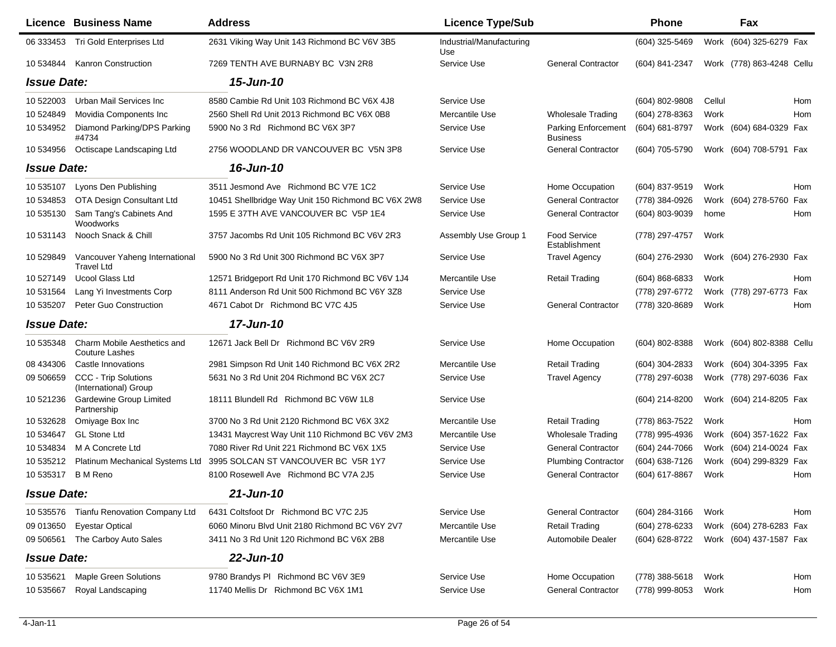|                    | Licence Business Name                                | <b>Address</b>                                     | <b>Licence Type/Sub</b>         |                                               | Phone          |        | Fax                       |     |
|--------------------|------------------------------------------------------|----------------------------------------------------|---------------------------------|-----------------------------------------------|----------------|--------|---------------------------|-----|
| 06 333453          | Tri Gold Enterprises Ltd                             | 2631 Viking Way Unit 143 Richmond BC V6V 3B5       | Industrial/Manufacturing<br>Use |                                               | (604) 325-5469 |        | Work (604) 325-6279 Fax   |     |
| 10 534844          | <b>Kanron Construction</b>                           | 7269 TENTH AVE BURNABY BC V3N 2R8                  | Service Use                     | <b>General Contractor</b>                     | (604) 841-2347 |        | Work (778) 863-4248 Cellu |     |
| <b>Issue Date:</b> |                                                      | 15-Jun-10                                          |                                 |                                               |                |        |                           |     |
| 10 522003          | Urban Mail Services Inc                              | 8580 Cambie Rd Unit 103 Richmond BC V6X 4J8        | Service Use                     |                                               | (604) 802-9808 | Cellul |                           | Hom |
| 10 524849          | Movidia Components Inc                               | 2560 Shell Rd Unit 2013 Richmond BC V6X 0B8        | Mercantile Use                  | <b>Wholesale Trading</b>                      | (604) 278-8363 | Work   |                           | Hom |
| 10 534952          | Diamond Parking/DPS Parking<br>#4734                 | 5900 No 3 Rd Richmond BC V6X 3P7                   | Service Use                     | <b>Parking Enforcement</b><br><b>Business</b> | (604) 681-8797 |        | Work (604) 684-0329 Fax   |     |
| 10 534956          | Octiscape Landscaping Ltd                            | 2756 WOODLAND DR VANCOUVER BC V5N 3P8              | Service Use                     | <b>General Contractor</b>                     | (604) 705-5790 |        | Work (604) 708-5791 Fax   |     |
| <b>Issue Date:</b> |                                                      | 16-Jun-10                                          |                                 |                                               |                |        |                           |     |
| 10 535107          | Lyons Den Publishing                                 | 3511 Jesmond Ave Richmond BC V7E 1C2               | Service Use                     | Home Occupation                               | (604) 837-9519 | Work   |                           | Hom |
| 10 534853          | OTA Design Consultant Ltd                            | 10451 Shellbridge Way Unit 150 Richmond BC V6X 2W8 | Service Use                     | <b>General Contractor</b>                     | (778) 384-0926 |        | Work (604) 278-5760 Fax   |     |
| 10 535130          | Sam Tang's Cabinets And<br>Woodworks                 | 1595 E 37TH AVE VANCOUVER BC V5P 1E4               | Service Use                     | <b>General Contractor</b>                     | (604) 803-9039 | home   |                           | Hom |
| 10 531143          | Nooch Snack & Chill                                  | 3757 Jacombs Rd Unit 105 Richmond BC V6V 2R3       | Assembly Use Group 1            | <b>Food Service</b><br>Establishment          | (778) 297-4757 | Work   |                           |     |
| 10 529849          | Vancouver Yaheng International<br><b>Travel Ltd</b>  | 5900 No 3 Rd Unit 300 Richmond BC V6X 3P7          | Service Use                     | <b>Travel Agency</b>                          | (604) 276-2930 |        | Work (604) 276-2930 Fax   |     |
| 10 527149          | <b>Ucool Glass Ltd</b>                               | 12571 Bridgeport Rd Unit 170 Richmond BC V6V 1J4   | Mercantile Use                  | <b>Retail Trading</b>                         | (604) 868-6833 | Work   |                           | Hom |
| 10 531564          | Lang Yi Investments Corp                             | 8111 Anderson Rd Unit 500 Richmond BC V6Y 3Z8      | Service Use                     |                                               | (778) 297-6772 |        | Work (778) 297-6773 Fax   |     |
| 10 535207          | Peter Guo Construction                               | 4671 Cabot Dr Richmond BC V7C 4J5                  | Service Use                     | <b>General Contractor</b>                     | (778) 320-8689 | Work   |                           | Hom |
| <b>Issue Date:</b> |                                                      | 17-Jun-10                                          |                                 |                                               |                |        |                           |     |
| 10 535348          | Charm Mobile Aesthetics and<br><b>Couture Lashes</b> | 12671 Jack Bell Dr Richmond BC V6V 2R9             | Service Use                     | Home Occupation                               | (604) 802-8388 |        | Work (604) 802-8388 Cellu |     |
| 08 434306          | Castle Innovations                                   | 2981 Simpson Rd Unit 140 Richmond BC V6X 2R2       | Mercantile Use                  | <b>Retail Trading</b>                         | (604) 304-2833 |        | Work (604) 304-3395 Fax   |     |
| 09 506659          | CCC - Trip Solutions<br>(International) Group        | 5631 No 3 Rd Unit 204 Richmond BC V6X 2C7          | Service Use                     | <b>Travel Agency</b>                          | (778) 297-6038 |        | Work (778) 297-6036 Fax   |     |
| 10 521236          | <b>Gardewine Group Limited</b><br>Partnership        | 18111 Blundell Rd Richmond BC V6W 1L8              | Service Use                     |                                               | (604) 214-8200 |        | Work (604) 214-8205 Fax   |     |
| 10 532628          | Omiyage Box Inc                                      | 3700 No 3 Rd Unit 2120 Richmond BC V6X 3X2         | Mercantile Use                  | <b>Retail Trading</b>                         | (778) 863-7522 | Work   |                           | Hom |
| 10 534647          | <b>GL Stone Ltd</b>                                  | 13431 Maycrest Way Unit 110 Richmond BC V6V 2M3    | Mercantile Use                  | <b>Wholesale Trading</b>                      | (778) 995-4936 |        | Work (604) 357-1622 Fax   |     |
| 10 534834          | M A Concrete Ltd                                     | 7080 River Rd Unit 221 Richmond BC V6X 1X5         | Service Use                     | <b>General Contractor</b>                     | (604) 244-7066 |        | Work (604) 214-0024 Fax   |     |
| 10 535212          | Platinum Mechanical Systems Ltd                      | 3995 SOLCAN ST VANCOUVER BC V5R 1Y7                | Service Use                     | <b>Plumbing Contractor</b>                    | (604) 638-7126 |        | Work (604) 299-8329 Fax   |     |
| 10 535317          | <b>B</b> M Reno                                      | 8100 Rosewell Ave Richmond BC V7A 2J5              | Service Use                     | <b>General Contractor</b>                     | (604) 617-8867 | Work   |                           | Hom |
| <b>Issue Date:</b> |                                                      | 21-Jun-10                                          |                                 |                                               |                |        |                           |     |
| 10 535576          | Tianfu Renovation Company Ltd                        | 6431 Coltsfoot Dr Richmond BC V7C 2J5              | Service Use                     | <b>General Contractor</b>                     | (604) 284-3166 | Work   |                           | Hom |
| 09 013650          | <b>Eyestar Optical</b>                               | 6060 Minoru Blvd Unit 2180 Richmond BC V6Y 2V7     | Mercantile Use                  | <b>Retail Trading</b>                         | (604) 278-6233 |        | Work (604) 278-6283 Fax   |     |
| 09 506561          | The Carboy Auto Sales                                | 3411 No 3 Rd Unit 120 Richmond BC V6X 2B8          | Mercantile Use                  | Automobile Dealer                             | (604) 628-8722 |        | Work (604) 437-1587 Fax   |     |
| <b>Issue Date:</b> |                                                      | $22$ -Jun-10                                       |                                 |                                               |                |        |                           |     |
| 10 535621          | <b>Maple Green Solutions</b>                         | 9780 Brandys PI Richmond BC V6V 3E9                | Service Use                     | Home Occupation                               | (778) 388-5618 | Work   |                           | Hom |
| 10 535667          | Royal Landscaping                                    | 11740 Mellis Dr Richmond BC V6X 1M1                | Service Use                     | <b>General Contractor</b>                     | (778) 999-8053 | Work   |                           | Hom |
|                    |                                                      |                                                    |                                 |                                               |                |        |                           |     |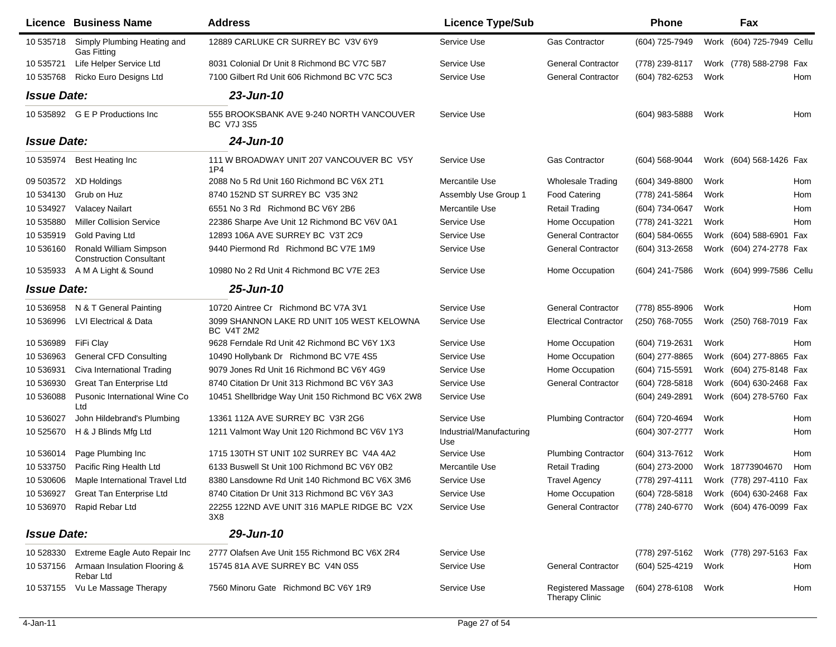|                    | <b>Licence Business Name</b>                             | <b>Address</b>                                                  | <b>Licence Type/Sub</b>         |                                             | <b>Phone</b>   |      | Fax                       |            |
|--------------------|----------------------------------------------------------|-----------------------------------------------------------------|---------------------------------|---------------------------------------------|----------------|------|---------------------------|------------|
| 10 535718          | Simply Plumbing Heating and<br><b>Gas Fitting</b>        | 12889 CARLUKE CR SURREY BC V3V 6Y9                              | Service Use                     | <b>Gas Contractor</b>                       | (604) 725-7949 |      | Work (604) 725-7949 Cellu |            |
| 10 535721          | Life Helper Service Ltd                                  | 8031 Colonial Dr Unit 8 Richmond BC V7C 5B7                     | Service Use                     | <b>General Contractor</b>                   | (778) 239-8117 |      | Work (778) 588-2798 Fax   |            |
| 10 535768          | Ricko Euro Designs Ltd                                   | 7100 Gilbert Rd Unit 606 Richmond BC V7C 5C3                    | Service Use                     | <b>General Contractor</b>                   | (604) 782-6253 | Work |                           | Hom        |
| <b>Issue Date:</b> |                                                          | 23-Jun-10                                                       |                                 |                                             |                |      |                           |            |
| 10 535892          | <b>G E P Productions Inc</b>                             | 555 BROOKSBANK AVE 9-240 NORTH VANCOUVER<br>BC V7J 3S5          | Service Use                     |                                             | (604) 983-5888 | Work |                           | Hom        |
| <b>Issue Date:</b> |                                                          | 24-Jun-10                                                       |                                 |                                             |                |      |                           |            |
| 10 535974          | Best Heating Inc                                         | 111 W BROADWAY UNIT 207 VANCOUVER BC V5Y<br>1P <sub>4</sub>     | Service Use                     | <b>Gas Contractor</b>                       | (604) 568-9044 |      | Work (604) 568-1426 Fax   |            |
| 09 503572          | XD Holdings                                              | 2088 No 5 Rd Unit 160 Richmond BC V6X 2T1                       | Mercantile Use                  | <b>Wholesale Trading</b>                    | (604) 349-8800 | Work |                           | Hom        |
| 10 534130          | Grub on Huz                                              | 8740 152ND ST SURREY BC V35 3N2                                 | Assembly Use Group 1            | <b>Food Catering</b>                        | (778) 241-5864 | Work |                           | Hom        |
| 10 534927          | <b>Valacey Nailart</b>                                   | 6551 No 3 Rd Richmond BC V6Y 2B6                                | Mercantile Use                  | <b>Retail Trading</b>                       | (604) 734-0647 | Work |                           | <b>Hom</b> |
| 10 535880          | <b>Miller Collision Service</b>                          | 22386 Sharpe Ave Unit 12 Richmond BC V6V 0A1                    | Service Use                     | Home Occupation                             | (778) 241-3221 | Work |                           | Hom        |
| 10 535919          | <b>Gold Paving Ltd</b>                                   | 12893 106A AVE SURREY BC V3T 2C9                                | Service Use                     | <b>General Contractor</b>                   | (604) 584-0655 |      | Work (604) 588-6901 Fax   |            |
| 10 536160          | Ronald William Simpson<br><b>Construction Consultant</b> | 9440 Piermond Rd Richmond BC V7E 1M9                            | Service Use                     | <b>General Contractor</b>                   | (604) 313-2658 |      | Work (604) 274-2778 Fax   |            |
| 10 535933          | A M A Light & Sound                                      | 10980 No 2 Rd Unit 4 Richmond BC V7E 2E3                        | Service Use                     | Home Occupation                             | (604) 241-7586 |      | Work (604) 999-7586 Cellu |            |
| <b>Issue Date:</b> |                                                          | 25-Jun-10                                                       |                                 |                                             |                |      |                           |            |
| 10 536958          | N & T General Painting                                   | 10720 Aintree Cr Richmond BC V7A 3V1                            | Service Use                     | <b>General Contractor</b>                   | (778) 855-8906 | Work |                           | <b>Hom</b> |
| 10 536996          | LVI Electrical & Data                                    | 3099 SHANNON LAKE RD UNIT 105 WEST KELOWNA<br><b>BC V4T 2M2</b> | Service Use                     | <b>Electrical Contractor</b>                | (250) 768-7055 |      | Work (250) 768-7019 Fax   |            |
| 10 536989          | FiFi Clay                                                | 9628 Ferndale Rd Unit 42 Richmond BC V6Y 1X3                    | Service Use                     | Home Occupation                             | (604) 719-2631 | Work |                           | Hom        |
| 10 536963          | <b>General CFD Consulting</b>                            | 10490 Hollybank Dr Richmond BC V7E 4S5                          | Service Use                     | Home Occupation                             | (604) 277-8865 | Work | (604) 277-8865 Fax        |            |
| 10 536931          | Civa International Trading                               | 9079 Jones Rd Unit 16 Richmond BC V6Y 4G9                       | Service Use                     | Home Occupation                             | (604) 715-5591 | Work | (604) 275-8148 Fax        |            |
| 10 536930          | Great Tan Enterprise Ltd                                 | 8740 Citation Dr Unit 313 Richmond BC V6Y 3A3                   | Service Use                     | <b>General Contractor</b>                   | (604) 728-5818 | Work | (604) 630-2468 Fax        |            |
| 10 536088          | Pusonic International Wine Co<br>Ltd                     | 10451 Shellbridge Way Unit 150 Richmond BC V6X 2W8              | Service Use                     |                                             | (604) 249-2891 |      | Work (604) 278-5760 Fax   |            |
| 10 536027          | John Hildebrand's Plumbing                               | 13361 112A AVE SURREY BC V3R 2G6                                | Service Use                     | <b>Plumbing Contractor</b>                  | (604) 720-4694 | Work |                           | Hom        |
| 10 525670          | H & J Blinds Mfg Ltd                                     | 1211 Valmont Way Unit 120 Richmond BC V6V 1Y3                   | Industrial/Manufacturing<br>Use |                                             | (604) 307-2777 | Work |                           | Hom        |
| 10 536014          | Page Plumbing Inc                                        | 1715 130TH ST UNIT 102 SURREY BC V4A 4A2                        | Service Use                     | <b>Plumbing Contractor</b>                  | (604) 313-7612 | Work |                           | Hom        |
| 10 533750          | Pacific Ring Health Ltd                                  | 6133 Buswell St Unit 100 Richmond BC V6Y 0B2                    | Mercantile Use                  | <b>Retail Trading</b>                       | (604) 273-2000 |      | Work 18773904670          | Hom        |
| 10 530606          | Maple International Travel Ltd                           | 8380 Lansdowne Rd Unit 140 Richmond BC V6X 3M6                  | Service Use                     | <b>Travel Agency</b>                        | (778) 297-4111 |      | Work (778) 297-4110 Fax   |            |
| 10 536927          | Great Tan Enterprise Ltd                                 | 8740 Citation Dr Unit 313 Richmond BC V6Y 3A3                   | Service Use                     | Home Occupation                             | (604) 728-5818 |      | Work (604) 630-2468 Fax   |            |
| 10 536970          | Rapid Rebar Ltd                                          | 22255 122ND AVE UNIT 316 MAPLE RIDGE BC V2X<br>3X8              | Service Use                     | <b>General Contractor</b>                   | (778) 240-6770 |      | Work (604) 476-0099 Fax   |            |
| <b>Issue Date:</b> |                                                          | 29-Jun-10                                                       |                                 |                                             |                |      |                           |            |
| 10 528330          | Extreme Eagle Auto Repair Inc                            | 2777 Olafsen Ave Unit 155 Richmond BC V6X 2R4                   | Service Use                     |                                             | (778) 297-5162 |      | Work (778) 297-5163 Fax   |            |
| 10 537156          | Armaan Insulation Flooring &<br>Rebar Ltd                | 15745 81A AVE SURREY BC V4N 0S5                                 | Service Use                     | <b>General Contractor</b>                   | (604) 525-4219 | Work |                           | Hom        |
| 10 537155          | Vu Le Massage Therapy                                    | 7560 Minoru Gate Richmond BC V6Y 1R9                            | Service Use                     | <b>Registered Massage</b><br>Therapy Clinic | (604) 278-6108 | Work |                           | Hom        |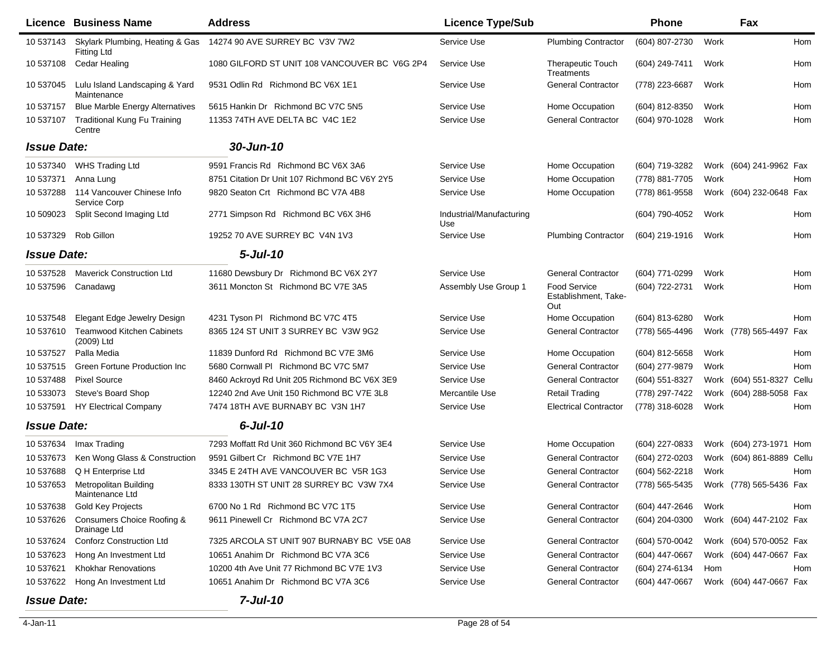|                    | <b>Licence Business Name</b>                          | <b>Address</b>                                | <b>Licence Type/Sub</b>         |                                                    | <b>Phone</b>     |      | Fax                       |            |
|--------------------|-------------------------------------------------------|-----------------------------------------------|---------------------------------|----------------------------------------------------|------------------|------|---------------------------|------------|
| 10 537143          | Skylark Plumbing, Heating & Gas<br><b>Fitting Ltd</b> | 14274 90 AVE SURREY BC V3V 7W2                | Service Use                     | <b>Plumbing Contractor</b>                         | (604) 807-2730   | Work |                           | Hom        |
| 10 537108          | <b>Cedar Healing</b>                                  | 1080 GILFORD ST UNIT 108 VANCOUVER BC V6G 2P4 | Service Use                     | <b>Therapeutic Touch</b><br>Treatments             | (604) 249-7411   | Work |                           | Hom        |
| 10 537045          | Lulu Island Landscaping & Yard<br>Maintenance         | 9531 Odlin Rd Richmond BC V6X 1E1             | Service Use                     | <b>General Contractor</b>                          | (778) 223-6687   | Work |                           | Hom        |
| 10 537157          | <b>Blue Marble Energy Alternatives</b>                | 5615 Hankin Dr Richmond BC V7C 5N5            | Service Use                     | Home Occupation                                    | (604) 812-8350   | Work |                           | Hom        |
| 10 537107          | <b>Traditional Kung Fu Training</b><br>Centre         | 11353 74TH AVE DELTA BC V4C 1E2               | Service Use                     | <b>General Contractor</b>                          | (604) 970-1028   | Work |                           | Hom        |
| <b>Issue Date:</b> |                                                       | 30-Jun-10                                     |                                 |                                                    |                  |      |                           |            |
| 10 537340          | <b>WHS Trading Ltd</b>                                | 9591 Francis Rd Richmond BC V6X 3A6           | Service Use                     | Home Occupation                                    | (604) 719-3282   |      | Work (604) 241-9962 Fax   |            |
| 10 537371          | Anna Lung                                             | 8751 Citation Dr Unit 107 Richmond BC V6Y 2Y5 | Service Use                     | Home Occupation                                    | (778) 881-7705   | Work |                           | Hom        |
| 10 537288          | 114 Vancouver Chinese Info<br>Service Corp            | 9820 Seaton Crt Richmond BC V7A 4B8           | Service Use                     | Home Occupation                                    | (778) 861-9558   |      | Work (604) 232-0648 Fax   |            |
| 10 509023          | Split Second Imaging Ltd                              | 2771 Simpson Rd Richmond BC V6X 3H6           | Industrial/Manufacturing<br>Use |                                                    | (604) 790-4052   | Work |                           | Hom        |
| 10 537329          | Rob Gillon                                            | 19252 70 AVE SURREY BC V4N 1V3                | Service Use                     | <b>Plumbing Contractor</b>                         | (604) 219-1916   | Work |                           | Hom        |
| <b>Issue Date:</b> |                                                       | $5 -$ Jul $-10$                               |                                 |                                                    |                  |      |                           |            |
| 10 537528          | <b>Maverick Construction Ltd</b>                      | 11680 Dewsbury Dr Richmond BC V6X 2Y7         | Service Use                     | <b>General Contractor</b>                          | (604) 771-0299   | Work |                           | Hom        |
| 10 537596          | Canadawg                                              | 3611 Moncton St Richmond BC V7E 3A5           | Assembly Use Group 1            | <b>Food Service</b><br>Establishment, Take-<br>Out | (604) 722-2731   | Work |                           | Hom        |
| 10 537548          | Elegant Edge Jewelry Design                           | 4231 Tyson PI Richmond BC V7C 4T5             | Service Use                     | Home Occupation                                    | (604) 813-6280   | Work |                           | <b>Hom</b> |
| 10 537610          | <b>Teamwood Kitchen Cabinets</b><br>(2009) Ltd        | 8365 124 ST UNIT 3 SURREY BC V3W 9G2          | Service Use                     | <b>General Contractor</b>                          | (778) 565-4496   |      | Work (778) 565-4497 Fax   |            |
| 10 537527          | Palla Media                                           | 11839 Dunford Rd Richmond BC V7E 3M6          | Service Use                     | Home Occupation                                    | (604) 812-5658   | Work |                           | Hom        |
| 10 537515          | Green Fortune Production Inc                          | 5680 Cornwall PI Richmond BC V7C 5M7          | Service Use                     | <b>General Contractor</b>                          | (604) 277-9879   | Work |                           | Hom        |
| 10 537488          | <b>Pixel Source</b>                                   | 8460 Ackroyd Rd Unit 205 Richmond BC V6X 3E9  | Service Use                     | <b>General Contractor</b>                          | (604) 551-8327   |      | Work (604) 551-8327 Cellu |            |
| 10 533073          | Steve's Board Shop                                    | 12240 2nd Ave Unit 150 Richmond BC V7E 3L8    | Mercantile Use                  | <b>Retail Trading</b>                              | (778) 297-7422   |      | Work (604) 288-5058 Fax   |            |
| 10 537591          | <b>HY Electrical Company</b>                          | 7474 18TH AVE BURNABY BC V3N 1H7              | Service Use                     | <b>Electrical Contractor</b>                       | (778) 318-6028   | Work |                           | Hom        |
| <b>Issue Date:</b> |                                                       | $6$ -Jul-10                                   |                                 |                                                    |                  |      |                           |            |
| 10 537634          | Imax Trading                                          | 7293 Moffatt Rd Unit 360 Richmond BC V6Y 3E4  | Service Use                     | Home Occupation                                    | (604) 227-0833   |      | Work (604) 273-1971 Hom   |            |
| 10 537673          | Ken Wong Glass & Construction                         | 9591 Gilbert Cr Richmond BC V7E 1H7           | Service Use                     | <b>General Contractor</b>                          | (604) 272-0203   |      | Work (604) 861-8889 Cellu |            |
| 10 537688          | Q H Enterprise Ltd                                    | 3345 E 24TH AVE VANCOUVER BC V5R 1G3          | Service Use                     | <b>General Contractor</b>                          | (604) 562-2218   | Work |                           | Hom        |
| 10 537653          | Metropolitan Building<br>Maintenance Ltd              | 8333 130TH ST UNIT 28 SURREY BC V3W 7X4       | Service Use                     | <b>General Contractor</b>                          | (778) 565-5435   |      | Work (778) 565-5436 Fax   |            |
| 10 537638          | Gold Key Projects                                     | 6700 No 1 Rd Richmond BC V7C 1T5              | Service Use                     | <b>General Contractor</b>                          | (604) 447-2646   | Work |                           | Hom        |
| 10 537626          | Consumers Choice Roofing &<br>Drainage Ltd            | 9611 Pinewell Cr Richmond BC V7A 2C7          | Service Use                     | <b>General Contractor</b>                          | $(604)$ 204-0300 |      | Work (604) 447-2102 Fax   |            |
| 10 537624          | <b>Conforz Construction Ltd</b>                       | 7325 ARCOLA ST UNIT 907 BURNABY BC V5E 0A8    | Service Use                     | <b>General Contractor</b>                          | (604) 570-0042   |      | Work (604) 570-0052 Fax   |            |
| 10 537623          | Hong An Investment Ltd                                | 10651 Anahim Dr Richmond BC V7A 3C6           | Service Use                     | <b>General Contractor</b>                          | (604) 447-0667   |      | Work (604) 447-0667 Fax   |            |
| 10 537621          | <b>Khokhar Renovations</b>                            | 10200 4th Ave Unit 77 Richmond BC V7E 1V3     | Service Use                     | <b>General Contractor</b>                          | (604) 274-6134   | Hom  |                           | Hom        |
| 10 537622          | Hong An Investment Ltd                                | 10651 Anahim Dr Richmond BC V7A 3C6           | Service Use                     | <b>General Contractor</b>                          | $(604)$ 447-0667 |      | Work (604) 447-0667 Fax   |            |
| <b>Issue Date:</b> |                                                       | $7$ -Jul-10                                   |                                 |                                                    |                  |      |                           |            |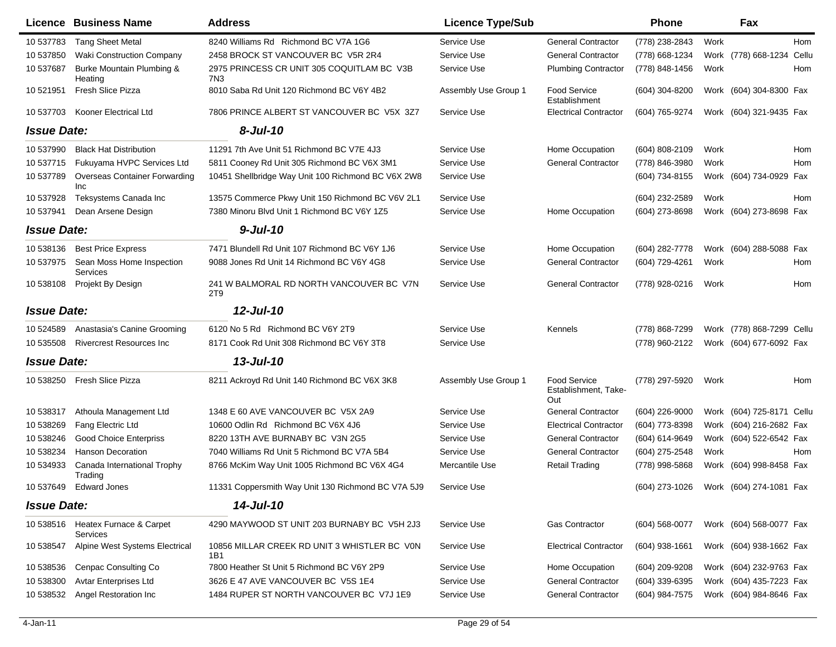|                    | <b>Licence Business Name</b>                | <b>Address</b>                                              | <b>Licence Type/Sub</b> |                                                    | <b>Phone</b>     | Fax                                    |
|--------------------|---------------------------------------------|-------------------------------------------------------------|-------------------------|----------------------------------------------------|------------------|----------------------------------------|
| 10 537783          | <b>Tang Sheet Metal</b>                     | 8240 Williams Rd Richmond BC V7A 1G6                        | Service Use             | <b>General Contractor</b>                          | (778) 238-2843   | Work<br><b>Hom</b>                     |
| 10 537850          | <b>Waki Construction Company</b>            | 2458 BROCK ST VANCOUVER BC V5R 2R4                          | Service Use             | <b>General Contractor</b>                          | (778) 668-1234   | Work (778) 668-1234<br>Cellu           |
| 10 537687          | Burke Mountain Plumbing &<br>Heating        | 2975 PRINCESS CR UNIT 305 COQUITLAM BC V3B<br>7N3           | Service Use             | <b>Plumbing Contractor</b>                         | (778) 848-1456   | Work<br>Hom                            |
| 10 521951          | Fresh Slice Pizza                           | 8010 Saba Rd Unit 120 Richmond BC V6Y 4B2                   | Assembly Use Group 1    | <b>Food Service</b><br>Establishment               | $(604)$ 304-8200 | Work (604) 304-8300 Fax                |
| 10 537703          | Kooner Electrical Ltd                       | 7806 PRINCE ALBERT ST VANCOUVER BC V5X 3Z7                  | Service Use             | <b>Electrical Contractor</b>                       | (604) 765-9274   | Work (604) 321-9435 Fax                |
| <b>Issue Date:</b> |                                             | $8$ -Jul-10                                                 |                         |                                                    |                  |                                        |
| 10 537990          | <b>Black Hat Distribution</b>               | 11291 7th Ave Unit 51 Richmond BC V7E 4J3                   | Service Use             | Home Occupation                                    | (604) 808-2109   | Hom<br>Work                            |
| 10 537715          | Fukuyama HVPC Services Ltd                  | 5811 Cooney Rd Unit 305 Richmond BC V6X 3M1                 | Service Use             | <b>General Contractor</b>                          | (778) 846-3980   | Work<br>Hom                            |
| 10 537789          | <b>Overseas Container Forwarding</b><br>Inc | 10451 Shellbridge Way Unit 100 Richmond BC V6X 2W8          | Service Use             |                                                    | (604) 734-8155   | Work (604) 734-0929 Fax                |
| 10 537928          | Teksystems Canada Inc                       | 13575 Commerce Pkwy Unit 150 Richmond BC V6V 2L1            | Service Use             |                                                    | (604) 232-2589   | Work<br>Hom                            |
| 10 537941          | Dean Arsene Design                          | 7380 Minoru Blvd Unit 1 Richmond BC V6Y 1Z5                 | Service Use             | Home Occupation                                    | (604) 273-8698   | Work (604) 273-8698 Fax                |
| <b>Issue Date:</b> |                                             | $9$ -Jul-10                                                 |                         |                                                    |                  |                                        |
| 10 538136          | <b>Best Price Express</b>                   | 7471 Blundell Rd Unit 107 Richmond BC V6Y 1J6               | Service Use             | Home Occupation                                    | (604) 282-7778   | Work (604) 288-5088 Fax                |
| 10 537975          | Sean Moss Home Inspection<br>Services       | 9088 Jones Rd Unit 14 Richmond BC V6Y 4G8                   | Service Use             | <b>General Contractor</b>                          | (604) 729-4261   | Work<br>Hom                            |
| 10 538108          | Projekt By Design                           | 241 W BALMORAL RD NORTH VANCOUVER BC V7N<br>2T <sub>9</sub> | Service Use             | <b>General Contractor</b>                          | (778) 928-0216   | Work<br>Hom                            |
| <b>Issue Date:</b> |                                             | 12-Jul-10                                                   |                         |                                                    |                  |                                        |
| 10 524589          | Anastasia's Canine Grooming                 | 6120 No 5 Rd Richmond BC V6Y 2T9                            | Service Use             | Kennels                                            | (778) 868-7299   | Work (778) 868-7299 Cellu              |
| 10 535508          | <b>Rivercrest Resources Inc.</b>            | 8171 Cook Rd Unit 308 Richmond BC V6Y 3T8                   | Service Use             |                                                    | (778) 960-2122   | Work (604) 677-6092 Fax                |
| <b>Issue Date:</b> |                                             | 13-Jul-10                                                   |                         |                                                    |                  |                                        |
| 10 538250          | Fresh Slice Pizza                           | 8211 Ackroyd Rd Unit 140 Richmond BC V6X 3K8                | Assembly Use Group 1    | <b>Food Service</b><br>Establishment, Take-<br>Out | (778) 297-5920   | Work<br>Hom                            |
| 10 538317          | Athoula Management Ltd                      | 1348 E 60 AVE VANCOUVER BC V5X 2A9                          | Service Use             | <b>General Contractor</b>                          | (604) 226-9000   | Work (604) 725-8171 Cellu              |
| 10 538269          | Fang Electric Ltd                           | 10600 Odlin Rd Richmond BC V6X 4J6                          | Service Use             | <b>Electrical Contractor</b>                       | (604) 773-8398   | Work (604) 216-2682 Fax                |
| 10 538246          | <b>Good Choice Enterpriss</b>               | 8220 13TH AVE BURNABY BC V3N 2G5                            | Service Use             | <b>General Contractor</b>                          | (604) 614-9649   | Work (604) 522-6542 Fax                |
| 10 538234          | <b>Hanson Decoration</b>                    | 7040 Williams Rd Unit 5 Richmond BC V7A 5B4                 | Service Use             | <b>General Contractor</b>                          | (604) 275-2548   | Work<br>Hom                            |
| 10 534933          | Canada International Trophy<br>Trading      | 8766 McKim Way Unit 1005 Richmond BC V6X 4G4                | Mercantile Use          | <b>Retail Trading</b>                              | (778) 998-5868   | Work (604) 998-8458 Fax                |
| 10 537649          | Edward Jones                                | 11331 Coppersmith Way Unit 130 Richmond BC V7A 5J9          | Service Use             |                                                    |                  | (604) 273-1026 Work (604) 274-1081 Fax |
| <b>Issue Date:</b> |                                             | 14-Jul-10                                                   |                         |                                                    |                  |                                        |
| 10 538516          | Heatex Furnace & Carpet<br>Services         | 4290 MAYWOOD ST UNIT 203 BURNABY BC V5H 2J3                 | Service Use             | <b>Gas Contractor</b>                              | $(604)$ 568-0077 | Work (604) 568-0077 Fax                |
| 10 538547          | Alpine West Systems Electrical              | 10856 MILLAR CREEK RD UNIT 3 WHISTLER BC VON<br>1B1         | Service Use             | <b>Electrical Contractor</b>                       | $(604)$ 938-1661 | Work (604) 938-1662 Fax                |
| 10 538536          | Cenpac Consulting Co                        | 7800 Heather St Unit 5 Richmond BC V6Y 2P9                  | Service Use             | Home Occupation                                    | (604) 209-9208   | Work (604) 232-9763 Fax                |
| 10 538300          | <b>Avtar Enterprises Ltd</b>                | 3626 E 47 AVE VANCOUVER BC V5S 1E4                          | Service Use             | <b>General Contractor</b>                          | (604) 339-6395   | Work (604) 435-7223 Fax                |
| 10 538532          | Angel Restoration Inc                       | 1484 RUPER ST NORTH VANCOUVER BC V7J 1E9                    | Service Use             | <b>General Contractor</b>                          | (604) 984-7575   | Work (604) 984-8646 Fax                |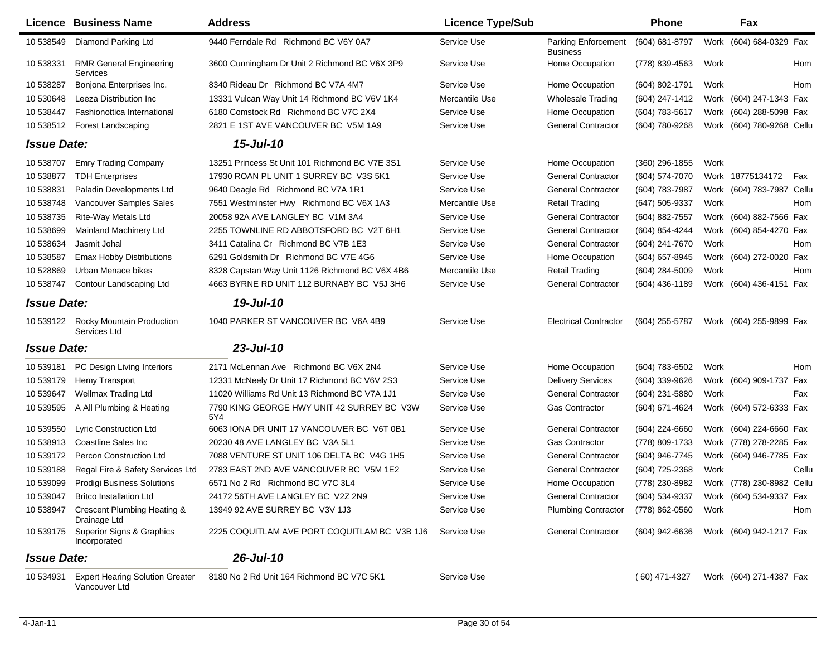| Licence            | <b>Business Name</b>                                    | <b>Address</b>                                    | <b>Licence Type/Sub</b> |                                               | <b>Phone</b>    |      | Fax                       |            |
|--------------------|---------------------------------------------------------|---------------------------------------------------|-------------------------|-----------------------------------------------|-----------------|------|---------------------------|------------|
| 10 538549          | Diamond Parking Ltd                                     | 9440 Ferndale Rd Richmond BC V6Y 0A7              | Service Use             | <b>Parking Enforcement</b><br><b>Business</b> | (604) 681-8797  |      | Work (604) 684-0329 Fax   |            |
| 10 538331          | <b>RMR General Engineering</b><br>Services              | 3600 Cunningham Dr Unit 2 Richmond BC V6X 3P9     | Service Use             | Home Occupation                               | (778) 839-4563  | Work |                           | Hom        |
| 10 538287          | Bonjona Enterprises Inc.                                | 8340 Rideau Dr Richmond BC V7A 4M7                | Service Use             | Home Occupation                               | (604) 802-1791  | Work |                           | Hom        |
| 10 530648          | Leeza Distribution Inc                                  | 13331 Vulcan Way Unit 14 Richmond BC V6V 1K4      | Mercantile Use          | <b>Wholesale Trading</b>                      | (604) 247-1412  |      | Work (604) 247-1343 Fax   |            |
| 10 538447          | Fashionottica International                             | 6180 Comstock Rd Richmond BC V7C 2X4              | Service Use             | Home Occupation                               | (604) 783-5617  |      | Work (604) 288-5098 Fax   |            |
| 10 538512          | Forest Landscaping                                      | 2821 E 1ST AVE VANCOUVER BC V5M 1A9               | Service Use             | <b>General Contractor</b>                     | (604) 780-9268  |      | Work (604) 780-9268 Cellu |            |
| <b>Issue Date:</b> |                                                         | 15-Jul-10                                         |                         |                                               |                 |      |                           |            |
| 10 538707          | <b>Emry Trading Company</b>                             | 13251 Princess St Unit 101 Richmond BC V7E 3S1    | Service Use             | Home Occupation                               | (360) 296-1855  | Work |                           |            |
| 10 538877          | <b>TDH Enterprises</b>                                  | 17930 ROAN PL UNIT 1 SURREY BC V3S 5K1            | Service Use             | <b>General Contractor</b>                     | (604) 574-7070  |      | Work 18775134172          | Fax        |
| 10 538831          | Paladin Developments Ltd                                | 9640 Deagle Rd Richmond BC V7A 1R1                | Service Use             | <b>General Contractor</b>                     | (604) 783-7987  |      | Work (604) 783-7987 Cellu |            |
| 10 538748          | Vancouver Samples Sales                                 | 7551 Westminster Hwy Richmond BC V6X 1A3          | Mercantile Use          | Retail Trading                                | (647) 505-9337  | Work |                           | Hom        |
| 10 538735          | Rite-Way Metals Ltd                                     | 20058 92A AVE LANGLEY BC V1M 3A4                  | Service Use             | <b>General Contractor</b>                     | (604) 882-7557  |      | Work (604) 882-7566 Fax   |            |
| 10 538699          | Mainland Machinery Ltd                                  | 2255 TOWNLINE RD ABBOTSFORD BC V2T 6H1            | Service Use             | <b>General Contractor</b>                     | (604) 854-4244  |      | Work (604) 854-4270 Fax   |            |
| 10 538634          | Jasmit Johal                                            | 3411 Catalina Cr Richmond BC V7B 1E3              | Service Use             | <b>General Contractor</b>                     | (604) 241-7670  | Work |                           | Hom        |
| 10 538587          | Emax Hobby Distributions                                | 6291 Goldsmith Dr Richmond BC V7E 4G6             | Service Use             | Home Occupation                               | (604) 657-8945  |      | Work (604) 272-0020 Fax   |            |
| 10 528869          | Urban Menace bikes                                      | 8328 Capstan Way Unit 1126 Richmond BC V6X 4B6    | Mercantile Use          | <b>Retail Trading</b>                         | (604) 284-5009  | Work |                           | Hom        |
| 10 538747          | Contour Landscaping Ltd                                 | 4663 BYRNE RD UNIT 112 BURNABY BC V5J 3H6         | Service Use             | <b>General Contractor</b>                     | (604) 436-1189  |      | Work (604) 436-4151 Fax   |            |
| <b>Issue Date:</b> |                                                         | 19-Jul-10                                         |                         |                                               |                 |      |                           |            |
| 10 539122          | <b>Rocky Mountain Production</b><br>Services Ltd        | 1040 PARKER ST VANCOUVER BC V6A 4B9               | Service Use             | <b>Electrical Contractor</b>                  | (604) 255-5787  |      | Work (604) 255-9899 Fax   |            |
| <b>Issue Date:</b> |                                                         | $23$ -Jul-10                                      |                         |                                               |                 |      |                           |            |
| 10 539181          | PC Design Living Interiors                              | 2171 McLennan Ave Richmond BC V6X 2N4             | Service Use             | Home Occupation                               | (604) 783-6502  | Work |                           | <b>Hom</b> |
| 10 539179          | Hemy Transport                                          | 12331 McNeely Dr Unit 17 Richmond BC V6V 2S3      | Service Use             | <b>Delivery Services</b>                      | (604) 339-9626  |      | Work (604) 909-1737 Fax   |            |
| 10 539647          | Wellmax Trading Ltd                                     | 11020 Williams Rd Unit 13 Richmond BC V7A 1J1     | Service Use             | <b>General Contractor</b>                     | (604) 231-5880  | Work |                           | Fax        |
| 10 539595          | A All Plumbing & Heating                                | 7790 KING GEORGE HWY UNIT 42 SURREY BC V3W<br>5Y4 | Service Use             | Gas Contractor                                | (604) 671-4624  |      | Work (604) 572-6333 Fax   |            |
| 10 539550          | Lyric Construction Ltd                                  | 6063 IONA DR UNIT 17 VANCOUVER BC V6T 0B1         | Service Use             | <b>General Contractor</b>                     | (604) 224-6660  |      | Work (604) 224-6660 Fax   |            |
| 10 538913          | Coastline Sales Inc.                                    | 20230 48 AVE LANGLEY BC V3A 5L1                   | Service Use             | <b>Gas Contractor</b>                         | (778) 809-1733  |      | Work (778) 278-2285 Fax   |            |
| 10 539172          | Percon Construction Ltd                                 | 7088 VENTURE ST UNIT 106 DELTA BC V4G 1H5         | Service Use             | <b>General Contractor</b>                     | (604) 946-7745  |      | Work (604) 946-7785 Fax   |            |
| 10 539188          | Regal Fire & Safety Services Ltd                        | 2783 EAST 2ND AVE VANCOUVER BC V5M 1E2            | Service Use             | <b>General Contractor</b>                     | (604) 725-2368  | Work |                           | Cellu      |
| 10 539099          | <b>Prodigi Business Solutions</b>                       | 6571 No 2 Rd Richmond BC V7C 3L4                  | Service Use             | Home Occupation                               | (778) 230-8982  |      | Work (778) 230-8982 Cellu |            |
| 10 539047          | <b>Britco Installation Ltd</b>                          | 24172 56TH AVE LANGLEY BC V2Z 2N9                 | Service Use             | <b>General Contractor</b>                     | (604) 534-9337  |      | Work (604) 534-9337 Fax   |            |
| 10 538947          | Crescent Plumbing Heating &<br>Drainage Ltd             | 13949 92 AVE SURREY BC V3V 1J3                    | Service Use             | <b>Plumbing Contractor</b>                    | (778) 862-0560  | Work |                           | Hom        |
| 10 539175          | Superior Signs & Graphics<br>Incorporated               | 2225 COQUITLAM AVE PORT COQUITLAM BC V3B 1J6      | Service Use             | <b>General Contractor</b>                     | (604) 942-6636  |      | Work (604) 942-1217 Fax   |            |
| <b>Issue Date:</b> |                                                         | $26$ -Jul-10                                      |                         |                                               |                 |      |                           |            |
| 10 534931          | <b>Expert Hearing Solution Greater</b><br>Vancouver Ltd | 8180 No 2 Rd Unit 164 Richmond BC V7C 5K1         | Service Use             |                                               | $(60)$ 471-4327 |      | Work (604) 271-4387 Fax   |            |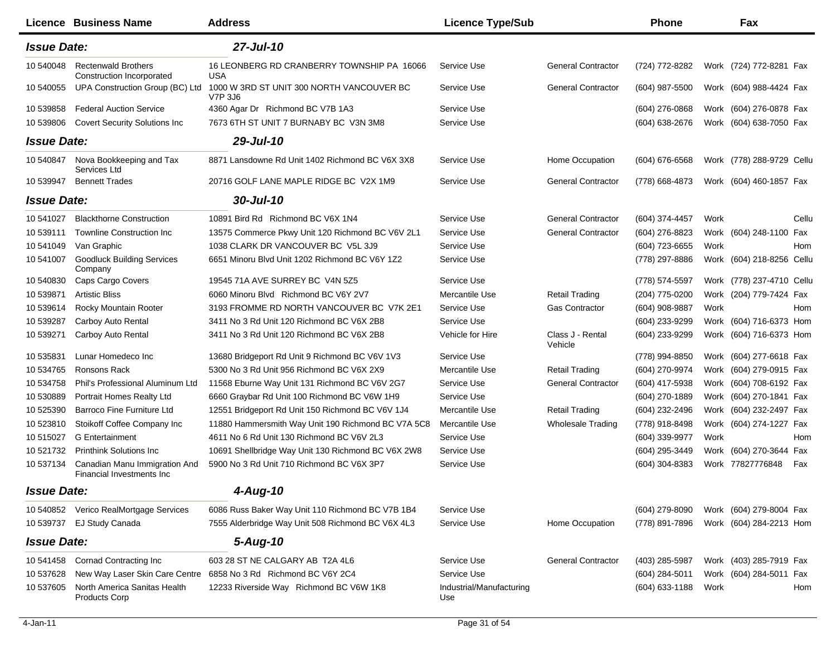|                    | Licence Business Name                                       | <b>Address</b>                                              | <b>Licence Type/Sub</b>         |                             | Phone            |      | Fax                       |            |
|--------------------|-------------------------------------------------------------|-------------------------------------------------------------|---------------------------------|-----------------------------|------------------|------|---------------------------|------------|
| <b>Issue Date:</b> |                                                             | $27$ -Jul-10                                                |                                 |                             |                  |      |                           |            |
| 10 540048          | <b>Rectenwald Brothers</b><br>Construction Incorporated     | 16 LEONBERG RD CRANBERRY TOWNSHIP PA 16066<br>USA           | Service Use                     | <b>General Contractor</b>   | (724) 772-8282   |      | Work (724) 772-8281 Fax   |            |
| 10 540055          | UPA Construction Group (BC) Ltd                             | 1000 W 3RD ST UNIT 300 NORTH VANCOUVER BC<br><b>V7P 3J6</b> | Service Use                     | <b>General Contractor</b>   | (604) 987-5500   |      | Work (604) 988-4424 Fax   |            |
| 10 539858          | <b>Federal Auction Service</b>                              | 4360 Agar Dr Richmond BC V7B 1A3                            | Service Use                     |                             | $(604)$ 276-0868 |      | Work (604) 276-0878 Fax   |            |
| 10 539806          | <b>Covert Security Solutions Inc</b>                        | 7673 6TH ST UNIT 7 BURNABY BC V3N 3M8                       | Service Use                     |                             | (604) 638-2676   |      | Work (604) 638-7050 Fax   |            |
| <b>Issue Date:</b> |                                                             | $29$ -Jul-10                                                |                                 |                             |                  |      |                           |            |
| 10 540847          | Nova Bookkeeping and Tax<br>Services Ltd                    | 8871 Lansdowne Rd Unit 1402 Richmond BC V6X 3X8             | Service Use                     | Home Occupation             | (604) 676-6568   |      | Work (778) 288-9729 Cellu |            |
| 10 539947          | <b>Bennett Trades</b>                                       | 20716 GOLF LANE MAPLE RIDGE BC V2X 1M9                      | Service Use                     | <b>General Contractor</b>   | (778) 668-4873   |      | Work (604) 460-1857 Fax   |            |
| <b>Issue Date:</b> |                                                             | $30 -$ Jul-10                                               |                                 |                             |                  |      |                           |            |
| 10 541027          | <b>Blackthorne Construction</b>                             | 10891 Bird Rd Richmond BC V6X 1N4                           | Service Use                     | <b>General Contractor</b>   | (604) 374-4457   | Work |                           | Cellu      |
| 10 539111          | <b>Townline Construction Inc.</b>                           | 13575 Commerce Pkwy Unit 120 Richmond BC V6V 2L1            | Service Use                     | <b>General Contractor</b>   | (604) 276-8823   |      | Work (604) 248-1100 Fax   |            |
| 10 541049          | Van Graphic                                                 | 1038 CLARK DR VANCOUVER BC V5L 3J9                          | Service Use                     |                             | (604) 723-6655   | Work |                           | <b>Hom</b> |
| 10 541007          | <b>Goodluck Building Services</b><br>Company                | 6651 Minoru Blvd Unit 1202 Richmond BC V6Y 1Z2              | Service Use                     |                             | (778) 297-8886   |      | Work (604) 218-8256 Cellu |            |
| 10 540830          | Caps Cargo Covers                                           | 19545 71A AVE SURREY BC V4N 5Z5                             | Service Use                     |                             | (778) 574-5597   |      | Work (778) 237-4710 Cellu |            |
| 10 539871          | <b>Artistic Bliss</b>                                       | 6060 Minoru Blvd Richmond BC V6Y 2V7                        | Mercantile Use                  | <b>Retail Trading</b>       | (204) 775-0200   |      | Work (204) 779-7424 Fax   |            |
| 10 539614          | Rocky Mountain Rooter                                       | 3193 FROMME RD NORTH VANCOUVER BC V7K 2E1                   | Service Use                     | <b>Gas Contractor</b>       | (604) 908-9887   | Work |                           | <b>Hom</b> |
| 10 539287          | Carboy Auto Rental                                          | 3411 No 3 Rd Unit 120 Richmond BC V6X 2B8                   | Service Use                     |                             | (604) 233-9299   |      | Work (604) 716-6373 Hom   |            |
| 10 539271          | Carboy Auto Rental                                          | 3411 No 3 Rd Unit 120 Richmond BC V6X 2B8                   | Vehicle for Hire                | Class J - Rental<br>Vehicle | (604) 233-9299   |      | Work (604) 716-6373 Hom   |            |
| 10 535831          | Lunar Homedeco Inc                                          | 13680 Bridgeport Rd Unit 9 Richmond BC V6V 1V3              | Service Use                     |                             | (778) 994-8850   |      | Work (604) 277-6618 Fax   |            |
| 10 534765          | Ronsons Rack                                                | 5300 No 3 Rd Unit 956 Richmond BC V6X 2X9                   | Mercantile Use                  | <b>Retail Trading</b>       | (604) 270-9974   |      | Work (604) 279-0915 Fax   |            |
| 10 534758          | Phil's Professional Aluminum Ltd                            | 11568 Eburne Way Unit 131 Richmond BC V6V 2G7               | Service Use                     | <b>General Contractor</b>   | (604) 417-5938   |      | Work (604) 708-6192 Fax   |            |
| 10 530889          | Portrait Homes Realty Ltd                                   | 6660 Graybar Rd Unit 100 Richmond BC V6W 1H9                | Service Use                     |                             | (604) 270-1889   |      | Work (604) 270-1841 Fax   |            |
| 10 525390          | Barroco Fine Furniture Ltd                                  | 12551 Bridgeport Rd Unit 150 Richmond BC V6V 1J4            | Mercantile Use                  | <b>Retail Trading</b>       | (604) 232-2496   |      | Work (604) 232-2497 Fax   |            |
| 10 523810          | Stoikoff Coffee Company Inc                                 | 11880 Hammersmith Way Unit 190 Richmond BC V7A 5C8          | Mercantile Use                  | <b>Wholesale Trading</b>    | (778) 918-8498   |      | Work (604) 274-1227 Fax   |            |
| 10 515027          | <b>G</b> Entertainment                                      | 4611 No 6 Rd Unit 130 Richmond BC V6V 2L3                   | Service Use                     |                             | (604) 339-9977   | Work |                           | <b>Hom</b> |
| 10 521732          | <b>Printhink Solutions Inc.</b>                             | 10691 Shellbridge Way Unit 130 Richmond BC V6X 2W8          | Service Use                     |                             | (604) 295-3449   |      | Work (604) 270-3644 Fax   |            |
| 10 537134          | Canadian Manu Immigration And<br>Financial Investments Inc. | 5900 No 3 Rd Unit 710 Richmond BC V6X 3P7                   | Service Use                     |                             | $(604)$ 304-8383 |      | Work 77827776848          | Fax        |
| <b>Issue Date:</b> |                                                             | 4-Aug-10                                                    |                                 |                             |                  |      |                           |            |
| 10 540852          | Verico RealMortgage Services                                | 6086 Russ Baker Way Unit 110 Richmond BC V7B 1B4            | Service Use                     |                             | (604) 279-8090   |      | Work (604) 279-8004 Fax   |            |
| 10 539737          | EJ Study Canada                                             | 7555 Alderbridge Way Unit 508 Richmond BC V6X 4L3           | Service Use                     | Home Occupation             | (778) 891-7896   |      | Work (604) 284-2213 Hom   |            |
| <b>Issue Date:</b> |                                                             | 5-Aug-10                                                    |                                 |                             |                  |      |                           |            |
| 10 541458          | <b>Cornad Contracting Inc</b>                               | 603 28 ST NE CALGARY AB T2A 4L6                             | Service Use                     | <b>General Contractor</b>   | (403) 285-5987   |      | Work (403) 285-7919 Fax   |            |
| 10 537628          | New Way Laser Skin Care Centre                              | 6858 No 3 Rd Richmond BC V6Y 2C4                            | Service Use                     |                             | (604) 284-5011   |      | Work (604) 284-5011 Fax   |            |
| 10 537605          | North America Sanitas Health<br><b>Products Corp</b>        | 12233 Riverside Way Richmond BC V6W 1K8                     | Industrial/Manufacturing<br>Use |                             | (604) 633-1188   | Work |                           | Hom        |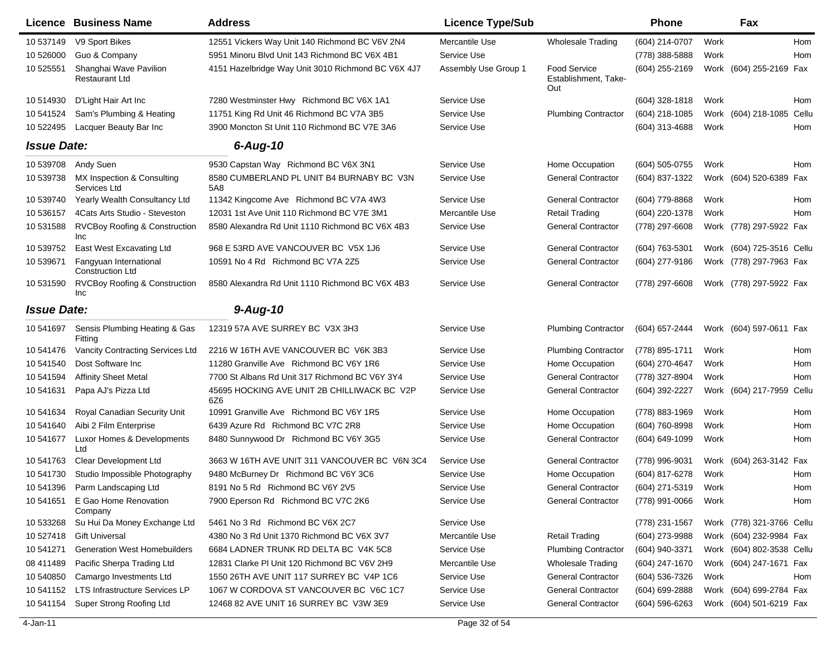|                    | <b>Licence Business Name</b>                           | <b>Address</b>                                     | <b>Licence Type/Sub</b> |                                                    | <b>Phone</b>        |      | Fax                       |            |
|--------------------|--------------------------------------------------------|----------------------------------------------------|-------------------------|----------------------------------------------------|---------------------|------|---------------------------|------------|
| 10 537149          | V9 Sport Bikes                                         | 12551 Vickers Way Unit 140 Richmond BC V6V 2N4     | Mercantile Use          | <b>Wholesale Trading</b>                           | (604) 214-0707      | Work |                           | <b>Hom</b> |
| 10 526000          | Guo & Company                                          | 5951 Minoru Blvd Unit 143 Richmond BC V6X 4B1      | Service Use             |                                                    | (778) 388-5888      | Work |                           | <b>Hom</b> |
| 10 525551          | Shanghai Wave Pavilion<br><b>Restaurant Ltd</b>        | 4151 Hazelbridge Way Unit 3010 Richmond BC V6X 4J7 | Assembly Use Group 1    | <b>Food Service</b><br>Establishment, Take-<br>Out | (604) 255-2169      |      | Work (604) 255-2169 Fax   |            |
| 10 514930          | D'Light Hair Art Inc                                   | 7280 Westminster Hwy Richmond BC V6X 1A1           | Service Use             |                                                    | $(604)$ 328-1818    | Work |                           | Hom        |
| 10 541524          | Sam's Plumbing & Heating                               | 11751 King Rd Unit 46 Richmond BC V7A 3B5          | Service Use             | <b>Plumbing Contractor</b>                         | $(604)$ 218-1085    | Work | (604) 218-1085            | Cellu      |
| 10 522495          | Lacquer Beauty Bar Inc                                 | 3900 Moncton St Unit 110 Richmond BC V7E 3A6       | Service Use             |                                                    | (604) 313-4688      | Work |                           | Hom        |
| <b>Issue Date:</b> |                                                        | $6 - Aug-10$                                       |                         |                                                    |                     |      |                           |            |
| 10 539708          | Andy Suen                                              | 9530 Capstan Way Richmond BC V6X 3N1               | Service Use             | Home Occupation                                    | (604) 505-0755      | Work |                           | Hom        |
| 10 539738          | MX Inspection & Consulting<br>Services Ltd             | 8580 CUMBERLAND PL UNIT B4 BURNABY BC V3N<br>5A8   | Service Use             | <b>General Contractor</b>                          | (604) 837-1322      |      | Work (604) 520-6389 Fax   |            |
| 10 539740          | Yearly Wealth Consultancy Ltd                          | 11342 Kingcome Ave Richmond BC V7A 4W3             | Service Use             | <b>General Contractor</b>                          | (604) 779-8868      | Work |                           | Hom        |
| 10 53 6157         | 4Cats Arts Studio - Steveston                          | 12031 1st Ave Unit 110 Richmond BC V7E 3M1         | Mercantile Use          | <b>Retail Trading</b>                              | (604) 220-1378      | Work |                           | Hom        |
| 10 531588          | RVCBoy Roofing & Construction<br><b>Inc</b>            | 8580 Alexandra Rd Unit 1110 Richmond BC V6X 4B3    | Service Use             | <b>General Contractor</b>                          | (778) 297-6608      |      | Work (778) 297-5922 Fax   |            |
| 10 539752          | <b>East West Excavating Ltd</b>                        | 968 E 53RD AVE VANCOUVER BC V5X 1J6                | Service Use             | <b>General Contractor</b>                          | $(604)$ 763-5301    |      | Work (604) 725-3516 Cellu |            |
| 10 539671          | Fangyuan International<br><b>Construction Ltd</b>      | 10591 No 4 Rd Richmond BC V7A 2Z5                  | Service Use             | <b>General Contractor</b>                          | (604) 277-9186      |      | Work (778) 297-7963 Fax   |            |
| 10 531590          | <b>RVCBoy Roofing &amp; Construction</b><br><b>Inc</b> | 8580 Alexandra Rd Unit 1110 Richmond BC V6X 4B3    | Service Use             | <b>General Contractor</b>                          | (778) 297-6608      |      | Work (778) 297-5922 Fax   |            |
| <b>Issue Date:</b> |                                                        | $9-Aug-10$                                         |                         |                                                    |                     |      |                           |            |
| 10 541697          | Sensis Plumbing Heating & Gas<br>Fitting               | 12319 57A AVE SURREY BC V3X 3H3                    | Service Use             | <b>Plumbing Contractor</b>                         | (604) 657-2444      |      | Work (604) 597-0611 Fax   |            |
| 10 541476          | Vancity Contracting Services Ltd                       | 2216 W 16TH AVE VANCOUVER BC V6K 3B3               | Service Use             | <b>Plumbing Contractor</b>                         | (778) 895-1711      | Work |                           | Hom        |
| 10 541540          | Dost Software Inc                                      | 11280 Granville Ave Richmond BC V6Y 1R6            | Service Use             | Home Occupation                                    | (604) 270-4647      | Work |                           | Hom        |
| 10 541594          | <b>Affinity Sheet Metal</b>                            | 7700 St Albans Rd Unit 317 Richmond BC V6Y 3Y4     | Service Use             | <b>General Contractor</b>                          | (778) 327-8904      | Work |                           | <b>Hom</b> |
| 10 541631          | Papa AJ's Pizza Ltd                                    | 45695 HOCKING AVE UNIT 2B CHILLIWACK BC V2P<br>6Z6 | Service Use             | <b>General Contractor</b>                          | (604) 392-2227      |      | Work (604) 217-7959       | Cellu      |
| 10 541634          | Royal Canadian Security Unit                           | 10991 Granville Ave Richmond BC V6Y 1R5            | Service Use             | Home Occupation                                    | (778) 883-1969      | Work |                           | Hom        |
| 10 541640          | Aibi 2 Film Enterprise                                 | 6439 Azure Rd Richmond BC V7C 2R8                  | Service Use             | Home Occupation                                    | (604) 760-8998      | Work |                           | Hom        |
| 10 541677          | Luxor Homes & Developments<br>Ltd                      | 8480 Sunnywood Dr Richmond BC V6Y 3G5              | Service Use             | <b>General Contractor</b>                          | (604) 649-1099      | Work |                           | Hom        |
| 10 541763          | Clear Development Ltd                                  | 3663 W 16TH AVE UNIT 311 VANCOUVER BC V6N 3C4      | Service Use             | <b>General Contractor</b>                          | (778) 996-9031      |      | Work (604) 263-3142 Fax   |            |
|                    | 10 541730 Studio Impossible Photography                | 9480 McBurney Dr Richmond BC V6Y 3C6               | Service Use             | Home Occupation                                    | (604) 817-6278      | Work |                           | Hom        |
|                    | 10 541396 Parm Landscaping Ltd                         | 8191 No 5 Rd Richmond BC V6Y 2V5                   | Service Use             | General Contractor                                 | (604) 271-5319 Work |      |                           | Hom        |
| 10 541651          | E Gao Home Renovation<br>Company                       | 7900 Eperson Rd Richmond BC V7C 2K6                | Service Use             | <b>General Contractor</b>                          | (778) 991-0066      | Work |                           | Hom        |
| 10 533268          | Su Hui Da Money Exchange Ltd                           | 5461 No 3 Rd Richmond BC V6X 2C7                   | Service Use             |                                                    | (778) 231-1567      |      | Work (778) 321-3766 Cellu |            |
| 10 527418          | <b>Gift Universal</b>                                  | 4380 No 3 Rd Unit 1370 Richmond BC V6X 3V7         | Mercantile Use          | <b>Retail Trading</b>                              | (604) 273-9988      |      | Work (604) 232-9984 Fax   |            |
| 10 541271          | <b>Generation West Homebuilders</b>                    | 6684 LADNER TRUNK RD DELTA BC V4K 5C8              | Service Use             | <b>Plumbing Contractor</b>                         | (604) 940-3371      |      | Work (604) 802-3538 Cellu |            |
| 08 411489          | Pacific Sherpa Trading Ltd                             | 12831 Clarke PI Unit 120 Richmond BC V6V 2H9       | Mercantile Use          | <b>Wholesale Trading</b>                           | (604) 247-1670      |      | Work (604) 247-1671 Fax   |            |
| 10 540850          | Camargo Investments Ltd                                | 1550 26TH AVE UNIT 117 SURREY BC V4P 1C6           | Service Use             | <b>General Contractor</b>                          | (604) 536-7326      | Work |                           | Hom        |
| 10 541152          | LTS Infrastructure Services LP                         | 1067 W CORDOVA ST VANCOUVER BC V6C 1C7             | Service Use             | <b>General Contractor</b>                          | (604) 699-2888      |      | Work (604) 699-2784 Fax   |            |
| 10 541154          | Super Strong Roofing Ltd                               | 12468 82 AVE UNIT 16 SURREY BC V3W 3E9             | Service Use             | <b>General Contractor</b>                          | $(604)$ 596-6263    |      | Work (604) 501-6219 Fax   |            |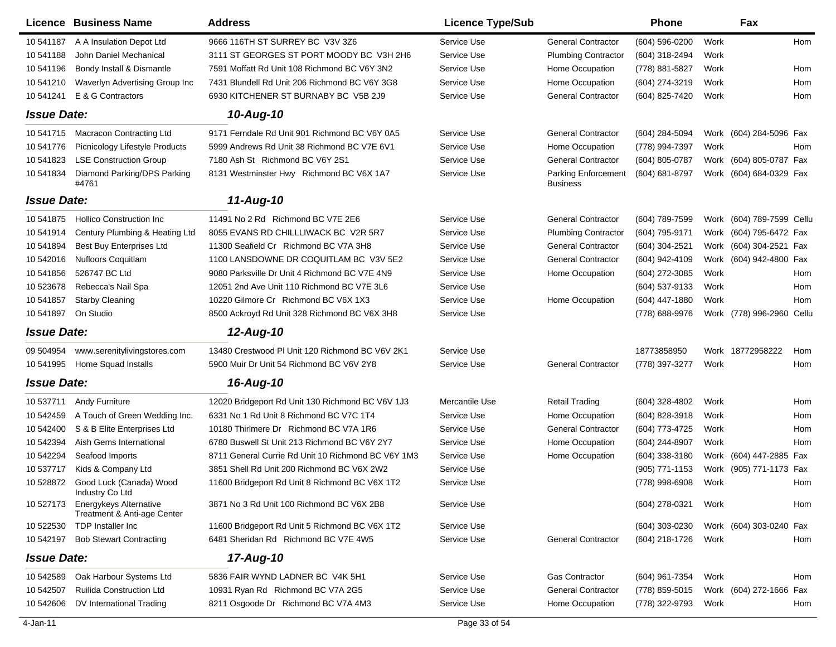| Licence            | <b>Business Name</b>                                         | <b>Address</b>                                     | <b>Licence Type/Sub</b> |                                               | <b>Phone</b>   |      | Fax                       |     |
|--------------------|--------------------------------------------------------------|----------------------------------------------------|-------------------------|-----------------------------------------------|----------------|------|---------------------------|-----|
| 10 541187          | A A Insulation Depot Ltd                                     | 9666 116TH ST SURREY BC V3V 3Z6                    | Service Use             | <b>General Contractor</b>                     | (604) 596-0200 | Work |                           | Hom |
| 10 541188          | John Daniel Mechanical                                       | 3111 ST GEORGES ST PORT MOODY BC V3H 2H6           | Service Use             | <b>Plumbing Contractor</b>                    | (604) 318-2494 | Work |                           |     |
| 10 541196          | Bondy Install & Dismantle                                    | 7591 Moffatt Rd Unit 108 Richmond BC V6Y 3N2       | Service Use             | Home Occupation                               | (778) 881-5827 | Work |                           | Hom |
| 10 541210          | Waverlyn Advertising Group Inc                               | 7431 Blundell Rd Unit 206 Richmond BC V6Y 3G8      | Service Use             | Home Occupation                               | (604) 274-3219 | Work |                           | Hom |
| 10 541241          | E & G Contractors                                            | 6930 KITCHENER ST BURNABY BC V5B 2J9               | Service Use             | <b>General Contractor</b>                     | (604) 825-7420 | Work |                           | Hom |
| <b>Issue Date:</b> |                                                              | 10-Aug-10                                          |                         |                                               |                |      |                           |     |
| 10 541715          | Macracon Contracting Ltd                                     | 9171 Ferndale Rd Unit 901 Richmond BC V6Y 0A5      | Service Use             | <b>General Contractor</b>                     | (604) 284-5094 |      | Work (604) 284-5096 Fax   |     |
| 10 541776          | Picnicology Lifestyle Products                               | 5999 Andrews Rd Unit 38 Richmond BC V7E 6V1        | Service Use             | Home Occupation                               | (778) 994-7397 | Work |                           | Hom |
| 10 541823          | <b>LSE Construction Group</b>                                | 7180 Ash St Richmond BC V6Y 2S1                    | Service Use             | <b>General Contractor</b>                     | (604) 805-0787 |      | Work (604) 805-0787 Fax   |     |
| 10 541834          | Diamond Parking/DPS Parking<br>#4761                         | 8131 Westminster Hwy Richmond BC V6X 1A7           | Service Use             | <b>Parking Enforcement</b><br><b>Business</b> | (604) 681-8797 |      | Work (604) 684-0329 Fax   |     |
| <b>Issue Date:</b> |                                                              | 11-Aug-10                                          |                         |                                               |                |      |                           |     |
| 10 541875          | <b>Hollico Construction Inc.</b>                             | 11491 No 2 Rd Richmond BC V7E 2E6                  | Service Use             | <b>General Contractor</b>                     | (604) 789-7599 |      | Work (604) 789-7599 Cellu |     |
| 10 541914          | Century Plumbing & Heating Ltd                               | 8055 EVANS RD CHILLLIWACK BC V2R 5R7               | Service Use             | <b>Plumbing Contractor</b>                    | (604) 795-9171 | Work | (604) 795-6472 Fax        |     |
| 10 541894          | <b>Best Buy Enterprises Ltd</b>                              | 11300 Seafield Cr Richmond BC V7A 3H8              | Service Use             | <b>General Contractor</b>                     | (604) 304-2521 | Work | (604) 304-2521 Fax        |     |
| 10 542016          | <b>Nufloors Coquitlam</b>                                    | 1100 LANSDOWNE DR COQUITLAM BC V3V 5E2             | Service Use             | <b>General Contractor</b>                     | (604) 942-4109 | Work | (604) 942-4800 Fax        |     |
| 10 541856          | 526747 BC Ltd                                                | 9080 Parksville Dr Unit 4 Richmond BC V7E 4N9      | Service Use             | Home Occupation                               | (604) 272-3085 | Work |                           | Hom |
| 10 523678          | Rebecca's Nail Spa                                           | 12051 2nd Ave Unit 110 Richmond BC V7E 3L6         | Service Use             |                                               | (604) 537-9133 | Work |                           | Hom |
| 10 541857          | <b>Starby Cleaning</b>                                       | 10220 Gilmore Cr Richmond BC V6X 1X3               | Service Use             | Home Occupation                               | (604) 447-1880 | Work |                           | Hom |
| 10 541897          | On Studio                                                    | 8500 Ackroyd Rd Unit 328 Richmond BC V6X 3H8       | Service Use             |                                               | (778) 688-9976 |      | Work (778) 996-2960 Cellu |     |
| <b>Issue Date:</b> |                                                              | 12-Aug-10                                          |                         |                                               |                |      |                           |     |
| 09 504954          | www.serenitylivingstores.com                                 | 13480 Crestwood PI Unit 120 Richmond BC V6V 2K1    | Service Use             |                                               | 18773858950    |      | Work 18772958222          | Hom |
| 10 541995          | Home Squad Installs                                          | 5900 Muir Dr Unit 54 Richmond BC V6V 2Y8           | Service Use             | <b>General Contractor</b>                     | (778) 397-3277 | Work |                           | Hom |
| <b>Issue Date:</b> |                                                              | 16-Aug-10                                          |                         |                                               |                |      |                           |     |
| 10 537711          | <b>Andy Furniture</b>                                        | 12020 Bridgeport Rd Unit 130 Richmond BC V6V 1J3   | Mercantile Use          | Retail Trading                                | (604) 328-4802 | Work |                           | Hom |
| 10 542459          | A Touch of Green Wedding Inc.                                | 6331 No 1 Rd Unit 8 Richmond BC V7C 1T4            | Service Use             | Home Occupation                               | (604) 828-3918 | Work |                           | Hom |
| 10 542400          | S & B Elite Enterprises Ltd                                  | 10180 Thirlmere Dr Richmond BC V7A 1R6             | Service Use             | <b>General Contractor</b>                     | (604) 773-4725 | Work |                           | Hom |
| 10 542394          | Aish Gems International                                      | 6780 Buswell St Unit 213 Richmond BC V6Y 2Y7       | Service Use             | Home Occupation                               | (604) 244-8907 | Work |                           | Hom |
| 10 542294          | Seafood Imports                                              | 8711 General Currie Rd Unit 10 Richmond BC V6Y 1M3 | Service Use             | Home Occupation                               | (604) 338-3180 | Work | (604) 447-2885 Fax        |     |
| 10 537717          | Kids & Company Ltd                                           | 3851 Shell Rd Unit 200 Richmond BC V6X 2W2         | Service Use             |                                               | (905) 771-1153 | Work | (905) 771-1173 Fax        |     |
| 10 528872          | Good Luck (Canada) Wood<br>Industry Co Ltd                   | 11600 Bridgeport Rd Unit 8 Richmond BC V6X 1T2     | Service Use             |                                               | (778) 998-6908 | Work |                           | Hom |
| 10 527173          | <b>Energykeys Alternative</b><br>Treatment & Anti-age Center | 3871 No 3 Rd Unit 100 Richmond BC V6X 2B8          | Service Use             |                                               | (604) 278-0321 | Work |                           | Hom |
| 10 522530          | <b>TDP</b> Installer Inc                                     | 11600 Bridgeport Rd Unit 5 Richmond BC V6X 1T2     | Service Use             |                                               | (604) 303-0230 |      | Work (604) 303-0240 Fax   |     |
| 10 542197          | <b>Bob Stewart Contracting</b>                               | 6481 Sheridan Rd Richmond BC V7E 4W5               | Service Use             | <b>General Contractor</b>                     | (604) 218-1726 | Work |                           | Hom |
| <b>Issue Date:</b> |                                                              | 17-Aug-10                                          |                         |                                               |                |      |                           |     |
| 10 542589          | Oak Harbour Systems Ltd                                      | 5836 FAIR WYND LADNER BC V4K 5H1                   | Service Use             | <b>Gas Contractor</b>                         | (604) 961-7354 | Work |                           | Hom |
| 10 542507          | <b>Ruilida Construction Ltd</b>                              | 10931 Ryan Rd Richmond BC V7A 2G5                  | Service Use             | <b>General Contractor</b>                     | (778) 859-5015 |      | Work (604) 272-1666 Fax   |     |
| 10 542606          | DV International Trading                                     | 8211 Osgoode Dr Richmond BC V7A 4M3                | Service Use             | Home Occupation                               | (778) 322-9793 | Work |                           | Hom |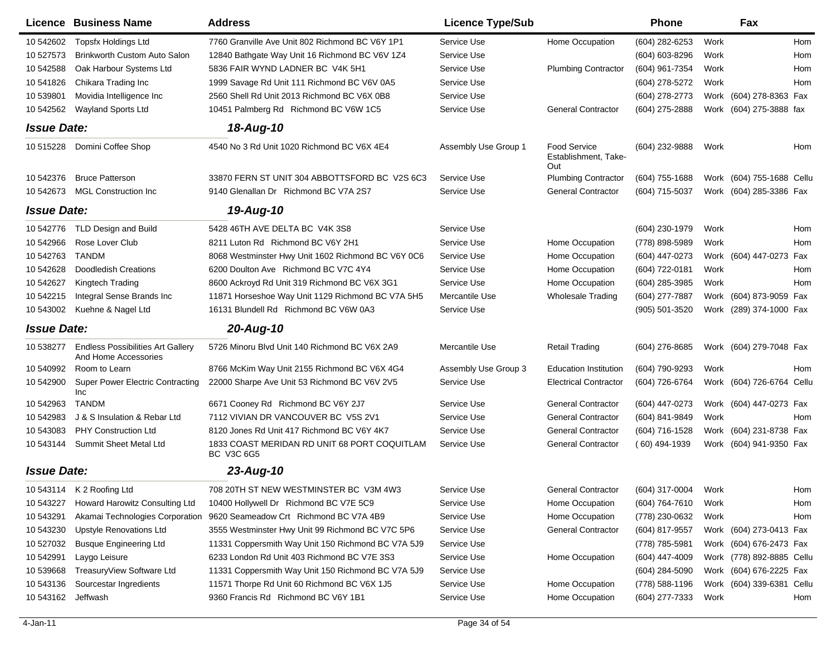|                    | Licence Business Name                                            | <b>Address</b>                                                    | <b>Licence Type/Sub</b> |                                             | <b>Phone</b>        | Fax                        |     |
|--------------------|------------------------------------------------------------------|-------------------------------------------------------------------|-------------------------|---------------------------------------------|---------------------|----------------------------|-----|
| 10 542602          | <b>Topsfx Holdings Ltd</b>                                       | 7760 Granville Ave Unit 802 Richmond BC V6Y 1P1                   | Service Use             | Home Occupation                             | (604) 282-6253      | Work                       | Hom |
| 10 527573          | Brinkworth Custom Auto Salon                                     | 12840 Bathgate Way Unit 16 Richmond BC V6V 1Z4                    | Service Use             |                                             | (604) 603-8296      | Work                       | Hom |
| 10 542588          | Oak Harbour Systems Ltd                                          | 5836 FAIR WYND LADNER BC V4K 5H1                                  | Service Use             | <b>Plumbing Contractor</b>                  | (604) 961-7354      | Work                       | Hom |
| 10 541826          | Chikara Trading Inc                                              | 1999 Savage Rd Unit 111 Richmond BC V6V 0A5                       | Service Use             |                                             | (604) 278-5272      | Work                       | Hom |
| 10 539801          | Movidia Intelligence Inc                                         | 2560 Shell Rd Unit 2013 Richmond BC V6X 0B8                       | Service Use             |                                             | (604) 278-2773      | Work (604) 278-8363 Fax    |     |
| 10 542562          | Wayland Sports Ltd                                               | 10451 Palmberg Rd Richmond BC V6W 1C5                             | Service Use             | <b>General Contractor</b>                   | (604) 275-2888      | Work (604) 275-3888 fax    |     |
| <b>Issue Date:</b> |                                                                  | 18-Aug-10                                                         |                         |                                             |                     |                            |     |
| 10 515228          | Domini Coffee Shop                                               | 4540 No 3 Rd Unit 1020 Richmond BC V6X 4E4                        | Assembly Use Group 1    | Food Service<br>Establishment. Take-<br>Out | (604) 232-9888      | Work                       | Hom |
| 10 542376          | <b>Bruce Patterson</b>                                           | 33870 FERN ST UNIT 304 ABBOTTSFORD BC V2S 6C3                     | Service Use             | <b>Plumbing Contractor</b>                  | $(604)$ 755-1688    | Work (604) 755-1688 Cellu  |     |
| 10 542673          | <b>MGL Construction Inc</b>                                      | 9140 Glenallan Dr Richmond BC V7A 2S7                             | Service Use             | <b>General Contractor</b>                   | (604) 715-5037      | Work (604) 285-3386 Fax    |     |
| <b>Issue Date:</b> |                                                                  | 19-Aug-10                                                         |                         |                                             |                     |                            |     |
| 10 542776          | <b>TLD Design and Build</b>                                      | 5428 46TH AVE DELTA BC V4K 3S8                                    | Service Use             |                                             | $(604)$ 230-1979    | Work                       | Hom |
| 10 542966          | Rose Lover Club                                                  | 8211 Luton Rd Richmond BC V6Y 2H1                                 | Service Use             | Home Occupation                             | (778) 898-5989      | Work                       | Hom |
| 10 542763          | <b>TANDM</b>                                                     | 8068 Westminster Hwy Unit 1602 Richmond BC V6Y 0C6                | Service Use             | Home Occupation                             | (604) 447-0273      | Work (604) 447-0273 Fax    |     |
| 10 542628          | <b>Doodledish Creations</b>                                      | 6200 Doulton Ave Richmond BC V7C 4Y4                              | Service Use             | Home Occupation                             | (604) 722-0181      | Work                       | Hom |
| 10 542627          | Kingtech Trading                                                 | 8600 Ackroyd Rd Unit 319 Richmond BC V6X 3G1                      | Service Use             | Home Occupation                             | (604) 285-3985      | Work                       | Hom |
| 10 542215          | Integral Sense Brands Inc                                        | 11871 Horseshoe Way Unit 1129 Richmond BC V7A 5H5                 | Mercantile Use          | <b>Wholesale Trading</b>                    | (604) 277-7887      | (604) 873-9059 Fax<br>Work |     |
| 10 543002          | Kuehne & Nagel Ltd                                               | 16131 Blundell Rd Richmond BC V6W 0A3                             | Service Use             |                                             | (905) 501-3520      | Work (289) 374-1000 Fax    |     |
| <b>Issue Date:</b> |                                                                  | 20-Aug-10                                                         |                         |                                             |                     |                            |     |
| 10 538277          | <b>Endless Possibilities Art Gallery</b><br>And Home Accessories | 5726 Minoru Blvd Unit 140 Richmond BC V6X 2A9                     | Mercantile Use          | <b>Retail Trading</b>                       | (604) 276-8685      | Work (604) 279-7048 Fax    |     |
| 10 540992          | Room to Learn                                                    | 8766 McKim Way Unit 2155 Richmond BC V6X 4G4                      | Assembly Use Group 3    | <b>Education Institution</b>                | (604) 790-9293      | Work                       | Hom |
| 10 542900          | <b>Super Power Electric Contracting</b><br>Inc                   | 22000 Sharpe Ave Unit 53 Richmond BC V6V 2V5                      | Service Use             | <b>Electrical Contractor</b>                | (604) 726-6764      | Work (604) 726-6764 Cellu  |     |
| 10 542963          | <b>TANDM</b>                                                     | 6671 Cooney Rd Richmond BC V6Y 2J7                                | Service Use             | <b>General Contractor</b>                   | (604) 447-0273      | Work (604) 447-0273 Fax    |     |
| 10 542983          | J & S Insulation & Rebar Ltd                                     | 7112 VIVIAN DR VANCOUVER BC V5S 2V1                               | Service Use             | <b>General Contractor</b>                   | (604) 841-9849      | Work                       | Hom |
| 10 543083          | <b>PHY Construction Ltd</b>                                      | 8120 Jones Rd Unit 417 Richmond BC V6Y 4K7                        | Service Use             | <b>General Contractor</b>                   | (604) 716-1528      | (604) 231-8738 Fax<br>Work |     |
| 10 543144          | Summit Sheet Metal Ltd                                           | 1833 COAST MERIDAN RD UNIT 68 PORT COQUITLAM<br><b>BC V3C 6G5</b> | Service Use             | <b>General Contractor</b>                   | $(60)$ 494-1939     | Work (604) 941-9350 Fax    |     |
| <b>Issue Date:</b> |                                                                  | 23-Aug-10                                                         |                         |                                             |                     |                            |     |
| 10 543114          | K 2 Roofing Ltd                                                  | 708 20TH ST NEW WESTMINSTER BC V3M 4W3                            | Service Use             | <b>General Contractor</b>                   | (604) 317-0004 Work |                            | Hom |
| 10 543227          | Howard Harowitz Consulting Ltd                                   | 10400 Hollywell Dr Richmond BC V7E 5C9                            | Service Use             | Home Occupation                             | (604) 764-7610      | Work                       | Hom |
| 10 543291          | Akamai Technologies Corporation                                  | 9620 Seameadow Crt Richmond BC V7A 4B9                            | Service Use             | Home Occupation                             | (778) 230-0632      | Work                       | Hom |
| 10 543230          | <b>Upstyle Renovations Ltd</b>                                   | 3555 Westminster Hwy Unit 99 Richmond BC V7C 5P6                  | Service Use             | <b>General Contractor</b>                   | (604) 817-9557      | Work (604) 273-0413 Fax    |     |
| 10 527032          | <b>Busque Engineering Ltd</b>                                    | 11331 Coppersmith Way Unit 150 Richmond BC V7A 5J9                | Service Use             |                                             | (778) 785-5981      | Work (604) 676-2473 Fax    |     |
| 10 542991          | Laygo Leisure                                                    | 6233 London Rd Unit 403 Richmond BC V7E 3S3                       | Service Use             | Home Occupation                             | (604) 447-4009      | Work (778) 892-8885 Cellu  |     |
| 10 539668          | TreasuryView Software Ltd                                        | 11331 Coppersmith Way Unit 150 Richmond BC V7A 5J9                | Service Use             |                                             | (604) 284-5090      | Work (604) 676-2225 Fax    |     |
| 10 543136          | Sourcestar Ingredients                                           | 11571 Thorpe Rd Unit 60 Richmond BC V6X 1J5                       | Service Use             | Home Occupation                             | (778) 588-1196      | Work (604) 339-6381 Cellu  |     |
| 10 543162          | Jeffwash                                                         | 9360 Francis Rd Richmond BC V6Y 1B1                               | Service Use             | Home Occupation                             | (604) 277-7333      | Work                       | Hom |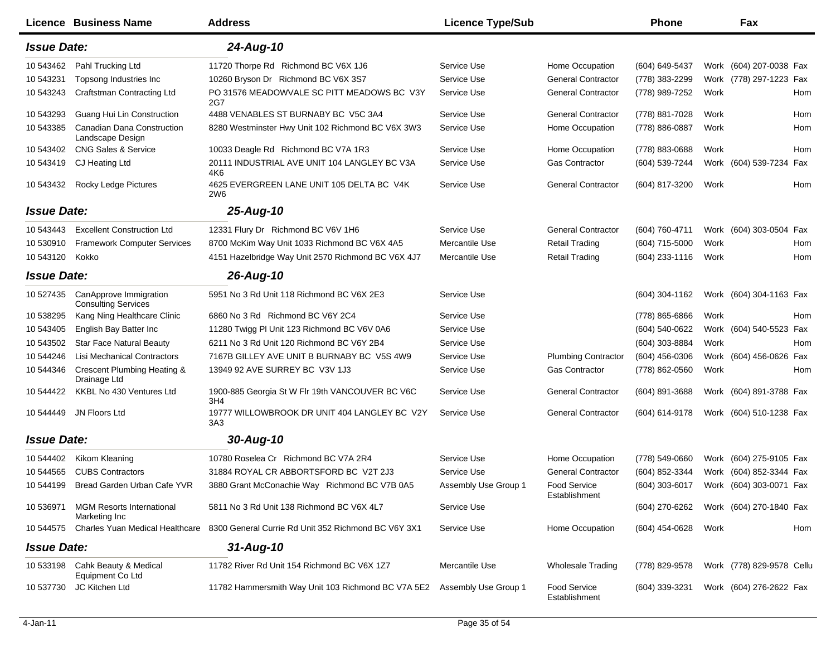|                    | Licence Business Name                                | <b>Address</b>                                               | <b>Licence Type/Sub</b> |                                      | <b>Phone</b>     | Fax                        |     |
|--------------------|------------------------------------------------------|--------------------------------------------------------------|-------------------------|--------------------------------------|------------------|----------------------------|-----|
| <b>Issue Date:</b> |                                                      | 24-Aug-10                                                    |                         |                                      |                  |                            |     |
| 10 543462          | Pahl Trucking Ltd                                    | 11720 Thorpe Rd Richmond BC V6X 1J6                          | Service Use             | Home Occupation                      | (604) 649-5437   | Work (604) 207-0038 Fax    |     |
| 10 543231          | Topsong Industries Inc                               | 10260 Bryson Dr Richmond BC V6X 3S7                          | Service Use             | <b>General Contractor</b>            | (778) 383-2299   | Work (778) 297-1223 Fax    |     |
| 10 543243          | Craftstman Contracting Ltd                           | PO 31576 MEADOWVALE SC PITT MEADOWS BC V3Y<br>2G7            | Service Use             | <b>General Contractor</b>            | (778) 989-7252   | Work                       | Hom |
| 10 543293          | Guang Hui Lin Construction                           | 4488 VENABLES ST BURNABY BC V5C 3A4                          | Service Use             | <b>General Contractor</b>            | (778) 881-7028   | Work                       | Hom |
| 10 543385          | Canadian Dana Construction<br>Landscape Design       | 8280 Westminster Hwy Unit 102 Richmond BC V6X 3W3            | Service Use             | Home Occupation                      | (778) 886-0887   | Work                       | Hom |
| 10 543402          | <b>CNG Sales &amp; Service</b>                       | 10033 Deagle Rd Richmond BC V7A 1R3                          | Service Use             | Home Occupation                      | (778) 883-0688   | Work                       | Hom |
| 10 543419          | CJ Heating Ltd                                       | 20111 INDUSTRIAL AVE UNIT 104 LANGLEY BC V3A<br>4K6          | Service Use             | <b>Gas Contractor</b>                | (604) 539-7244   | Work (604) 539-7234 Fax    |     |
| 10 543432          | Rocky Ledge Pictures                                 | 4625 EVERGREEN LANE UNIT 105 DELTA BC V4K<br>2W <sub>6</sub> | Service Use             | <b>General Contractor</b>            | (604) 817-3200   | Work                       | Hom |
| <b>Issue Date:</b> |                                                      | 25-Aug-10                                                    |                         |                                      |                  |                            |     |
| 10 543443          | <b>Excellent Construction Ltd</b>                    | 12331 Flury Dr Richmond BC V6V 1H6                           | Service Use             | <b>General Contractor</b>            | (604) 760-4711   | Work (604) 303-0504 Fax    |     |
| 10 530910          | <b>Framework Computer Services</b>                   | 8700 McKim Way Unit 1033 Richmond BC V6X 4A5                 | Mercantile Use          | <b>Retail Trading</b>                | (604) 715-5000   | Work                       | Hom |
| 10 543120          | Kokko                                                | 4151 Hazelbridge Way Unit 2570 Richmond BC V6X 4J7           | Mercantile Use          | <b>Retail Trading</b>                | (604) 233-1116   | Work                       | Hom |
| <b>Issue Date:</b> |                                                      | 26-Aug-10                                                    |                         |                                      |                  |                            |     |
| 10 527435          | CanApprove Immigration<br><b>Consulting Services</b> | 5951 No 3 Rd Unit 118 Richmond BC V6X 2E3                    | Service Use             |                                      | $(604)$ 304-1162 | Work (604) 304-1163 Fax    |     |
| 10 538295          | Kang Ning Healthcare Clinic                          | 6860 No 3 Rd Richmond BC V6Y 2C4                             | Service Use             |                                      | (778) 865-6866   | Work                       | Hom |
| 10 543405          | English Bay Batter Inc                               | 11280 Twigg PI Unit 123 Richmond BC V6V 0A6                  | Service Use             |                                      | (604) 540-0622   | Work<br>(604) 540-5523 Fax |     |
| 10 543502          | <b>Star Face Natural Beauty</b>                      | 6211 No 3 Rd Unit 120 Richmond BC V6Y 2B4                    | Service Use             |                                      | (604) 303-8884   | Work                       | Hom |
| 10 544246          | Lisi Mechanical Contractors                          | 7167B GILLEY AVE UNIT B BURNABY BC V5S 4W9                   | Service Use             | <b>Plumbing Contractor</b>           | (604) 456-0306   | Work (604) 456-0626 Fax    |     |
| 10 544346          | Crescent Plumbing Heating &<br>Drainage Ltd          | 13949 92 AVE SURREY BC V3V 1J3                               | Service Use             | <b>Gas Contractor</b>                | (778) 862-0560   | Work                       | Hom |
| 10 544422          | KKBL No 430 Ventures Ltd                             | 1900-885 Georgia St W Flr 19th VANCOUVER BC V6C<br>3H4       | Service Use             | <b>General Contractor</b>            | $(604)$ 891-3688 | Work (604) 891-3788 Fax    |     |
| 10 544449          | JN Floors Ltd                                        | 19777 WILLOWBROOK DR UNIT 404 LANGLEY BC V2Y<br>3A3          | Service Use             | <b>General Contractor</b>            | (604) 614-9178   | Work (604) 510-1238 Fax    |     |
| <b>Issue Date:</b> |                                                      | 30-Aug-10                                                    |                         |                                      |                  |                            |     |
| 10 544402          | Kikom Kleaning                                       | 10780 Roselea Cr Richmond BC V7A 2R4                         | Service Use             | Home Occupation                      | (778) 549-0660   | Work (604) 275-9105 Fax    |     |
| 10 544565          | <b>CUBS Contractors</b>                              | 31884 ROYAL CR ABBORTSFORD BC V2T 2J3                        | Service Use             | <b>General Contractor</b>            | (604) 852-3344   | Work (604) 852-3344 Fax    |     |
|                    | 10 544199 Bread Garden Urban Cafe YVR                | 3880 Grant McConachie Way Richmond BC V7B 0A5                | Assembly Use Group 1    | Food Service<br>Establishment        | (604) 303-6017   | Work (604) 303-0071 Fax    |     |
| 10 536971          | <b>MGM Resorts International</b><br>Marketing Inc    | 5811 No 3 Rd Unit 138 Richmond BC V6X 4L7                    | Service Use             |                                      | (604) 270-6262   | Work (604) 270-1840 Fax    |     |
| 10 544575          | Charles Yuan Medical Healthcare                      | 8300 General Currie Rd Unit 352 Richmond BC V6Y 3X1          | Service Use             | Home Occupation                      | (604) 454-0628   | Work                       | Hom |
| <b>Issue Date:</b> |                                                      | $31 - Aug-10$                                                |                         |                                      |                  |                            |     |
| 10 533198          | Cahk Beauty & Medical<br>Equipment Co Ltd            | 11782 River Rd Unit 154 Richmond BC V6X 1Z7                  | Mercantile Use          | <b>Wholesale Trading</b>             | (778) 829-9578   | Work (778) 829-9578 Cellu  |     |
| 10 537730          | JC Kitchen Ltd                                       | 11782 Hammersmith Way Unit 103 Richmond BC V7A 5E2           | Assembly Use Group 1    | <b>Food Service</b><br>Establishment | (604) 339-3231   | Work (604) 276-2622 Fax    |     |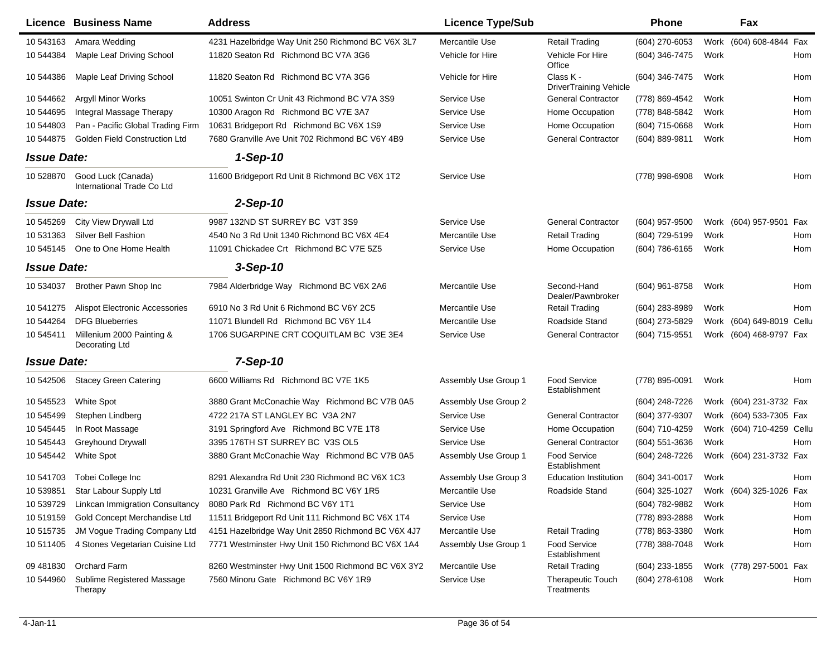|                    | Licence Business Name                            | <b>Address</b>                                     | <b>Licence Type/Sub</b> |                                            | <b>Phone</b>     |      | Fax                       |            |
|--------------------|--------------------------------------------------|----------------------------------------------------|-------------------------|--------------------------------------------|------------------|------|---------------------------|------------|
| 10 543163          | Amara Wedding                                    | 4231 Hazelbridge Way Unit 250 Richmond BC V6X 3L7  | Mercantile Use          | Retail Trading                             | (604) 270-6053   | Work | (604) 608-4844 Fax        |            |
| 10 544384          | Maple Leaf Driving School                        | 11820 Seaton Rd Richmond BC V7A 3G6                | Vehicle for Hire        | Vehicle For Hire<br>Office                 | (604) 346-7475   | Work |                           | Hom        |
| 10 544386          | Maple Leaf Driving School                        | 11820 Seaton Rd Richmond BC V7A 3G6                | Vehicle for Hire        | Class K -<br><b>DriverTraining Vehicle</b> | (604) 346-7475   | Work |                           | Hom        |
| 10 544662          | Argyll Minor Works                               | 10051 Swinton Cr Unit 43 Richmond BC V7A 3S9       | Service Use             | <b>General Contractor</b>                  | (778) 869-4542   | Work |                           | Hom        |
| 10 544695          | Integral Massage Therapy                         | 10300 Aragon Rd Richmond BC V7E 3A7                | Service Use             | Home Occupation                            | (778) 848-5842   | Work |                           | Hom        |
| 10 544803          | Pan - Pacific Global Trading Firm                | 10631 Bridgeport Rd Richmond BC V6X 1S9            | Service Use             | Home Occupation                            | (604) 715-0668   | Work |                           | Hom        |
| 10 544875          | <b>Golden Field Construction Ltd</b>             | 7680 Granville Ave Unit 702 Richmond BC V6Y 4B9    | Service Use             | <b>General Contractor</b>                  | (604) 889-9811   | Work |                           | Hom        |
| <b>Issue Date:</b> |                                                  | $1-Sep-10$                                         |                         |                                            |                  |      |                           |            |
| 10 528870          | Good Luck (Canada)<br>International Trade Co Ltd | 11600 Bridgeport Rd Unit 8 Richmond BC V6X 1T2     | Service Use             |                                            | (778) 998-6908   | Work |                           | Hom        |
| <b>Issue Date:</b> |                                                  | $2-Sep-10$                                         |                         |                                            |                  |      |                           |            |
| 10 545269          | City View Drywall Ltd                            | 9987 132ND ST SURREY BC V3T 3S9                    | Service Use             | <b>General Contractor</b>                  | $(604)$ 957-9500 |      | Work (604) 957-9501 Fax   |            |
| 10 531363          | Silver Bell Fashion                              | 4540 No 3 Rd Unit 1340 Richmond BC V6X 4E4         | Mercantile Use          | <b>Retail Trading</b>                      | (604) 729-5199   | Work |                           | Hom        |
| 10 545145          | One to One Home Health                           | 11091 Chickadee Crt Richmond BC V7E 5Z5            | Service Use             | Home Occupation                            | (604) 786-6165   | Work |                           | Hom        |
| <b>Issue Date:</b> |                                                  | $3-Sep-10$                                         |                         |                                            |                  |      |                           |            |
| 10 534037          | Brother Pawn Shop Inc                            | 7984 Alderbridge Way Richmond BC V6X 2A6           | Mercantile Use          | Second-Hand<br>Dealer/Pawnbroker           | (604) 961-8758   | Work |                           | <b>Hom</b> |
| 10 541275          | <b>Alispot Electronic Accessories</b>            | 6910 No 3 Rd Unit 6 Richmond BC V6Y 2C5            | Mercantile Use          | Retail Trading                             | $(604)$ 283-8989 | Work |                           | <b>Hom</b> |
| 10 544264          | <b>DFG Blueberries</b>                           | 11071 Blundell Rd Richmond BC V6Y 1L4              | Mercantile Use          | Roadside Stand                             | (604) 273-5829   | Work | (604) 649-8019 Cellu      |            |
| 10 545411          | Millenium 2000 Painting &<br>Decorating Ltd      | 1706 SUGARPINE CRT COQUITLAM BC V3E 3E4            | Service Use             | <b>General Contractor</b>                  | (604) 715-9551   |      | Work (604) 468-9797 Fax   |            |
| <b>Issue Date:</b> |                                                  | 7-Sep-10                                           |                         |                                            |                  |      |                           |            |
| 10 542506          | <b>Stacey Green Catering</b>                     | 6600 Williams Rd Richmond BC V7E 1K5               | Assembly Use Group 1    | <b>Food Service</b><br>Establishment       | (778) 895-0091   | Work |                           | Hom        |
| 10 545523          | White Spot                                       | 3880 Grant McConachie Way Richmond BC V7B 0A5      | Assembly Use Group 2    |                                            | (604) 248-7226   |      | Work (604) 231-3732 Fax   |            |
| 10 545499          | Stephen Lindberg                                 | 4722 217A ST LANGLEY BC V3A 2N7                    | Service Use             | <b>General Contractor</b>                  | (604) 377-9307   |      | Work (604) 533-7305 Fax   |            |
| 10 545445          | In Root Massage                                  | 3191 Springford Ave Richmond BC V7E 1T8            | Service Use             | Home Occupation                            | (604) 710-4259   |      | Work (604) 710-4259 Cellu |            |
| 10 545443          | <b>Greyhound Drywall</b>                         | 3395 176TH ST SURREY BC V3S OL5                    | Service Use             | <b>General Contractor</b>                  | (604) 551-3636   | Work |                           | Hom        |
| 10 545442          | <b>White Spot</b>                                | 3880 Grant McConachie Way Richmond BC V7B 0A5      | Assembly Use Group 1    | <b>Food Service</b><br>Establishment       | (604) 248-7226   |      | Work (604) 231-3732 Fax   |            |
|                    | 10 541703 Tobei College Inc                      | 8291 Alexandra Rd Unit 230 Richmond BC V6X 1C3     | Assembly Use Group 3    | <b>Education Institution</b>               | $(604)$ 341-0017 | Work |                           | Hom        |
| 10 539851          | Star Labour Supply Ltd                           | 10231 Granville Ave Richmond BC V6Y 1R5            | Mercantile Use          | Roadside Stand                             | (604) 325-1027   |      | Work (604) 325-1026 Fax   |            |
| 10 539729          | <b>Linkcan Immigration Consultancy</b>           | 8080 Park Rd Richmond BC V6Y 1T1                   | Service Use             |                                            | (604) 782-9882   | Work |                           | Hom        |
| 10 519159          | Gold Concept Merchandise Ltd                     | 11511 Bridgeport Rd Unit 111 Richmond BC V6X 1T4   | Service Use             |                                            | (778) 893-2888   | Work |                           | Hom        |
| 10 51 5735         | JM Vogue Trading Company Ltd                     | 4151 Hazelbridge Way Unit 2850 Richmond BC V6X 4J7 | Mercantile Use          | <b>Retail Trading</b>                      | (778) 863-3380   | Work |                           | Hom        |
| 10 511405          | 4 Stones Vegetarian Cuisine Ltd                  | 7771 Westminster Hwy Unit 150 Richmond BC V6X 1A4  | Assembly Use Group 1    | <b>Food Service</b><br>Establishment       | (778) 388-7048   | Work |                           | Hom        |
| 09 48 18 30        | Orchard Farm                                     | 8260 Westminster Hwy Unit 1500 Richmond BC V6X 3Y2 | Mercantile Use          | <b>Retail Trading</b>                      | (604) 233-1855   |      | Work (778) 297-5001 Fax   |            |
| 10 544960          | Sublime Registered Massage<br>Therapy            | 7560 Minoru Gate Richmond BC V6Y 1R9               | Service Use             | <b>Therapeutic Touch</b><br>Treatments     | $(604)$ 278-6108 | Work |                           | Hom        |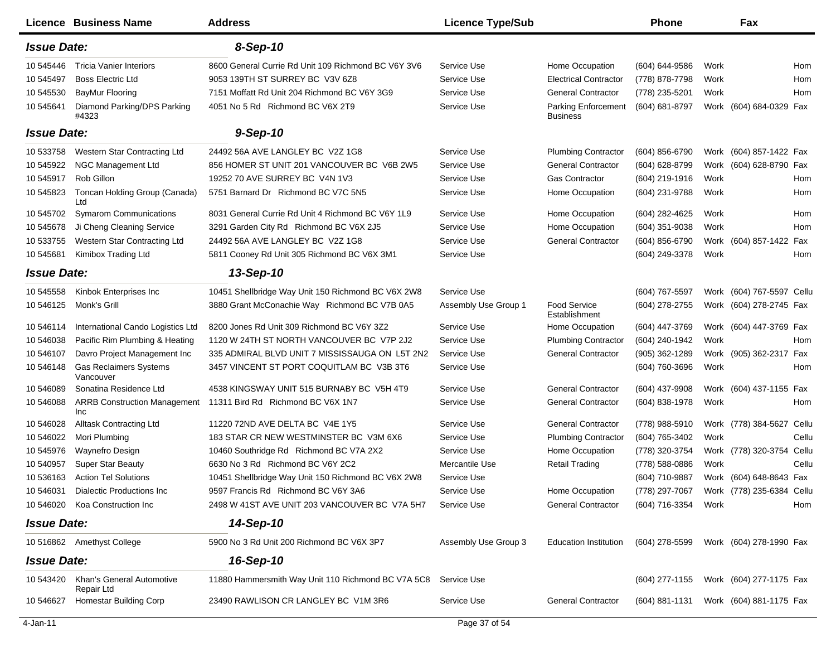|                    | Licence Business Name                      | <b>Address</b>                                      | <b>Licence Type/Sub</b> |                                               | <b>Phone</b>     |      | Fax                       |            |
|--------------------|--------------------------------------------|-----------------------------------------------------|-------------------------|-----------------------------------------------|------------------|------|---------------------------|------------|
| <b>Issue Date:</b> |                                            | 8-Sep-10                                            |                         |                                               |                  |      |                           |            |
| 10 545446          | <b>Tricia Vanier Interiors</b>             | 8600 General Currie Rd Unit 109 Richmond BC V6Y 3V6 | Service Use             | Home Occupation                               | (604) 644-9586   | Work |                           | Hom        |
| 10 545497          | <b>Boss Electric Ltd</b>                   | 9053 139TH ST SURREY BC V3V 6Z8                     | Service Use             | <b>Electrical Contractor</b>                  | (778) 878-7798   | Work |                           | Hom        |
| 10 545530          | <b>BayMur Flooring</b>                     | 7151 Moffatt Rd Unit 204 Richmond BC V6Y 3G9        | Service Use             | <b>General Contractor</b>                     | (778) 235-5201   | Work |                           | Hom        |
| 10 545641          | Diamond Parking/DPS Parking<br>#4323       | 4051 No 5 Rd Richmond BC V6X 2T9                    | Service Use             | <b>Parking Enforcement</b><br><b>Business</b> | (604) 681-8797   |      | Work (604) 684-0329 Fax   |            |
| <b>Issue Date:</b> |                                            | $9-Sep-10$                                          |                         |                                               |                  |      |                           |            |
| 10 533758          | Western Star Contracting Ltd               | 24492 56A AVE LANGLEY BC V2Z 1G8                    | Service Use             | <b>Plumbing Contractor</b>                    | (604) 856-6790   |      | Work (604) 857-1422 Fax   |            |
| 10 545922          | NGC Management Ltd                         | 856 HOMER ST UNIT 201 VANCOUVER BC V6B 2W5          | Service Use             | <b>General Contractor</b>                     | (604) 628-8799   |      | Work (604) 628-8790 Fax   |            |
| 10 545917          | Rob Gillon                                 | 19252 70 AVE SURREY BC V4N 1V3                      | Service Use             | <b>Gas Contractor</b>                         | (604) 219-1916   | Work |                           | <b>Hom</b> |
| 10 545823          | Toncan Holding Group (Canada)<br>Ltd       | 5751 Barnard Dr Richmond BC V7C 5N5                 | Service Use             | Home Occupation                               | (604) 231-9788   | Work |                           | Hom        |
| 10 545702          | <b>Symarom Communications</b>              | 8031 General Currie Rd Unit 4 Richmond BC V6Y 1L9   | Service Use             | Home Occupation                               | (604) 282-4625   | Work |                           | Hom        |
| 10 545678          | Ji Cheng Cleaning Service                  | 3291 Garden City Rd Richmond BC V6X 2J5             | Service Use             | Home Occupation                               | $(604)$ 351-9038 | Work |                           | Hom        |
| 10 533755          | Western Star Contracting Ltd               | 24492 56A AVE LANGLEY BC V2Z 1G8                    | Service Use             | <b>General Contractor</b>                     | (604) 856-6790   |      | Work (604) 857-1422 Fax   |            |
| 10 545681          | Kimibox Trading Ltd                        | 5811 Cooney Rd Unit 305 Richmond BC V6X 3M1         | Service Use             |                                               | (604) 249-3378   | Work |                           | Hom        |
| <b>Issue Date:</b> |                                            | 13-Sep-10                                           |                         |                                               |                  |      |                           |            |
| 10 545558          | Kinbok Enterprises Inc                     | 10451 Shellbridge Way Unit 150 Richmond BC V6X 2W8  | Service Use             |                                               | (604) 767-5597   |      | Work (604) 767-5597 Cellu |            |
| 10 54 6125         | Monk's Grill                               | 3880 Grant McConachie Way Richmond BC V7B 0A5       | Assembly Use Group 1    | <b>Food Service</b><br>Establishment          | (604) 278-2755   |      | Work (604) 278-2745 Fax   |            |
| 10 54 6114         | International Cando Logistics Ltd          | 8200 Jones Rd Unit 309 Richmond BC V6Y 3Z2          | Service Use             | Home Occupation                               | (604) 447-3769   |      | Work (604) 447-3769 Fax   |            |
| 10 546038          | Pacific Rim Plumbing & Heating             | 1120 W 24TH ST NORTH VANCOUVER BC V7P 2J2           | Service Use             | <b>Plumbing Contractor</b>                    | (604) 240-1942   | Work |                           | Hom        |
| 10 54 6107         | Davro Project Management Inc               | 335 ADMIRAL BLVD UNIT 7 MISSISSAUGA ON L5T 2N2      | Service Use             | <b>General Contractor</b>                     | (905) 362-1289   |      | Work (905) 362-2317 Fax   |            |
| 10 54 6148         | <b>Gas Reclaimers Systems</b><br>Vancouver | 3457 VINCENT ST PORT COQUITLAM BC V3B 3T6           | Service Use             |                                               | (604) 760-3696   | Work |                           | Hom        |
| 10 54 6089         | Sonatina Residence Ltd                     | 4538 KINGSWAY UNIT 515 BURNABY BC V5H 4T9           | Service Use             | <b>General Contractor</b>                     | (604) 437-9908   |      | Work (604) 437-1155 Fax   |            |
| 10 546088          | <b>ARRB Construction Management</b><br>Inc | 11311 Bird Rd Richmond BC V6X 1N7                   | Service Use             | <b>General Contractor</b>                     | (604) 838-1978   | Work |                           | Hom        |
| 10 54 60 28        | <b>Alltask Contracting Ltd</b>             | 11220 72ND AVE DELTA BC V4E 1Y5                     | Service Use             | <b>General Contractor</b>                     | (778) 988-5910   |      | Work (778) 384-5627 Cellu |            |
| 10 546022          | Mori Plumbing                              | 183 STAR CR NEW WESTMINSTER BC V3M 6X6              | Service Use             | <b>Plumbing Contractor</b>                    | (604) 765-3402   | Work |                           | Cellu      |
| 10 545976          | Waynefro Design                            | 10460 Southridge Rd Richmond BC V7A 2X2             | Service Use             | Home Occupation                               | (778) 320-3754   |      | Work (778) 320-3754 Cellu |            |
| 10 540957          | <b>Super Star Beauty</b>                   | 6630 No 3 Rd Richmond BC V6Y 2C2                    | Mercantile Use          | <b>Retail Trading</b>                         | (778) 588-0886   | Work |                           | Cellu      |
| 10 536163          | <b>Action Tel Solutions</b>                | 10451 Shellbridge Way Unit 150 Richmond BC V6X 2W8  | Service Use             |                                               | (604) 710-9887   |      | Work (604) 648-8643 Fax   |            |
| 10 546031          | <b>Dialectic Productions Inc</b>           | 9597 Francis Rd Richmond BC V6Y 3A6                 | Service Use             | Home Occupation                               | (778) 297-7067   |      | Work (778) 235-6384 Cellu |            |
| 10 546020          | Koa Construction Inc                       | 2498 W 41ST AVE UNIT 203 VANCOUVER BC V7A 5H7       | Service Use             | <b>General Contractor</b>                     | (604) 716-3354   | Work |                           | Hom        |
| <b>Issue Date:</b> |                                            | 14-Sep-10                                           |                         |                                               |                  |      |                           |            |
|                    | 10 516862 Amethyst College                 | 5900 No 3 Rd Unit 200 Richmond BC V6X 3P7           | Assembly Use Group 3    | <b>Education Institution</b>                  | (604) 278-5599   |      | Work (604) 278-1990 Fax   |            |
| <b>Issue Date:</b> |                                            | 16-Sep-10                                           |                         |                                               |                  |      |                           |            |
| 10 543420          | Khan's General Automotive<br>Repair Ltd    | 11880 Hammersmith Way Unit 110 Richmond BC V7A 5C8  | Service Use             |                                               | (604) 277-1155   |      | Work (604) 277-1175 Fax   |            |
| 10 546627          | Homestar Building Corp                     | 23490 RAWLISON CR LANGLEY BC V1M 3R6                | Service Use             | <b>General Contractor</b>                     | (604) 881-1131   |      | Work (604) 881-1175 Fax   |            |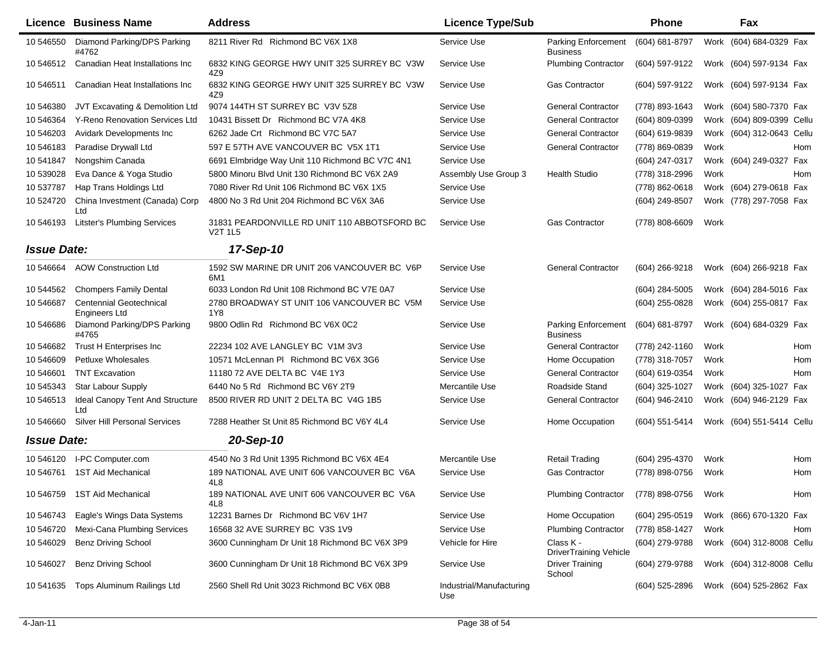|                    | <b>Licence Business Name</b>                    | <b>Address</b>                                                 | <b>Licence Type/Sub</b>         |                                               | <b>Phone</b>     |      | Fax                       |            |
|--------------------|-------------------------------------------------|----------------------------------------------------------------|---------------------------------|-----------------------------------------------|------------------|------|---------------------------|------------|
| 10 546550          | Diamond Parking/DPS Parking<br>#4762            | 8211 River Rd Richmond BC V6X 1X8                              | Service Use                     | Parking Enforcement<br><b>Business</b>        | (604) 681-8797   |      | Work (604) 684-0329 Fax   |            |
| 10 54 6512         | Canadian Heat Installations Inc                 | 6832 KING GEORGE HWY UNIT 325 SURREY BC V3W<br>4Z9             | Service Use                     | <b>Plumbing Contractor</b>                    | (604) 597-9122   |      | Work (604) 597-9134 Fax   |            |
| 10 54 6511         | Canadian Heat Installations Inc                 | 6832 KING GEORGE HWY UNIT 325 SURREY BC V3W<br>4Z9             | Service Use                     | <b>Gas Contractor</b>                         | (604) 597-9122   |      | Work (604) 597-9134 Fax   |            |
| 10 546380          | JVT Excavating & Demolition Ltd                 | 9074 144TH ST SURREY BC V3V 5Z8                                | Service Use                     | <b>General Contractor</b>                     | (778) 893-1643   |      | Work (604) 580-7370 Fax   |            |
| 10 546364          | Y-Reno Renovation Services Ltd                  | 10431 Bissett Dr Richmond BC V7A 4K8                           | Service Use                     | <b>General Contractor</b>                     | (604) 809-0399   |      | Work (604) 809-0399 Cellu |            |
| 10 546203          | <b>Avidark Developments Inc</b>                 | 6262 Jade Crt Richmond BC V7C 5A7                              | Service Use                     | <b>General Contractor</b>                     | (604) 619-9839   |      | Work (604) 312-0643       | Cellu      |
| 10 54 6183         | Paradise Drywall Ltd                            | 597 E 57TH AVE VANCOUVER BC V5X 1T1                            | Service Use                     | <b>General Contractor</b>                     | (778) 869-0839   | Work |                           | <b>Hom</b> |
| 10 541847          | Nongshim Canada                                 | 6691 Elmbridge Way Unit 110 Richmond BC V7C 4N1                | Service Use                     |                                               | (604) 247-0317   |      | Work (604) 249-0327 Fax   |            |
| 10 539028          | Eva Dance & Yoga Studio                         | 5800 Minoru Blvd Unit 130 Richmond BC V6X 2A9                  | Assembly Use Group 3            | <b>Health Studio</b>                          | (778) 318-2996   | Work |                           | <b>Hom</b> |
| 10 537787          | Hap Trans Holdings Ltd                          | 7080 River Rd Unit 106 Richmond BC V6X 1X5                     | Service Use                     |                                               | (778) 862-0618   |      | Work (604) 279-0618 Fax   |            |
| 10 524720          | China Investment (Canada) Corp<br>Ltd           | 4800 No 3 Rd Unit 204 Richmond BC V6X 3A6                      | Service Use                     |                                               | (604) 249-8507   |      | Work (778) 297-7058 Fax   |            |
| 10 546193          | <b>Litster's Plumbing Services</b>              | 31831 PEARDONVILLE RD UNIT 110 ABBOTSFORD BC<br><b>V2T 1L5</b> | Service Use                     | <b>Gas Contractor</b>                         | (778) 808-6609   | Work |                           |            |
| <b>Issue Date:</b> |                                                 | 17-Sep-10                                                      |                                 |                                               |                  |      |                           |            |
| 10 546664          | <b>AOW Construction Ltd</b>                     | 1592 SW MARINE DR UNIT 206 VANCOUVER BC V6P<br>6M1             | Service Use                     | <b>General Contractor</b>                     | (604) 266-9218   |      | Work (604) 266-9218 Fax   |            |
| 10 544562          | <b>Chompers Family Dental</b>                   | 6033 London Rd Unit 108 Richmond BC V7E 0A7                    | Service Use                     |                                               | $(604)$ 284-5005 |      | Work (604) 284-5016 Fax   |            |
| 10 546687          | <b>Centennial Geotechnical</b><br>Engineers Ltd | 2780 BROADWAY ST UNIT 106 VANCOUVER BC V5M<br>1Y8              | Service Use                     |                                               | (604) 255-0828   |      | Work (604) 255-0817 Fax   |            |
| 10 546686          | Diamond Parking/DPS Parking<br>#4765            | 9800 Odlin Rd Richmond BC V6X 0C2                              | Service Use                     | <b>Parking Enforcement</b><br><b>Business</b> | (604) 681-8797   |      | Work (604) 684-0329 Fax   |            |
| 10 546682          | Trust H Enterprises Inc                         | 22234 102 AVE LANGLEY BC V1M 3V3                               | Service Use                     | <b>General Contractor</b>                     | (778) 242-1160   | Work |                           | Hom        |
| 10 546609          | Petluxe Wholesales                              | 10571 McLennan PI Richmond BC V6X 3G6                          | Service Use                     | Home Occupation                               | (778) 318-7057   | Work |                           | Hom        |
| 10 54 6601         | <b>TNT Excavation</b>                           | 11180 72 AVE DELTA BC V4E 1Y3                                  | Service Use                     | <b>General Contractor</b>                     | (604) 619-0354   | Work |                           | Hom        |
| 10 545343          | <b>Star Labour Supply</b>                       | 6440 No 5 Rd Richmond BC V6Y 2T9                               | Mercantile Use                  | Roadside Stand                                | (604) 325-1027   | Work | (604) 325-1027 Fax        |            |
| 10 54 6513         | Ideal Canopy Tent And Structure<br>Ltd          | 8500 RIVER RD UNIT 2 DELTA BC V4G 1B5                          | Service Use                     | <b>General Contractor</b>                     | (604) 946-2410   |      | Work (604) 946-2129 Fax   |            |
| 10 546660          | <b>Silver Hill Personal Services</b>            | 7288 Heather St Unit 85 Richmond BC V6Y 4L4                    | Service Use                     | Home Occupation                               | (604) 551-5414   |      | Work (604) 551-5414 Cellu |            |
| <b>Issue Date:</b> |                                                 | 20-Sep-10                                                      |                                 |                                               |                  |      |                           |            |
| 10 54 6120         | I-PC Computer.com                               | 4540 No 3 Rd Unit 1395 Richmond BC V6X 4E4                     | Mercantile Use                  | <b>Retail Trading</b>                         | (604) 295-4370   | Work |                           | Hom        |
| 10 546761          | <b>1ST Aid Mechanical</b>                       | 189 NATIONAL AVE UNIT 606 VANCOUVER BC V6A<br>4L8              | Service Use                     | <b>Gas Contractor</b>                         | (778) 898-0756   | Work |                           | Hom        |
|                    | 10 546759 1ST Aid Mechanical                    | 189 NATIONAL AVE UNIT 606 VANCOUVER BC V6A<br>4L8              | Service Use                     | <b>Plumbing Contractor</b>                    | (778) 898-0756   | Work |                           | Hom        |
| 10 546743          | Eagle's Wings Data Systems                      | 12231 Barnes Dr Richmond BC V6V 1H7                            | Service Use                     | Home Occupation                               | (604) 295-0519   |      | Work (866) 670-1320 Fax   |            |
| 10 546720          | Mexi-Cana Plumbing Services                     | 16568 32 AVE SURREY BC V3S 1V9                                 | Service Use                     | <b>Plumbing Contractor</b>                    | (778) 858-1427   | Work |                           | Hom        |
| 10 546029          | <b>Benz Driving School</b>                      | 3600 Cunningham Dr Unit 18 Richmond BC V6X 3P9                 | Vehicle for Hire                | Class K -<br><b>DriverTraining Vehicle</b>    | (604) 279-9788   |      | Work (604) 312-8008 Cellu |            |
| 10 546027          | <b>Benz Driving School</b>                      | 3600 Cunningham Dr Unit 18 Richmond BC V6X 3P9                 | Service Use                     | <b>Driver Training</b><br>School              | (604) 279-9788   |      | Work (604) 312-8008 Cellu |            |
| 10 54 16 35        | Tops Aluminum Railings Ltd                      | 2560 Shell Rd Unit 3023 Richmond BC V6X 0B8                    | Industrial/Manufacturing<br>Use |                                               | (604) 525-2896   |      | Work (604) 525-2862 Fax   |            |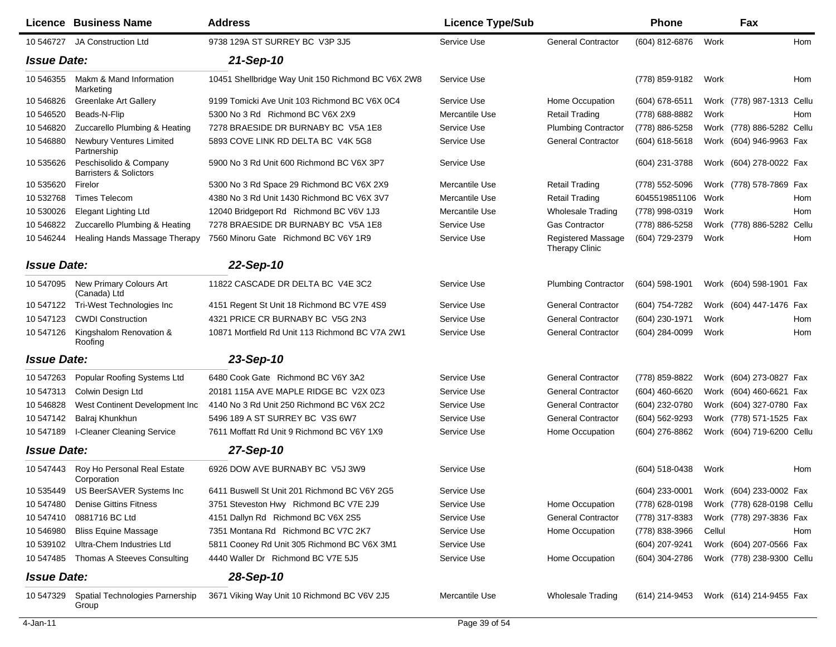|                    | <b>Licence Business Name</b>                                | <b>Address</b>                                     | <b>Licence Type/Sub</b> |                                             | <b>Phone</b>                           |        | Fax                       |     |
|--------------------|-------------------------------------------------------------|----------------------------------------------------|-------------------------|---------------------------------------------|----------------------------------------|--------|---------------------------|-----|
|                    | 10 546727 JA Construction Ltd                               | 9738 129A ST SURREY BC V3P 3J5                     | Service Use             | <b>General Contractor</b>                   | (604) 812-6876                         | Work   |                           | Hom |
| <b>Issue Date:</b> |                                                             | 21-Sep-10                                          |                         |                                             |                                        |        |                           |     |
| 10 546355          | Makm & Mand Information<br>Marketing                        | 10451 Shellbridge Way Unit 150 Richmond BC V6X 2W8 | Service Use             |                                             | (778) 859-9182                         | Work   |                           | Hom |
| 10 546826          | Greenlake Art Gallery                                       | 9199 Tomicki Ave Unit 103 Richmond BC V6X 0C4      | Service Use             | Home Occupation                             | $(604)$ 678-6511                       |        | Work (778) 987-1313 Cellu |     |
| 10 546520          | Beads-N-Flip                                                | 5300 No 3 Rd Richmond BC V6X 2X9                   | Mercantile Use          | <b>Retail Trading</b>                       | (778) 688-8882                         | Work   |                           | Hom |
| 10 546820          | Zuccarello Plumbing & Heating                               | 7278 BRAESIDE DR BURNABY BC V5A 1E8                | Service Use             | <b>Plumbing Contractor</b>                  | (778) 886-5258                         |        | Work (778) 886-5282 Cellu |     |
| 10 54 6880         | <b>Newbury Ventures Limited</b><br>Partnership              | 5893 COVE LINK RD DELTA BC V4K 5G8                 | Service Use             | <b>General Contractor</b>                   | (604) 618-5618                         |        | Work (604) 946-9963 Fax   |     |
| 10 535626          | Peschisolido & Company<br><b>Barristers &amp; Solictors</b> | 5900 No 3 Rd Unit 600 Richmond BC V6X 3P7          | Service Use             |                                             | (604) 231-3788                         |        | Work (604) 278-0022 Fax   |     |
| 10 535620          | Firelor                                                     | 5300 No 3 Rd Space 29 Richmond BC V6X 2X9          | Mercantile Use          | <b>Retail Trading</b>                       | (778) 552-5096                         |        | Work (778) 578-7869 Fax   |     |
| 10 532768          | <b>Times Telecom</b>                                        | 4380 No 3 Rd Unit 1430 Richmond BC V6X 3V7         | Mercantile Use          | <b>Retail Trading</b>                       | 6045519851106                          | Work   |                           | Hom |
| 10 530026          | <b>Elegant Lighting Ltd</b>                                 | 12040 Bridgeport Rd Richmond BC V6V 1J3            | Mercantile Use          | <b>Wholesale Trading</b>                    | (778) 998-0319                         | Work   |                           | Hom |
| 10 54 6822         | Zuccarello Plumbing & Heating                               | 7278 BRAESIDE DR BURNABY BC V5A 1E8                | Service Use             | <b>Gas Contractor</b>                       | (778) 886-5258                         |        | Work (778) 886-5282 Cellu |     |
| 10 546244          | Healing Hands Massage Therapy                               | 7560 Minoru Gate Richmond BC V6Y 1R9               | Service Use             | Registered Massage<br><b>Therapy Clinic</b> | (604) 729-2379                         | Work   |                           | Hom |
| <b>Issue Date:</b> |                                                             | 22-Sep-10                                          |                         |                                             |                                        |        |                           |     |
| 10 547095          | New Primary Colours Art<br>(Canada) Ltd                     | 11822 CASCADE DR DELTA BC V4E 3C2                  | Service Use             | <b>Plumbing Contractor</b>                  | $(604)$ 598-1901                       |        | Work (604) 598-1901 Fax   |     |
| 10 547122          | Tri-West Technologies Inc                                   | 4151 Regent St Unit 18 Richmond BC V7E 4S9         | Service Use             | <b>General Contractor</b>                   | (604) 754-7282                         |        | Work (604) 447-1476 Fax   |     |
| 10 547123          | <b>CWDI Construction</b>                                    | 4321 PRICE CR BURNABY BC V5G 2N3                   | Service Use             | <b>General Contractor</b>                   | (604) 230-1971                         | Work   |                           | Hom |
| 10 547126          | Kingshalom Renovation &<br>Roofing                          | 10871 Mortfield Rd Unit 113 Richmond BC V7A 2W1    | Service Use             | <b>General Contractor</b>                   | (604) 284-0099                         | Work   |                           | Hom |
| <b>Issue Date:</b> |                                                             | 23-Sep-10                                          |                         |                                             |                                        |        |                           |     |
| 10 547263          | Popular Roofing Systems Ltd                                 | 6480 Cook Gate Richmond BC V6Y 3A2                 | Service Use             | <b>General Contractor</b>                   | (778) 859-8822                         |        | Work (604) 273-0827 Fax   |     |
| 10 547313          | Colwin Design Ltd                                           | 20181 115A AVE MAPLE RIDGE BC V2X 0Z3              | Service Use             | <b>General Contractor</b>                   | (604) 460-6620                         |        | Work (604) 460-6621 Fax   |     |
| 10 546828          | West Continent Development Inc                              | 4140 No 3 Rd Unit 250 Richmond BC V6X 2C2          | Service Use             | <b>General Contractor</b>                   | (604) 232-0780                         |        | Work (604) 327-0780 Fax   |     |
| 10 547142          | Balraj Khunkhun                                             | 5496 189 A ST SURREY BC V3S 6W7                    | Service Use             | <b>General Contractor</b>                   | (604) 562-9293                         |        | Work (778) 571-1525 Fax   |     |
| 10 547189          | <b>I-Cleaner Cleaning Service</b>                           | 7611 Moffatt Rd Unit 9 Richmond BC V6Y 1X9         | Service Use             | Home Occupation                             | (604) 276-8862                         |        | Work (604) 719-6200 Cellu |     |
| <b>Issue Date:</b> |                                                             | 27-Sep-10                                          |                         |                                             |                                        |        |                           |     |
| 10 547443          | Roy Ho Personal Real Estate<br>Corporation                  | 6926 DOW AVE BURNABY BC V5J 3W9                    | Service Use             |                                             | (604) 518-0438                         | Work   |                           | Hom |
| 10 535449          | US BeerSAVER Systems Inc                                    | 6411 Buswell St Unit 201 Richmond BC V6Y 2G5       | Service Use             |                                             | (604) 233-0001 Work (604) 233-0002 Fax |        |                           |     |
| 10 547480          | <b>Denise Gittins Fitness</b>                               | 3751 Steveston Hwy Richmond BC V7E 2J9             | Service Use             | Home Occupation                             | (778) 628-0198                         |        | Work (778) 628-0198 Cellu |     |
| 10 547410          | 0881716 BC Ltd                                              | 4151 Dallyn Rd Richmond BC V6X 2S5                 | Service Use             | <b>General Contractor</b>                   | (778) 317-8383                         |        | Work (778) 297-3836 Fax   |     |
| 10 54 6980         | <b>Bliss Equine Massage</b>                                 | 7351 Montana Rd Richmond BC V7C 2K7                | Service Use             | Home Occupation                             | (778) 838-3966                         | Cellul |                           | Hom |
| 10 539102          | Ultra-Chem Industries Ltd                                   | 5811 Cooney Rd Unit 305 Richmond BC V6X 3M1        | Service Use             |                                             | (604) 207-9241                         |        | Work (604) 207-0566 Fax   |     |
| 10 547485          | Thomas A Steeves Consulting                                 | 4440 Waller Dr Richmond BC V7E 5J5                 | Service Use             | Home Occupation                             | (604) 304-2786                         |        | Work (778) 238-9300 Cellu |     |
| <b>Issue Date:</b> |                                                             | 28-Sep-10                                          |                         |                                             |                                        |        |                           |     |
| 10 547329          | Spatial Technologies Parnership<br>Group                    | 3671 Viking Way Unit 10 Richmond BC V6V 2J5        | Mercantile Use          | <b>Wholesale Trading</b>                    | (614) 214-9453                         |        | Work (614) 214-9455 Fax   |     |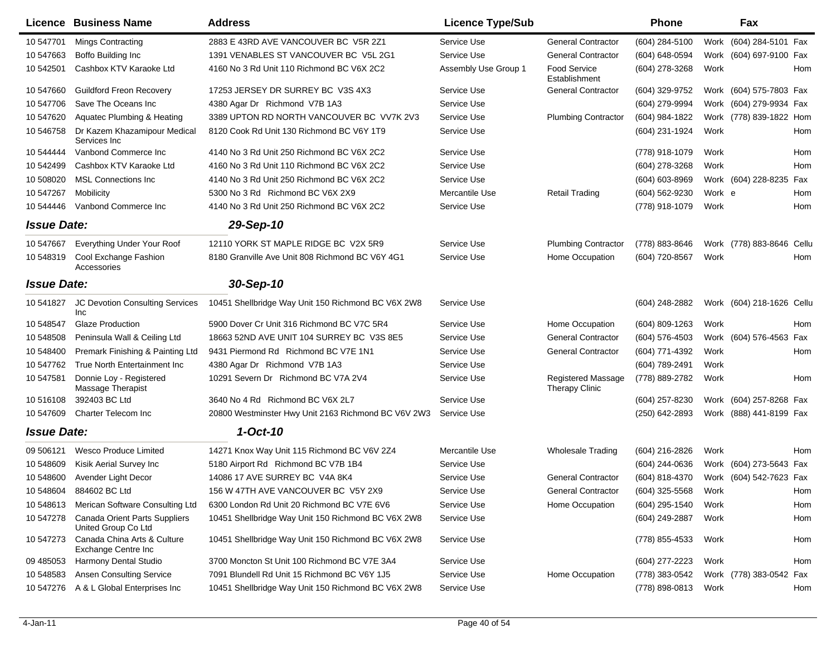|                    | Licence Business Name                                | <b>Address</b>                                      | <b>Licence Type/Sub</b> |                                                    | <b>Phone</b>   |        | Fax                       |     |
|--------------------|------------------------------------------------------|-----------------------------------------------------|-------------------------|----------------------------------------------------|----------------|--------|---------------------------|-----|
| 10 547701          | <b>Mings Contracting</b>                             | 2883 E 43RD AVE VANCOUVER BC V5R 2Z1                | Service Use             | <b>General Contractor</b>                          | (604) 284-5100 |        | Work (604) 284-5101 Fax   |     |
| 10 547663          | Boffo Building Inc                                   | 1391 VENABLES ST VANCOUVER BC V5L 2G1               | Service Use             | <b>General Contractor</b>                          | (604) 648-0594 |        | Work (604) 697-9100 Fax   |     |
| 10 542501          | Cashbox KTV Karaoke Ltd                              | 4160 No 3 Rd Unit 110 Richmond BC V6X 2C2           | Assembly Use Group 1    | <b>Food Service</b><br>Establishment               | (604) 278-3268 | Work   |                           | Hom |
| 10 547660          | <b>Guildford Freon Recovery</b>                      | 17253 JERSEY DR SURREY BC V3S 4X3                   | Service Use             | <b>General Contractor</b>                          | (604) 329-9752 |        | Work (604) 575-7803 Fax   |     |
| 10 547706          | Save The Oceans Inc                                  | 4380 Agar Dr Richmond V7B 1A3                       | Service Use             |                                                    | (604) 279-9994 |        | Work (604) 279-9934 Fax   |     |
| 10 547620          | Aquatec Plumbing & Heating                           | 3389 UPTON RD NORTH VANCOUVER BC VV7K 2V3           | Service Use             | <b>Plumbing Contractor</b>                         | (604) 984-1822 |        | Work (778) 839-1822 Hom   |     |
| 10 546758          | Dr Kazem Khazamipour Medical<br>Services Inc         | 8120 Cook Rd Unit 130 Richmond BC V6Y 1T9           | Service Use             |                                                    | (604) 231-1924 | Work   |                           | Hom |
| 10 544444          | Vanbond Commerce Inc                                 | 4140 No 3 Rd Unit 250 Richmond BC V6X 2C2           | Service Use             |                                                    | (778) 918-1079 | Work   |                           | Hom |
| 10 542499          | Cashbox KTV Karaoke Ltd                              | 4160 No 3 Rd Unit 110 Richmond BC V6X 2C2           | Service Use             |                                                    | (604) 278-3268 | Work   |                           | Hom |
| 10 508020          | <b>MSL Connections Inc.</b>                          | 4140 No 3 Rd Unit 250 Richmond BC V6X 2C2           | Service Use             |                                                    | (604) 603-8969 |        | Work (604) 228-8235 Fax   |     |
| 10 547267          | Mobilicity                                           | 5300 No 3 Rd Richmond BC V6X 2X9                    | Mercantile Use          | <b>Retail Trading</b>                              | (604) 562-9230 | Work e |                           | Hom |
| 10 544446          | Vanbond Commerce Inc                                 | 4140 No 3 Rd Unit 250 Richmond BC V6X 2C2           | Service Use             |                                                    | (778) 918-1079 | Work   |                           | Hom |
| <b>Issue Date:</b> |                                                      | 29-Sep-10                                           |                         |                                                    |                |        |                           |     |
| 10 547667          | Everything Under Your Roof                           | 12110 YORK ST MAPLE RIDGE BC V2X 5R9                | Service Use             | <b>Plumbing Contractor</b>                         | (778) 883-8646 |        | Work (778) 883-8646 Cellu |     |
| 10 548319          | Cool Exchange Fashion<br>Accessories                 | 8180 Granville Ave Unit 808 Richmond BC V6Y 4G1     | Service Use             | Home Occupation                                    | (604) 720-8567 | Work   |                           | Hom |
| <b>Issue Date:</b> |                                                      | 30-Sep-10                                           |                         |                                                    |                |        |                           |     |
| 10 541827          | JC Devotion Consulting Services<br>Inc               | 10451 Shellbridge Way Unit 150 Richmond BC V6X 2W8  | Service Use             |                                                    | (604) 248-2882 |        | Work (604) 218-1626 Cellu |     |
| 10 548547          | <b>Glaze Production</b>                              | 5900 Dover Cr Unit 316 Richmond BC V7C 5R4          | Service Use             | Home Occupation                                    | (604) 809-1263 | Work   |                           | Hom |
| 10 548508          | Peninsula Wall & Ceiling Ltd                         | 18663 52ND AVE UNIT 104 SURREY BC V3S 8E5           | Service Use             | <b>General Contractor</b>                          | (604) 576-4503 |        | Work (604) 576-4563 Fax   |     |
| 10 548400          | Premark Finishing & Painting Ltd                     | 9431 Piermond Rd Richmond BC V7E 1N1                | Service Use             | <b>General Contractor</b>                          | (604) 771-4392 | Work   |                           | Hom |
| 10 547762          | True North Entertainment Inc                         | 4380 Agar Dr Richmond V7B 1A3                       | Service Use             |                                                    | (604) 789-2491 | Work   |                           |     |
| 10 547581          | Donnie Loy - Registered<br>Massage Therapist         | 10291 Severn Dr Richmond BC V7A 2V4                 | Service Use             | <b>Registered Massage</b><br><b>Therapy Clinic</b> | (778) 889-2782 | Work   |                           | Hom |
| 10 51 610 8        | 392403 BC Ltd                                        | 3640 No 4 Rd Richmond BC V6X 2L7                    | Service Use             |                                                    | (604) 257-8230 |        | Work (604) 257-8268 Fax   |     |
| 10 547609          | Charter Telecom Inc                                  | 20800 Westminster Hwy Unit 2163 Richmond BC V6V 2W3 | Service Use             |                                                    | (250) 642-2893 |        | Work (888) 441-8199 Fax   |     |
| <b>Issue Date:</b> |                                                      | $1-Oct-10$                                          |                         |                                                    |                |        |                           |     |
| 09 50 6121         | Wesco Produce Limited                                | 14271 Knox Way Unit 115 Richmond BC V6V 2Z4         | Mercantile Use          | <b>Wholesale Trading</b>                           | (604) 216-2826 | Work   |                           | Hom |
| 10 548609          | Kisik Aerial Survey Inc                              | 5180 Airport Rd Richmond BC V7B 1B4                 | Service Use             |                                                    | (604) 244-0636 |        | Work (604) 273-5643 Fax   |     |
| 10 548600          | Avender Light Decor                                  | 14086 17 AVE SURREY BC V4A 8K4                      | Service Use             | <b>General Contractor</b>                          | (604) 818-4370 |        | Work (604) 542-7623 Fax   |     |
| 10 548604          | 884602 BC Ltd                                        | 156 W 47TH AVE VANCOUVER BC V5Y 2X9                 | Service Use             | <b>General Contractor</b>                          | (604) 325-5568 | Work   |                           | Hom |
| 10 548613          | Merican Software Consulting Ltd                      | 6300 London Rd Unit 20 Richmond BC V7E 6V6          | Service Use             | Home Occupation                                    | (604) 295-1540 | Work   |                           | Hom |
| 10 547278          | Canada Orient Parts Suppliers<br>United Group Co Ltd | 10451 Shellbridge Way Unit 150 Richmond BC V6X 2W8  | Service Use             |                                                    | (604) 249-2887 | Work   |                           | Hom |
| 10 547273          | Canada China Arts & Culture<br>Exchange Centre Inc   | 10451 Shellbridge Way Unit 150 Richmond BC V6X 2W8  | Service Use             |                                                    | (778) 855-4533 | Work   |                           | Hom |
| 09 485053          | Harmony Dental Studio                                | 3700 Moncton St Unit 100 Richmond BC V7E 3A4        | Service Use             |                                                    | (604) 277-2223 | Work   |                           | Hom |
| 10 548583          | <b>Ansen Consulting Service</b>                      | 7091 Blundell Rd Unit 15 Richmond BC V6Y 1J5        | Service Use             | Home Occupation                                    | (778) 383-0542 |        | Work (778) 383-0542 Fax   |     |
| 10 547276          | A & L Global Enterprises Inc                         | 10451 Shellbridge Way Unit 150 Richmond BC V6X 2W8  | Service Use             |                                                    | (778) 898-0813 | Work   |                           | Hom |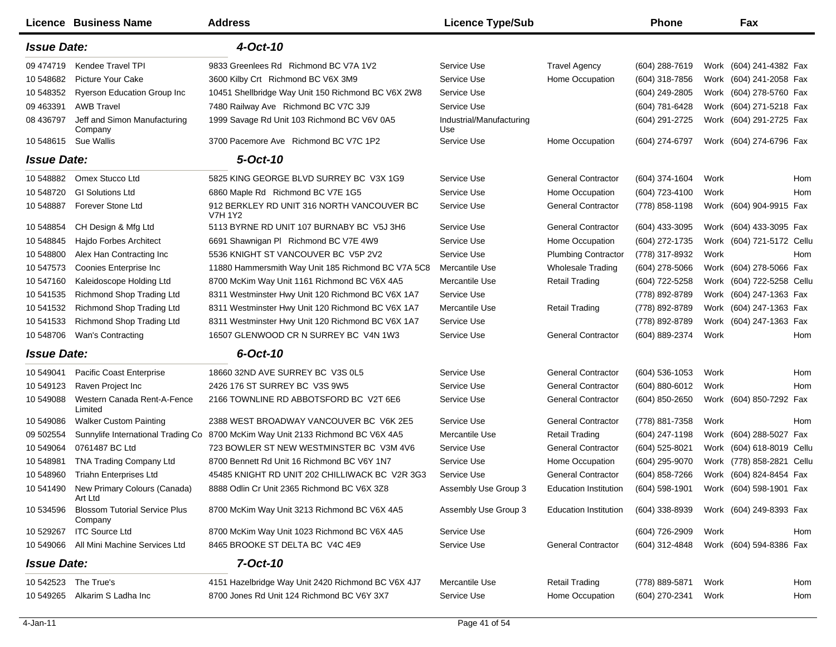|                    | Licence Business Name                           | <b>Address</b>                                               | <b>Licence Type/Sub</b>         |                              | <b>Phone</b>     |      | Fax                       |            |
|--------------------|-------------------------------------------------|--------------------------------------------------------------|---------------------------------|------------------------------|------------------|------|---------------------------|------------|
| <b>Issue Date:</b> |                                                 | 4-Oct-10                                                     |                                 |                              |                  |      |                           |            |
| 09 474719          | Kendee Travel TPI                               | 9833 Greenlees Rd Richmond BC V7A 1V2                        | Service Use                     | <b>Travel Agency</b>         | (604) 288-7619   |      | Work (604) 241-4382 Fax   |            |
| 10 548682          | Picture Your Cake                               | 3600 Kilby Crt Richmond BC V6X 3M9                           | Service Use                     | Home Occupation              | $(604)$ 318-7856 |      | Work (604) 241-2058 Fax   |            |
| 10 548352          | <b>Ryerson Education Group Inc.</b>             | 10451 Shellbridge Way Unit 150 Richmond BC V6X 2W8           | Service Use                     |                              | (604) 249-2805   |      | Work (604) 278-5760 Fax   |            |
| 09 463391          | <b>AWB Travel</b>                               | 7480 Railway Ave Richmond BC V7C 3J9                         | Service Use                     |                              | (604) 781-6428   |      | Work (604) 271-5218 Fax   |            |
| 08 43 6797         | Jeff and Simon Manufacturing<br>Company         | 1999 Savage Rd Unit 103 Richmond BC V6V 0A5                  | Industrial/Manufacturing<br>Use |                              | (604) 291-2725   |      | Work (604) 291-2725 Fax   |            |
| 10 548615          | <b>Sue Wallis</b>                               | 3700 Pacemore Ave Richmond BC V7C 1P2                        | Service Use                     | Home Occupation              | (604) 274-6797   |      | Work (604) 274-6796 Fax   |            |
| <b>Issue Date:</b> |                                                 | 5-Oct-10                                                     |                                 |                              |                  |      |                           |            |
| 10548882           | Omex Stucco Ltd                                 | 5825 KING GEORGE BLVD SURREY BC V3X 1G9                      | Service Use                     | <b>General Contractor</b>    | (604) 374-1604   | Work |                           | <b>Hom</b> |
| 10 548720          | <b>GI Solutions Ltd</b>                         | 6860 Maple Rd Richmond BC V7E 1G5                            | Service Use                     | Home Occupation              | (604) 723-4100   | Work |                           | <b>Hom</b> |
| 10 548887          | <b>Forever Stone Ltd</b>                        | 912 BERKLEY RD UNIT 316 NORTH VANCOUVER BC<br><b>V7H 1Y2</b> | Service Use                     | <b>General Contractor</b>    | (778) 858-1198   |      | Work (604) 904-9915 Fax   |            |
| 10 548854          | CH Design & Mfg Ltd                             | 5113 BYRNE RD UNIT 107 BURNABY BC V5J 3H6                    | Service Use                     | <b>General Contractor</b>    | (604) 433-3095   |      | Work (604) 433-3095 Fax   |            |
| 10 548845          | Hajdo Forbes Architect                          | 6691 Shawnigan PI Richmond BC V7E 4W9                        | Service Use                     | Home Occupation              | (604) 272-1735   |      | Work (604) 721-5172 Cellu |            |
| 10 548800          | Alex Han Contracting Inc                        | 5536 KNIGHT ST VANCOUVER BC V5P 2V2                          | Service Use                     | <b>Plumbing Contractor</b>   | (778) 317-8932   | Work |                           | Hom        |
| 10 547573          | Coonies Enterprise Inc                          | 11880 Hammersmith Way Unit 185 Richmond BC V7A 5C8           | Mercantile Use                  | <b>Wholesale Trading</b>     | (604) 278-5066   | Work | (604) 278-5066 Fax        |            |
| 10 547160          | Kaleidoscope Holding Ltd                        | 8700 McKim Way Unit 1161 Richmond BC V6X 4A5                 | Mercantile Use                  | <b>Retail Trading</b>        | (604) 722-5258   |      | Work (604) 722-5258 Cellu |            |
| 10 541535          | Richmond Shop Trading Ltd                       | 8311 Westminster Hwy Unit 120 Richmond BC V6X 1A7            | Service Use                     |                              | (778) 892-8789   |      | Work (604) 247-1363 Fax   |            |
| 10 541532          | Richmond Shop Trading Ltd                       | 8311 Westminster Hwy Unit 120 Richmond BC V6X 1A7            | Mercantile Use                  | Retail Trading               | (778) 892-8789   |      | Work (604) 247-1363 Fax   |            |
| 10 541533          | Richmond Shop Trading Ltd                       | 8311 Westminster Hwy Unit 120 Richmond BC V6X 1A7            | Service Use                     |                              | (778) 892-8789   |      | Work (604) 247-1363 Fax   |            |
| 10 548706          | Wan's Contracting                               | 16507 GLENWOOD CR N SURREY BC V4N 1W3                        | Service Use                     | <b>General Contractor</b>    | (604) 889-2374   | Work |                           | Hom        |
| <b>Issue Date:</b> |                                                 | 6-Oct-10                                                     |                                 |                              |                  |      |                           |            |
| 10 549041          | Pacific Coast Enterprise                        | 18660 32ND AVE SURREY BC V3S 0L5                             | Service Use                     | <b>General Contractor</b>    | $(604)$ 536-1053 | Work |                           | <b>Hom</b> |
| 10 549123          | Raven Project Inc                               | 2426 176 ST SURREY BC V3S 9W5                                | Service Use                     | <b>General Contractor</b>    | (604) 880-6012   | Work |                           | <b>Hom</b> |
| 10 549088          | Western Canada Rent-A-Fence<br>Limited          | 2166 TOWNLINE RD ABBOTSFORD BC V2T 6E6                       | Service Use                     | <b>General Contractor</b>    | (604) 850-2650   |      | Work (604) 850-7292 Fax   |            |
| 10 549086          | <b>Walker Custom Painting</b>                   | 2388 WEST BROADWAY VANCOUVER BC V6K 2E5                      | Service Use                     | <b>General Contractor</b>    | (778) 881-7358   | Work |                           | <b>Hom</b> |
| 09 502554          | Sunnylife International Trading Co              | 8700 McKim Way Unit 2133 Richmond BC V6X 4A5                 | Mercantile Use                  | <b>Retail Trading</b>        | (604) 247-1198   | Work | (604) 288-5027 Fax        |            |
| 10 549064          | 0761487 BC Ltd                                  | 723 BOWLER ST NEW WESTMINSTER BC V3M 4V6                     | Service Use                     | <b>General Contractor</b>    | $(604)$ 525-8021 |      | Work (604) 618-8019 Cellu |            |
| 10 548981          | TNA Trading Company Ltd                         | 8700 Bennett Rd Unit 16 Richmond BC V6Y 1N7                  | Service Use                     | Home Occupation              | (604) 295-9070   | Work | (778) 858-2821 Cellu      |            |
| 10 548960          | <b>Triahn Enterprises Ltd</b>                   | 45485 KNIGHT RD UNIT 202 CHILLIWACK BC V2R 3G3               | Service Use                     | <b>General Contractor</b>    | (604) 858-7266   |      | Work (604) 824-8454 Fax   |            |
| 10 541490          | New Primary Colours (Canada)<br>Art Ltd         | 8888 Odlin Cr Unit 2365 Richmond BC V6X 3Z8                  | Assembly Use Group 3            | <b>Education Institution</b> | (604) 598-1901   |      | Work (604) 598-1901 Fax   |            |
| 10 534596          | <b>Blossom Tutorial Service Plus</b><br>Company | 8700 McKim Way Unit 3213 Richmond BC V6X 4A5                 | Assembly Use Group 3            | <b>Education Institution</b> | (604) 338-8939   |      | Work (604) 249-8393 Fax   |            |
| 10 529267          | <b>ITC Source Ltd</b>                           | 8700 McKim Way Unit 1023 Richmond BC V6X 4A5                 | Service Use                     |                              | (604) 726-2909   | Work |                           | Hom        |
| 10 549066          | All Mini Machine Services Ltd                   | 8465 BROOKE ST DELTA BC V4C 4E9                              | Service Use                     | <b>General Contractor</b>    | (604) 312-4848   |      | Work (604) 594-8386 Fax   |            |
| <b>Issue Date:</b> |                                                 | 7-Oct-10                                                     |                                 |                              |                  |      |                           |            |
| 10 542523          | The True's                                      | 4151 Hazelbridge Way Unit 2420 Richmond BC V6X 4J7           | Mercantile Use                  | <b>Retail Trading</b>        | (778) 889-5871   | Work |                           | Hom        |
| 10 549265          | Alkarim S Ladha Inc                             | 8700 Jones Rd Unit 124 Richmond BC V6Y 3X7                   | Service Use                     | Home Occupation              | (604) 270-2341   | Work |                           | Hom        |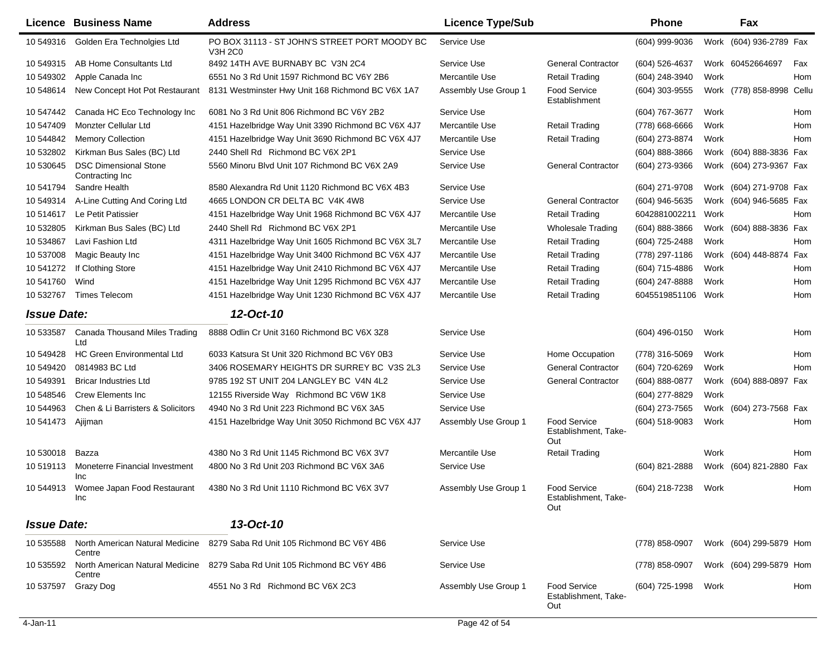|                    | Licence Business Name                            | <b>Address</b>                                                                   | <b>Licence Type/Sub</b> |                                                    | <b>Phone</b>        |      | Fax                       |            |
|--------------------|--------------------------------------------------|----------------------------------------------------------------------------------|-------------------------|----------------------------------------------------|---------------------|------|---------------------------|------------|
| 10 549316          | Golden Era Technolgies Ltd                       | PO BOX 31113 - ST JOHN'S STREET PORT MOODY BC<br><b>V3H 2C0</b>                  | Service Use             |                                                    | (604) 999-9036      |      | Work (604) 936-2789 Fax   |            |
| 10 549315          | AB Home Consultants Ltd                          | 8492 14TH AVE BURNABY BC V3N 2C4                                                 | Service Use             | <b>General Contractor</b>                          | (604) 526-4637      |      | Work 60452664697          | Fax        |
| 10 549302          | Apple Canada Inc                                 | 6551 No 3 Rd Unit 1597 Richmond BC V6Y 2B6                                       | Mercantile Use          | <b>Retail Trading</b>                              | (604) 248-3940      | Work |                           | Hom        |
| 10 548614          | New Concept Hot Pot Restaurant                   | 8131 Westminster Hwy Unit 168 Richmond BC V6X 1A7                                | Assembly Use Group 1    | <b>Food Service</b><br>Establishment               | (604) 303-9555      |      | Work (778) 858-8998 Cellu |            |
| 10 547442          | Canada HC Eco Technology Inc                     | 6081 No 3 Rd Unit 806 Richmond BC V6Y 2B2                                        | Service Use             |                                                    | (604) 767-3677      | Work |                           | Hom        |
| 10 547409          | Monzter Cellular Ltd                             | 4151 Hazelbridge Way Unit 3390 Richmond BC V6X 4J7                               | Mercantile Use          | <b>Retail Trading</b>                              | (778) 668-6666      | Work |                           | Hom        |
| 10 544842          | <b>Memory Collection</b>                         | 4151 Hazelbridge Way Unit 3690 Richmond BC V6X 4J7                               | Mercantile Use          | <b>Retail Trading</b>                              | (604) 273-8874      | Work |                           | Hom        |
| 10 532802          | Kirkman Bus Sales (BC) Ltd                       | 2440 Shell Rd Richmond BC V6X 2P1                                                | Service Use             |                                                    | (604) 888-3866      |      | Work (604) 888-3836 Fax   |            |
| 10 530645          | <b>DSC Dimensional Stone</b><br>Contracting Inc. | 5560 Minoru Blvd Unit 107 Richmond BC V6X 2A9                                    | Service Use             | <b>General Contractor</b>                          | (604) 273-9366      |      | Work (604) 273-9367 Fax   |            |
| 10 541794          | Sandre Health                                    | 8580 Alexandra Rd Unit 1120 Richmond BC V6X 4B3                                  | Service Use             |                                                    | (604) 271-9708      |      | Work (604) 271-9708 Fax   |            |
| 10 549314          | A-Line Cutting And Coring Ltd                    | 4665 LONDON CR DELTA BC V4K 4W8                                                  | Service Use             | <b>General Contractor</b>                          | $(604)$ 946-5635    |      | Work (604) 946-5685 Fax   |            |
| 10 514 617         | Le Petit Patissier                               | 4151 Hazelbridge Way Unit 1968 Richmond BC V6X 4J7                               | Mercantile Use          | <b>Retail Trading</b>                              | 6042881002211       | Work |                           | Hom        |
| 10 532805          | Kirkman Bus Sales (BC) Ltd                       | 2440 Shell Rd Richmond BC V6X 2P1                                                | Mercantile Use          | <b>Wholesale Trading</b>                           | $(604)$ 888-3866    |      | Work (604) 888-3836 Fax   |            |
| 10 534867          | Lavi Fashion Ltd                                 | 4311 Hazelbridge Way Unit 1605 Richmond BC V6X 3L7                               | Mercantile Use          | <b>Retail Trading</b>                              | (604) 725-2488      | Work |                           | Hom        |
| 10 537008          | Magic Beauty Inc                                 | 4151 Hazelbridge Way Unit 3400 Richmond BC V6X 4J7                               | Mercantile Use          | <b>Retail Trading</b>                              | (778) 297-1186      |      | Work (604) 448-8874 Fax   |            |
| 10 541272          | If Clothing Store                                | 4151 Hazelbridge Way Unit 2410 Richmond BC V6X 4J7                               | Mercantile Use          | <b>Retail Trading</b>                              | (604) 715-4886      | Work |                           | Hom        |
| 10 541760          | Wind                                             | 4151 Hazelbridge Way Unit 1295 Richmond BC V6X 4J7                               | Mercantile Use          | <b>Retail Trading</b>                              | (604) 247-8888      | Work |                           | Hom        |
| 10 532767          | <b>Times Telecom</b>                             | 4151 Hazelbridge Way Unit 1230 Richmond BC V6X 4J7                               | Mercantile Use          | <b>Retail Trading</b>                              | 6045519851106 Work  |      |                           | Hom        |
| <b>Issue Date:</b> |                                                  | 12-Oct-10                                                                        |                         |                                                    |                     |      |                           |            |
| 10 533587          | <b>Canada Thousand Miles Trading</b><br>Ltd      | 8888 Odlin Cr Unit 3160 Richmond BC V6X 3Z8                                      | Service Use             |                                                    | $(604)$ 496-0150    | Work |                           | Hom        |
| 10 549428          | <b>HC Green Environmental Ltd</b>                | 6033 Katsura St Unit 320 Richmond BC V6Y 0B3                                     | Service Use             | Home Occupation                                    | (778) 316-5069      | Work |                           | Hom        |
| 10 549420          | 0814983 BC Ltd                                   | 3406 ROSEMARY HEIGHTS DR SURREY BC V3S 2L3                                       | Service Use             | <b>General Contractor</b>                          | (604) 720-6269      | Work |                           | <b>Hom</b> |
| 10 549391          | <b>Bricar Industries Ltd</b>                     | 9785 192 ST UNIT 204 LANGLEY BC V4N 4L2                                          | Service Use             | <b>General Contractor</b>                          | $(604) 888 - 0877$  | Work | (604) 888-0897 Fax        |            |
| 10 548546          | <b>Crew Elements Inc</b>                         | 12155 Riverside Way Richmond BC V6W 1K8                                          | Service Use             |                                                    | (604) 277-8829      | Work |                           |            |
| 10 544963          | Chen & Li Barristers & Solicitors                | 4940 No 3 Rd Unit 223 Richmond BC V6X 3A5                                        | Service Use             |                                                    | (604) 273-7565      |      | Work (604) 273-7568 Fax   |            |
| 10 541473          | Ajijman                                          | 4151 Hazelbridge Way Unit 3050 Richmond BC V6X 4J7                               | Assembly Use Group 1    | <b>Food Service</b><br>Establishment, Take-<br>Out | (604) 518-9083      | Work |                           | Hom        |
| 10 530018          | Bazza                                            | 4380 No 3 Rd Unit 1145 Richmond BC V6X 3V7                                       | Mercantile Use          | <b>Retail Trading</b>                              |                     | Work |                           | <b>Hom</b> |
| 10 519113          | Moneterre Financial Investment<br>Inc            | 4800 No 3 Rd Unit 203 Richmond BC V6X 3A6                                        | Service Use             |                                                    | (604) 821-2888      |      | Work (604) 821-2880 Fax   |            |
|                    | Inc                                              | 10 544913 Womee Japan Food Restaurant 4380 No 3 Rd Unit 1110 Richmond BC V6X 3V7 | Assembly Use Group 1    | Food Service<br>Establishment, Take-<br>Out        | (604) 218-7238 Work |      |                           | Hom        |
| <b>Issue Date:</b> |                                                  | 13-Oct-10                                                                        |                         |                                                    |                     |      |                           |            |
| 10 535588          | North American Natural Medicine<br>Centre        | 8279 Saba Rd Unit 105 Richmond BC V6Y 4B6                                        | Service Use             |                                                    | (778) 858-0907      |      | Work (604) 299-5879 Hom   |            |
| 10 535592          | North American Natural Medicine<br>Centre        | 8279 Saba Rd Unit 105 Richmond BC V6Y 4B6                                        | Service Use             |                                                    | (778) 858-0907      |      | Work (604) 299-5879 Hom   |            |
| 10 537597          | Grazy Dog                                        | 4551 No 3 Rd Richmond BC V6X 2C3                                                 | Assembly Use Group 1    | <b>Food Service</b><br>Establishment, Take-<br>Out | (604) 725-1998      | Work |                           | Hom        |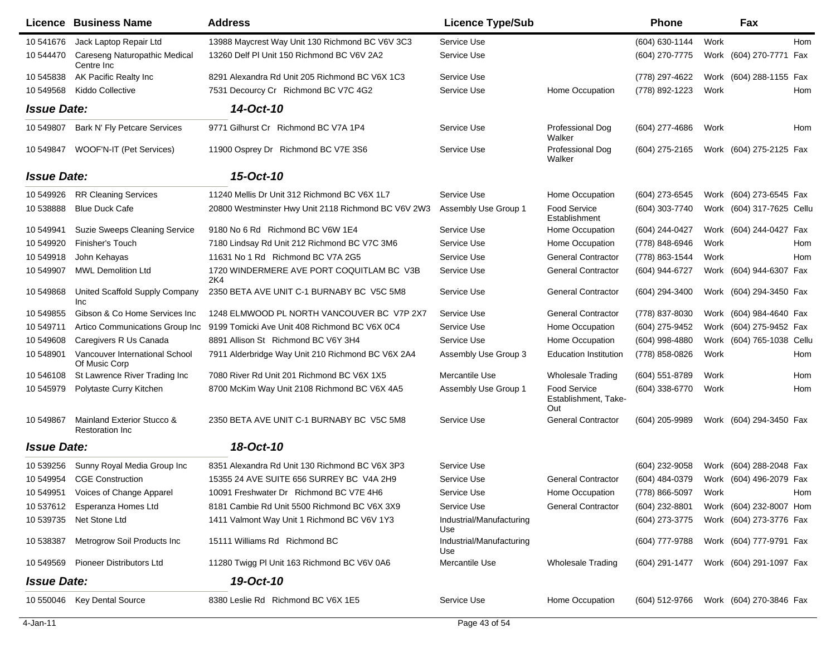|                    | <b>Licence Business Name</b>                          | <b>Address</b>                                      | <b>Licence Type/Sub</b>         |                                                    | <b>Phone</b>     |      | Fax                       |     |
|--------------------|-------------------------------------------------------|-----------------------------------------------------|---------------------------------|----------------------------------------------------|------------------|------|---------------------------|-----|
| 10 541676          | Jack Laptop Repair Ltd                                | 13988 Maycrest Way Unit 130 Richmond BC V6V 3C3     | Service Use                     |                                                    | (604) 630-1144   | Work |                           | Hom |
| 10 544470          | Careseng Naturopathic Medical<br>Centre Inc           | 13260 Delf PI Unit 150 Richmond BC V6V 2A2          | Service Use                     |                                                    | (604) 270-7775   |      | Work (604) 270-7771 Fax   |     |
| 10 545838          | AK Pacific Realty Inc                                 | 8291 Alexandra Rd Unit 205 Richmond BC V6X 1C3      | Service Use                     |                                                    | (778) 297-4622   |      | Work (604) 288-1155 Fax   |     |
| 10 549568          | Kiddo Collective                                      | 7531 Decourcy Cr Richmond BC V7C 4G2                | Service Use                     | Home Occupation                                    | (778) 892-1223   | Work |                           | Hom |
| <b>Issue Date:</b> |                                                       | 14-Oct-10                                           |                                 |                                                    |                  |      |                           |     |
| 10 549807          | Bark N' Fly Petcare Services                          | 9771 Gilhurst Cr Richmond BC V7A 1P4                | Service Use                     | Professional Dog<br>Walker                         | $(604)$ 277-4686 | Work |                           | Hom |
| 10 549847          | WOOF'N-IT (Pet Services)                              | 11900 Osprey Dr Richmond BC V7E 3S6                 | Service Use                     | Professional Dog<br>Walker                         | (604) 275-2165   |      | Work (604) 275-2125 Fax   |     |
| <b>Issue Date:</b> |                                                       | 15-Oct-10                                           |                                 |                                                    |                  |      |                           |     |
| 10 549926          | <b>RR Cleaning Services</b>                           | 11240 Mellis Dr Unit 312 Richmond BC V6X 1L7        | Service Use                     | Home Occupation                                    | (604) 273-6545   |      | Work (604) 273-6545 Fax   |     |
| 10538888           | <b>Blue Duck Cafe</b>                                 | 20800 Westminster Hwy Unit 2118 Richmond BC V6V 2W3 | Assembly Use Group 1            | Food Service<br>Establishment                      | (604) 303-7740   |      | Work (604) 317-7625 Cellu |     |
| 10 549941          | <b>Suzie Sweeps Cleaning Service</b>                  | 9180 No 6 Rd Richmond BC V6W 1E4                    | Service Use                     | Home Occupation                                    | (604) 244-0427   |      | Work (604) 244-0427 Fax   |     |
| 10 549920          | Finisher's Touch                                      | 7180 Lindsay Rd Unit 212 Richmond BC V7C 3M6        | Service Use                     | Home Occupation                                    | (778) 848-6946   | Work |                           | Hom |
| 10 549918          | John Kehayas                                          | 11631 No 1 Rd Richmond BC V7A 2G5                   | Service Use                     | <b>General Contractor</b>                          | (778) 863-1544   | Work |                           | Hom |
| 10 549907          | <b>MWL Demolition Ltd</b>                             | 1720 WINDERMERE AVE PORT COQUITLAM BC V3B<br>2K4    | Service Use                     | <b>General Contractor</b>                          | (604) 944-6727   |      | Work (604) 944-6307 Fax   |     |
| 10 549868          | United Scaffold Supply Company<br>Inc                 | 2350 BETA AVE UNIT C-1 BURNABY BC V5C 5M8           | Service Use                     | <b>General Contractor</b>                          | (604) 294-3400   |      | Work (604) 294-3450 Fax   |     |
| 10 549855          | Gibson & Co Home Services Inc                         | 1248 ELMWOOD PL NORTH VANCOUVER BC V7P 2X7          | Service Use                     | <b>General Contractor</b>                          | (778) 837-8030   |      | Work (604) 984-4640 Fax   |     |
| 10 549711          | Artico Communications Group Inc                       | 9199 Tomicki Ave Unit 408 Richmond BC V6X 0C4       | Service Use                     | Home Occupation                                    | (604) 275-9452   |      | Work (604) 275-9452 Fax   |     |
| 10 549608          | Caregivers R Us Canada                                | 8891 Allison St Richmond BC V6Y 3H4                 | Service Use                     | Home Occupation                                    | (604) 998-4880   |      | Work (604) 765-1038 Cellu |     |
| 10 548901          | Vancouver International School<br>Of Music Corp       | 7911 Alderbridge Way Unit 210 Richmond BC V6X 2A4   | Assembly Use Group 3            | <b>Education Institution</b>                       | (778) 858-0826   | Work |                           | Hom |
| 10 546108          | St Lawrence River Trading Inc                         | 7080 River Rd Unit 201 Richmond BC V6X 1X5          | Mercantile Use                  | <b>Wholesale Trading</b>                           | $(604)$ 551-8789 | Work |                           | Hom |
| 10 545979          | Polytaste Curry Kitchen                               | 8700 McKim Way Unit 2108 Richmond BC V6X 4A5        | Assembly Use Group 1            | <b>Food Service</b><br>Establishment, Take-<br>Out | (604) 338-6770   | Work |                           | Hom |
| 10 549867          | Mainland Exterior Stucco &<br><b>Restoration Inc.</b> | 2350 BETA AVE UNIT C-1 BURNABY BC V5C 5M8           | Service Use                     | <b>General Contractor</b>                          | (604) 205-9989   |      | Work (604) 294-3450 Fax   |     |
| <b>Issue Date:</b> |                                                       | 18-Oct-10                                           |                                 |                                                    |                  |      |                           |     |
| 10 539256          | Sunny Royal Media Group Inc                           | 8351 Alexandra Rd Unit 130 Richmond BC V6X 3P3      | Service Use                     |                                                    | $(604)$ 232-9058 |      | Work (604) 288-2048 Fax   |     |
| 10 549954          | <b>CGE Construction</b>                               | 15355 24 AVE SUITE 656 SURREY BC V4A 2H9            | Service Use                     | <b>General Contractor</b>                          | (604) 484-0379   |      | Work (604) 496-2079 Fax   |     |
|                    | 10 549951 Voices of Change Apparel                    | 10091 Freshwater Dr Richmond BC V7E 4H6             | Service Use                     | Home Occupation                                    | (778) 866-5097   | Work |                           | Hom |
| 10 537612          | Esperanza Homes Ltd                                   | 8181 Cambie Rd Unit 5500 Richmond BC V6X 3X9        | Service Use                     | <b>General Contractor</b>                          | (604) 232-8801   |      | Work (604) 232-8007 Hom   |     |
| 10 539735          | Net Stone Ltd                                         | 1411 Valmont Way Unit 1 Richmond BC V6V 1Y3         | Industrial/Manufacturing<br>Use |                                                    | (604) 273-3775   |      | Work (604) 273-3776 Fax   |     |
| 10 538387          | Metrogrow Soil Products Inc                           | 15111 Williams Rd Richmond BC                       | Industrial/Manufacturing<br>Use |                                                    | (604) 777-9788   |      | Work (604) 777-9791 Fax   |     |
| 10 549569          | <b>Pioneer Distributors Ltd</b>                       | 11280 Twigg PI Unit 163 Richmond BC V6V 0A6         | Mercantile Use                  | <b>Wholesale Trading</b>                           | (604) 291-1477   |      | Work (604) 291-1097 Fax   |     |
| <b>Issue Date:</b> |                                                       | 19-Oct-10                                           |                                 |                                                    |                  |      |                           |     |
|                    | 10 550046 Key Dental Source                           | 8380 Leslie Rd Richmond BC V6X 1E5                  | Service Use                     | Home Occupation                                    | (604) 512-9766   |      | Work (604) 270-3846 Fax   |     |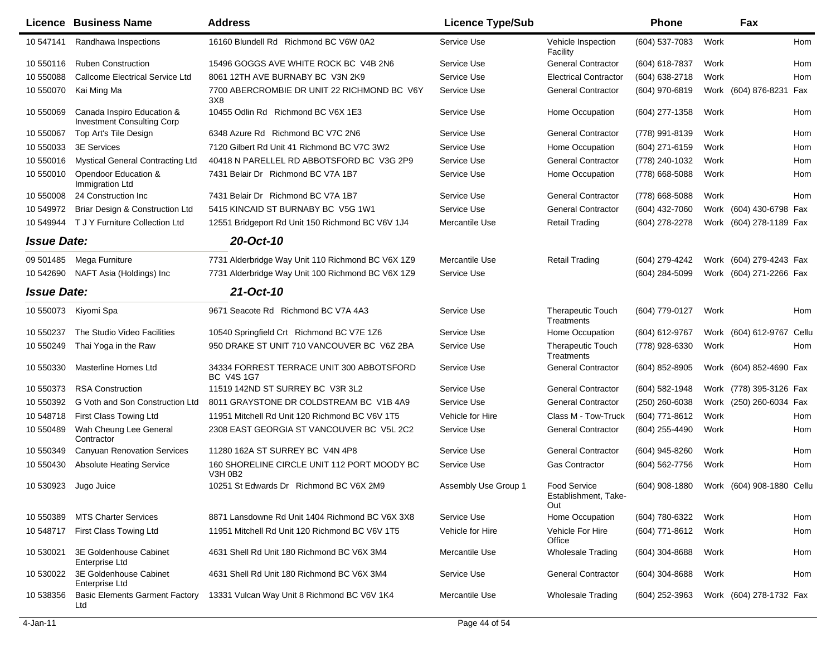|                    | <b>Licence Business Name</b>                                    | <b>Address</b>                                                 | <b>Licence Type/Sub</b> |                                                    | <b>Phone</b>     |      | Fax                       |            |
|--------------------|-----------------------------------------------------------------|----------------------------------------------------------------|-------------------------|----------------------------------------------------|------------------|------|---------------------------|------------|
| 10 547141          | Randhawa Inspections                                            | 16160 Blundell Rd Richmond BC V6W 0A2                          | Service Use             | Vehicle Inspection<br>Facility                     | (604) 537-7083   | Work |                           | <b>Hom</b> |
| 10 550116          | <b>Ruben Construction</b>                                       | 15496 GOGGS AVE WHITE ROCK BC V4B 2N6                          | Service Use             | <b>General Contractor</b>                          | $(604)$ 618-7837 | Work |                           | Hom        |
| 10 550088          | <b>Callcome Electrical Service Ltd</b>                          | 8061 12TH AVE BURNABY BC V3N 2K9                               | Service Use             | <b>Electrical Contractor</b>                       | (604) 638-2718   | Work |                           | Hom        |
| 10 550070          | Kai Ming Ma                                                     | 7700 ABERCROMBIE DR UNIT 22 RICHMOND BC V6Y<br>3X8             | Service Use             | <b>General Contractor</b>                          | (604) 970-6819   |      | Work (604) 876-8231 Fax   |            |
| 10 550069          | Canada Inspiro Education &<br><b>Investment Consulting Corp</b> | 10455 Odlin Rd Richmond BC V6X 1E3                             | Service Use             | Home Occupation                                    | (604) 277-1358   | Work |                           | Hom        |
| 10 550067          | Top Art's Tile Design                                           | 6348 Azure Rd Richmond BC V7C 2N6                              | Service Use             | <b>General Contractor</b>                          | (778) 991-8139   | Work |                           | Hom        |
| 10 550033          | <b>3E Services</b>                                              | 7120 Gilbert Rd Unit 41 Richmond BC V7C 3W2                    | Service Use             | Home Occupation                                    | (604) 271-6159   | Work |                           | Hom        |
| 10 550016          | <b>Mystical General Contracting Ltd</b>                         | 40418 N PARELLEL RD ABBOTSFORD BC V3G 2P9                      | Service Use             | <b>General Contractor</b>                          | (778) 240-1032   | Work |                           | <b>Hom</b> |
| 10 550010          | Opendoor Education &<br>Immigration Ltd                         | 7431 Belair Dr Richmond BC V7A 1B7                             | Service Use             | Home Occupation                                    | (778) 668-5088   | Work |                           | Hom        |
| 10 550008          | 24 Construction Inc                                             | 7431 Belair Dr Richmond BC V7A 1B7                             | Service Use             | <b>General Contractor</b>                          | (778) 668-5088   | Work |                           | Hom        |
| 10 549972          | Briar Design & Construction Ltd                                 | 5415 KINCAID ST BURNABY BC V5G 1W1                             | Service Use             | <b>General Contractor</b>                          | (604) 432-7060   |      | Work (604) 430-6798 Fax   |            |
| 10 549944          | T J Y Furniture Collection Ltd                                  | 12551 Bridgeport Rd Unit 150 Richmond BC V6V 1J4               | Mercantile Use          | <b>Retail Trading</b>                              | (604) 278-2278   |      | Work (604) 278-1189 Fax   |            |
| <b>Issue Date:</b> |                                                                 | 20-Oct-10                                                      |                         |                                                    |                  |      |                           |            |
| 09 501485          | Mega Furniture                                                  | 7731 Alderbridge Way Unit 110 Richmond BC V6X 1Z9              | Mercantile Use          | <b>Retail Trading</b>                              | (604) 279-4242   |      | Work (604) 279-4243 Fax   |            |
| 10 542690          | NAFT Asia (Holdings) Inc                                        | 7731 Alderbridge Way Unit 100 Richmond BC V6X 1Z9              | Service Use             |                                                    | (604) 284-5099   |      | Work (604) 271-2266 Fax   |            |
| <b>Issue Date:</b> |                                                                 | 21-Oct-10                                                      |                         |                                                    |                  |      |                           |            |
| 10 550073          | Kiyomi Spa                                                      | 9671 Seacote Rd Richmond BC V7A 4A3                            | Service Use             | <b>Therapeutic Touch</b><br>Treatments             | (604) 779-0127   | Work |                           | Hom        |
| 10 550237          | The Studio Video Facilities                                     | 10540 Springfield Crt Richmond BC V7E 1Z6                      | Service Use             | Home Occupation                                    | (604) 612-9767   |      | Work (604) 612-9767 Cellu |            |
| 10 550249          | Thai Yoga in the Raw                                            | 950 DRAKE ST UNIT 710 VANCOUVER BC V6Z 2BA                     | Service Use             | <b>Therapeutic Touch</b><br>Treatments             | (778) 928-6330   | Work |                           | Hom        |
| 10 550330          | Masterline Homes Ltd                                            | 34334 FORREST TERRACE UNIT 300 ABBOTSFORD<br><b>BC V4S 1G7</b> | Service Use             | <b>General Contractor</b>                          | (604) 852-8905   |      | Work (604) 852-4690 Fax   |            |
| 10 550373          | <b>RSA Construction</b>                                         | 11519 142ND ST SURREY BC V3R 3L2                               | Service Use             | <b>General Contractor</b>                          | (604) 582-1948   |      | Work (778) 395-3126 Fax   |            |
| 10 550392          | G Voth and Son Construction Ltd                                 | 8011 GRAYSTONE DR COLDSTREAM BC V1B 4A9                        | Service Use             | <b>General Contractor</b>                          | $(250)$ 260-6038 |      | Work (250) 260-6034 Fax   |            |
| 10 548718          | First Class Towing Ltd                                          | 11951 Mitchell Rd Unit 120 Richmond BC V6V 1T5                 | Vehicle for Hire        | Class M - Tow-Truck                                | (604) 771-8612   | Work |                           | Hom        |
| 10 550489          | Wah Cheung Lee General<br>Contractor                            | 2308 EAST GEORGIA ST VANCOUVER BC V5L 2C2                      | Service Use             | <b>General Contractor</b>                          | (604) 255-4490   | Work |                           | Hom        |
| 10 550349          | <b>Canyuan Renovation Services</b>                              | 11280 162A ST SURREY BC V4N 4P8                                | Service Use             | <b>General Contractor</b>                          | (604) 945-8260   | Work |                           | Hom        |
| 10 550430          | <b>Absolute Heating Service</b>                                 | 160 SHORELINE CIRCLE UNIT 112 PORT MOODY BC<br>V3H 0B2         | Service Use             | <b>Gas Contractor</b>                              | (604) 562-7756   | Work |                           | Hom        |
| 10 530923          | Jugo Juice                                                      | 10251 St Edwards Dr Richmond BC V6X 2M9                        | Assembly Use Group 1    | <b>Food Service</b><br>Establishment, Take-<br>Out | (604) 908-1880   |      | Work (604) 908-1880 Cellu |            |
| 10 550389          | <b>MTS Charter Services</b>                                     | 8871 Lansdowne Rd Unit 1404 Richmond BC V6X 3X8                | Service Use             | Home Occupation                                    | (604) 780-6322   | Work |                           | Hom        |
| 10 548717          | First Class Towing Ltd                                          | 11951 Mitchell Rd Unit 120 Richmond BC V6V 1T5                 | Vehicle for Hire        | Vehicle For Hire<br>Office                         | (604) 771-8612   | Work |                           | Hom        |
| 10 530021          | 3E Goldenhouse Cabinet<br>Enterprise Ltd                        | 4631 Shell Rd Unit 180 Richmond BC V6X 3M4                     | Mercantile Use          | <b>Wholesale Trading</b>                           | (604) 304-8688   | Work |                           | Hom        |
| 10 530022          | 3E Goldenhouse Cabinet<br>Enterprise Ltd                        | 4631 Shell Rd Unit 180 Richmond BC V6X 3M4                     | Service Use             | <b>General Contractor</b>                          | (604) 304-8688   | Work |                           | Hom        |
| 10 538356          | <b>Basic Elements Garment Factory</b><br>Ltd                    | 13331 Vulcan Way Unit 8 Richmond BC V6V 1K4                    | Mercantile Use          | <b>Wholesale Trading</b>                           | (604) 252-3963   |      | Work (604) 278-1732 Fax   |            |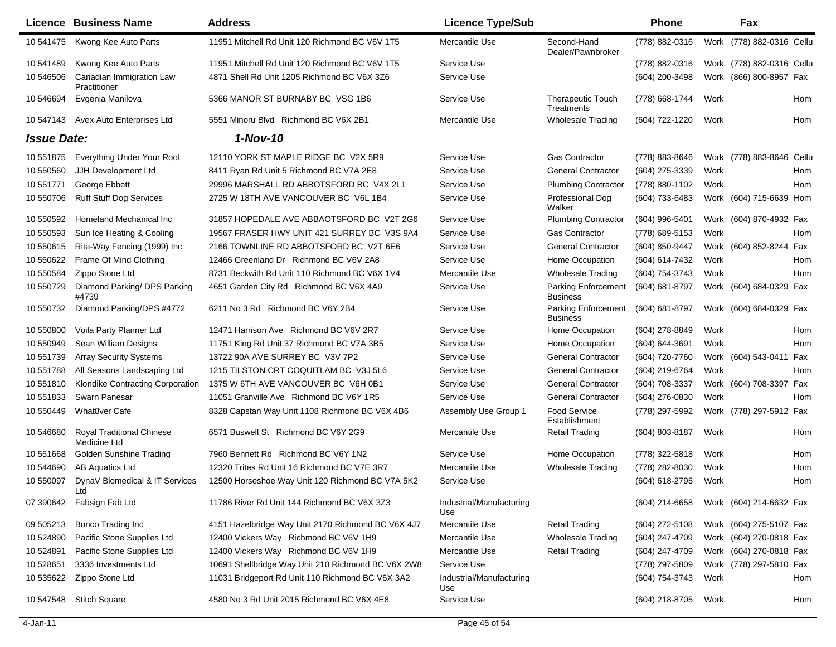|                    | <b>Licence Business Name</b>                     | <b>Address</b>                                     | <b>Licence Type/Sub</b>         |                                        | Phone          | Fax                        |
|--------------------|--------------------------------------------------|----------------------------------------------------|---------------------------------|----------------------------------------|----------------|----------------------------|
| 10 541475          | Kwong Kee Auto Parts                             | 11951 Mitchell Rd Unit 120 Richmond BC V6V 1T5     | Mercantile Use                  | Second-Hand<br>Dealer/Pawnbroker       | (778) 882-0316 | Work (778) 882-0316 Cellu  |
| 10 541489          | Kwong Kee Auto Parts                             | 11951 Mitchell Rd Unit 120 Richmond BC V6V 1T5     | Service Use                     |                                        | (778) 882-0316 | Work (778) 882-0316 Cellu  |
| 10 546506          | Canadian Immigration Law<br>Practitioner         | 4871 Shell Rd Unit 1205 Richmond BC V6X 3Z6        | Service Use                     |                                        | (604) 200-3498 | (866) 800-8957 Fax<br>Work |
| 10 54 6694         | Evgenia Manilova                                 | 5366 MANOR ST BURNABY BC VSG 1B6                   | Service Use                     | <b>Therapeutic Touch</b><br>Treatments | (778) 668-1744 | Work<br>Hom                |
| 10 547143          | Avex Auto Enterprises Ltd                        | 5551 Minoru Blvd Richmond BC V6X 2B1               | Mercantile Use                  | <b>Wholesale Trading</b>               | (604) 722-1220 | Work<br>Hom                |
| <b>Issue Date:</b> |                                                  | $1-Nov-10$                                         |                                 |                                        |                |                            |
| 10 551875          | Everything Under Your Roof                       | 12110 YORK ST MAPLE RIDGE BC V2X 5R9               | Service Use                     | <b>Gas Contractor</b>                  | (778) 883-8646 | Work (778) 883-8646 Cellu  |
| 10 550560          | JJH Development Ltd                              | 8411 Ryan Rd Unit 5 Richmond BC V7A 2E8            | Service Use                     | <b>General Contractor</b>              | (604) 275-3339 | Work<br>Hom                |
| 10 551771          | George Ebbett                                    | 29996 MARSHALL RD ABBOTSFORD BC V4X 2L1            | Service Use                     | <b>Plumbing Contractor</b>             | (778) 880-1102 | Work<br>Hom                |
| 10 550706          | <b>Ruff Stuff Dog Services</b>                   | 2725 W 18TH AVE VANCOUVER BC V6L 1B4               | Service Use                     | Professional Dog<br>Walker             | (604) 733-6483 | Work (604) 715-6639 Hom    |
| 10 550592          | Homeland Mechanical Inc                          | 31857 HOPEDALE AVE ABBAOTSFORD BC V2T 2G6          | Service Use                     | <b>Plumbing Contractor</b>             | (604) 996-5401 | Work (604) 870-4932 Fax    |
| 10 550593          | Sun Ice Heating & Cooling                        | 19567 FRASER HWY UNIT 421 SURREY BC V3S 9A4        | Service Use                     | <b>Gas Contractor</b>                  | (778) 689-5153 | Work<br>Hom                |
| 10 550615          | Rite-Way Fencing (1999) Inc                      | 2166 TOWNLINE RD ABBOTSFORD BC V2T 6E6             | Service Use                     | <b>General Contractor</b>              | (604) 850-9447 | Work (604) 852-8244 Fax    |
| 10 550622          | Frame Of Mind Clothing                           | 12466 Greenland Dr Richmond BC V6V 2A8             | Service Use                     | Home Occupation                        | (604) 614-7432 | Work<br>Hom                |
| 10 550584          | Zippo Stone Ltd                                  | 8731 Beckwith Rd Unit 110 Richmond BC V6X 1V4      | Mercantile Use                  | <b>Wholesale Trading</b>               | (604) 754-3743 | Work<br>Hom                |
| 10 550729          | Diamond Parking/ DPS Parking<br>#4739            | 4651 Garden City Rd Richmond BC V6X 4A9            | Service Use                     | Parking Enforcement<br><b>Business</b> | (604) 681-8797 | Work (604) 684-0329 Fax    |
| 10 550732          | Diamond Parking/DPS #4772                        | 6211 No 3 Rd Richmond BC V6Y 2B4                   | Service Use                     | Parking Enforcement<br><b>Business</b> | (604) 681-8797 | Work (604) 684-0329 Fax    |
| 10 550800          | Voila Party Planner Ltd                          | 12471 Harrison Ave Richmond BC V6V 2R7             | Service Use                     | Home Occupation                        | (604) 278-8849 | Work<br>Hom                |
| 10 550949          | Sean William Designs                             | 11751 King Rd Unit 37 Richmond BC V7A 3B5          | Service Use                     | Home Occupation                        | (604) 644-3691 | Work<br>Hom                |
| 10 551739          | <b>Array Security Systems</b>                    | 13722 90A AVE SURREY BC V3V 7P2                    | Service Use                     | <b>General Contractor</b>              | (604) 720-7760 | Work (604) 543-0411 Fax    |
| 10 551788          | All Seasons Landscaping Ltd                      | 1215 TILSTON CRT COQUITLAM BC V3J 5L6              | Service Use                     | <b>General Contractor</b>              | (604) 219-6764 | Work<br>Hom                |
| 10 551810          | Klondike Contracting Corporation                 | 1375 W 6TH AVE VANCOUVER BC V6H 0B1                | Service Use                     | <b>General Contractor</b>              | (604) 708-3337 | Work (604) 708-3397 Fax    |
| 10 551833          | Swarn Panesar                                    | 11051 Granville Ave Richmond BC V6Y 1R5            | Service Use                     | <b>General Contractor</b>              | (604) 276-0830 | Work<br>Hom                |
| 10 550449          | <b>What8ver Cafe</b>                             | 8328 Capstan Way Unit 1108 Richmond BC V6X 4B6     | Assembly Use Group 1            | Food Service<br>Establishment          | (778) 297-5992 | Work (778) 297-5912 Fax    |
| 10 54 6680         | <b>Royal Traditional Chinese</b><br>Medicine Ltd | 6571 Buswell St Richmond BC V6Y 2G9                | Mercantile Use                  | <b>Retail Trading</b>                  | (604) 803-8187 | Work<br>Hom                |
| 10 551 668         | <b>Golden Sunshine Trading</b>                   | 7960 Bennett Rd Richmond BC V6Y 1N2                | Service Use                     | Home Occupation                        | (778) 322-5818 | Work<br>Hom                |
| 10 544690          | AB Aquatics Ltd                                  | 12320 Trites Rd Unit 16 Richmond BC V7E 3R7        | Mercantile Use                  | <b>Wholesale Trading</b>               | (778) 282-8030 | Work<br>Hom                |
| 10 550097          | DynaV Biomedical & IT Services<br>Lta            | 12500 Horseshoe Way Unit 120 Richmond BC V7A 5K2   | Service Use                     |                                        | (604) 618-2795 | Work<br>Hom                |
| 07 390642          | Fabsign Fab Ltd                                  | 11786 River Rd Unit 144 Richmond BC V6X 3Z3        | Industrial/Manufacturing<br>Use |                                        | (604) 214-6658 | Work (604) 214-6632 Fax    |
| 09 50 5213         | <b>Bonco Trading Inc</b>                         | 4151 Hazelbridge Way Unit 2170 Richmond BC V6X 4J7 | Mercantile Use                  | <b>Retail Trading</b>                  | (604) 272-5108 | Work (604) 275-5107 Fax    |
| 10 524890          | Pacific Stone Supplies Ltd                       | 12400 Vickers Way Richmond BC V6V 1H9              | Mercantile Use                  | <b>Wholesale Trading</b>               | (604) 247-4709 | Work (604) 270-0818 Fax    |
| 10 524891          | Pacific Stone Supplies Ltd                       | 12400 Vickers Way Richmond BC V6V 1H9              | Mercantile Use                  | <b>Retail Trading</b>                  | (604) 247-4709 | Work (604) 270-0818 Fax    |
| 10 528651          | 3336 Investments Ltd                             | 10691 Shellbridge Way Unit 210 Richmond BC V6X 2W8 | Service Use                     |                                        | (778) 297-5809 | Work (778) 297-5810 Fax    |
| 10 535622          | Zippo Stone Ltd                                  | 11031 Bridgeport Rd Unit 110 Richmond BC V6X 3A2   | Industrial/Manufacturing<br>Use |                                        | (604) 754-3743 | Work<br>Hom                |
| 10 547548          | <b>Stitch Square</b>                             | 4580 No 3 Rd Unit 2015 Richmond BC V6X 4E8         | Service Use                     |                                        | (604) 218-8705 | Hom<br>Work                |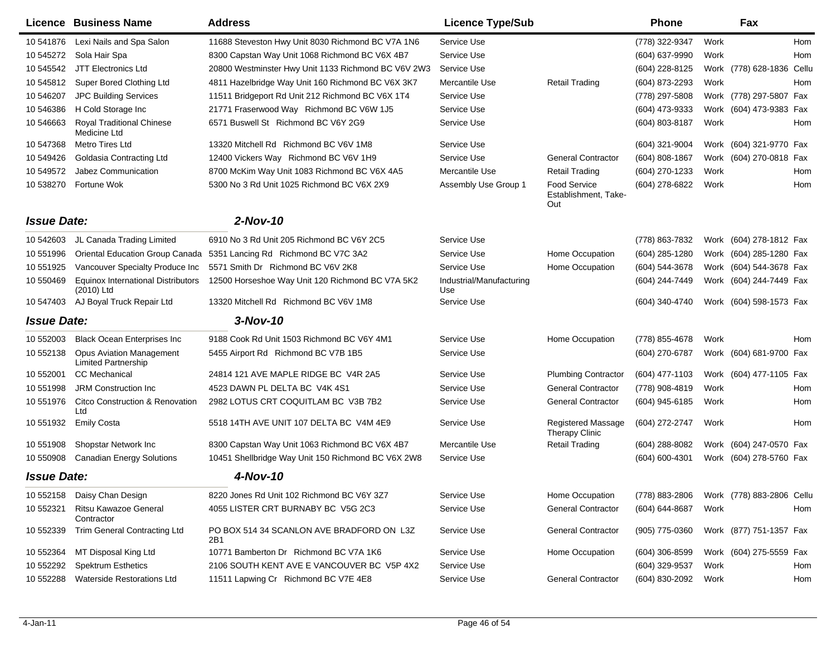|                    | Licence Business Name                                         | <b>Address</b>                                      | <b>Licence Type/Sub</b>         |                                             | <b>Phone</b>     |      | Fax                       |            |
|--------------------|---------------------------------------------------------------|-----------------------------------------------------|---------------------------------|---------------------------------------------|------------------|------|---------------------------|------------|
| 10 541876          | Lexi Nails and Spa Salon                                      | 11688 Steveston Hwy Unit 8030 Richmond BC V7A 1N6   | Service Use                     |                                             | (778) 322-9347   | Work |                           | <b>Hom</b> |
| 10 545272          | Sola Hair Spa                                                 | 8300 Capstan Way Unit 1068 Richmond BC V6X 4B7      | Service Use                     |                                             | (604) 637-9990   | Work |                           | Hom        |
| 10 545542          | <b>JTT Electronics Ltd</b>                                    | 20800 Westminster Hwy Unit 1133 Richmond BC V6V 2W3 | Service Use                     |                                             | (604) 228-8125   |      | Work (778) 628-1836 Cellu |            |
| 10 545812          | Super Bored Clothing Ltd                                      | 4811 Hazelbridge Way Unit 160 Richmond BC V6X 3K7   | Mercantile Use                  | <b>Retail Trading</b>                       | (604) 873-2293   | Work |                           | <b>Hom</b> |
| 10 546207          | <b>JPC Building Services</b>                                  | 11511 Bridgeport Rd Unit 212 Richmond BC V6X 1T4    | Service Use                     |                                             | (778) 297-5808   |      | Work (778) 297-5807 Fax   |            |
| 10 546386          | H Cold Storage Inc                                            | 21771 Fraserwood Way Richmond BC V6W 1J5            | Service Use                     |                                             | (604) 473-9333   |      | Work (604) 473-9383 Fax   |            |
| 10 546663          | <b>Royal Traditional Chinese</b><br>Medicine Ltd              | 6571 Buswell St Richmond BC V6Y 2G9                 | Service Use                     |                                             | (604) 803-8187   | Work |                           | Hom        |
| 10 547368          | <b>Metro Tires Ltd</b>                                        | 13320 Mitchell Rd Richmond BC V6V 1M8               | Service Use                     |                                             | (604) 321-9004   |      | Work (604) 321-9770 Fax   |            |
| 10 549426          | Goldasia Contracting Ltd                                      | 12400 Vickers Way Richmond BC V6V 1H9               | Service Use                     | <b>General Contractor</b>                   | (604) 808-1867   | Work | (604) 270-0818 Fax        |            |
| 10 549572          | Jabez Communication                                           | 8700 McKim Way Unit 1083 Richmond BC V6X 4A5        | Mercantile Use                  | <b>Retail Trading</b>                       | (604) 270-1233   | Work |                           | Hom        |
| 10 538270          | Fortune Wok                                                   | 5300 No 3 Rd Unit 1025 Richmond BC V6X 2X9          | Assembly Use Group 1            | Food Service<br>Establishment, Take-<br>Out | (604) 278-6822   | Work |                           | Hom        |
| <b>Issue Date:</b> |                                                               | 2-Nov-10                                            |                                 |                                             |                  |      |                           |            |
| 10 542603          | JL Canada Trading Limited                                     | 6910 No 3 Rd Unit 205 Richmond BC V6Y 2C5           | Service Use                     |                                             | (778) 863-7832   |      | Work (604) 278-1812 Fax   |            |
| 10 551996          | Oriental Education Group Canada                               | 5351 Lancing Rd Richmond BC V7C 3A2                 | Service Use                     | Home Occupation                             | (604) 285-1280   |      | Work (604) 285-1280 Fax   |            |
| 10 551925          | Vancouver Specialty Produce Inc                               | 5571 Smith Dr Richmond BC V6V 2K8                   | Service Use                     | Home Occupation                             | (604) 544-3678   |      | Work (604) 544-3678 Fax   |            |
| 10 550469          | <b>Equinox International Distributors</b><br>(2010) Ltd       | 12500 Horseshoe Way Unit 120 Richmond BC V7A 5K2    | Industrial/Manufacturing<br>Use |                                             | (604) 244-7449   |      | Work (604) 244-7449 Fax   |            |
| 10 547403          | AJ Boyal Truck Repair Ltd                                     | 13320 Mitchell Rd Richmond BC V6V 1M8               | Service Use                     |                                             | (604) 340-4740   |      | Work (604) 598-1573 Fax   |            |
| <b>Issue Date:</b> |                                                               | $3-Nov-10$                                          |                                 |                                             |                  |      |                           |            |
| 10 552003          | <b>Black Ocean Enterprises Inc</b>                            | 9188 Cook Rd Unit 1503 Richmond BC V6Y 4M1          | Service Use                     | Home Occupation                             | (778) 855-4678   | Work |                           | <b>Hom</b> |
| 10 552138          | <b>Opus Aviation Management</b><br><b>Limited Partnership</b> | 5455 Airport Rd Richmond BC V7B 1B5                 | Service Use                     |                                             | (604) 270-6787   |      | Work (604) 681-9700 Fax   |            |
| 10 552001          | <b>CC</b> Mechanical                                          | 24814 121 AVE MAPLE RIDGE BC V4R 2A5                | Service Use                     | <b>Plumbing Contractor</b>                  | (604) 477-1103   |      | Work (604) 477-1105 Fax   |            |
| 10 551998          | <b>JRM Construction Inc.</b>                                  | 4523 DAWN PL DELTA BC V4K 4S1                       | Service Use                     | <b>General Contractor</b>                   | (778) 908-4819   | Work |                           | Hom        |
| 10 551976          | <b>Citco Construction &amp; Renovation</b><br>Ltd             | 2982 LOTUS CRT COQUITLAM BC V3B 7B2                 | Service Use                     | <b>General Contractor</b>                   | (604) 945-6185   | Work |                           | Hom        |
| 10 551932          | <b>Emily Costa</b>                                            | 5518 14TH AVE UNIT 107 DELTA BC V4M 4E9             | Service Use                     | <b>Registered Massage</b><br>Therapy Clinic | (604) 272-2747   | Work |                           | Hom        |
| 10 551908          | Shopstar Network Inc                                          | 8300 Capstan Way Unit 1063 Richmond BC V6X 4B7      | Mercantile Use                  | <b>Retail Trading</b>                       | (604) 288-8082   | Work | (604) 247-0570 Fax        |            |
| 10 550908          | <b>Canadian Energy Solutions</b>                              | 10451 Shellbridge Way Unit 150 Richmond BC V6X 2W8  | Service Use                     |                                             | (604) 600-4301   |      | Work (604) 278-5760 Fax   |            |
| <b>Issue Date:</b> |                                                               | 4-Nov-10                                            |                                 |                                             |                  |      |                           |            |
| 10 552158          | Daisy Chan Design                                             | 8220 Jones Rd Unit 102 Richmond BC V6Y 3Z7          | Service Use                     | Home Occupation                             | (778) 883-2806   |      | Work (778) 883-2806 Cellu |            |
| 10 552321          | Ritsu Kawazoe General<br>Contractor                           | 4055 LISTER CRT BURNABY BC V5G 2C3                  | Service Use                     | <b>General Contractor</b>                   | (604) 644-8687   | Work |                           | Hom        |
| 10 552339          | <b>Trim General Contracting Ltd</b>                           | PO BOX 514 34 SCANLON AVE BRADFORD ON L3Z<br>2B1    | Service Use                     | <b>General Contractor</b>                   | (905) 775-0360   |      | Work (877) 751-1357 Fax   |            |
| 10 552364          | MT Disposal King Ltd                                          | 10771 Bamberton Dr Richmond BC V7A 1K6              | Service Use                     | Home Occupation                             | $(604)$ 306-8599 |      | Work (604) 275-5559 Fax   |            |
| 10 552292          | <b>Spektrum Esthetics</b>                                     | 2106 SOUTH KENT AVE E VANCOUVER BC V5P 4X2          | Service Use                     |                                             | (604) 329-9537   | Work |                           | Hom        |
| 10 552288          | <b>Waterside Restorations Ltd</b>                             | 11511 Lapwing Cr Richmond BC V7E 4E8                | Service Use                     | <b>General Contractor</b>                   | (604) 830-2092   | Work |                           | Hom        |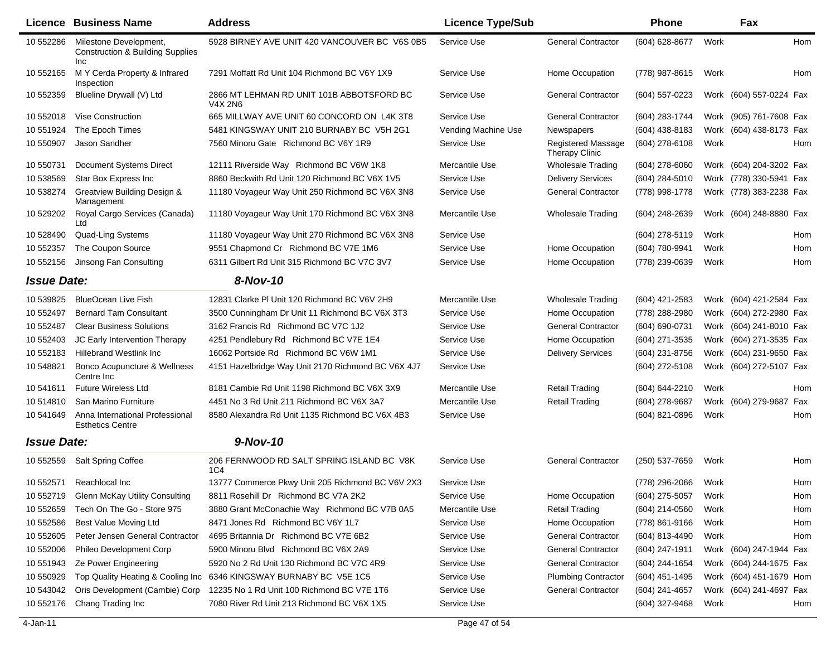|                    | <b>Licence Business Name</b>                                                 | <b>Address</b>                                       | <b>Licence Type/Sub</b> |                                                    | <b>Phone</b>     |      | Fax                     |            |
|--------------------|------------------------------------------------------------------------------|------------------------------------------------------|-------------------------|----------------------------------------------------|------------------|------|-------------------------|------------|
| 10 552286          | Milestone Development,<br><b>Construction &amp; Building Supplies</b><br>Inc | 5928 BIRNEY AVE UNIT 420 VANCOUVER BC V6S 0B5        | Service Use             | <b>General Contractor</b>                          | (604) 628-8677   | Work |                         | Hom        |
| 10 552165          | M Y Cerda Property & Infrared<br>Inspection                                  | 7291 Moffatt Rd Unit 104 Richmond BC V6Y 1X9         | Service Use             | Home Occupation                                    | (778) 987-8615   | Work |                         | Hom        |
| 10 552359          | Blueline Drywall (V) Ltd                                                     | 2866 MT LEHMAN RD UNIT 101B ABBOTSFORD BC<br>V4X 2N6 | Service Use             | <b>General Contractor</b>                          | (604) 557-0223   |      | Work (604) 557-0224 Fax |            |
| 10 552018          | <b>Vise Construction</b>                                                     | 665 MILLWAY AVE UNIT 60 CONCORD ON L4K 3T8           | Service Use             | <b>General Contractor</b>                          | (604) 283-1744   |      | Work (905) 761-7608 Fax |            |
| 10 551924          | The Epoch Times                                                              | 5481 KINGSWAY UNIT 210 BURNABY BC V5H 2G1            | Vending Machine Use     | Newspapers                                         | (604) 438-8183   |      | Work (604) 438-8173 Fax |            |
| 10 550907          | Jason Sandher                                                                | 7560 Minoru Gate Richmond BC V6Y 1R9                 | Service Use             | <b>Registered Massage</b><br><b>Therapy Clinic</b> | (604) 278-6108   | Work |                         | Hom        |
| 10 550731          | <b>Document Systems Direct</b>                                               | 12111 Riverside Way Richmond BC V6W 1K8              | Mercantile Use          | <b>Wholesale Trading</b>                           | $(604)$ 278-6060 |      | Work (604) 204-3202 Fax |            |
| 10 538569          | Star Box Express Inc                                                         | 8860 Beckwith Rd Unit 120 Richmond BC V6X 1V5        | Service Use             | <b>Delivery Services</b>                           | (604) 284-5010   |      | Work (778) 330-5941 Fax |            |
| 10 538274          | Greatview Building Design &<br>Management                                    | 11180 Voyageur Way Unit 250 Richmond BC V6X 3N8      | Service Use             | <b>General Contractor</b>                          | (778) 998-1778   |      | Work (778) 383-2238 Fax |            |
| 10 529202          | Royal Cargo Services (Canada)<br>Ltd                                         | 11180 Voyageur Way Unit 170 Richmond BC V6X 3N8      | Mercantile Use          | <b>Wholesale Trading</b>                           | (604) 248-2639   |      | Work (604) 248-8880 Fax |            |
| 10 528490          | Quad-Ling Systems                                                            | 11180 Voyageur Way Unit 270 Richmond BC V6X 3N8      | Service Use             |                                                    | (604) 278-5119   | Work |                         | Hom        |
| 10 552357          | The Coupon Source                                                            | 9551 Chapmond Cr Richmond BC V7E 1M6                 | Service Use             | Home Occupation                                    | (604) 780-9941   | Work |                         | <b>Hom</b> |
| 10 552156          | Jinsong Fan Consulting                                                       | 6311 Gilbert Rd Unit 315 Richmond BC V7C 3V7         | Service Use             | Home Occupation                                    | (778) 239-0639   | Work |                         | Hom        |
| <b>Issue Date:</b> |                                                                              | 8-Nov-10                                             |                         |                                                    |                  |      |                         |            |
| 10 539825          | <b>BlueOcean Live Fish</b>                                                   | 12831 Clarke PI Unit 120 Richmond BC V6V 2H9         | Mercantile Use          | <b>Wholesale Trading</b>                           | (604) 421-2583   |      | Work (604) 421-2584 Fax |            |
| 10 552497          | <b>Bernard Tam Consultant</b>                                                | 3500 Cunningham Dr Unit 11 Richmond BC V6X 3T3       | Service Use             | Home Occupation                                    | (778) 288-2980   |      | Work (604) 272-2980 Fax |            |
| 10 552487          | <b>Clear Business Solutions</b>                                              | 3162 Francis Rd Richmond BC V7C 1J2                  | Service Use             | <b>General Contractor</b>                          | (604) 690-0731   |      | Work (604) 241-8010 Fax |            |
| 10 552403          | JC Early Intervention Therapy                                                | 4251 Pendlebury Rd Richmond BC V7E 1E4               | Service Use             | Home Occupation                                    | (604) 271-3535   |      | Work (604) 271-3535 Fax |            |
| 10 552183          | <b>Hillebrand Westlink Inc.</b>                                              | 16062 Portside Rd Richmond BC V6W 1M1                | Service Use             | <b>Delivery Services</b>                           | (604) 231-8756   |      | Work (604) 231-9650 Fax |            |
| 10 548821          | Bonco Acupuncture & Wellness<br>Centre Inc                                   | 4151 Hazelbridge Way Unit 2170 Richmond BC V6X 4J7   | Service Use             |                                                    | (604) 272-5108   |      | Work (604) 272-5107 Fax |            |
| 10 541611          | <b>Future Wireless Ltd</b>                                                   | 8181 Cambie Rd Unit 1198 Richmond BC V6X 3X9         | Mercantile Use          | <b>Retail Trading</b>                              | (604) 644-2210   | Work |                         | Hom        |
| 10 514810          | San Marino Furniture                                                         | 4451 No 3 Rd Unit 211 Richmond BC V6X 3A7            | Mercantile Use          | <b>Retail Trading</b>                              | (604) 278-9687   |      | Work (604) 279-9687     | Fax        |
| 10 541649          | Anna International Professional<br><b>Esthetics Centre</b>                   | 8580 Alexandra Rd Unit 1135 Richmond BC V6X 4B3      | Service Use             |                                                    | (604) 821-0896   | Work |                         | Hom        |
| <b>Issue Date:</b> |                                                                              | 9-Nov-10                                             |                         |                                                    |                  |      |                         |            |
| 10 552559          | <b>Salt Spring Coffee</b>                                                    | 206 FERNWOOD RD SALT SPRING ISLAND BC V8K<br>1C4     | Service Use             | <b>General Contractor</b>                          | (250) 537-7659   | Work |                         | Hom        |
| 10 552571          | Reachlocal Inc                                                               | 13777 Commerce Pkwy Unit 205 Richmond BC V6V 2X3     | Service Use             |                                                    | (778) 296-2066   | Work |                         | Hom        |
| 10 552719          | Glenn McKay Utility Consulting                                               | 8811 Rosehill Dr Richmond BC V7A 2K2                 | Service Use             | Home Occupation                                    | $(604)$ 275-5057 | Work |                         | Hom        |
| 10 552659          | Tech On The Go - Store 975                                                   | 3880 Grant McConachie Way Richmond BC V7B 0A5        | Mercantile Use          | <b>Retail Trading</b>                              | (604) 214-0560   | Work |                         | Hom        |
| 10 552586          | Best Value Moving Ltd                                                        | 8471 Jones Rd Richmond BC V6Y 1L7                    | Service Use             | Home Occupation                                    | (778) 861-9166   | Work |                         | Hom        |
| 10 552605          | Peter Jensen General Contractor                                              | 4695 Britannia Dr Richmond BC V7E 6B2                | Service Use             | <b>General Contractor</b>                          | (604) 813-4490   | Work |                         | Hom        |
| 10 552006          | Phileo Development Corp                                                      | 5900 Minoru Blvd Richmond BC V6X 2A9                 | Service Use             | <b>General Contractor</b>                          | (604) 247-1911   |      | Work (604) 247-1944 Fax |            |
| 10 551943          | Ze Power Engineering                                                         | 5920 No 2 Rd Unit 130 Richmond BC V7C 4R9            | Service Use             | <b>General Contractor</b>                          | (604) 244-1654   |      | Work (604) 244-1675 Fax |            |
| 10 550929          | Top Quality Heating & Cooling Inc                                            | 6346 KINGSWAY BURNABY BC V5E 1C5                     | Service Use             | <b>Plumbing Contractor</b>                         | (604) 451-1495   |      | Work (604) 451-1679 Hom |            |
| 10 543042          | Oris Development (Cambie) Corp                                               | 12235 No 1 Rd Unit 100 Richmond BC V7E 1T6           | Service Use             | <b>General Contractor</b>                          | (604) 241-4657   |      | Work (604) 241-4697 Fax |            |
| 10 552176          | Chang Trading Inc                                                            | 7080 River Rd Unit 213 Richmond BC V6X 1X5           | Service Use             |                                                    | (604) 327-9468   | Work |                         | Hom        |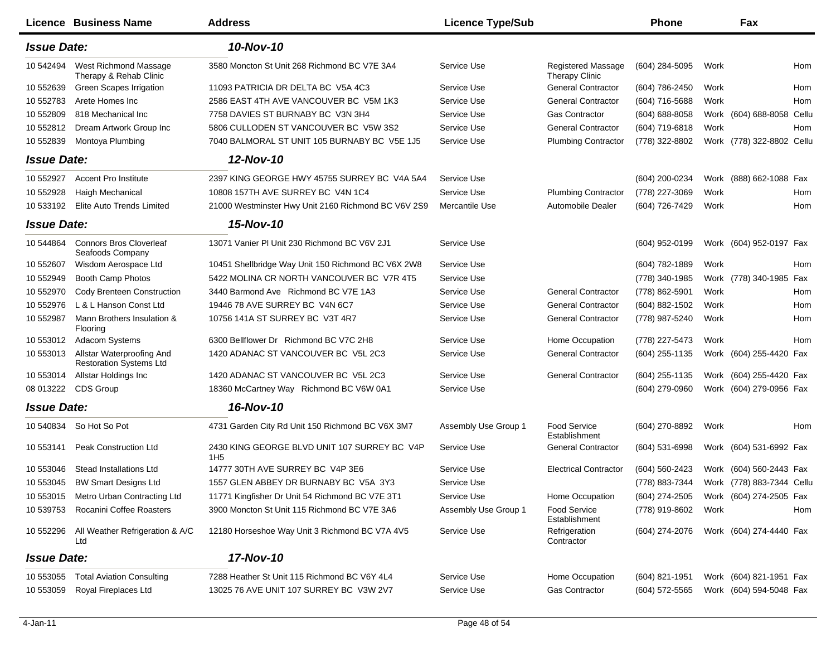|                    | Licence Business Name                                       | <b>Address</b>                                                  | <b>Licence Type/Sub</b> |                                                    | <b>Phone</b>   |      | Fax                       |     |
|--------------------|-------------------------------------------------------------|-----------------------------------------------------------------|-------------------------|----------------------------------------------------|----------------|------|---------------------------|-----|
| <b>Issue Date:</b> |                                                             | 10-Nov-10                                                       |                         |                                                    |                |      |                           |     |
| 10 542494          | West Richmond Massage<br>Therapy & Rehab Clinic             | 3580 Moncton St Unit 268 Richmond BC V7E 3A4                    | Service Use             | <b>Registered Massage</b><br><b>Therapy Clinic</b> | (604) 284-5095 | Work |                           | Hom |
| 10 552639          | Green Scapes Irrigation                                     | 11093 PATRICIA DR DELTA BC V5A 4C3                              | Service Use             | <b>General Contractor</b>                          | (604) 786-2450 | Work |                           | Hom |
| 10 552783          | Arete Homes Inc                                             | 2586 EAST 4TH AVE VANCOUVER BC V5M 1K3                          | Service Use             | <b>General Contractor</b>                          | (604) 716-5688 | Work |                           | Hom |
| 10 552809          | 818 Mechanical Inc                                          | 7758 DAVIES ST BURNABY BC V3N 3H4                               | Service Use             | <b>Gas Contractor</b>                              | (604) 688-8058 |      | Work (604) 688-8058 Cellu |     |
| 10 552812          | Dream Artwork Group Inc                                     | 5806 CULLODEN ST VANCOUVER BC V5W 3S2                           | Service Use             | <b>General Contractor</b>                          | (604) 719-6818 | Work |                           | Hom |
| 10 552839          | Montoya Plumbing                                            | 7040 BALMORAL ST UNIT 105 BURNABY BC V5E 1J5                    | Service Use             | <b>Plumbing Contractor</b>                         | (778) 322-8802 |      | Work (778) 322-8802 Cellu |     |
| <b>Issue Date:</b> |                                                             | 12-Nov-10                                                       |                         |                                                    |                |      |                           |     |
| 10 552927          | <b>Accent Pro Institute</b>                                 | 2397 KING GEORGE HWY 45755 SURREY BC V4A 5A4                    | Service Use             |                                                    | (604) 200-0234 |      | Work (888) 662-1088 Fax   |     |
| 10 552928          | Haigh Mechanical                                            | 10808 157TH AVE SURREY BC V4N 1C4                               | Service Use             | <b>Plumbing Contractor</b>                         | (778) 227-3069 | Work |                           | Hom |
| 10 533192          | Elite Auto Trends Limited                                   | 21000 Westminster Hwy Unit 2160 Richmond BC V6V 2S9             | Mercantile Use          | Automobile Dealer                                  | (604) 726-7429 | Work |                           | Hom |
| <b>Issue Date:</b> |                                                             | 15-Nov-10                                                       |                         |                                                    |                |      |                           |     |
| 10 544864          | <b>Connors Bros Cloverleaf</b><br>Seafoods Company          | 13071 Vanier PI Unit 230 Richmond BC V6V 2J1                    | Service Use             |                                                    | (604) 952-0199 |      | Work (604) 952-0197 Fax   |     |
| 10 552607          | Wisdom Aerospace Ltd                                        | 10451 Shellbridge Way Unit 150 Richmond BC V6X 2W8              | Service Use             |                                                    | (604) 782-1889 | Work |                           | Hom |
| 10 552949          | Booth Camp Photos                                           | 5422 MOLINA CR NORTH VANCOUVER BC V7R 4T5                       | Service Use             |                                                    | (778) 340-1985 |      | Work (778) 340-1985 Fax   |     |
| 10 552970          | Cody Brenteen Construction                                  | 3440 Barmond Ave Richmond BC V7E 1A3                            | Service Use             | <b>General Contractor</b>                          | (778) 862-5901 | Work |                           | Hom |
| 10 552976          | L & L Hanson Const Ltd                                      | 19446 78 AVE SURREY BC V4N 6C7                                  | Service Use             | <b>General Contractor</b>                          | (604) 882-1502 | Work |                           | Hom |
| 10 552987          | Mann Brothers Insulation &<br>Flooring                      | 10756 141A ST SURREY BC V3T 4R7                                 | Service Use             | <b>General Contractor</b>                          | (778) 987-5240 | Work |                           | Hom |
| 10 553012          | Adacom Systems                                              | 6300 Bellflower Dr Richmond BC V7C 2H8                          | Service Use             | Home Occupation                                    | (778) 227-5473 | Work |                           | Hom |
| 10 553013          | Allstar Waterproofing And<br><b>Restoration Systems Ltd</b> | 1420 ADANAC ST VANCOUVER BC V5L 2C3                             | Service Use             | <b>General Contractor</b>                          | (604) 255-1135 |      | Work (604) 255-4420 Fax   |     |
| 10 553014          | Allstar Holdings Inc                                        | 1420 ADANAC ST VANCOUVER BC V5L 2C3                             | Service Use             | <b>General Contractor</b>                          | (604) 255-1135 |      | Work (604) 255-4420 Fax   |     |
| 08 013222          | CDS Group                                                   | 18360 McCartney Way Richmond BC V6W 0A1                         | Service Use             |                                                    | (604) 279-0960 |      | Work (604) 279-0956 Fax   |     |
| <b>Issue Date:</b> |                                                             | 16-Nov-10                                                       |                         |                                                    |                |      |                           |     |
| 10 540834          | So Hot So Pot                                               | 4731 Garden City Rd Unit 150 Richmond BC V6X 3M7                | Assembly Use Group 1    | <b>Food Service</b><br>Establishment               | (604) 270-8892 | Work |                           | Hom |
| 10 553141          | <b>Peak Construction Ltd</b>                                | 2430 KING GEORGE BLVD UNIT 107 SURREY BC V4P<br>1H <sub>5</sub> | Service Use             | <b>General Contractor</b>                          | (604) 531-6998 |      | Work (604) 531-6992 Fax   |     |
| 10 553046          | <b>Stead Installations Ltd</b>                              | 14777 30TH AVE SURREY BC V4P 3E6                                | Service Use             | <b>Electrical Contractor</b>                       | (604) 560-2423 |      | Work (604) 560-2443 Fax   |     |
| 10 553045          | <b>BW Smart Designs Ltd</b>                                 | 1557 GLEN ABBEY DR BURNABY BC V5A 3Y3                           | Service Use             |                                                    | (778) 883-7344 |      | Work (778) 883-7344 Cellu |     |
|                    | 10 553015 Metro Urban Contracting Ltd                       | 11771 Kingfisher Dr Unit 54 Richmond BC V7E 3T1                 | Service Use             | Home Occupation                                    | (604) 274-2505 |      | Work (604) 274-2505 Fax   |     |
| 10 539753          | Rocanini Coffee Roasters                                    | 3900 Moncton St Unit 115 Richmond BC V7E 3A6                    | Assembly Use Group 1    | <b>Food Service</b><br>Establishment               | (778) 919-8602 | Work |                           | Hom |
| 10 552296          | All Weather Refrigeration & A/C<br>Ltd                      | 12180 Horseshoe Way Unit 3 Richmond BC V7A 4V5                  | Service Use             | Refrigeration<br>Contractor                        | (604) 274-2076 |      | Work (604) 274-4440 Fax   |     |
| <b>Issue Date:</b> |                                                             | 17-Nov-10                                                       |                         |                                                    |                |      |                           |     |
| 10 553055          | <b>Total Aviation Consulting</b>                            | 7288 Heather St Unit 115 Richmond BC V6Y 4L4                    | Service Use             | Home Occupation                                    | (604) 821-1951 |      | Work (604) 821-1951 Fax   |     |
| 10 553059          | Royal Fireplaces Ltd                                        | 13025 76 AVE UNIT 107 SURREY BC V3W 2V7                         | Service Use             | <b>Gas Contractor</b>                              | (604) 572-5565 |      | Work (604) 594-5048 Fax   |     |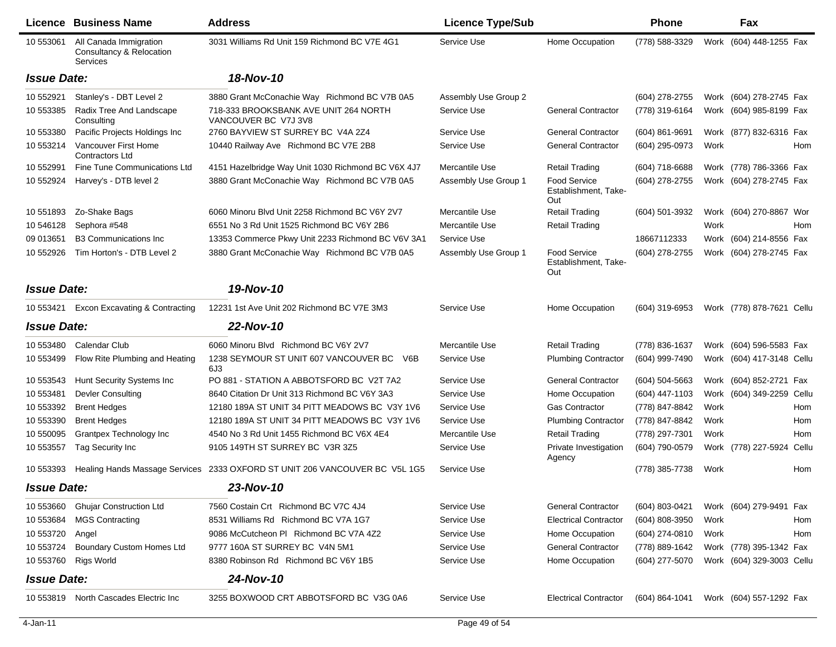|                    | <b>Licence Business Name</b>                                          | <b>Address</b>                                                              | <b>Licence Type/Sub</b> |                                                    | <b>Phone</b>     |      | Fax                       |       |
|--------------------|-----------------------------------------------------------------------|-----------------------------------------------------------------------------|-------------------------|----------------------------------------------------|------------------|------|---------------------------|-------|
| 10 553061          | All Canada Immigration<br>Consultancy & Relocation<br><b>Services</b> | 3031 Williams Rd Unit 159 Richmond BC V7E 4G1                               | Service Use             | Home Occupation                                    | (778) 588-3329   | Work | (604) 448-1255 Fax        |       |
| <b>Issue Date:</b> |                                                                       | 18-Nov-10                                                                   |                         |                                                    |                  |      |                           |       |
| 10 552921          | Stanley's - DBT Level 2                                               | 3880 Grant McConachie Way Richmond BC V7B 0A5                               | Assembly Use Group 2    |                                                    | (604) 278-2755   |      | Work (604) 278-2745 Fax   |       |
| 10 553385          | Radix Tree And Landscape<br>Consulting                                | 718-333 BROOKSBANK AVE UNIT 264 NORTH<br>VANCOUVER BC V7J 3V8               | Service Use             | <b>General Contractor</b>                          | (778) 319-6164   |      | Work (604) 985-8199 Fax   |       |
| 10 553380          | Pacific Projects Holdings Inc                                         | 2760 BAYVIEW ST SURREY BC V4A 2Z4                                           | Service Use             | <b>General Contractor</b>                          | (604) 861-9691   |      | Work (877) 832-6316 Fax   |       |
| 10 553214          | Vancouver First Home<br><b>Contractors Ltd</b>                        | 10440 Railway Ave Richmond BC V7E 2B8                                       | Service Use             | <b>General Contractor</b>                          | (604) 295-0973   | Work |                           | Hom   |
| 10 552991          | <b>Fine Tune Communications Ltd</b>                                   | 4151 Hazelbridge Way Unit 1030 Richmond BC V6X 4J7                          | Mercantile Use          | <b>Retail Trading</b>                              | (604) 718-6688   |      | Work (778) 786-3366 Fax   |       |
| 10 552924          | Harvey's - DTB level 2                                                | 3880 Grant McConachie Way Richmond BC V7B 0A5                               | Assembly Use Group 1    | <b>Food Service</b><br>Establishment, Take-<br>Out | (604) 278-2755   |      | Work (604) 278-2745 Fax   |       |
| 10 551893          | Zo-Shake Bags                                                         | 6060 Minoru Blvd Unit 2258 Richmond BC V6Y 2V7                              | Mercantile Use          | Retail Trading                                     | (604) 501-3932   |      | Work (604) 270-8867 Wor   |       |
| 10 54 6128         | Sephora #548                                                          | 6551 No 3 Rd Unit 1525 Richmond BC V6Y 2B6                                  | Mercantile Use          | <b>Retail Trading</b>                              |                  | Work |                           | Hom   |
| 09 013651          | <b>B3 Communications Inc</b>                                          | 13353 Commerce Pkwy Unit 2233 Richmond BC V6V 3A1                           | Service Use             |                                                    | 18667112333      |      | Work (604) 214-8556 Fax   |       |
| 10 552926          | Tim Horton's - DTB Level 2                                            | 3880 Grant McConachie Way Richmond BC V7B 0A5                               | Assembly Use Group 1    | Food Service<br>Establishment, Take-<br>Out        | (604) 278-2755   |      | Work (604) 278-2745 Fax   |       |
| <b>Issue Date:</b> |                                                                       | 19-Nov-10                                                                   |                         |                                                    |                  |      |                           |       |
| 10 553421          | <b>Excon Excavating &amp; Contracting</b>                             | 12231 1st Ave Unit 202 Richmond BC V7E 3M3                                  | Service Use             | Home Occupation                                    | (604) 319-6953   |      | Work (778) 878-7621 Cellu |       |
| <b>Issue Date:</b> |                                                                       | 22-Nov-10                                                                   |                         |                                                    |                  |      |                           |       |
| 10 553480          | Calendar Club                                                         | 6060 Minoru Blvd Richmond BC V6Y 2V7                                        | Mercantile Use          | <b>Retail Trading</b>                              | (778) 836-1637   |      | Work (604) 596-5583 Fax   |       |
| 10 553499          | Flow Rite Plumbing and Heating                                        | 1238 SEYMOUR ST UNIT 607 VANCOUVER BC<br>V6B<br>6J3                         | Service Use             | <b>Plumbing Contractor</b>                         | (604) 999-7490   |      | Work (604) 417-3148 Cellu |       |
| 10 553543          | Hunt Security Systems Inc                                             | PO 881 - STATION A ABBOTSFORD BC V2T 7A2                                    | Service Use             | <b>General Contractor</b>                          | $(604)$ 504-5663 |      | Work (604) 852-2721 Fax   |       |
| 10 553481          | <b>Devler Consulting</b>                                              | 8640 Citation Dr Unit 313 Richmond BC V6Y 3A3                               | Service Use             | Home Occupation                                    | (604) 447-1103   |      | Work (604) 349-2259 Cellu |       |
| 10 553392          | <b>Brent Hedges</b>                                                   | 12180 189A ST UNIT 34 PITT MEADOWS BC V3Y 1V6                               | Service Use             | <b>Gas Contractor</b>                              | (778) 847-8842   | Work |                           | Hom   |
| 10 553390          | <b>Brent Hedges</b>                                                   | 12180 189A ST UNIT 34 PITT MEADOWS BC V3Y 1V6                               | Service Use             | <b>Plumbing Contractor</b>                         | (778) 847-8842   | Work |                           | Hom   |
| 10 550095          | <b>Grantpex Technology Inc</b>                                        | 4540 No 3 Rd Unit 1455 Richmond BC V6X 4E4                                  | Mercantile Use          | <b>Retail Trading</b>                              | (778) 297-7301   | Work |                           | Hom   |
| 10 553557          | Tag Security Inc                                                      | 9105 149TH ST SURREY BC V3R 3Z5                                             | Service Use             | Private Investigation<br>Agency                    | (604) 790-0579   |      | Work (778) 227-5924       | Cellu |
| 10 553393          |                                                                       | Healing Hands Massage Services 2333 OXFORD ST UNIT 206 VANCOUVER BC V5L 1G5 | Service Use             |                                                    | (778) 385-7738   | Work |                           | Hom   |
| <b>Issue Date:</b> |                                                                       | 23-Nov-10                                                                   |                         |                                                    |                  |      |                           |       |
| 10 553660          | <b>Ghujar Construction Ltd</b>                                        | 7560 Costain Crt Richmond BC V7C 4J4                                        | Service Use             | <b>General Contractor</b>                          | (604) 803-0421   |      | Work (604) 279-9491 Fax   |       |
| 10 553684          | <b>MGS Contracting</b>                                                | 8531 Williams Rd Richmond BC V7A 1G7                                        | Service Use             | <b>Electrical Contractor</b>                       | (604) 808-3950   | Work |                           | Hom   |
| 10 553720          | Angel                                                                 | 9086 McCutcheon PI Richmond BC V7A 4Z2                                      | Service Use             | Home Occupation                                    | (604) 274-0810   | Work |                           | Hom   |
| 10 553724          | Boundary Custom Homes Ltd                                             | 9777 160A ST SURREY BC V4N 5M1                                              | Service Use             | <b>General Contractor</b>                          | (778) 889-1642   |      | Work (778) 395-1342 Fax   |       |
| 10 553760          | Rigs World                                                            | 8380 Robinson Rd Richmond BC V6Y 1B5                                        | Service Use             | Home Occupation                                    | (604) 277-5070   |      | Work (604) 329-3003 Cellu |       |
| <b>Issue Date:</b> |                                                                       | 24-Nov-10                                                                   |                         |                                                    |                  |      |                           |       |
|                    | 10 553819 North Cascades Electric Inc                                 | 3255 BOXWOOD CRT ABBOTSFORD BC V3G 0A6                                      | Service Use             | <b>Electrical Contractor</b>                       | (604) 864-1041   |      | Work (604) 557-1292 Fax   |       |

 $\blacksquare$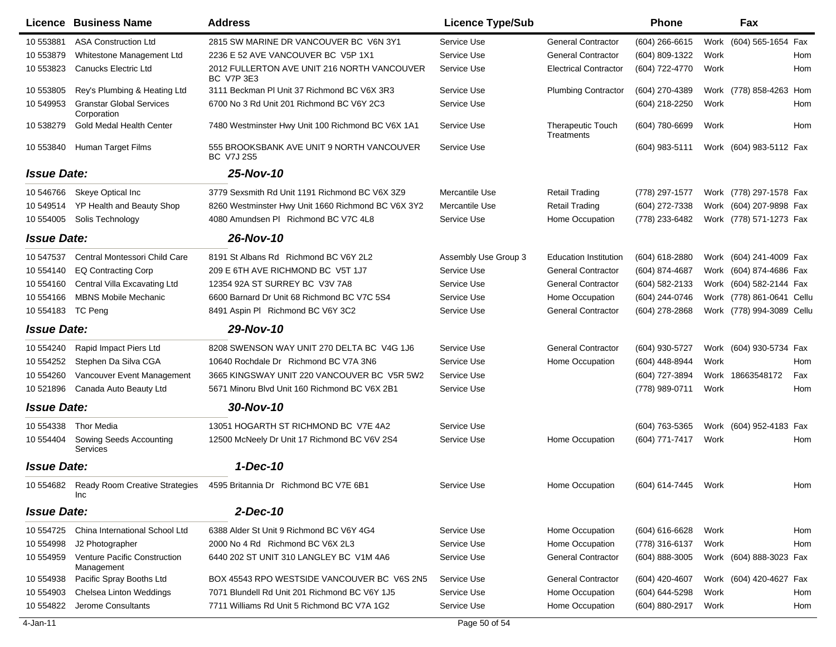|                    | Licence Business Name                          | <b>Address</b>                                                   | <b>Licence Type/Sub</b> |                                 | <b>Phone</b>     |      | Fax                       |     |
|--------------------|------------------------------------------------|------------------------------------------------------------------|-------------------------|---------------------------------|------------------|------|---------------------------|-----|
| 10 553881          | <b>ASA Construction Ltd</b>                    | 2815 SW MARINE DR VANCOUVER BC V6N 3Y1                           | Service Use             | <b>General Contractor</b>       | $(604)$ 266-6615 | Work | (604) 565-1654 Fax        |     |
| 10 553879          | Whitestone Management Ltd                      | 2236 E 52 AVE VANCOUVER BC V5P 1X1                               | Service Use             | <b>General Contractor</b>       | (604) 809-1322   | Work |                           | Hom |
| 10 553823          | Canucks Electric Ltd                           | 2012 FULLERTON AVE UNIT 216 NORTH VANCOUVER<br><b>BC V7P 3E3</b> | Service Use             | <b>Electrical Contractor</b>    | (604) 722-4770   | Work |                           | Hom |
| 10 553805          | Rey's Plumbing & Heating Ltd                   | 3111 Beckman PI Unit 37 Richmond BC V6X 3R3                      | Service Use             | <b>Plumbing Contractor</b>      | (604) 270-4389   | Work | (778) 858-4263 Hom        |     |
| 10 549953          | <b>Granstar Global Services</b><br>Corporation | 6700 No 3 Rd Unit 201 Richmond BC V6Y 2C3                        | Service Use             |                                 | (604) 218-2250   | Work |                           | Hom |
| 10 538279          | Gold Medal Health Center                       | 7480 Westminster Hwy Unit 100 Richmond BC V6X 1A1                | Service Use             | Therapeutic Touch<br>Treatments | (604) 780-6699   | Work |                           | Hom |
| 10 553840          | Human Target Films                             | 555 BROOKSBANK AVE UNIT 9 NORTH VANCOUVER<br><b>BC V7J 2S5</b>   | Service Use             |                                 | (604) 983-5111   |      | Work (604) 983-5112 Fax   |     |
| <b>Issue Date:</b> |                                                | 25-Nov-10                                                        |                         |                                 |                  |      |                           |     |
| 10 546766          | Skeye Optical Inc                              | 3779 Sexsmith Rd Unit 1191 Richmond BC V6X 3Z9                   | Mercantile Use          | Retail Trading                  | (778) 297-1577   |      | Work (778) 297-1578 Fax   |     |
| 10 549514          | YP Health and Beauty Shop                      | 8260 Westminster Hwy Unit 1660 Richmond BC V6X 3Y2               | Mercantile Use          | <b>Retail Trading</b>           | (604) 272-7338   |      | Work (604) 207-9898 Fax   |     |
| 10 554005          | Solis Technology                               | 4080 Amundsen PI Richmond BC V7C 4L8                             | Service Use             | Home Occupation                 | (778) 233-6482   |      | Work (778) 571-1273 Fax   |     |
| <b>Issue Date:</b> |                                                | 26-Nov-10                                                        |                         |                                 |                  |      |                           |     |
| 10 547537          | Central Montessori Child Care                  | 8191 St Albans Rd Richmond BC V6Y 2L2                            | Assembly Use Group 3    | <b>Education Institution</b>    | $(604)$ 618-2880 |      | Work (604) 241-4009 Fax   |     |
| 10 554140          | <b>EQ Contracting Corp</b>                     | 209 E 6TH AVE RICHMOND BC V5T 1J7                                | Service Use             | <b>General Contractor</b>       | (604) 874-4687   |      | Work (604) 874-4686 Fax   |     |
| 10 554160          | Central Villa Excavating Ltd                   | 12354 92A ST SURREY BC V3V 7A8                                   | Service Use             | <b>General Contractor</b>       | (604) 582-2133   | Work | (604) 582-2144 Fax        |     |
| 10 554166          | <b>MBNS Mobile Mechanic</b>                    | 6600 Barnard Dr Unit 68 Richmond BC V7C 5S4                      | Service Use             | Home Occupation                 | (604) 244-0746   | Work | (778) 861-0641 Cellu      |     |
| 10 554183          | TC Peng                                        | 8491 Aspin PI Richmond BC V6Y 3C2                                | Service Use             | <b>General Contractor</b>       | (604) 278-2868   |      | Work (778) 994-3089 Cellu |     |
| <b>Issue Date:</b> |                                                | 29-Nov-10                                                        |                         |                                 |                  |      |                           |     |
| 10 554240          | Rapid Impact Piers Ltd                         | 8208 SWENSON WAY UNIT 270 DELTA BC V4G 1J6                       | Service Use             | <b>General Contractor</b>       | (604) 930-5727   |      | Work (604) 930-5734 Fax   |     |
| 10 554252          | Stephen Da Silva CGA                           | 10640 Rochdale Dr Richmond BC V7A 3N6                            | Service Use             | Home Occupation                 | (604) 448-8944   | Work |                           | Hom |
| 10 554260          | Vancouver Event Management                     | 3665 KINGSWAY UNIT 220 VANCOUVER BC V5R 5W2                      | Service Use             |                                 | (604) 727-3894   |      | Work 18663548172          | Fax |
| 10 521896          | Canada Auto Beauty Ltd                         | 5671 Minoru Blvd Unit 160 Richmond BC V6X 2B1                    | Service Use             |                                 | (778) 989-0711   | Work |                           | Hom |
| <b>Issue Date:</b> |                                                | 30-Nov-10                                                        |                         |                                 |                  |      |                           |     |
| 10 554338          | <b>Thor Media</b>                              | 13051 HOGARTH ST RICHMOND BC V7E 4A2                             | Service Use             |                                 | (604) 763-5365   |      | Work (604) 952-4183 Fax   |     |
| 10 554404          | Sowing Seeds Accounting<br>Services            | 12500 McNeely Dr Unit 17 Richmond BC V6V 2S4                     | Service Use             | Home Occupation                 | (604) 771-7417   | Work |                           | Hom |
| <b>Issue Date:</b> |                                                | 1-Dec-10                                                         |                         |                                 |                  |      |                           |     |
| 10 554682          | Ready Room Creative Strategies<br>Inc          | 4595 Britannia Dr Richmond BC V7E 6B1                            | Service Use             | <b>Home Occupation</b>          | (604) 614-7445   | Work |                           | Hom |
| <b>Issue Date:</b> |                                                | $2$ -Dec-10                                                      |                         |                                 |                  |      |                           |     |
| 10 554725          | China International School Ltd                 | 6388 Alder St Unit 9 Richmond BC V6Y 4G4                         | Service Use             | Home Occupation                 | (604) 616-6628   | Work |                           | Hom |
| 10 554998          | J2 Photographer                                | 2000 No 4 Rd Richmond BC V6X 2L3                                 | Service Use             | Home Occupation                 | (778) 316-6137   | Work |                           | Hom |
| 10 554959          | Venture Pacific Construction<br>Management     | 6440 202 ST UNIT 310 LANGLEY BC V1M 4A6                          | Service Use             | <b>General Contractor</b>       | (604) 888-3005   |      | Work (604) 888-3023 Fax   |     |
| 10 554938          | Pacific Spray Booths Ltd                       | BOX 45543 RPO WESTSIDE VANCOUVER BC V6S 2N5                      | Service Use             | <b>General Contractor</b>       | (604) 420-4607   |      | Work (604) 420-4627 Fax   |     |
| 10 554903          | Chelsea Linton Weddings                        | 7071 Blundell Rd Unit 201 Richmond BC V6Y 1J5                    | Service Use             | Home Occupation                 | (604) 644-5298   | Work |                           | Hom |
| 10 554822          | Jerome Consultants                             | 7711 Williams Rd Unit 5 Richmond BC V7A 1G2                      | Service Use             | Home Occupation                 | (604) 880-2917   | Work |                           | Hom |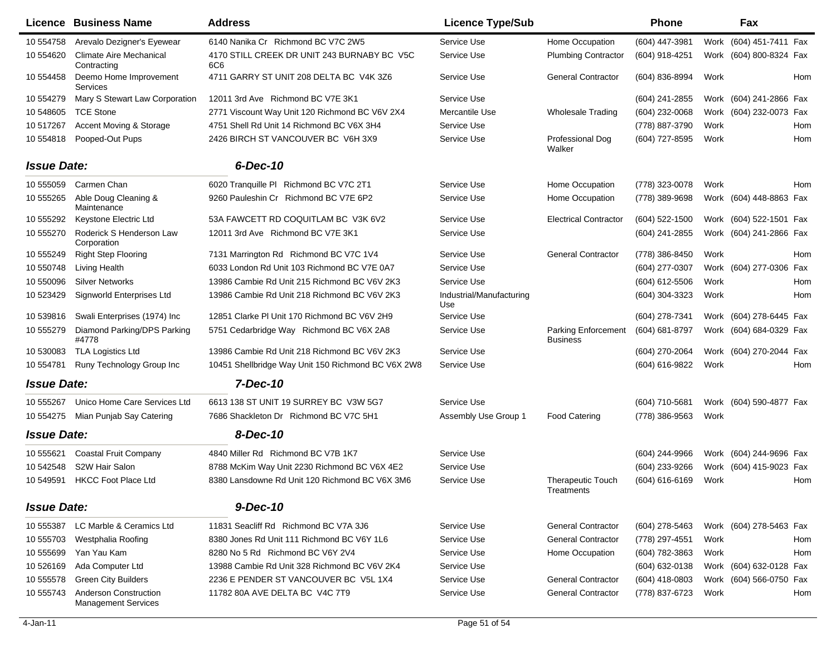|                    | <b>Licence Business Name</b>                               | <b>Address</b>                                     | <b>Licence Type/Sub</b>         |                                         | Phone            |      | Fax                     |            |
|--------------------|------------------------------------------------------------|----------------------------------------------------|---------------------------------|-----------------------------------------|------------------|------|-------------------------|------------|
| 10 554758          | Arevalo Dezigner's Eyewear                                 | 6140 Nanika Cr Richmond BC V7C 2W5                 | Service Use                     | Home Occupation                         | (604) 447-3981   | Work | (604) 451-7411 Fax      |            |
| 10 554620          | <b>Climate Aire Mechanical</b><br>Contracting              | 4170 STILL CREEK DR UNIT 243 BURNABY BC V5C<br>6C6 | Service Use                     | <b>Plumbing Contractor</b>              | (604) 918-4251   |      | Work (604) 800-8324 Fax |            |
| 10 554458          | Deemo Home Improvement<br>Services                         | 4711 GARRY ST UNIT 208 DELTA BC V4K 3Z6            | Service Use                     | <b>General Contractor</b>               | (604) 836-8994   | Work |                         | <b>Hom</b> |
| 10 554279          | Mary S Stewart Law Corporation                             | 12011 3rd Ave Richmond BC V7E 3K1                  | Service Use                     |                                         | (604) 241-2855   |      | Work (604) 241-2866 Fax |            |
| 10 548605          | <b>TCE Stone</b>                                           | 2771 Viscount Way Unit 120 Richmond BC V6V 2X4     | Mercantile Use                  | <b>Wholesale Trading</b>                | (604) 232-0068   |      | Work (604) 232-0073 Fax |            |
| 10 517267          | Accent Moving & Storage                                    | 4751 Shell Rd Unit 14 Richmond BC V6X 3H4          | Service Use                     |                                         | (778) 887-3790   | Work |                         | Hom        |
| 10 554818          | Pooped-Out Pups                                            | 2426 BIRCH ST VANCOUVER BC V6H 3X9                 | Service Use                     | Professional Dog<br>Walker              | (604) 727-8595   | Work |                         | <b>Hom</b> |
| <b>Issue Date:</b> |                                                            | 6-Dec-10                                           |                                 |                                         |                  |      |                         |            |
| 10 555059          | Carmen Chan                                                | 6020 Tranquille PI Richmond BC V7C 2T1             | Service Use                     | Home Occupation                         | (778) 323-0078   | Work |                         | <b>Hom</b> |
| 10 555265          | Able Doug Cleaning &<br>Maintenance                        | 9260 Pauleshin Cr Richmond BC V7E 6P2              | Service Use                     | Home Occupation                         | (778) 389-9698   |      | Work (604) 448-8863 Fax |            |
| 10 555292          | Keystone Electric Ltd                                      | 53A FAWCETT RD COQUITLAM BC V3K 6V2                | Service Use                     | <b>Electrical Contractor</b>            | (604) 522-1500   |      | Work (604) 522-1501 Fax |            |
| 10 555270          | Roderick S Henderson Law<br>Corporation                    | 12011 3rd Ave Richmond BC V7E 3K1                  | Service Use                     |                                         | (604) 241-2855   |      | Work (604) 241-2866 Fax |            |
| 10 555249          | <b>Right Step Flooring</b>                                 | 7131 Marrington Rd Richmond BC V7C 1V4             | Service Use                     | <b>General Contractor</b>               | (778) 386-8450   | Work |                         | <b>Hom</b> |
| 10 550748          | <b>Living Health</b>                                       | 6033 London Rd Unit 103 Richmond BC V7E 0A7        | Service Use                     |                                         | (604) 277-0307   | Work | (604) 277-0306          | Fax        |
| 10 550096          | <b>Silver Networks</b>                                     | 13986 Cambie Rd Unit 215 Richmond BC V6V 2K3       | Service Use                     |                                         | (604) 612-5506   | Work |                         | Hom        |
| 10 523429          | Signworld Enterprises Ltd                                  | 13986 Cambie Rd Unit 218 Richmond BC V6V 2K3       | Industrial/Manufacturing<br>Use |                                         | (604) 304-3323   | Work |                         | Hom        |
| 10 539816          | Swali Enterprises (1974) Inc                               | 12851 Clarke PI Unit 170 Richmond BC V6V 2H9       | Service Use                     |                                         | (604) 278-7341   | Work | (604) 278-6445 Fax      |            |
| 10 555279          | Diamond Parking/DPS Parking<br>#4778                       | 5751 Cedarbridge Way Richmond BC V6X 2A8           | Service Use                     | Parking Enforcement<br><b>Business</b>  | (604) 681-8797   | Work | (604) 684-0329 Fax      |            |
| 10 530083          | <b>TLA Logistics Ltd</b>                                   | 13986 Cambie Rd Unit 218 Richmond BC V6V 2K3       | Service Use                     |                                         | (604) 270-2064   |      | Work (604) 270-2044 Fax |            |
| 10 554781          | Runy Technology Group Inc                                  | 10451 Shellbridge Way Unit 150 Richmond BC V6X 2W8 | Service Use                     |                                         | (604) 616-9822   | Work |                         | Hom        |
| <b>Issue Date:</b> |                                                            | 7-Dec-10                                           |                                 |                                         |                  |      |                         |            |
| 10 555267          | Unico Home Care Services Ltd                               | 6613 138 ST UNIT 19 SURREY BC V3W 5G7              | Service Use                     |                                         | (604) 710-5681   |      | Work (604) 590-4877 Fax |            |
| 10 554275          | Mian Punjab Say Catering                                   | 7686 Shackleton Dr Richmond BC V7C 5H1             | Assembly Use Group 1            | <b>Food Catering</b>                    | (778) 386-9563   | Work |                         |            |
| <b>Issue Date:</b> |                                                            | 8-Dec-10                                           |                                 |                                         |                  |      |                         |            |
| 10 555621          | <b>Coastal Fruit Company</b>                               | 4840 Miller Rd Richmond BC V7B 1K7                 | Service Use                     |                                         | (604) 244-9966   |      | Work (604) 244-9696 Fax |            |
| 10 542548          | S2W Hair Salon                                             | 8788 McKim Way Unit 2230 Richmond BC V6X 4E2       | Service Use                     |                                         | (604) 233-9266   |      | Work (604) 415-9023 Fax |            |
| 10 549591          | <b>HKCC Foot Place Ltd</b>                                 | 8380 Lansdowne Rd Unit 120 Richmond BC V6X 3M6     | Service Use                     | <b>Therapeutic Touch</b><br>I reatments | (604) 616-6169   | Work |                         | Hom        |
| <b>Issue Date:</b> |                                                            | 9-Dec-10                                           |                                 |                                         |                  |      |                         |            |
| 10 555387          | LC Marble & Ceramics Ltd                                   | 11831 Seacliff Rd Richmond BC V7A 3J6              | Service Use                     | <b>General Contractor</b>               | (604) 278-5463   |      | Work (604) 278-5463 Fax |            |
| 10 555703          | Westphalia Roofing                                         | 8380 Jones Rd Unit 111 Richmond BC V6Y 1L6         | Service Use                     | <b>General Contractor</b>               | (778) 297-4551   | Work |                         | Hom        |
| 10 555699          | Yan Yau Kam                                                | 8280 No 5 Rd Richmond BC V6Y 2V4                   | Service Use                     | Home Occupation                         | (604) 782-3863   | Work |                         | Hom        |
| 10 526169          | Ada Computer Ltd                                           | 13988 Cambie Rd Unit 328 Richmond BC V6V 2K4       | Service Use                     |                                         | (604) 632-0138   |      | Work (604) 632-0128 Fax |            |
| 10 555578          | <b>Green City Builders</b>                                 | 2236 E PENDER ST VANCOUVER BC V5L 1X4              | Service Use                     | <b>General Contractor</b>               | $(604)$ 418-0803 |      | Work (604) 566-0750 Fax |            |
| 10 555743          | <b>Anderson Construction</b><br><b>Management Services</b> | 11782 80A AVE DELTA BC V4C 7T9                     | Service Use                     | <b>General Contractor</b>               | (778) 837-6723   | Work |                         | Hom        |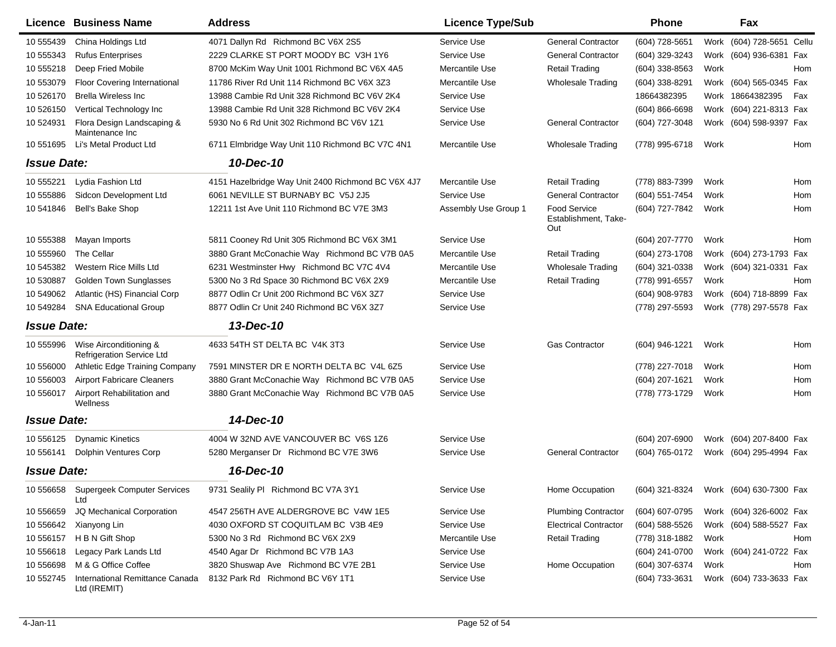|                    | Licence Business Name                                      | <b>Address</b>                                     | <b>Licence Type/Sub</b> |                                                    | <b>Phone</b>                           |      | Fax                       |            |
|--------------------|------------------------------------------------------------|----------------------------------------------------|-------------------------|----------------------------------------------------|----------------------------------------|------|---------------------------|------------|
| 10 555439          | China Holdings Ltd                                         | 4071 Dallyn Rd Richmond BC V6X 2S5                 | Service Use             | <b>General Contractor</b>                          | (604) 728-5651                         |      | Work (604) 728-5651 Cellu |            |
| 10 555343          | <b>Rufus Enterprises</b>                                   | 2229 CLARKE ST PORT MOODY BC V3H 1Y6               | Service Use             | <b>General Contractor</b>                          | (604) 329-3243                         |      | Work (604) 936-6381 Fax   |            |
| 10 555218          | Deep Fried Mobile                                          | 8700 McKim Way Unit 1001 Richmond BC V6X 4A5       | Mercantile Use          | <b>Retail Trading</b>                              | (604) 338-8563                         | Work |                           | Hom        |
| 10 553079          | <b>Floor Covering International</b>                        | 11786 River Rd Unit 114 Richmond BC V6X 3Z3        | Mercantile Use          | <b>Wholesale Trading</b>                           | (604) 338-8291                         |      | Work (604) 565-0345 Fax   |            |
| 10 526170          | <b>Brella Wireless Inc</b>                                 | 13988 Cambie Rd Unit 328 Richmond BC V6V 2K4       | Service Use             |                                                    | 18664382395                            |      | Work 18664382395          | Fax        |
| 10 526150          | Vertical Technology Inc                                    | 13988 Cambie Rd Unit 328 Richmond BC V6V 2K4       | Service Use             |                                                    | $(604) 866 - 6698$                     |      | Work (604) 221-8313 Fax   |            |
| 10 524931          | Flora Design Landscaping &<br>Maintenance Inc              | 5930 No 6 Rd Unit 302 Richmond BC V6V 1Z1          | Service Use             | <b>General Contractor</b>                          | (604) 727-3048                         |      | Work (604) 598-9397 Fax   |            |
| 10 551 695         | Li's Metal Product Ltd                                     | 6711 Elmbridge Way Unit 110 Richmond BC V7C 4N1    | Mercantile Use          | <b>Wholesale Trading</b>                           | (778) 995-6718                         | Work |                           | Hom        |
| <b>Issue Date:</b> |                                                            | 10-Dec-10                                          |                         |                                                    |                                        |      |                           |            |
| 10 555221          | Lydia Fashion Ltd                                          | 4151 Hazelbridge Way Unit 2400 Richmond BC V6X 4J7 | Mercantile Use          | <b>Retail Trading</b>                              | (778) 883-7399                         | Work |                           | <b>Hom</b> |
| 10 555886          | Sidcon Development Ltd                                     | 6061 NEVILLE ST BURNABY BC V5J 2J5                 | Service Use             | <b>General Contractor</b>                          | (604) 551-7454                         | Work |                           | Hom        |
| 10 541846          | Bell's Bake Shop                                           | 12211 1st Ave Unit 110 Richmond BC V7E 3M3         | Assembly Use Group 1    | <b>Food Service</b><br>Establishment, Take-<br>Out | (604) 727-7842                         | Work |                           | Hom        |
| 10 555388          | Mayan Imports                                              | 5811 Cooney Rd Unit 305 Richmond BC V6X 3M1        | Service Use             |                                                    | (604) 207-7770                         | Work |                           | Hom        |
| 10 555960          | The Cellar                                                 | 3880 Grant McConachie Way Richmond BC V7B 0A5      | Mercantile Use          | <b>Retail Trading</b>                              | (604) 273-1708                         |      | Work (604) 273-1793 Fax   |            |
| 10 545382          | Western Rice Mills Ltd                                     | 6231 Westminster Hwy Richmond BC V7C 4V4           | Mercantile Use          | <b>Wholesale Trading</b>                           | (604) 321-0338                         |      | Work (604) 321-0331 Fax   |            |
| 10 530887          | <b>Golden Town Sunglasses</b>                              | 5300 No 3 Rd Space 30 Richmond BC V6X 2X9          | Mercantile Use          | <b>Retail Trading</b>                              | (778) 991-6557                         | Work |                           | Hom        |
| 10 549062          | Atlantic (HS) Financial Corp                               | 8877 Odlin Cr Unit 200 Richmond BC V6X 3Z7         | Service Use             |                                                    | (604) 908-9783                         |      | Work (604) 718-8899 Fax   |            |
| 10 549284          | <b>SNA Educational Group</b>                               | 8877 Odlin Cr Unit 240 Richmond BC V6X 3Z7         | Service Use             |                                                    | (778) 297-5593                         |      | Work (778) 297-5578 Fax   |            |
| <b>Issue Date:</b> |                                                            | 13-Dec-10                                          |                         |                                                    |                                        |      |                           |            |
| 10 555996          | Wise Airconditioning &<br><b>Refrigeration Service Ltd</b> | 4633 54TH ST DELTA BC V4K 3T3                      | Service Use             | <b>Gas Contractor</b>                              | (604) 946-1221                         | Work |                           | Hom        |
| 10 556000          | <b>Athletic Edge Training Company</b>                      | 7591 MINSTER DR E NORTH DELTA BC V4L 6Z5           | Service Use             |                                                    | (778) 227-7018                         | Work |                           | Hom        |
| 10 556003          | <b>Airport Fabricare Cleaners</b>                          | 3880 Grant McConachie Way Richmond BC V7B 0A5      | Service Use             |                                                    | (604) 207-1621                         | Work |                           | Hom        |
| 10 556017          | Airport Rehabilitation and<br>Wellness                     | 3880 Grant McConachie Way Richmond BC V7B 0A5      | Service Use             |                                                    | (778) 773-1729                         | Work |                           | Hom        |
| <b>Issue Date:</b> |                                                            | 14-Dec-10                                          |                         |                                                    |                                        |      |                           |            |
| 10 556125          | <b>Dynamic Kinetics</b>                                    | 4004 W 32ND AVE VANCOUVER BC V6S 1Z6               | Service Use             |                                                    | (604) 207-6900                         |      | Work (604) 207-8400 Fax   |            |
| 10 556141          | <b>Dolphin Ventures Corp</b>                               | 5280 Merganser Dr Richmond BC V7E 3W6              | Service Use             | <b>General Contractor</b>                          | (604) 765-0172                         |      | Work (604) 295-4994 Fax   |            |
| <b>Issue Date:</b> |                                                            | 16-Dec-10                                          |                         |                                                    |                                        |      |                           |            |
| 10 556658          | Supergeek Computer Services<br>Ltd                         | 9731 Sealily PI Richmond BC V7A 3Y1                | Service Use             | Home Occupation                                    | (604) 321-8324 Work (604) 630-7300 Fax |      |                           |            |
| 10 556659          | JQ Mechanical Corporation                                  | 4547 256TH AVE ALDERGROVE BC V4W 1E5               | Service Use             | <b>Plumbing Contractor</b>                         | (604) 607-0795                         |      | Work (604) 326-6002 Fax   |            |
| 10 556642          | Xianyong Lin                                               | 4030 OXFORD ST COQUITLAM BC V3B 4E9                | Service Use             | <b>Electrical Contractor</b>                       | $(604)$ 588-5526                       |      | Work (604) 588-5527 Fax   |            |
| 10 55 61 57        | H B N Gift Shop                                            | 5300 No 3 Rd Richmond BC V6X 2X9                   | Mercantile Use          | <b>Retail Trading</b>                              | (778) 318-1882                         | Work |                           | Hom        |
| 10 55 6618         | Legacy Park Lands Ltd                                      | 4540 Agar Dr Richmond BC V7B 1A3                   | Service Use             |                                                    | (604) 241-0700                         |      | Work (604) 241-0722 Fax   |            |
| 10 556698          | M & G Office Coffee                                        | 3820 Shuswap Ave Richmond BC V7E 2B1               | Service Use             | Home Occupation                                    | (604) 307-6374                         | Work |                           | Hom        |
| 10 552745          | International Remittance Canada<br>Ltd (IREMIT)            | 8132 Park Rd Richmond BC V6Y 1T1                   | Service Use             |                                                    | (604) 733-3631                         |      | Work (604) 733-3633 Fax   |            |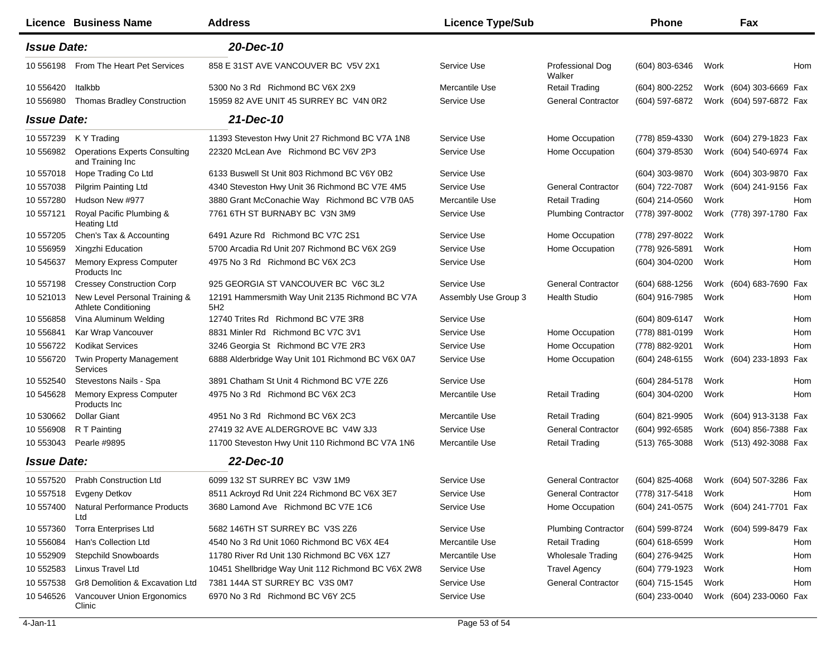|                    | Licence Business Name                                        | <b>Address</b>                                         | <b>Licence Type/Sub</b> |                            | Phone            |      | Fax                     |     |
|--------------------|--------------------------------------------------------------|--------------------------------------------------------|-------------------------|----------------------------|------------------|------|-------------------------|-----|
| <b>Issue Date:</b> |                                                              | 20-Dec-10                                              |                         |                            |                  |      |                         |     |
| 10 556198          | From The Heart Pet Services                                  | 858 E 31ST AVE VANCOUVER BC V5V 2X1                    | Service Use             | Professional Dog<br>Walker | (604) 803-6346   | Work |                         | Hom |
| 10 556420          | Italkbb                                                      | 5300 No 3 Rd Richmond BC V6X 2X9                       | Mercantile Use          | <b>Retail Trading</b>      | (604) 800-2252   |      | Work (604) 303-6669 Fax |     |
| 10 556980          | <b>Thomas Bradley Construction</b>                           | 15959 82 AVE UNIT 45 SURREY BC V4N 0R2                 | Service Use             | <b>General Contractor</b>  | (604) 597-6872   |      | Work (604) 597-6872 Fax |     |
| <b>Issue Date:</b> |                                                              | 21-Dec-10                                              |                         |                            |                  |      |                         |     |
| 10 557239          | K Y Trading                                                  | 11393 Steveston Hwy Unit 27 Richmond BC V7A 1N8        | Service Use             | Home Occupation            | (778) 859-4330   |      | Work (604) 279-1823 Fax |     |
| 10 556982          | <b>Operations Experts Consulting</b><br>and Training Inc     | 22320 McLean Ave Richmond BC V6V 2P3                   | Service Use             | Home Occupation            | (604) 379-8530   |      | Work (604) 540-6974 Fax |     |
| 10 557018          | Hope Trading Co Ltd                                          | 6133 Buswell St Unit 803 Richmond BC V6Y 0B2           | Service Use             |                            | (604) 303-9870   |      | Work (604) 303-9870 Fax |     |
| 10 557038          | <b>Pilgrim Painting Ltd</b>                                  | 4340 Steveston Hwy Unit 36 Richmond BC V7E 4M5         | Service Use             | <b>General Contractor</b>  | (604) 722-7087   |      | Work (604) 241-9156 Fax |     |
| 10 557280          | Hudson New #977                                              | 3880 Grant McConachie Way Richmond BC V7B 0A5          | Mercantile Use          | Retail Trading             | (604) 214-0560   | Work |                         | Hom |
| 10 557121          | Royal Pacific Plumbing &<br>Heating Ltd                      | 7761 6TH ST BURNABY BC V3N 3M9                         | Service Use             | <b>Plumbing Contractor</b> | (778) 397-8002   |      | Work (778) 397-1780 Fax |     |
| 10 557205          | Chen's Tax & Accounting                                      | 6491 Azure Rd Richmond BC V7C 2S1                      | Service Use             | Home Occupation            | (778) 297-8022   | Work |                         |     |
| 10 55 6959         | Xingzhi Education                                            | 5700 Arcadia Rd Unit 207 Richmond BC V6X 2G9           | Service Use             | Home Occupation            | (778) 926-5891   | Work |                         | Hom |
| 10 545637          | <b>Memory Express Computer</b><br>Products Inc               | 4975 No 3 Rd Richmond BC V6X 2C3                       | Service Use             |                            | (604) 304-0200   | Work |                         | Hom |
| 10 557198          | <b>Cressey Construction Corp</b>                             | 925 GEORGIA ST VANCOUVER BC V6C 3L2                    | Service Use             | <b>General Contractor</b>  | (604) 688-1256   |      | Work (604) 683-7690 Fax |     |
| 10 521013          | New Level Personal Training &<br><b>Athlete Conditioning</b> | 12191 Hammersmith Way Unit 2135 Richmond BC V7A<br>5H2 | Assembly Use Group 3    | <b>Health Studio</b>       | (604) 916-7985   | Work |                         | Hom |
| 10 556858          | Vina Aluminum Welding                                        | 12740 Trites Rd Richmond BC V7E 3R8                    | Service Use             |                            | (604) 809-6147   | Work |                         | Hom |
| 10 556841          | Kar Wrap Vancouver                                           | 8831 Minler Rd Richmond BC V7C 3V1                     | Service Use             | Home Occupation            | (778) 881-0199   | Work |                         | Hom |
| 10 556722          | <b>Kodikat Services</b>                                      | 3246 Georgia St Richmond BC V7E 2R3                    | Service Use             | Home Occupation            | (778) 882-9201   | Work |                         | Hom |
| 10 55 6720         | <b>Twin Property Management</b><br>Services                  | 6888 Alderbridge Way Unit 101 Richmond BC V6X 0A7      | Service Use             | Home Occupation            | (604) 248-6155   |      | Work (604) 233-1893 Fax |     |
| 10 552540          | Stevestons Nails - Spa                                       | 3891 Chatham St Unit 4 Richmond BC V7E 2Z6             | Service Use             |                            | (604) 284-5178   | Work |                         | Hom |
| 10 545628          | Memory Express Computer<br>Products Inc                      | 4975 No 3 Rd Richmond BC V6X 2C3                       | Mercantile Use          | <b>Retail Trading</b>      | (604) 304-0200   | Work |                         | Hom |
| 10 530662          | <b>Dollar Giant</b>                                          | 4951 No 3 Rd Richmond BC V6X 2C3                       | Mercantile Use          | <b>Retail Trading</b>      | (604) 821-9905   |      | Work (604) 913-3138 Fax |     |
| 10 55 6908         | R T Painting                                                 | 27419 32 AVE ALDERGROVE BC V4W 3J3                     | Service Use             | <b>General Contractor</b>  | (604) 992-6585   |      | Work (604) 856-7388 Fax |     |
| 10 553043          | Pearle #9895                                                 | 11700 Steveston Hwy Unit 110 Richmond BC V7A 1N6       | Mercantile Use          | <b>Retail Trading</b>      | (513) 765-3088   |      | Work (513) 492-3088 Fax |     |
| <b>Issue Date:</b> |                                                              | 22-Dec-10                                              |                         |                            |                  |      |                         |     |
|                    | 10 557520 Prabh Construction Ltd                             | 6099 132 ST SURREY BC V3W 1M9                          | Service Use             | <b>General Contractor</b>  | (604) 825-4068   |      | Work (604) 507-3286 Fax |     |
|                    | 10 557518 Evgeny Detkov                                      | 8511 Ackroyd Rd Unit 224 Richmond BC V6X 3E7           | Service Use             | <b>General Contractor</b>  | (778) 317-5418   | Work |                         | Hom |
| 10 557400          | Natural Performance Products<br>Ltd                          | 3680 Lamond Ave Richmond BC V7E 1C6                    | Service Use             | Home Occupation            | (604) 241-0575   |      | Work (604) 241-7701 Fax |     |
| 10 557360          | <b>Torra Enterprises Ltd</b>                                 | 5682 146TH ST SURREY BC V3S 2Z6                        | Service Use             | <b>Plumbing Contractor</b> | (604) 599-8724   |      | Work (604) 599-8479 Fax |     |
| 10 556084          | Han's Collection Ltd                                         | 4540 No 3 Rd Unit 1060 Richmond BC V6X 4E4             | Mercantile Use          | <b>Retail Trading</b>      | $(604)$ 618-6599 | Work |                         | Hom |
| 10 552909          | <b>Stepchild Snowboards</b>                                  | 11780 River Rd Unit 130 Richmond BC V6X 1Z7            | Mercantile Use          | <b>Wholesale Trading</b>   | (604) 276-9425   | Work |                         | Hom |
| 10 552583          | Linxus Travel Ltd                                            | 10451 Shellbridge Way Unit 112 Richmond BC V6X 2W8     | Service Use             | <b>Travel Agency</b>       | (604) 779-1923   | Work |                         | Hom |
| 10 557538          | Gr8 Demolition & Excavation Ltd                              | 7381 144A ST SURREY BC V3S 0M7                         | Service Use             | <b>General Contractor</b>  | (604) 715-1545   | Work |                         | Hom |
| 10 54 6526         | Vancouver Union Ergonomics<br>Clinic                         | 6970 No 3 Rd Richmond BC V6Y 2C5                       | Service Use             |                            | (604) 233-0040   |      | Work (604) 233-0060 Fax |     |